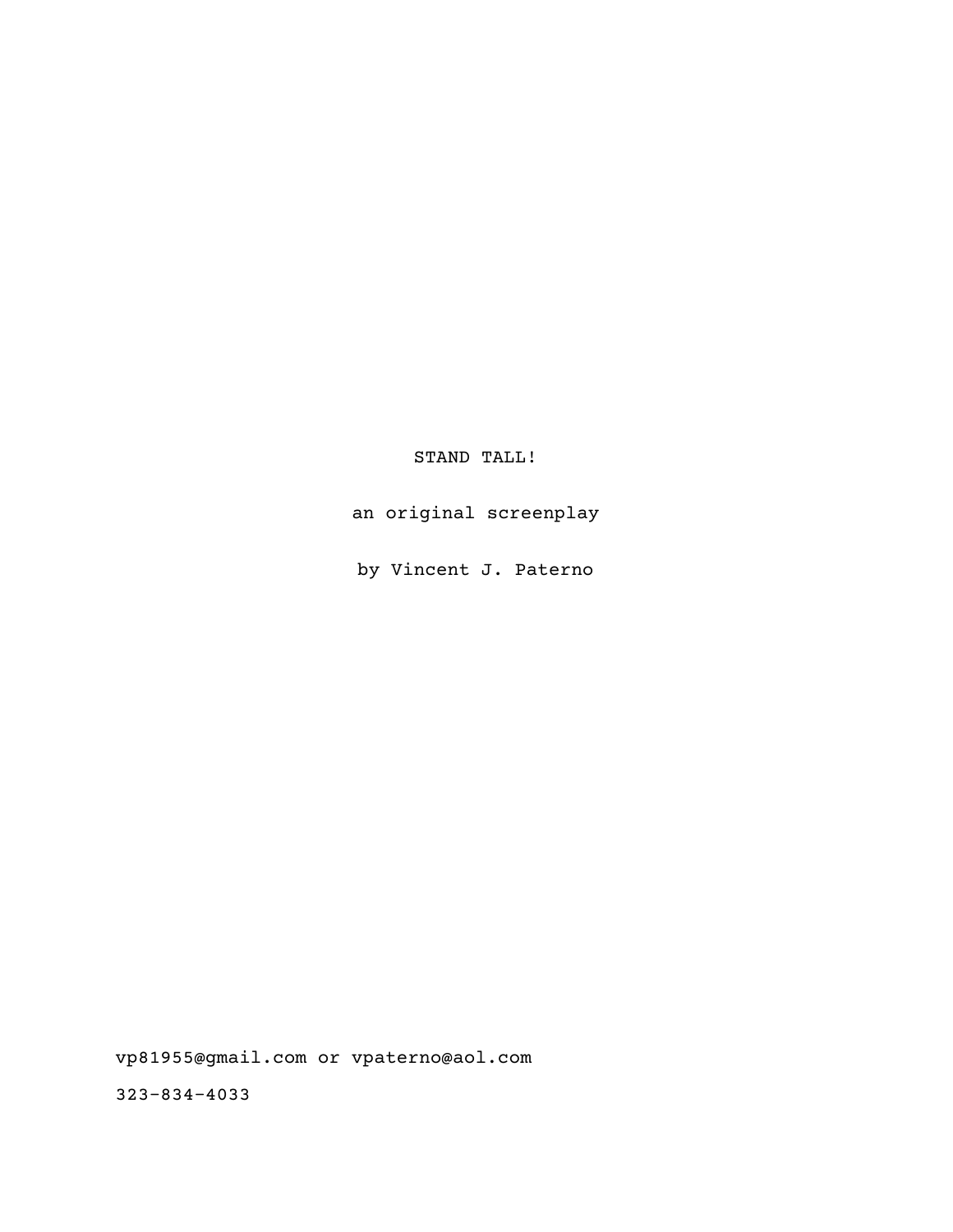STAND TALL!

an original screenplay

by Vincent J. Paterno

vp81955@gmail.com or vpaterno@aol.com

323-834-4033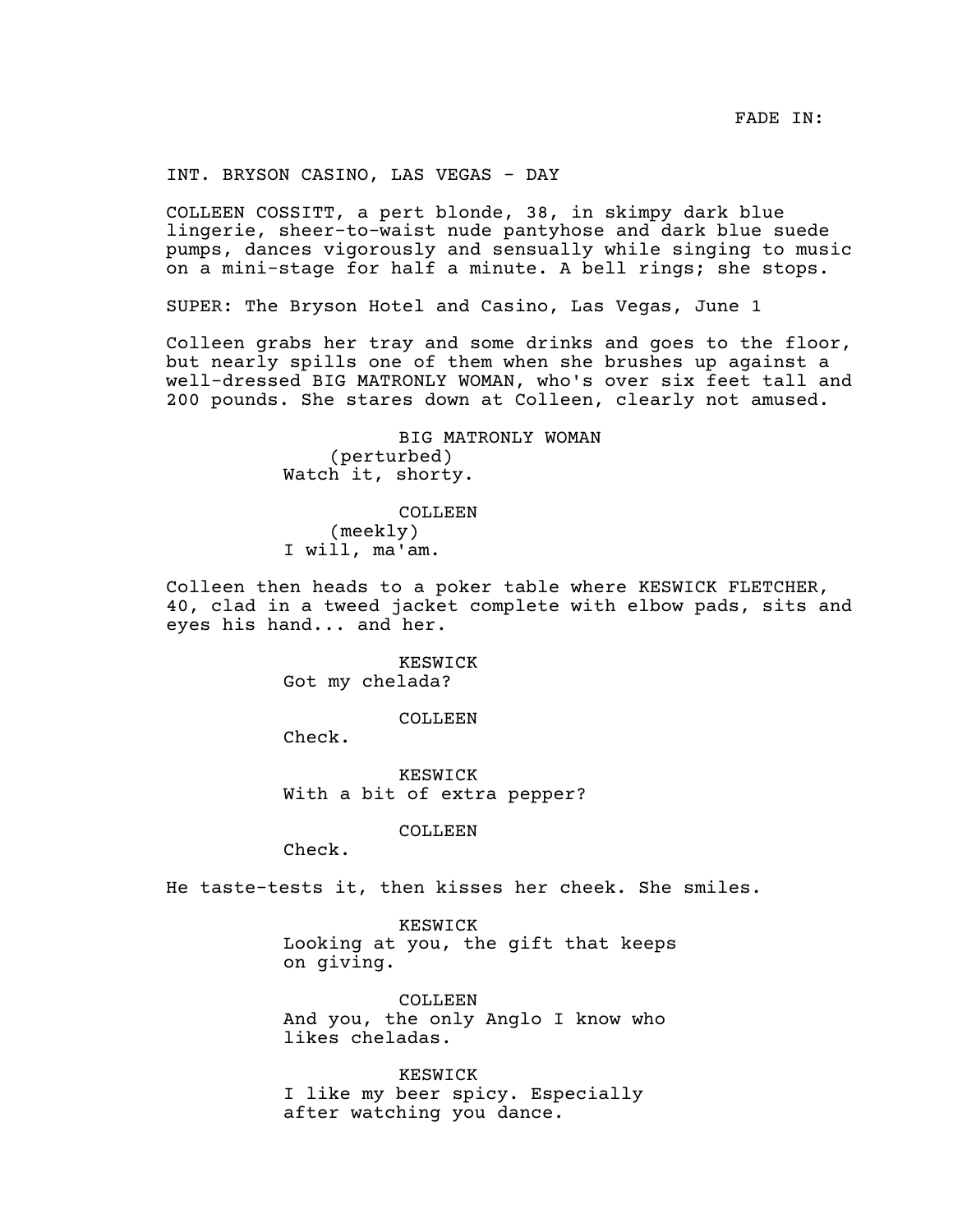INT. BRYSON CASINO, LAS VEGAS - DAY

COLLEEN COSSITT, a pert blonde, 38, in skimpy dark blue lingerie, sheer-to-waist nude pantyhose and dark blue suede pumps, dances vigorously and sensually while singing to music on a mini-stage for half a minute. A bell rings; she stops.

SUPER: The Bryson Hotel and Casino, Las Vegas, June 1

Colleen grabs her tray and some drinks and goes to the floor, but nearly spills one of them when she brushes up against a well-dressed BIG MATRONLY WOMAN, who's over six feet tall and 200 pounds. She stares down at Colleen, clearly not amused.

> BIG MATRONLY WOMAN (perturbed) Watch it, shorty.

COLLEEN (meekly) I will, ma'am.

Colleen then heads to a poker table where KESWICK FLETCHER, 40, clad in a tweed jacket complete with elbow pads, sits and eyes his hand... and her.

> KESWICK Got my chelada?

> > COLLEEN

Check.

KESWICK With a bit of extra pepper?

COLLEEN

Check.

He taste-tests it, then kisses her cheek. She smiles.

KESWICK Looking at you, the gift that keeps on giving.

COLLEEN And you, the only Anglo I know who likes cheladas.

KESWICK I like my beer spicy. Especially after watching you dance.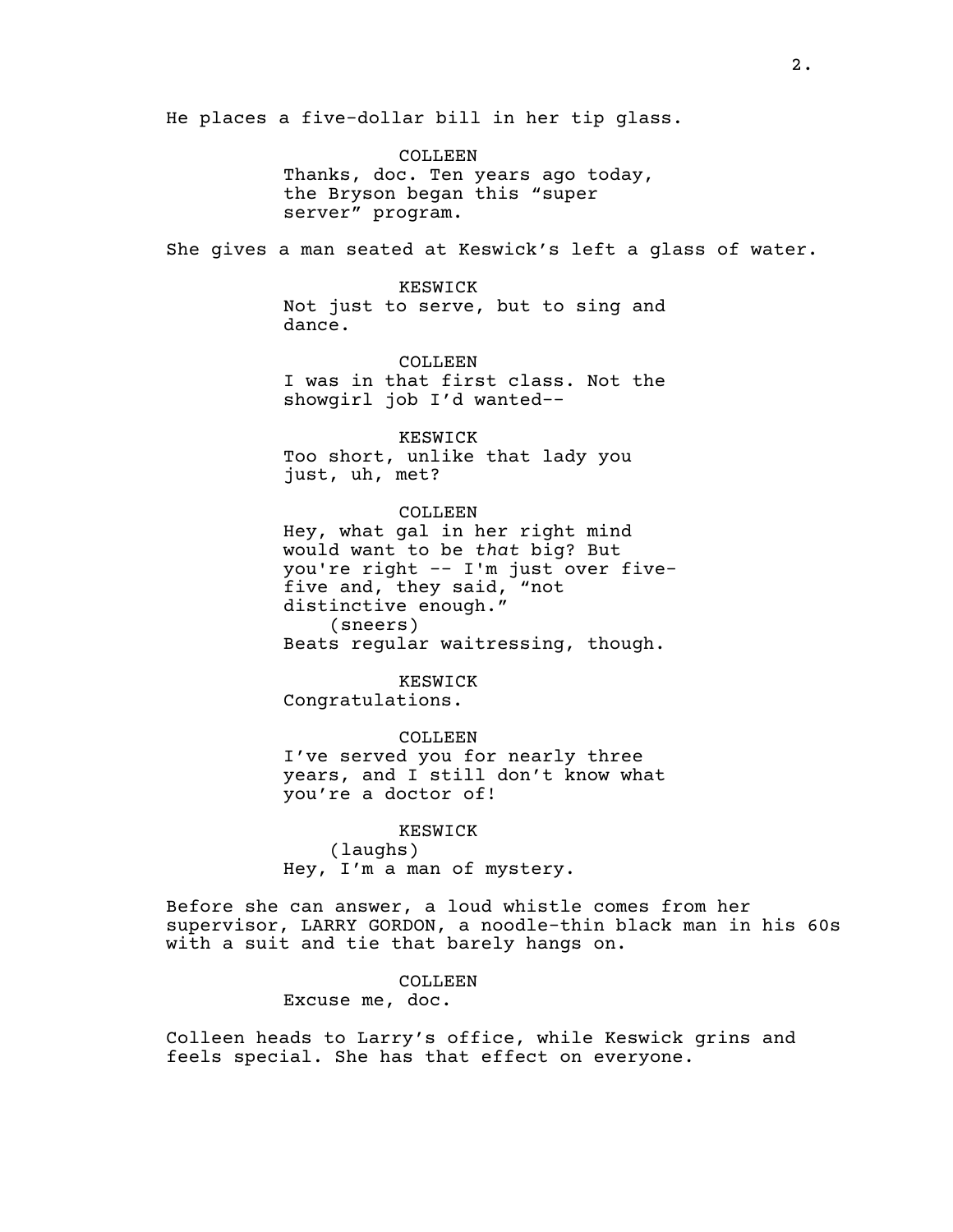He places a five-dollar bill in her tip glass.

COLLEEN Thanks, doc. Ten years ago today, the Bryson began this "super server" program.

She gives a man seated at Keswick's left a glass of water.

KESWICK Not just to serve, but to sing and dance.

COLLEEN I was in that first class. Not the showgirl job I'd wanted--

KESWICK Too short, unlike that lady you just, uh, met?

COLLEEN Hey, what gal in her right mind would want to be *that* big? But you're right -- I'm just over fivefive and, they said, "not distinctive enough."

(sneers) Beats regular waitressing, though.

KESWICK Congratulations.

COLLEEN I've served you for nearly three years, and I still don't know what you're a doctor of!

KESWICK (laughs) Hey, I'm a man of mystery.

Before she can answer, a loud whistle comes from her supervisor, LARRY GORDON, a noodle-thin black man in his 60s with a suit and tie that barely hangs on.

#### COLLEEN

Excuse me, doc.

Colleen heads to Larry's office, while Keswick grins and feels special. She has that effect on everyone.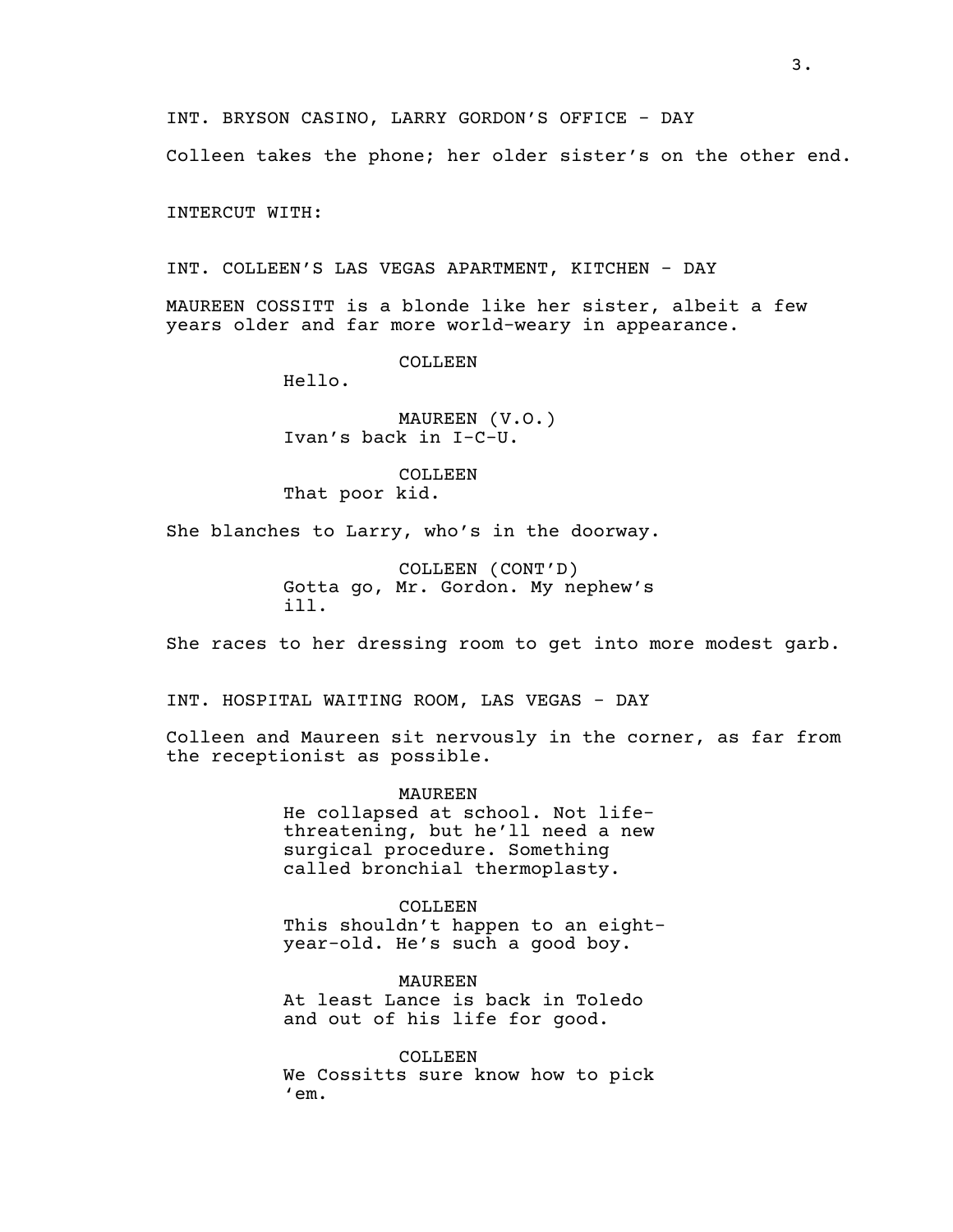Colleen takes the phone; her older sister's on the other end.

INTERCUT WITH:

INT. COLLEEN'S LAS VEGAS APARTMENT, KITCHEN - DAY

MAUREEN COSSITT is a blonde like her sister, albeit a few years older and far more world-weary in appearance.

COLLEEN

Hello.

MAUREEN (V.O.) Ivan's back in I-C-U.

COLLEEN That poor kid.

She blanches to Larry, who's in the doorway.

COLLEEN (CONT'D) Gotta go, Mr. Gordon. My nephew's ill.

She races to her dressing room to get into more modest garb.

INT. HOSPITAL WAITING ROOM, LAS VEGAS - DAY

Colleen and Maureen sit nervously in the corner, as far from the receptionist as possible.

MAUREEN

He collapsed at school. Not lifethreatening, but he'll need a new surgical procedure. Something called bronchial thermoplasty.

COLLEEN This shouldn't happen to an eightyear-old. He's such a good boy.

MAUREEN At least Lance is back in Toledo and out of his life for good.

COLLEEN. We Cossitts sure know how to pick 'em.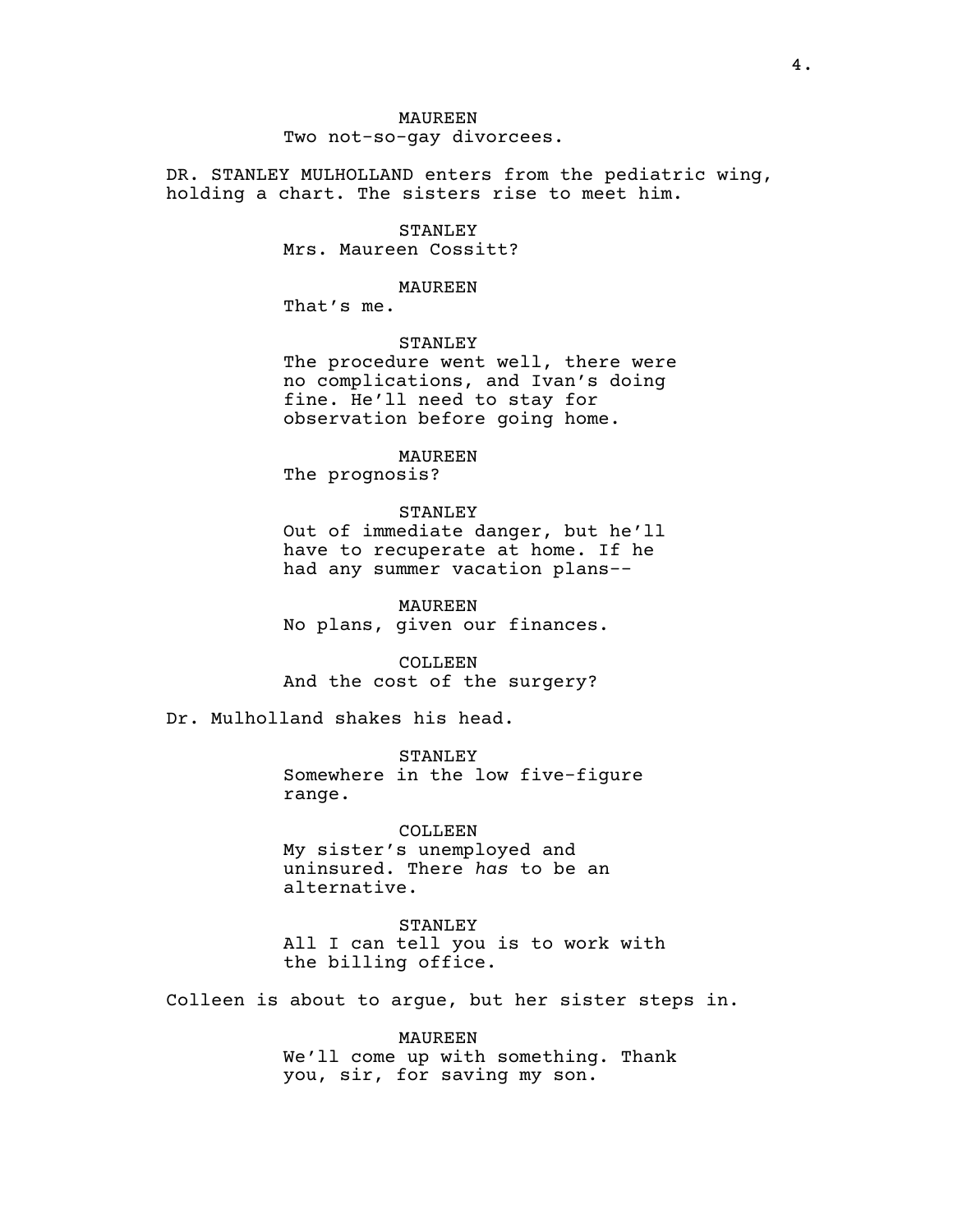# MAUREEN Two not-so-gay divorcees.

DR. STANLEY MULHOLLAND enters from the pediatric wing, holding a chart. The sisters rise to meet him.

> STANLEY Mrs. Maureen Cossitt?

#### MAUREEN

That's me.

# STANLEY

The procedure went well, there were no complications, and Ivan's doing fine. He'll need to stay for observation before going home.

#### MAUREEN

The prognosis?

# STANLEY

Out of immediate danger, but he'll have to recuperate at home. If he had any summer vacation plans--

MAUREEN No plans, given our finances.

COLLEEN And the cost of the surgery?

Dr. Mulholland shakes his head.

**STANLEY** Somewhere in the low five-figure range.

COLLEEN My sister's unemployed and uninsured. There *has* to be an alternative.

STANLEY All I can tell you is to work with the billing office.

Colleen is about to argue, but her sister steps in.

MAUREEN We'll come up with something. Thank you, sir, for saving my son.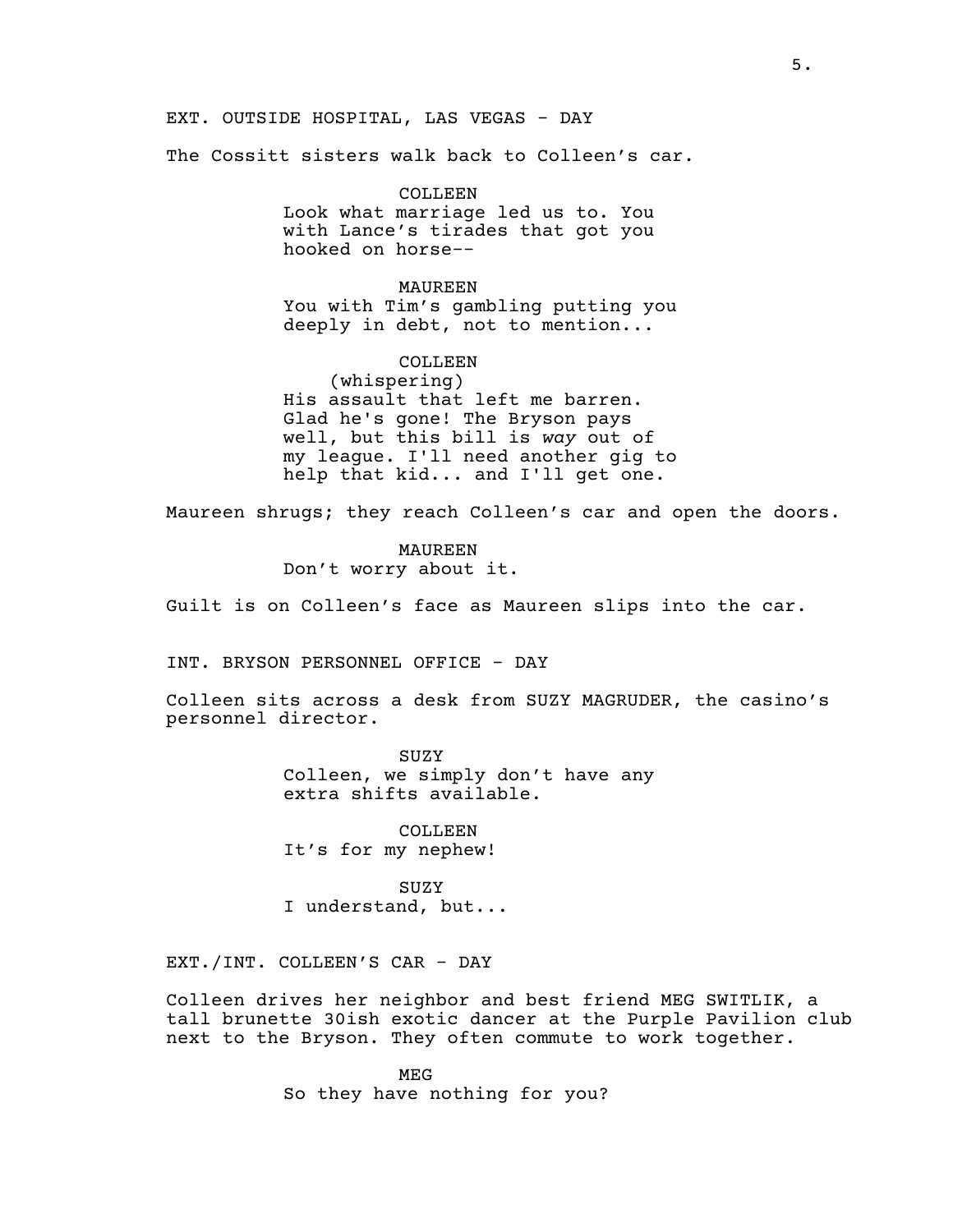EXT. OUTSIDE HOSPITAL, LAS VEGAS - DAY

The Cossitt sisters walk back to Colleen's car.

COLLEEN. Look what marriage led us to. You with Lance's tirades that got you hooked on horse--

MAUREEN You with Tim's gambling putting you deeply in debt, not to mention...

COLLEEN (whispering) His assault that left me barren. Glad he's gone! The Bryson pays well, but this bill is *way* out of my league. I'll need another gig to help that kid... and I'll get one.

Maureen shrugs; they reach Colleen's car and open the doors.

MAUREEN Don't worry about it.

Guilt is on Colleen's face as Maureen slips into the car.

INT. BRYSON PERSONNEL OFFICE - DAY

Colleen sits across a desk from SUZY MAGRUDER, the casino's personnel director.

> SUZY Colleen, we simply don't have any extra shifts available.

COLLEEN It's for my nephew!

SUZY I understand, but...

EXT./INT. COLLEEN'S CAR - DAY

Colleen drives her neighbor and best friend MEG SWITLIK, a tall brunette 30ish exotic dancer at the Purple Pavilion club next to the Bryson. They often commute to work together.

> MEG So they have nothing for you?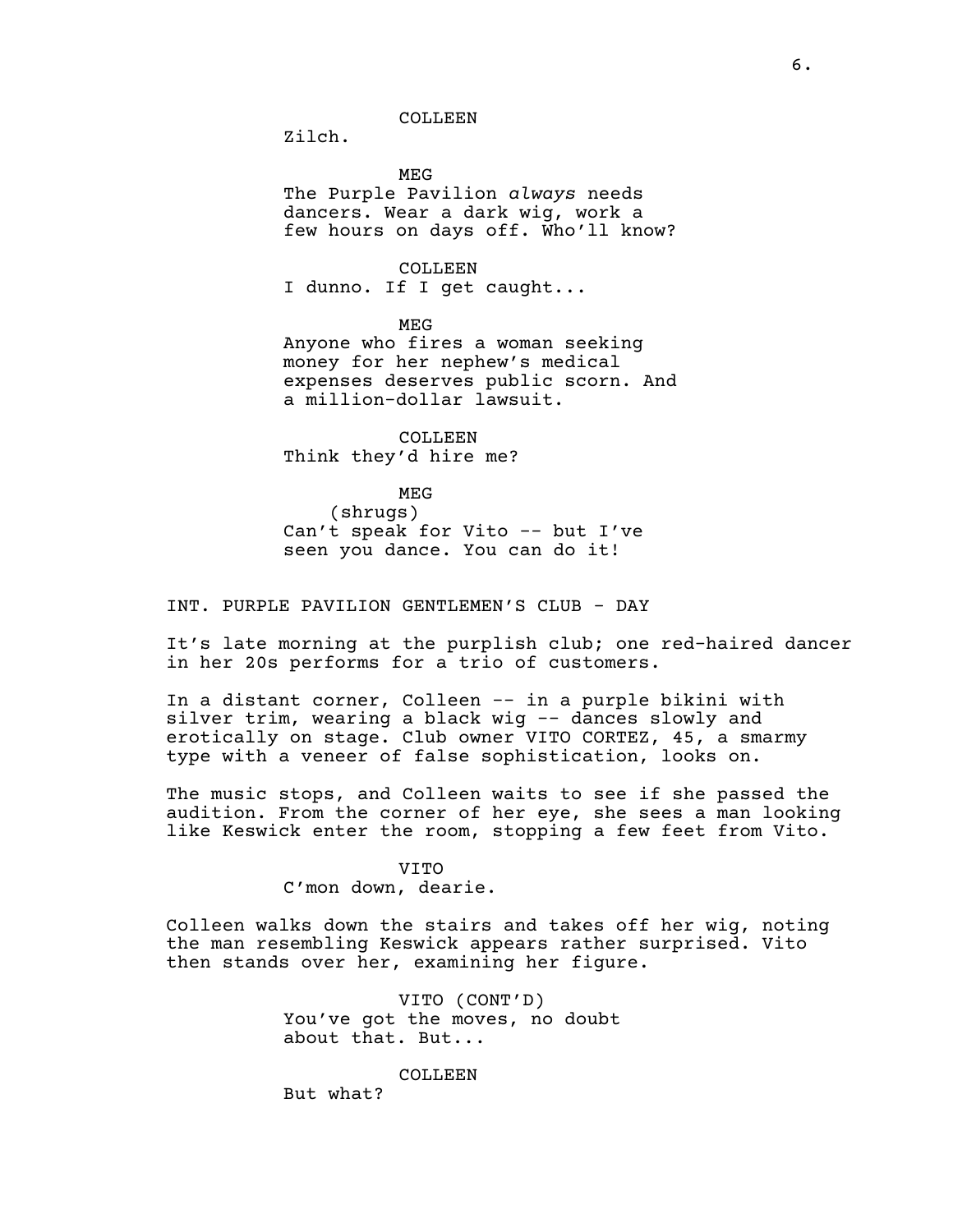COLLEEN

Zilch.

MEG

The Purple Pavilion *always* needs dancers. Wear a dark wig, work a few hours on days off. Who'll know?

COLLEEN I dunno. If I get caught...

MEG

Anyone who fires a woman seeking money for her nephew's medical expenses deserves public scorn. And a million-dollar lawsuit.

COLLEEN Think they'd hire me?

MEG

(shrugs) Can't speak for Vito -- but I've seen you dance. You can do it!

INT. PURPLE PAVILION GENTLEMEN'S CLUB - DAY

It's late morning at the purplish club; one red-haired dancer in her 20s performs for a trio of customers.

In a distant corner, Colleen -- in a purple bikini with silver trim, wearing a black wig -- dances slowly and erotically on stage. Club owner VITO CORTEZ, 45, a smarmy type with a veneer of false sophistication, looks on.

The music stops, and Colleen waits to see if she passed the audition. From the corner of her eye, she sees a man looking like Keswick enter the room, stopping a few feet from Vito.

VITO

C'mon down, dearie.

Colleen walks down the stairs and takes off her wig, noting the man resembling Keswick appears rather surprised. Vito then stands over her, examining her figure.

> VITO (CONT'D) You've got the moves, no doubt about that. But...

> > COLLEEN

But what?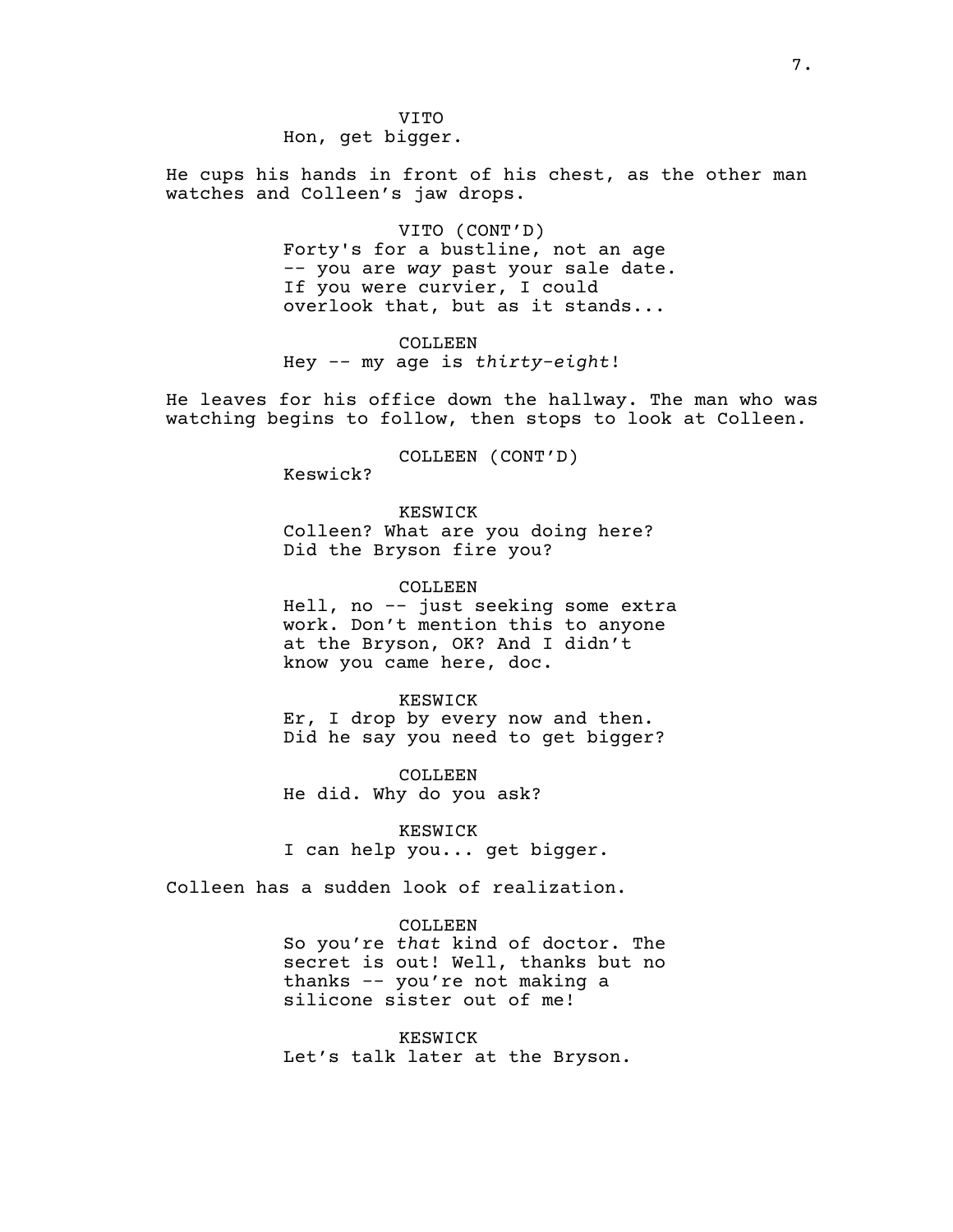VITO Hon, get bigger.

He cups his hands in front of his chest, as the other man watches and Colleen's jaw drops.

> VITO (CONT'D) Forty's for a bustline, not an age -- you are *way* past your sale date. If you were curvier, I could overlook that, but as it stands...

COLLEEN Hey -- my age is *thirty-eight*!

He leaves for his office down the hallway. The man who was watching begins to follow, then stops to look at Colleen.

COLLEEN (CONT'D)

Keswick?

KESWICK Colleen? What are you doing here? Did the Bryson fire you?

COLLEEN Hell, no -- just seeking some extra work. Don't mention this to anyone at the Bryson, OK? And I didn't

KESWICK Er, I drop by every now and then. Did he say you need to get bigger?

COLLEEN He did. Why do you ask?

know you came here, doc.

KESWICK I can help you... get bigger.

Colleen has a sudden look of realization.

#### COLLEEN

So you're *that* kind of doctor. The secret is out! Well, thanks but no thanks -- you're not making a silicone sister out of me!

KESWICK Let's talk later at the Bryson.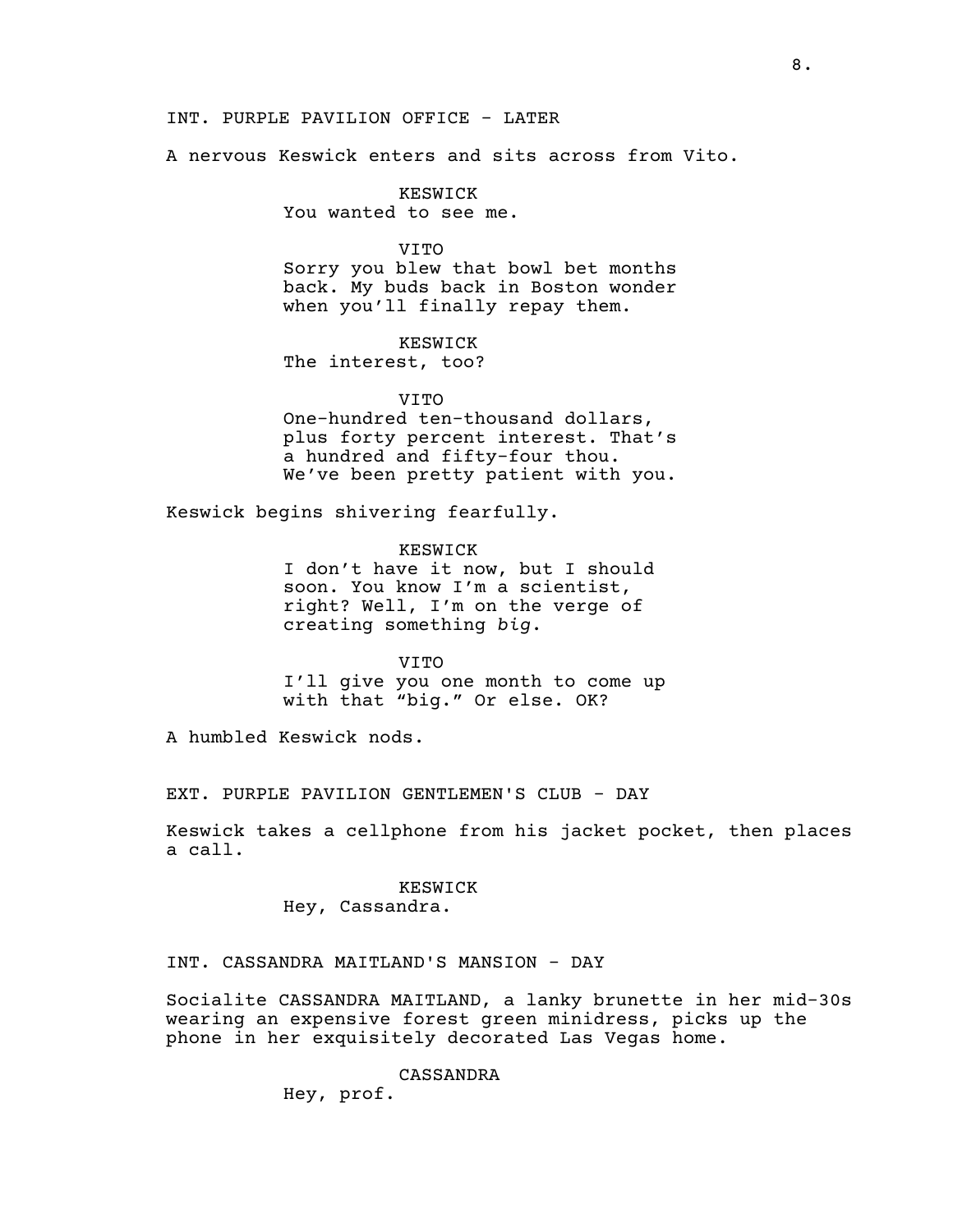#### INT. PURPLE PAVILION OFFICE - LATER

A nervous Keswick enters and sits across from Vito.

# KESWICK

You wanted to see me.

## VITO

Sorry you blew that bowl bet months back. My buds back in Boston wonder when you'll finally repay them.

KESWICK The interest, too?

# VITO One-hundred ten-thousand dollars, plus forty percent interest. That's a hundred and fifty-four thou.

We've been pretty patient with you.

Keswick begins shivering fearfully.

KESWICK I don't have it now, but I should soon. You know I'm a scientist, right? Well, I'm on the verge of creating something *big*.

# VITO I'll give you one month to come up with that "big." Or else. OK?

A humbled Keswick nods.

EXT. PURPLE PAVILION GENTLEMEN'S CLUB - DAY

Keswick takes a cellphone from his jacket pocket, then places a call.

# KESWICK

Hey, Cassandra.

# INT. CASSANDRA MAITLAND'S MANSION - DAY

Socialite CASSANDRA MAITLAND, a lanky brunette in her mid-30s wearing an expensive forest green minidress, picks up the phone in her exquisitely decorated Las Vegas home.

CASSANDRA

Hey, prof.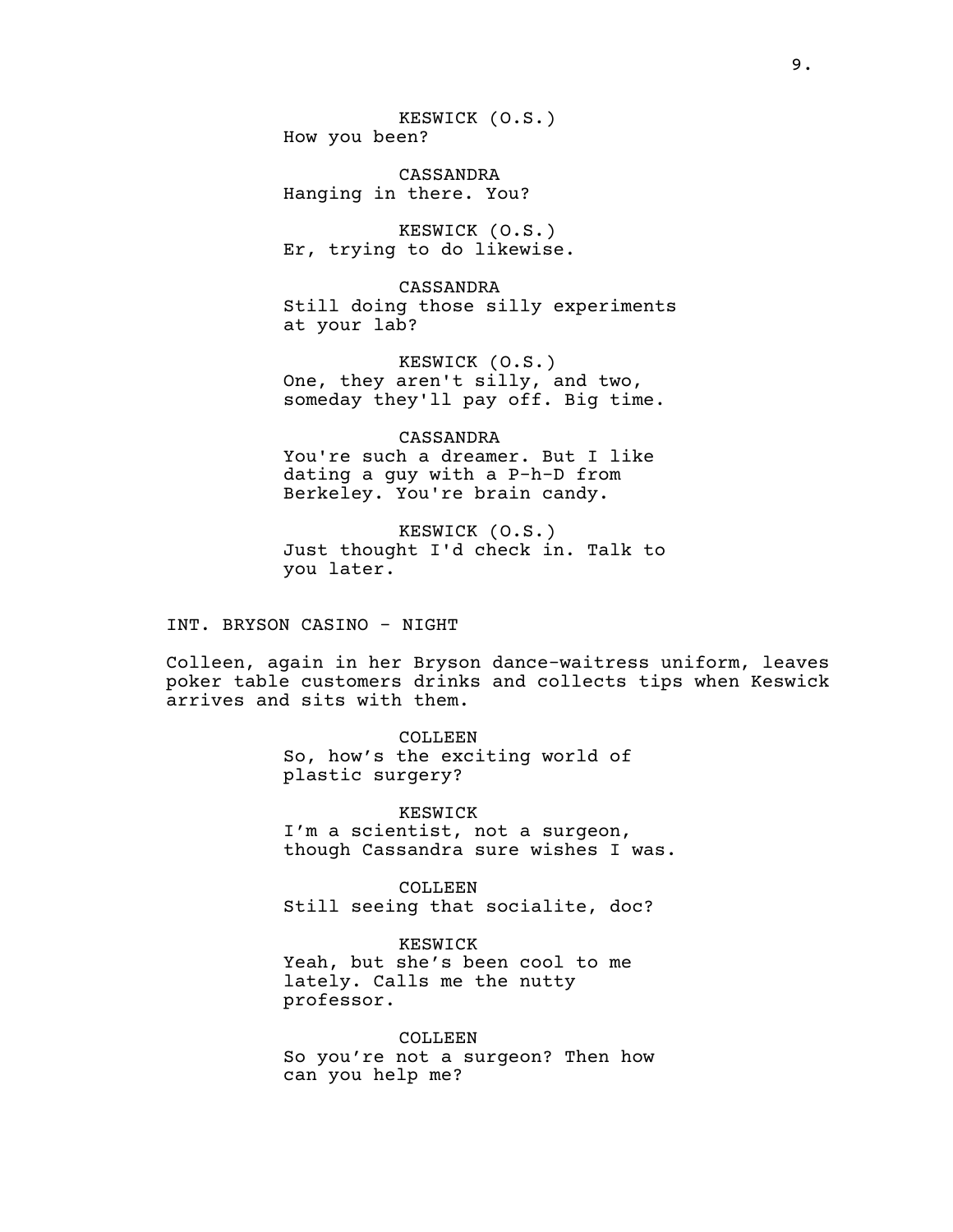KESWICK (O.S.) How you been?

CASSANDRA Hanging in there. You?

KESWICK (O.S.) Er, trying to do likewise.

CASSANDRA Still doing those silly experiments at your lab?

KESWICK (O.S.) One, they aren't silly, and two, someday they'll pay off. Big time.

CASSANDRA You're such a dreamer. But I like dating a guy with a P-h-D from Berkeley. You're brain candy.

KESWICK (O.S.) Just thought I'd check in. Talk to you later.

INT. BRYSON CASINO - NIGHT

Colleen, again in her Bryson dance-waitress uniform, leaves poker table customers drinks and collects tips when Keswick arrives and sits with them.

COLLEEN

So, how's the exciting world of plastic surgery?

KESWICK I'm a scientist, not a surgeon, though Cassandra sure wishes I was.

COLLEEN Still seeing that socialite, doc?

KESWICK Yeah, but she's been cool to me lately. Calls me the nutty professor.

COLLEEN So you're not a surgeon? Then how can you help me?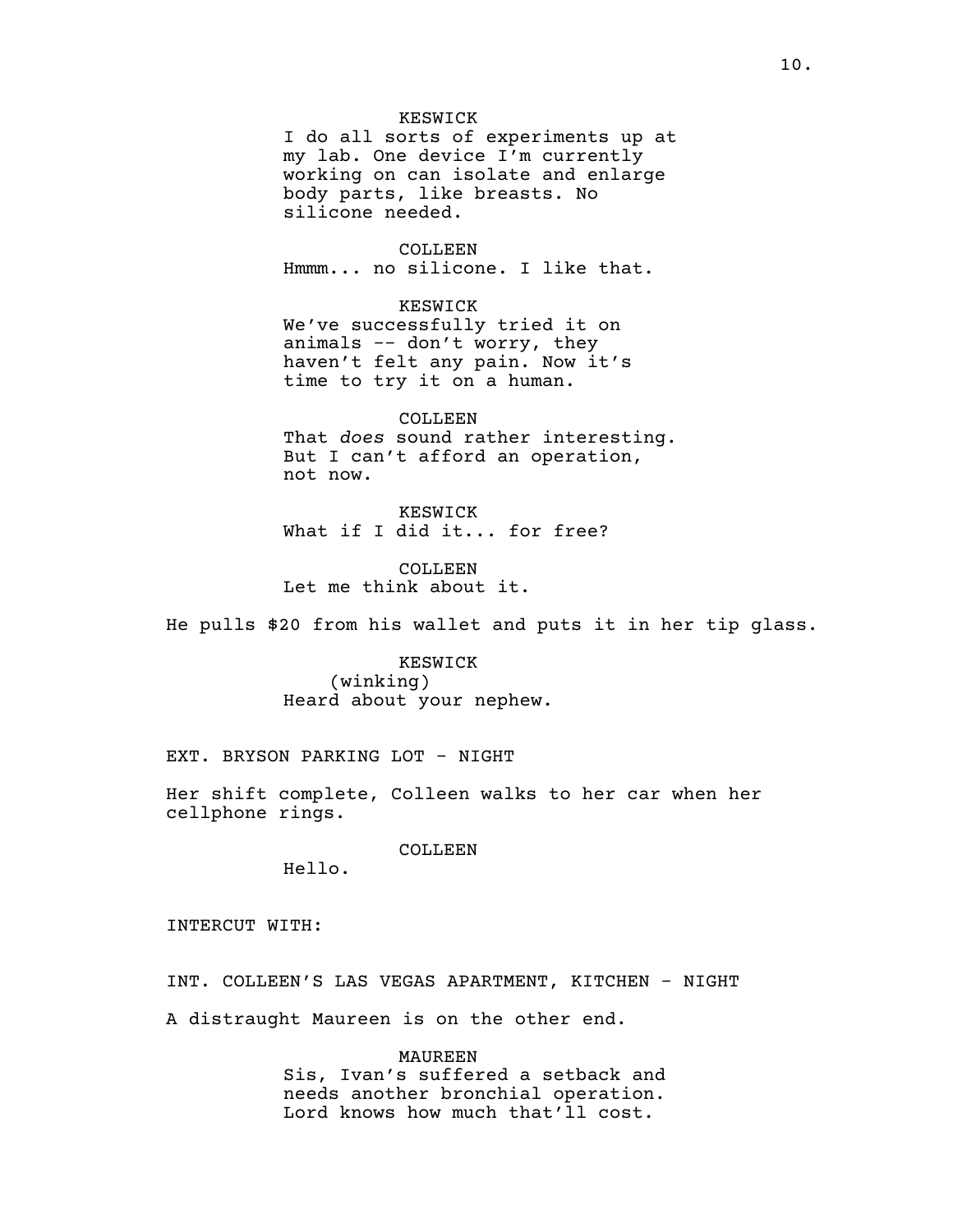#### KESWICK

I do all sorts of experiments up at my lab. One device I'm currently working on can isolate and enlarge body parts, like breasts. No silicone needed.

COLLEEN Hmmm... no silicone. I like that.

KESWICK

We've successfully tried it on animals -- don't worry, they haven't felt any pain. Now it's time to try it on a human.

#### COLLEEN

That *does* sound rather interesting. But I can't afford an operation, not now.

KESWICK What if I did it... for free?

COLLEEN Let me think about it.

He pulls \$20 from his wallet and puts it in her tip glass.

KESWICK (winking) Heard about your nephew.

EXT. BRYSON PARKING LOT - NIGHT

Her shift complete, Colleen walks to her car when her cellphone rings.

COLLEEN

Hello.

INTERCUT WITH:

INT. COLLEEN'S LAS VEGAS APARTMENT, KITCHEN - NIGHT A distraught Maureen is on the other end.

> MAUREEN Sis, Ivan's suffered a setback and needs another bronchial operation. Lord knows how much that'll cost.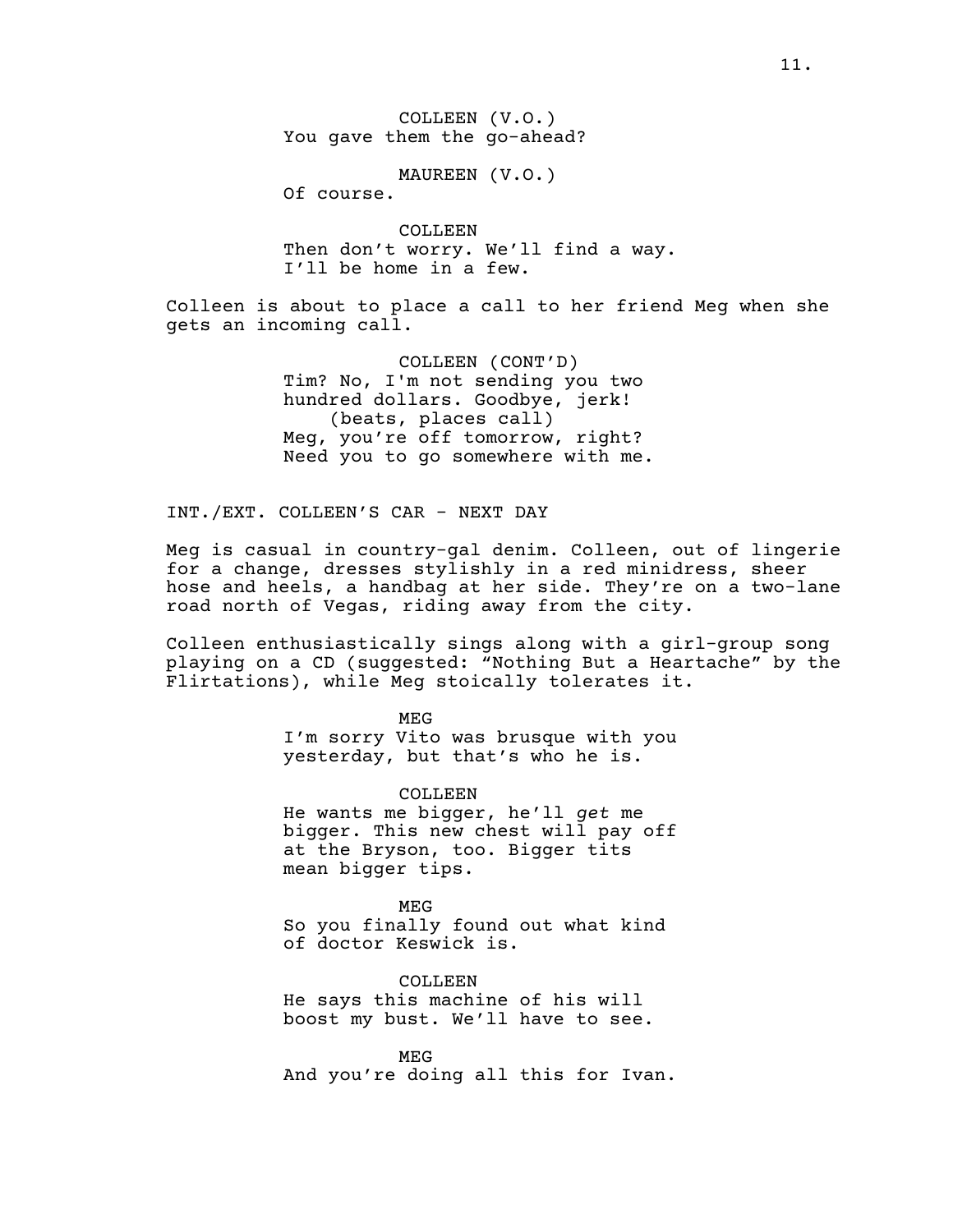COLLEEN (V.O.) You gave them the go-ahead?

MAUREEN (V.O.)

Of course.

COLLEEN Then don't worry. We'll find a way. I'll be home in a few.

Colleen is about to place a call to her friend Meg when she gets an incoming call.

> COLLEEN (CONT'D) Tim? No, I'm not sending you two hundred dollars. Goodbye, jerk! (beats, places call) Meg, you're off tomorrow, right? Need you to go somewhere with me.

INT./EXT. COLLEEN'S CAR - NEXT DAY

Meg is casual in country-gal denim. Colleen, out of lingerie for a change, dresses stylishly in a red minidress, sheer hose and heels, a handbag at her side. They're on a two-lane road north of Vegas, riding away from the city.

Colleen enthusiastically sings along with a girl-group song playing on a CD (suggested: "Nothing But a Heartache" by the Flirtations), while Meg stoically tolerates it.

MEG

I'm sorry Vito was brusque with you yesterday, but that's who he is.

COLLEEN

He wants me bigger, he'll *get* me bigger. This new chest will pay off at the Bryson, too. Bigger tits mean bigger tips.

MEG So you finally found out what kind of doctor Keswick is.

COLLEEN He says this machine of his will boost my bust. We'll have to see.

MEG And you're doing all this for Ivan.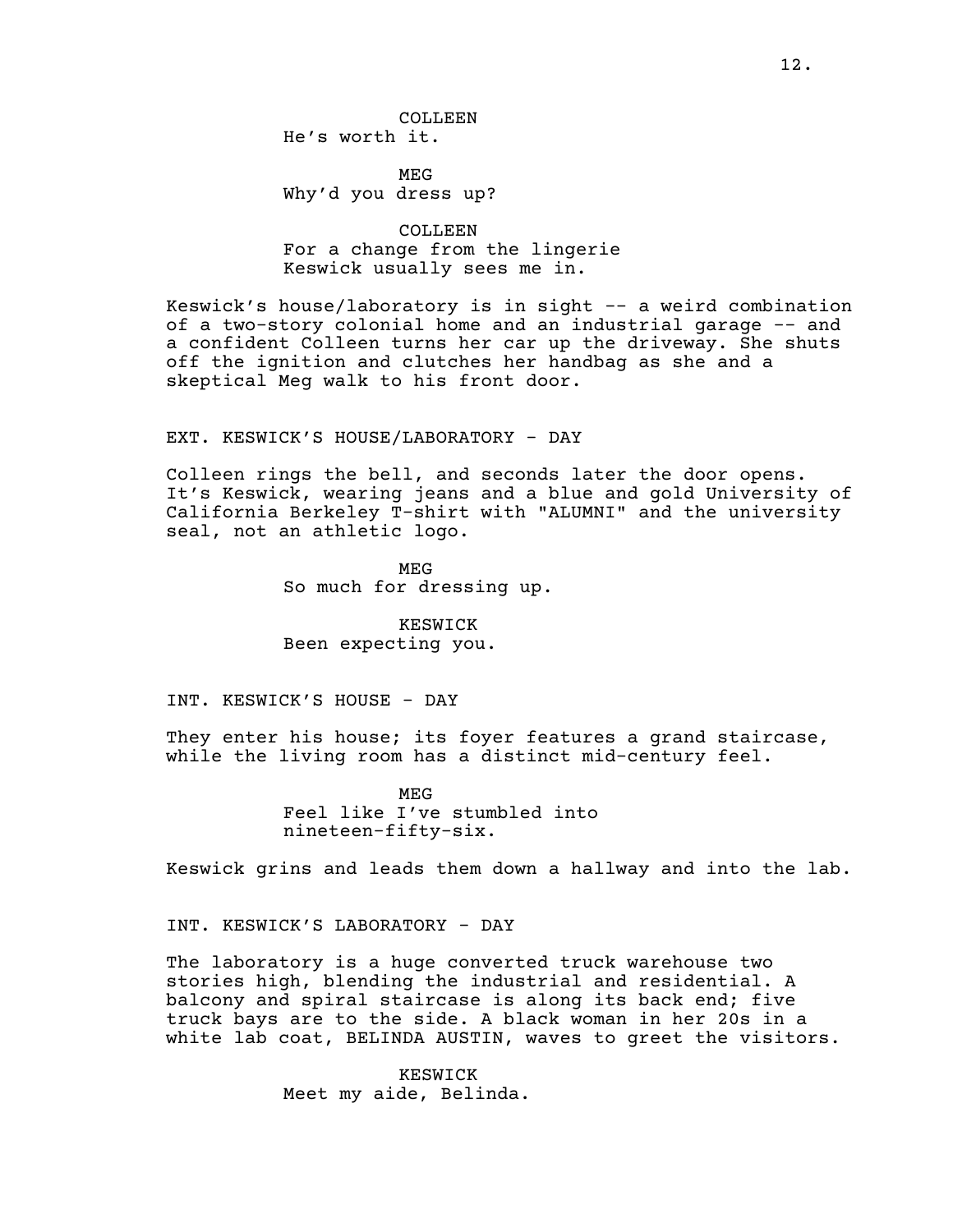MEG Why'd you dress up?

COLLEEN For a change from the lingerie Keswick usually sees me in.

Keswick's house/laboratory is in sight -- a weird combination of a two-story colonial home and an industrial garage -- and a confident Colleen turns her car up the driveway. She shuts off the ignition and clutches her handbag as she and a skeptical Meg walk to his front door.

#### EXT. KESWICK'S HOUSE/LABORATORY - DAY

Colleen rings the bell, and seconds later the door opens. It's Keswick, wearing jeans and a blue and gold University of California Berkeley T-shirt with "ALUMNI" and the university seal, not an athletic logo.

> MEG So much for dressing up.

KESWICK Been expecting you.

INT. KESWICK'S HOUSE - DAY

They enter his house; its foyer features a grand staircase, while the living room has a distinct mid-century feel.

> MEG Feel like I've stumbled into nineteen-fifty-six.

Keswick grins and leads them down a hallway and into the lab.

INT. KESWICK'S LABORATORY - DAY

The laboratory is a huge converted truck warehouse two stories high, blending the industrial and residential. A balcony and spiral staircase is along its back end; five truck bays are to the side. A black woman in her 20s in a white lab coat, BELINDA AUSTIN, waves to greet the visitors.

> KESWICK Meet my aide, Belinda.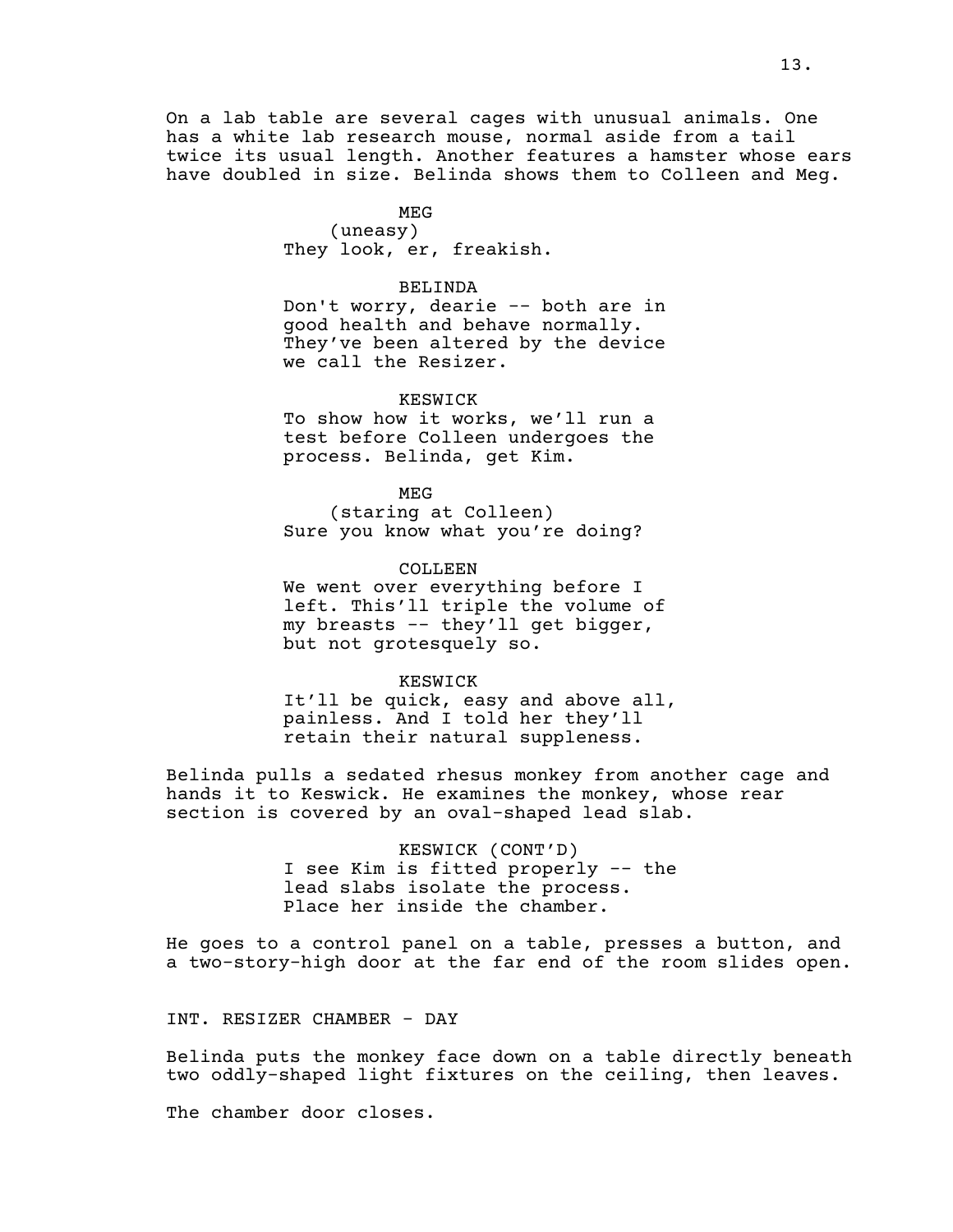On a lab table are several cages with unusual animals. One has a white lab research mouse, normal aside from a tail twice its usual length. Another features a hamster whose ears have doubled in size. Belinda shows them to Colleen and Meg.

# MEG

(uneasy) They look, er, freakish.

#### BELINDA

Don't worry, dearie -- both are in good health and behave normally. They've been altered by the device we call the Resizer.

## KESWICK

To show how it works, we'll run a test before Colleen undergoes the process. Belinda, get Kim.

MEG

(staring at Colleen) Sure you know what you're doing?

COLLEEN We went over everything before I left. This'll triple the volume of my breasts -- they'll get bigger, but not grotesquely so.

#### KESWICK

It'll be quick, easy and above all, painless. And I told her they'll retain their natural suppleness.

Belinda pulls a sedated rhesus monkey from another cage and hands it to Keswick. He examines the monkey, whose rear section is covered by an oval-shaped lead slab.

> KESWICK (CONT'D) I see Kim is fitted properly -- the lead slabs isolate the process. Place her inside the chamber.

He goes to a control panel on a table, presses a button, and a two-story-high door at the far end of the room slides open.

INT. RESIZER CHAMBER - DAY

Belinda puts the monkey face down on a table directly beneath two oddly-shaped light fixtures on the ceiling, then leaves.

The chamber door closes.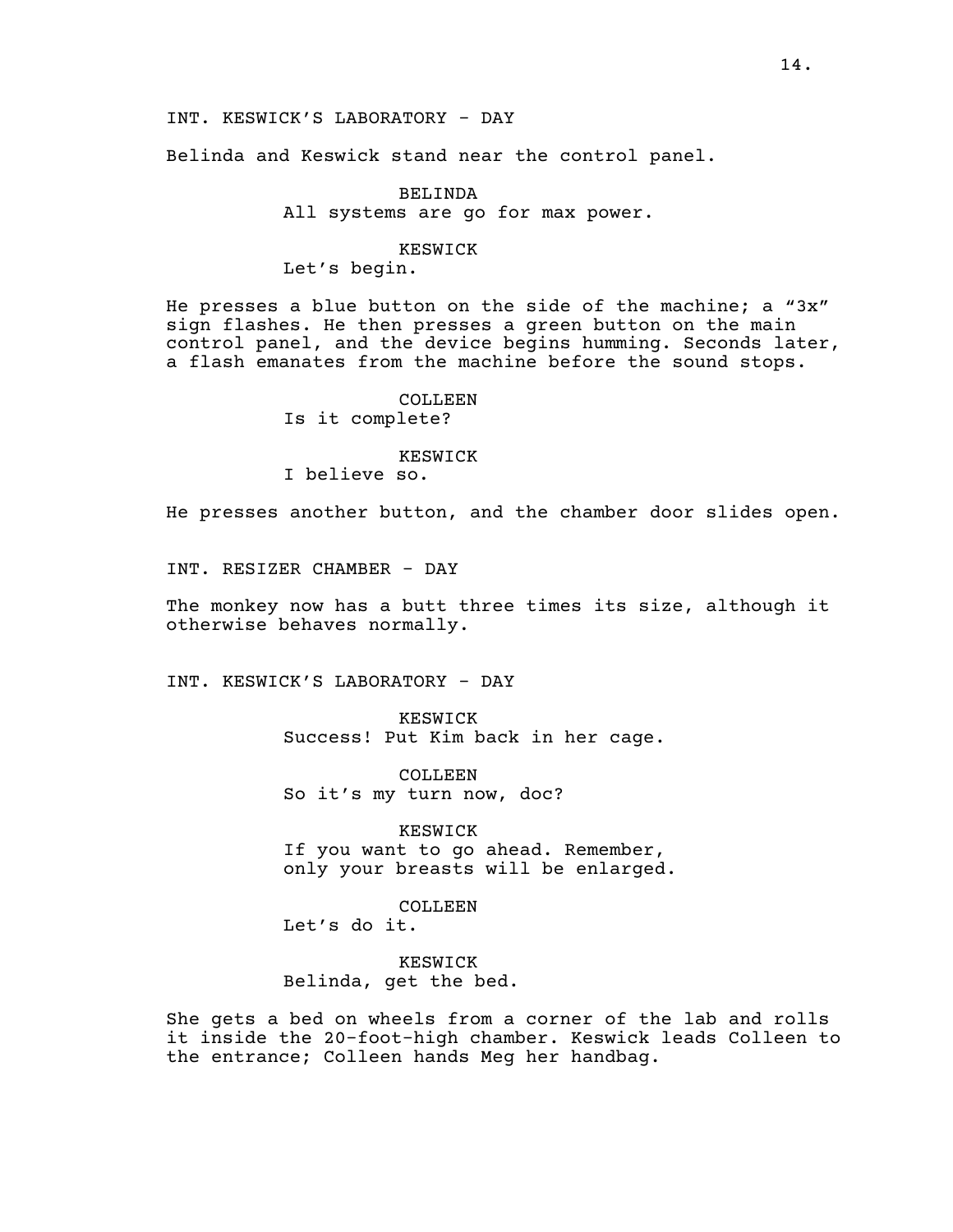Belinda and Keswick stand near the control panel.

# BELINDA All systems are go for max power.

#### KESWICK

Let's begin.

He presses a blue button on the side of the machine; a "3x" sign flashes. He then presses a green button on the main control panel, and the device begins humming. Seconds later, a flash emanates from the machine before the sound stops.

# COLLEEN. Is it complete?

## KESWICK

I believe so.

He presses another button, and the chamber door slides open.

INT. RESIZER CHAMBER - DAY

The monkey now has a butt three times its size, although it otherwise behaves normally.

INT. KESWICK'S LABORATORY - DAY

KESWICK Success! Put Kim back in her cage.

COLLEEN So it's my turn now, doc?

KESWICK If you want to go ahead. Remember, only your breasts will be enlarged.

COLLEEN

Let's do it.

KESWICK Belinda, get the bed.

She gets a bed on wheels from a corner of the lab and rolls it inside the 20-foot-high chamber. Keswick leads Colleen to the entrance; Colleen hands Meg her handbag.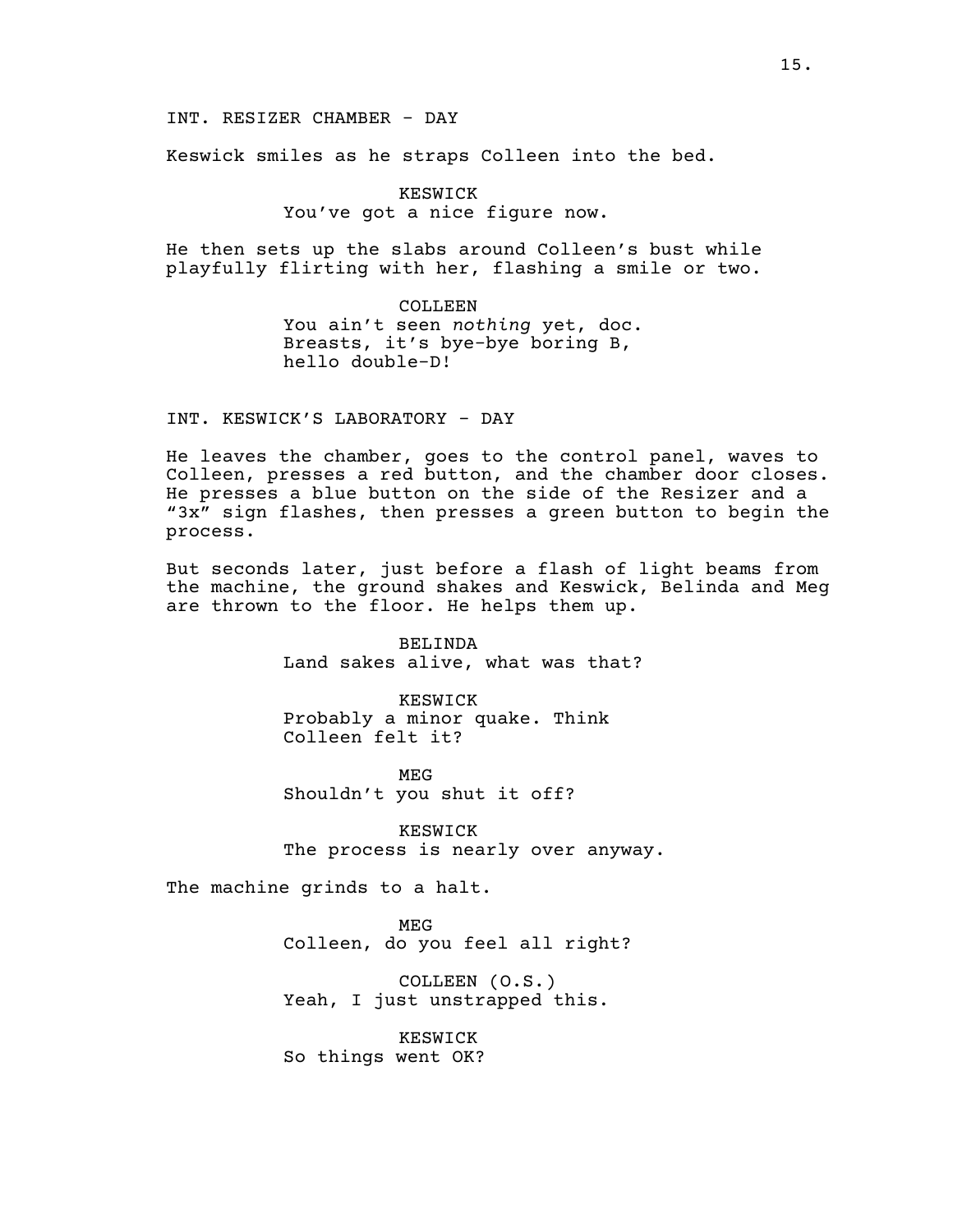INT. RESIZER CHAMBER - DAY

Keswick smiles as he straps Colleen into the bed.

KESWICK You've got a nice figure now.

He then sets up the slabs around Colleen's bust while playfully flirting with her, flashing a smile or two.

> COLLEEN You ain't seen *nothing* yet, doc. Breasts, it's bye-bye boring B, hello double-D!

INT. KESWICK'S LABORATORY - DAY

He leaves the chamber, goes to the control panel, waves to Colleen, presses a red button, and the chamber door closes. He presses a blue button on the side of the Resizer and a "3x" sign flashes, then presses a green button to begin the process.

But seconds later, just before a flash of light beams from the machine, the ground shakes and Keswick, Belinda and Meg are thrown to the floor. He helps them up.

> BELINDA Land sakes alive, what was that?

KESWICK Probably a minor quake. Think Colleen felt it?

MEG Shouldn't you shut it off?

KESWICK The process is nearly over anyway.

The machine grinds to a halt.

MEG Colleen, do you feel all right?

COLLEEN (O.S.) Yeah, I just unstrapped this.

KESWICK So things went OK?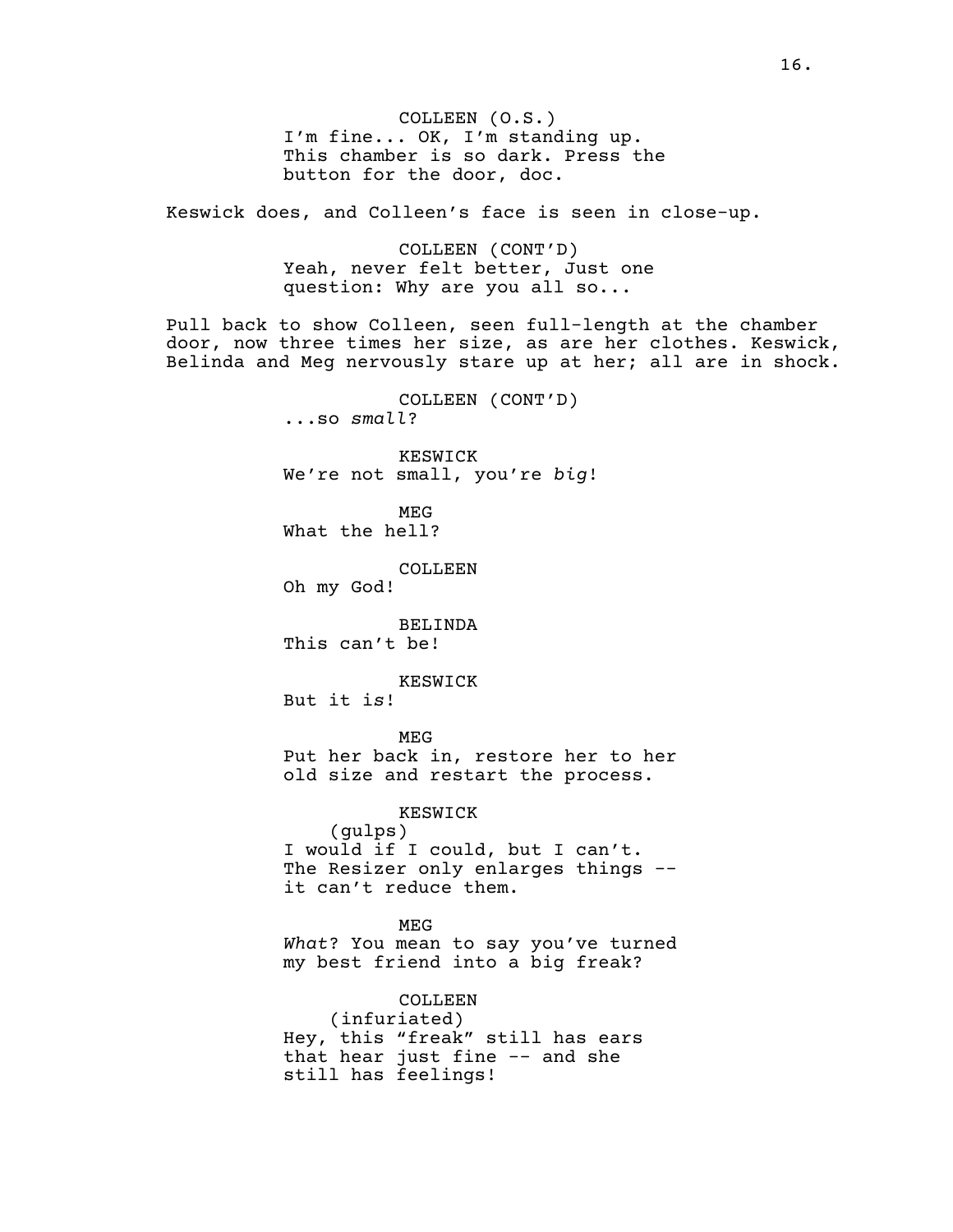COLLEEN (O.S.) I'm fine... OK, I'm standing up. This chamber is so dark. Press the button for the door, doc.

Keswick does, and Colleen's face is seen in close-up.

COLLEEN (CONT'D) Yeah, never felt better, Just one question: Why are you all so...

Pull back to show Colleen, seen full-length at the chamber door, now three times her size, as are her clothes. Keswick, Belinda and Meg nervously stare up at her; all are in shock.

> COLLEEN (CONT'D) ...so *small*? KESWICK We're not small, you're *big*! MEG What the hell? COLLEEN Oh my God! BELINDA This can't be! KESWICK But it i*s*! MEG Put her back in, restore her to her old size and restart the process. KESWICK (gulps) I would if I could, but I can't. The Resizer only enlarges things - it can't reduce them. MEG *What*? You mean to say you've turned my best friend into a big freak? COLLEEN (infuriated)

Hey, this "freak" still has ears that hear just fine -- and she still has feelings!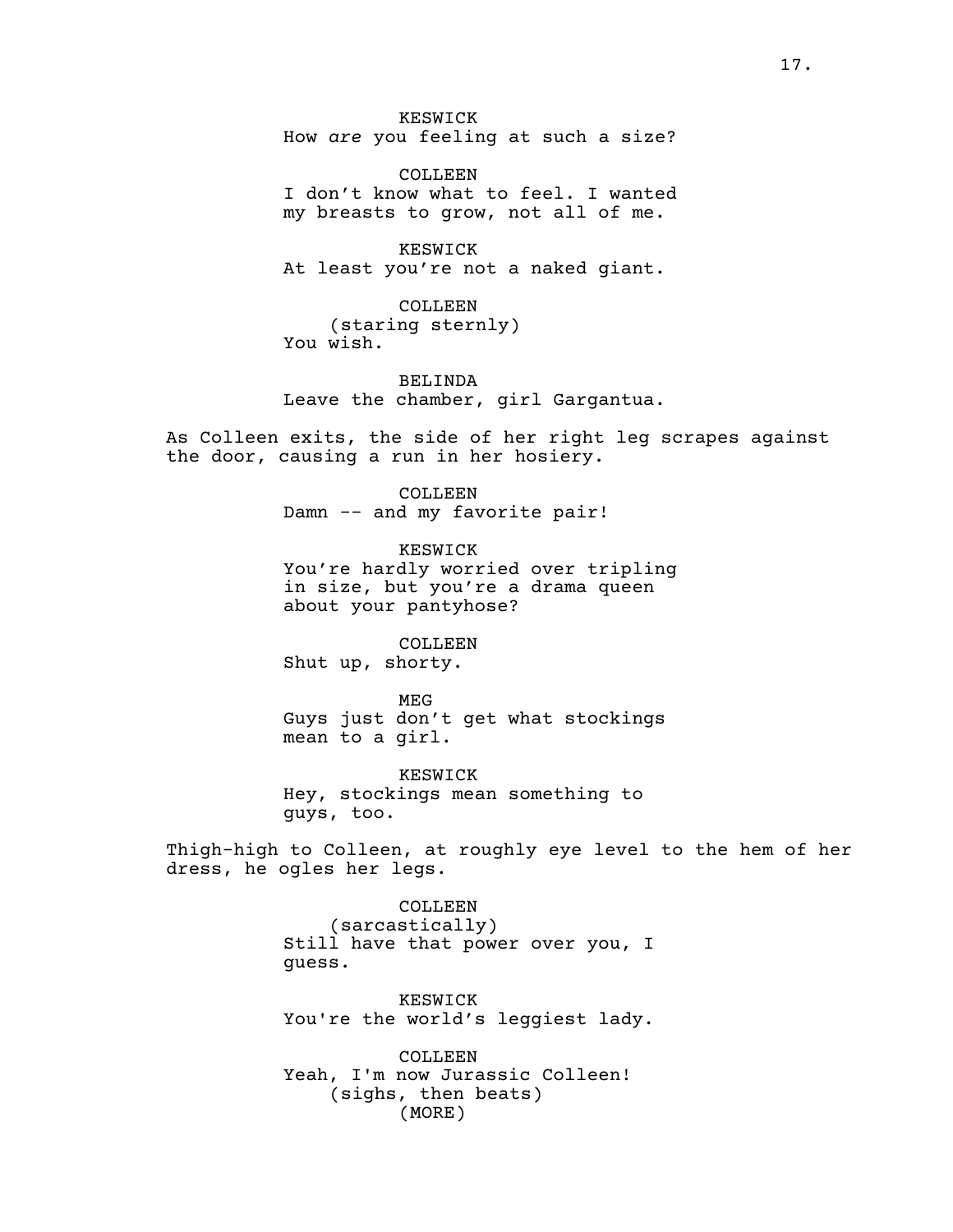KESWICK How *are* you feeling at such a size?

COLLEEN I don't know what to feel. I wanted my breasts to grow, not all of me.

KESWICK At least you're not a naked giant.

COLLEEN (staring sternly) You wish.

BELINDA Leave the chamber, girl Gargantua.

As Colleen exits, the side of her right leg scrapes against the door, causing a run in her hosiery.

> COLLEEN Damn -- and my favorite pair!

KESWICK You're hardly worried over tripling in size, but you're a drama queen about your pantyhose?

COLLEEN

Shut up, shorty.

MEG Guys just don't get what stockings mean to a girl.

KESWICK Hey, stockings mean something to guys, too.

Thigh-high to Colleen, at roughly eye level to the hem of her dress, he ogles her legs.

> COLLEEN (sarcastically) Still have that power over you, I guess.

> KESWICK You're the world's leggiest lady.

COLLEEN. Yeah, I'm now Jurassic Colleen! (sighs, then beats) (MORE)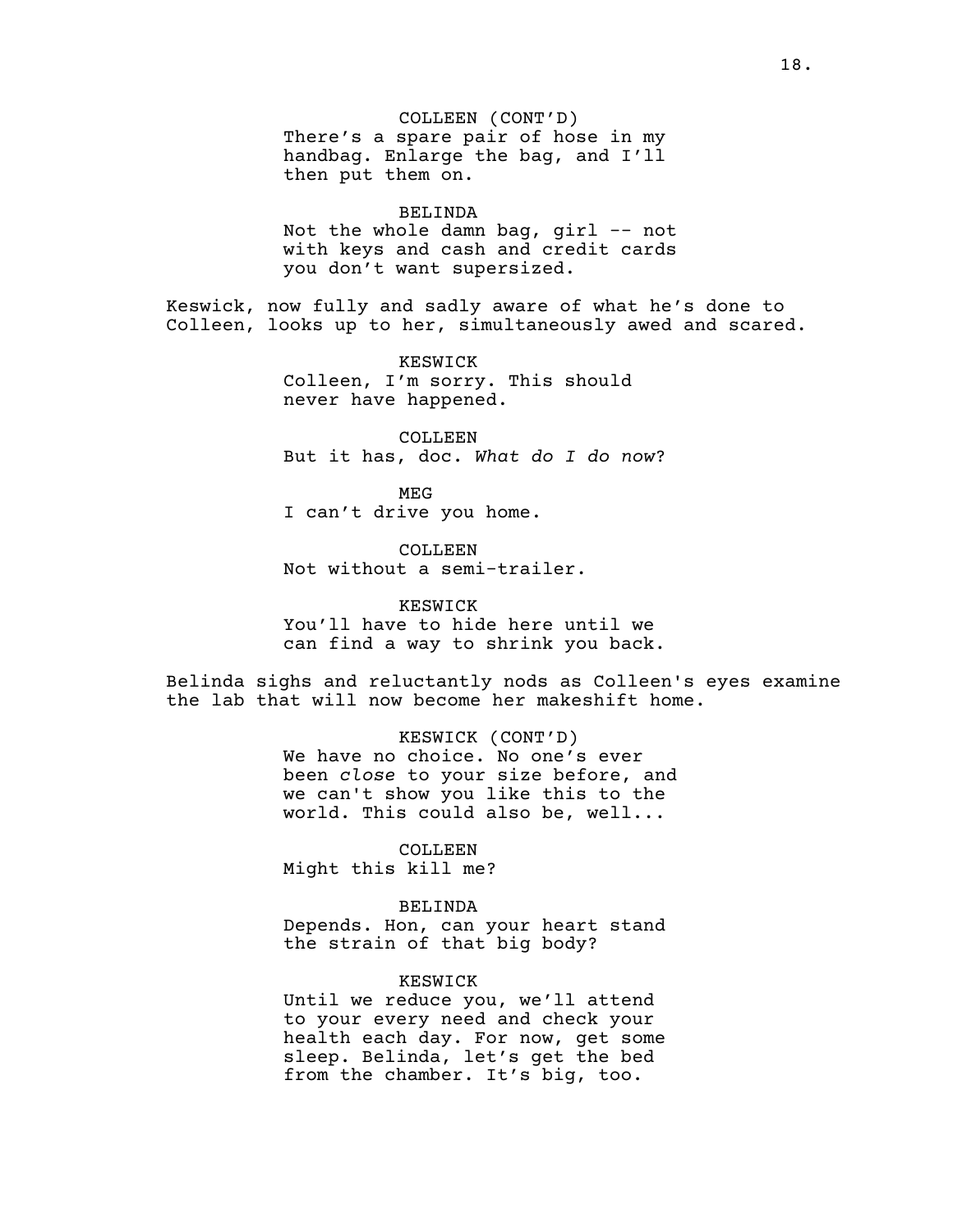COLLEEN (CONT'D) There's a spare pair of hose in my handbag. Enlarge the bag, and I'll then put them on.

#### BELINDA

Not the whole damn bag,  $girl$  -- not with keys and cash and credit cards you don't want supersized.

Keswick, now fully and sadly aware of what he's done to Colleen, looks up to her, simultaneously awed and scared.

> KESWICK Colleen, I'm sorry. This should never have happened.

COLLEEN But it has, doc. *What do I do now*?

MEG I can't drive you home.

COLLEEN Not without a semi-trailer.

KESWICK You'll have to hide here until we can find a way to shrink you back.

Belinda sighs and reluctantly nods as Colleen's eyes examine the lab that will now become her makeshift home.

> KESWICK (CONT'D) We have no choice. No one's ever been *close* to your size before, and we can't show you like this to the world. This could also be, well...

COLLEEN Might this kill me?

BELINDA Depends. Hon, can your heart stand the strain of that big body?

KESWICK

Until we reduce you, we'll attend to your every need and check your health each day. For now, get some sleep. Belinda, let's get the bed from the chamber. It's big, too.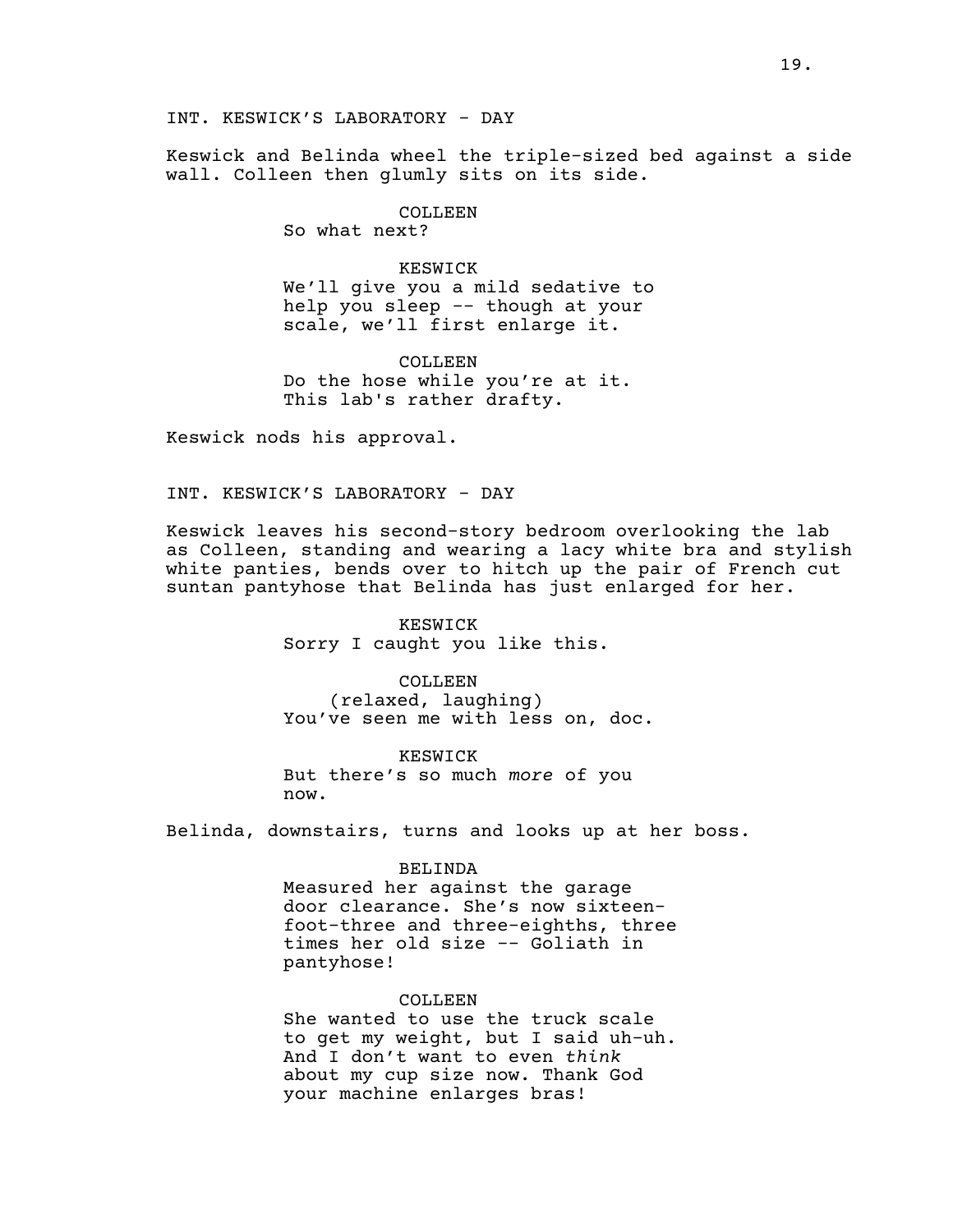INT. KESWICK'S LABORATORY - DAY

Keswick and Belinda wheel the triple-sized bed against a side wall. Colleen then glumly sits on its side.

### COLLEEN

So what next?

# KESWICK We'll give you a mild sedative to help you sleep -- though at your scale, we'll first enlarge it.

COLLEEN Do the hose while you're at it. This lab's rather drafty.

Keswick nods his approval.

INT. KESWICK'S LABORATORY - DAY

Keswick leaves his second-story bedroom overlooking the lab as Colleen, standing and wearing a lacy white bra and stylish white panties, bends over to hitch up the pair of French cut suntan pantyhose that Belinda has just enlarged for her.

> KESWICK Sorry I caught you like this.

COLLEEN (relaxed, laughing) You've seen me with less on, doc.

KESWICK But there's so much *more* of you now.

Belinda, downstairs, turns and looks up at her boss.

#### BELINDA

Measured her against the garage door clearance. She's now sixteenfoot-three and three-eighths, three times her old size -- Goliath in pantyhose!

# COLLEEN

She wanted to use the truck scale to get my weight, but I said uh-uh. And I don't want to even *think* about my cup size now. Thank God your machine enlarges bras!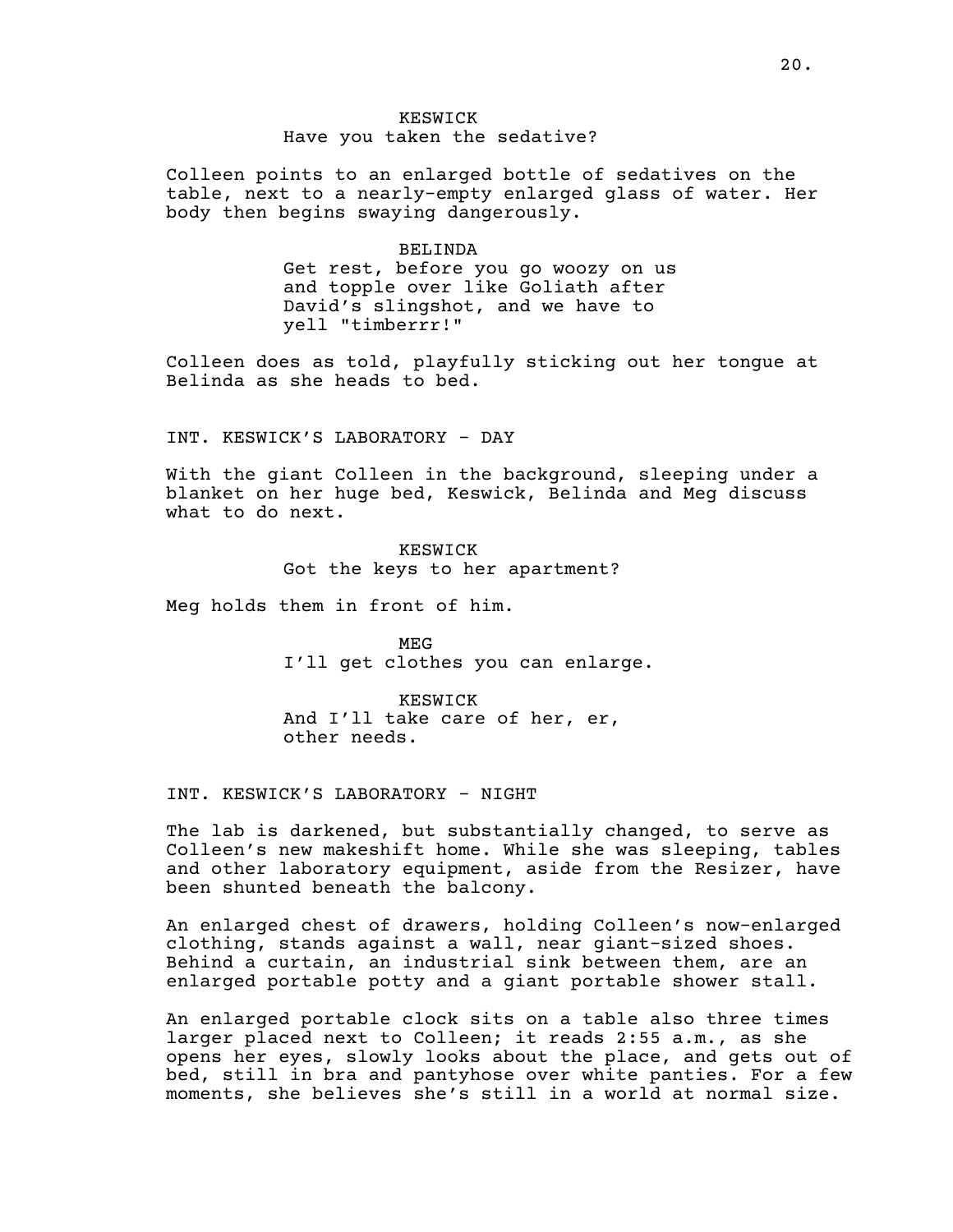# KESWICK Have you taken the sedative?

Colleen points to an enlarged bottle of sedatives on the table, next to a nearly-empty enlarged glass of water. Her body then begins swaying dangerously.

#### BELINDA

Get rest, before you go woozy on us and topple over like Goliath after David's slingshot, and we have to yell "timberrr!"

Colleen does as told, playfully sticking out her tongue at Belinda as she heads to bed.

INT. KESWICK'S LABORATORY - DAY

With the giant Colleen in the background, sleeping under a blanket on her huge bed, Keswick, Belinda and Meg discuss what to do next.

> KESWICK Got the keys to her apartment?

Meg holds them in front of him.

MEG I'll get clothes you can enlarge.

KESWICK And I'll take care of her, er, other needs.

INT. KESWICK'S LABORATORY - NIGHT

The lab is darkened, but substantially changed, to serve as Colleen's new makeshift home. While she was sleeping, tables and other laboratory equipment, aside from the Resizer, have been shunted beneath the balcony.

An enlarged chest of drawers, holding Colleen's now-enlarged clothing, stands against a wall, near giant-sized shoes. Behind a curtain, an industrial sink between them, are an enlarged portable potty and a giant portable shower stall.

An enlarged portable clock sits on a table also three times larger placed next to Colleen; it reads 2:55 a.m., as she opens her eyes, slowly looks about the place, and gets out of bed, still in bra and pantyhose over white panties. For a few moments, she believes she's still in a world at normal size.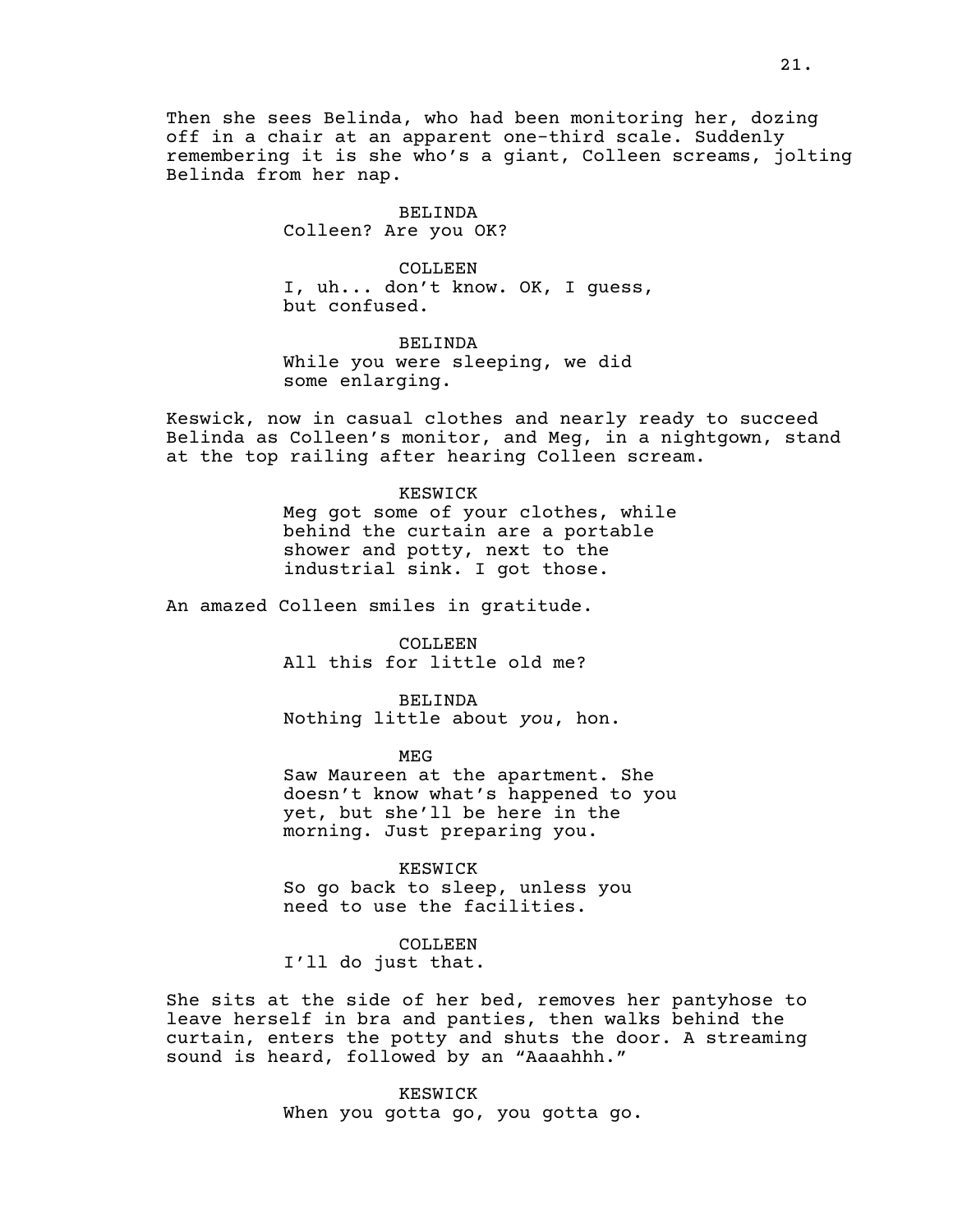Then she sees Belinda, who had been monitoring her, dozing off in a chair at an apparent one-third scale. Suddenly remembering it is she who's a giant, Colleen screams, jolting Belinda from her nap.

## BELINDA Colleen? Are you OK?

COLLEEN I, uh... don't know. OK, I guess, but confused.

BELINDA While you were sleeping, we did some enlarging.

Keswick, now in casual clothes and nearly ready to succeed Belinda as Colleen's monitor, and Meg, in a nightgown, stand at the top railing after hearing Colleen scream.

> KESWICK Meg got some of your clothes, while behind the curtain are a portable shower and potty, next to the industrial sink. I got those.

An amazed Colleen smiles in gratitude.

COLLEEN All this for little old me?

BELINDA Nothing little about *you*, hon.

MEG

Saw Maureen at the apartment. She doesn't know what's happened to you yet, but she'll be here in the morning. Just preparing you.

KESWICK So go back to sleep, unless you need to use the facilities.

COLLEEN

I'll do just that.

She sits at the side of her bed, removes her pantyhose to leave herself in bra and panties, then walks behind the curtain, enters the potty and shuts the door. A streaming sound is heard, followed by an "Aaaahhh."

> KESWICK When you gotta go, you gotta go.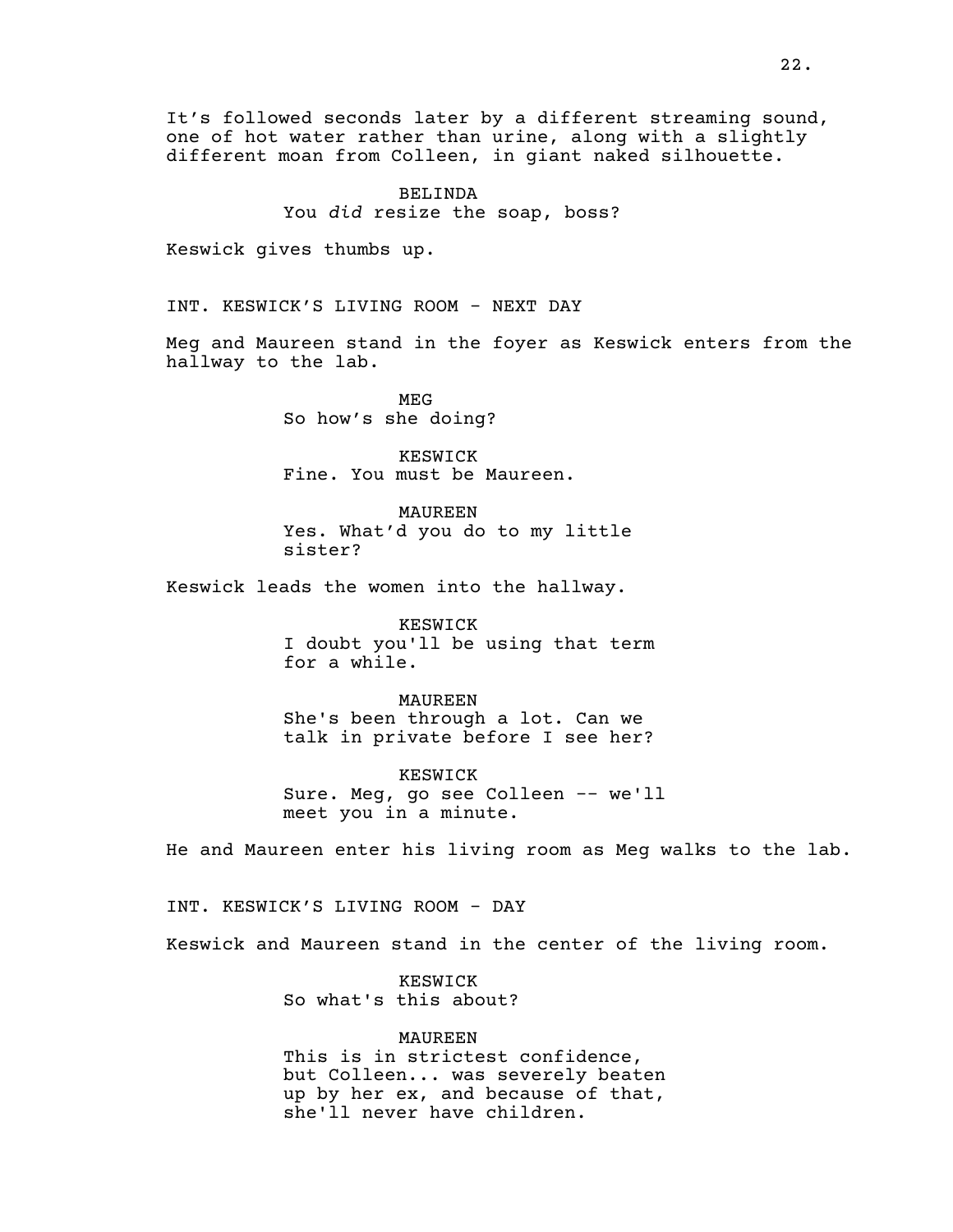It's followed seconds later by a different streaming sound, one of hot water rather than urine, along with a slightly different moan from Colleen, in giant naked silhouette.

> BELINDA You *did* resize the soap, boss?

Keswick gives thumbs up.

INT. KESWICK'S LIVING ROOM - NEXT DAY

Meg and Maureen stand in the foyer as Keswick enters from the hallway to the lab.

> MEG So how's she doing?

KESWICK Fine. You must be Maureen.

MAUREEN Yes. What'd you do to my little sister?

Keswick leads the women into the hallway.

KESWICK I doubt you'll be using that term for a while.

MAUREEN She's been through a lot. Can we talk in private before I see her?

KESWICK Sure. Meg, go see Colleen -- we'll meet you in a minute.

He and Maureen enter his living room as Meg walks to the lab.

INT. KESWICK'S LIVING ROOM - DAY

Keswick and Maureen stand in the center of the living room.

KESWICK So what's this about?

MAUREEN This is in strictest confidence, but Colleen... was severely beaten up by her ex, and because of that, she'll never have children.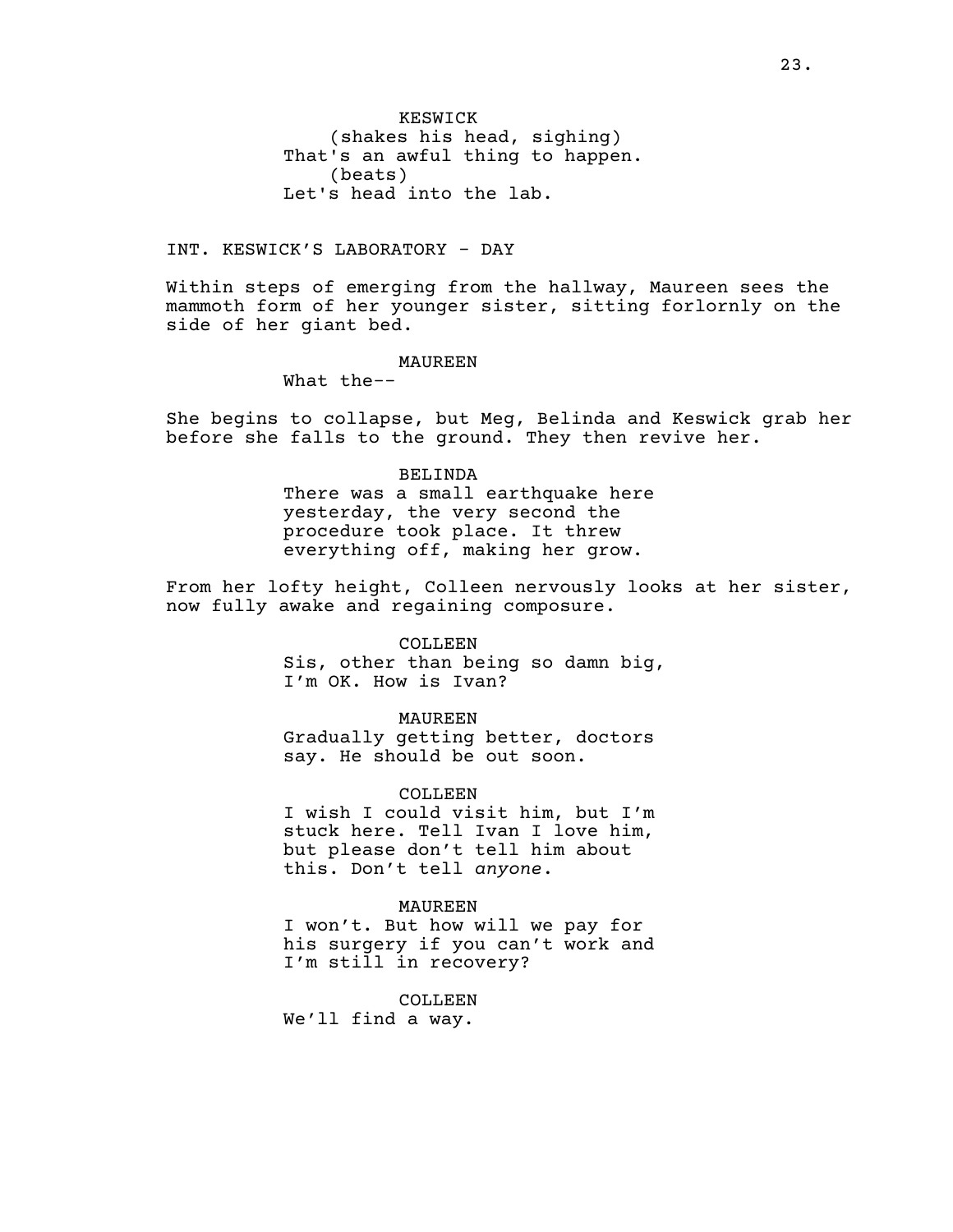KESWICK (shakes his head, sighing) That's an awful thing to happen. (beats) Let's head into the lab.

INT. KESWICK'S LABORATORY - DAY

Within steps of emerging from the hallway, Maureen sees the mammoth form of her younger sister, sitting forlornly on the side of her giant bed.

MAUREEN

What the--

She begins to collapse, but Meg, Belinda and Keswick grab her before she falls to the ground. They then revive her.

> BELINDA There was a small earthquake here yesterday, the very second the procedure took place. It threw everything off, making her grow.

From her lofty height, Colleen nervously looks at her sister, now fully awake and regaining composure.

COLLEEN

Sis, other than being so damn big, I'm OK. How is Ivan?

MAUREEN

Gradually getting better, doctors say. He should be out soon.

COLLEEN

I wish I could visit him, but I'm stuck here. Tell Ivan I love him, but please don't tell him about this. Don't tell *anyone*.

MAUREEN

I won't. But how will we pay for his surgery if you can't work and I'm still in recovery?

COLLEEN We'll find a way.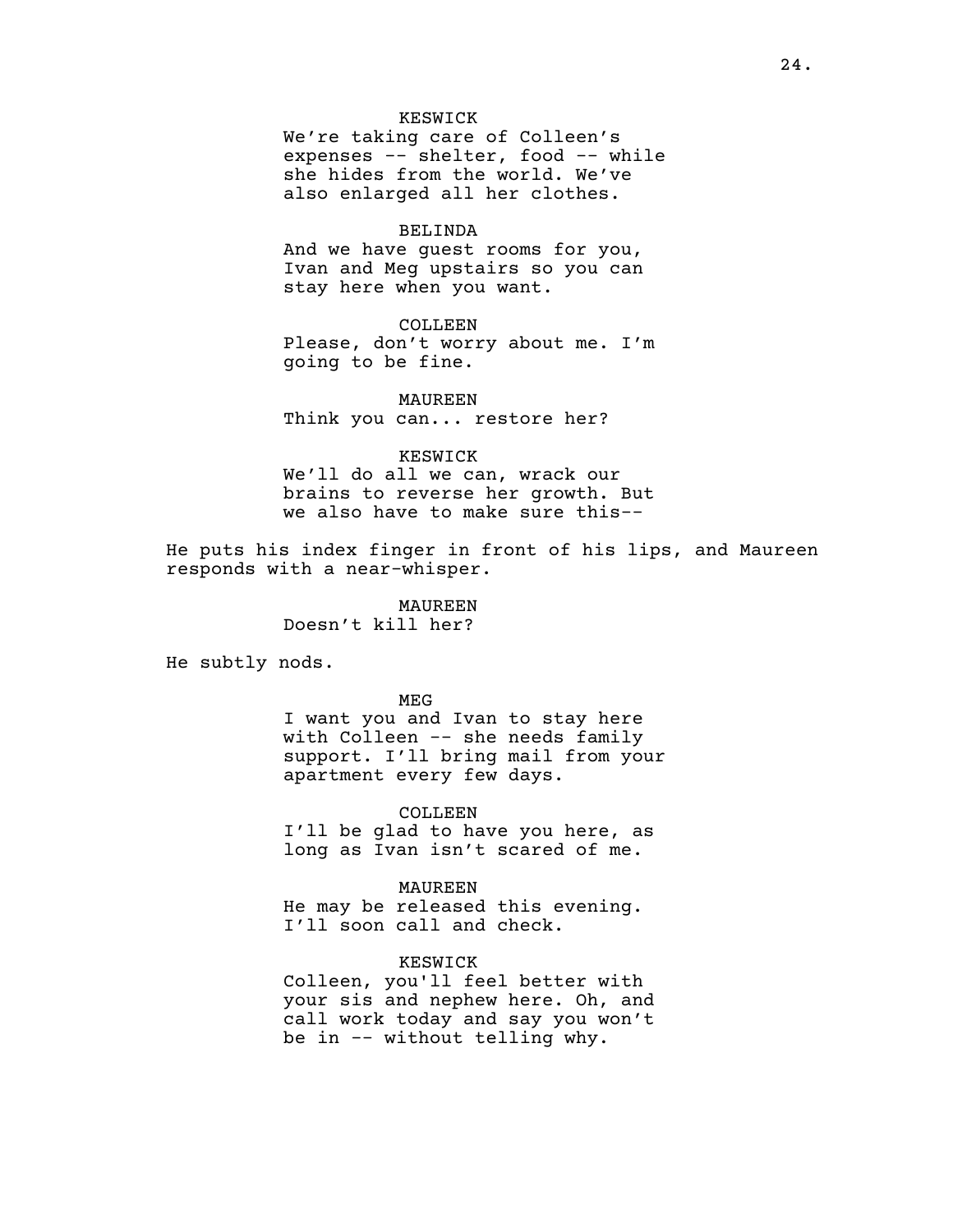## KESWICK

We're taking care of Colleen's expenses -- shelter, food -- while she hides from the world. We've also enlarged all her clothes.

#### BELINDA

And we have guest rooms for you, Ivan and Meg upstairs so you can stay here when you want.

## COLLEEN

Please, don't worry about me. I'm going to be fine.

## MAUREEN Think you can... restore her?

#### KESWICK

We'll do all we can, wrack our brains to reverse her growth. But we also have to make sure this--

He puts his index finger in front of his lips, and Maureen responds with a near-whisper.

> MAUREEN Doesn't kill her?

He subtly nods.

MEG

I want you and Ivan to stay here with Colleen -- she needs family support. I'll bring mail from your apartment every few days.

COLLEEN

I'll be glad to have you here, as long as Ivan isn't scared of me.

MAUREEN

He may be released this evening. I'll soon call and check.

## KESWICK

Colleen, you'll feel better with your sis and nephew here. Oh, and call work today and say you won't be in -- without telling why.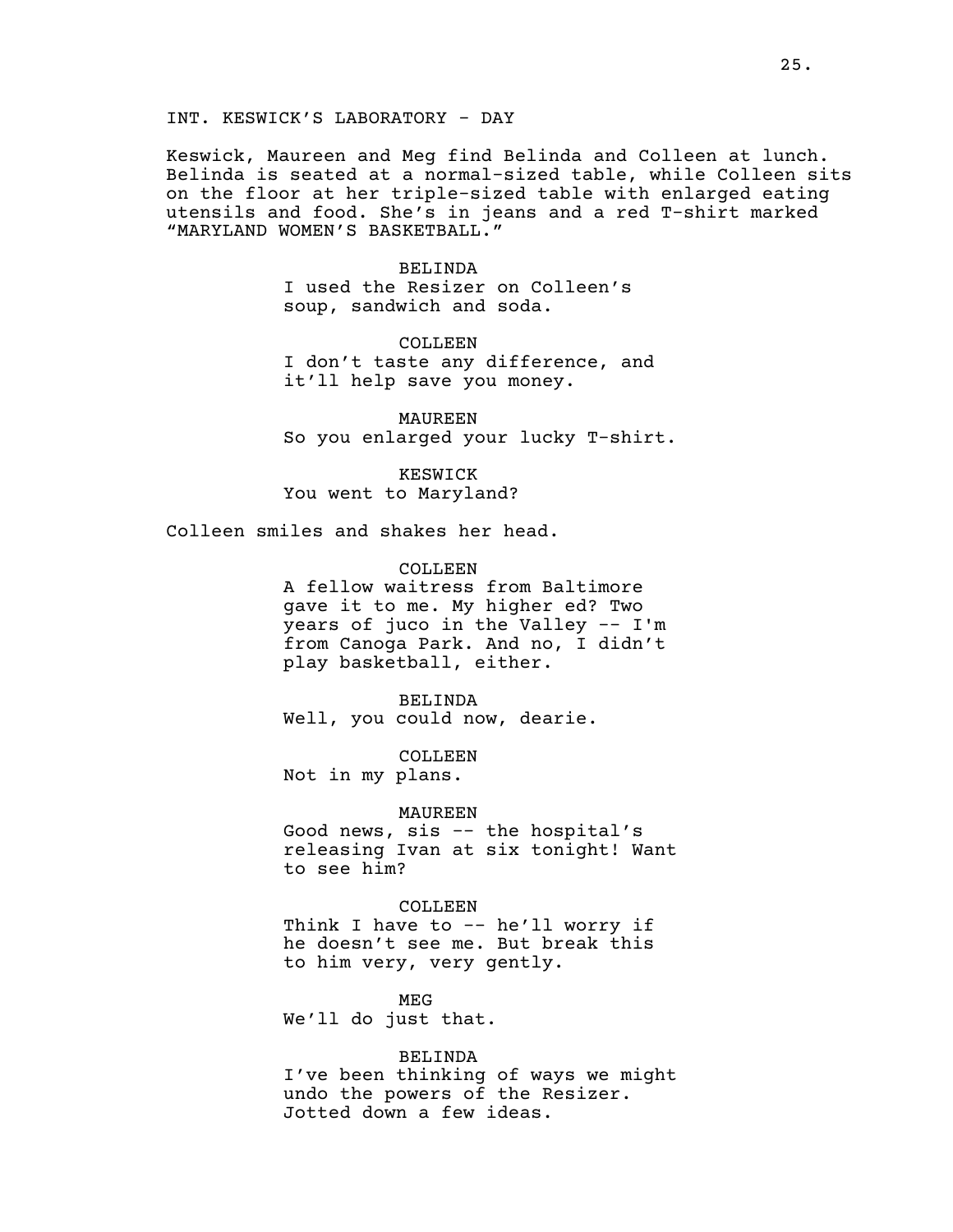INT. KESWICK'S LABORATORY - DAY

Keswick, Maureen and Meg find Belinda and Colleen at lunch. Belinda is seated at a normal-sized table, while Colleen sits on the floor at her triple-sized table with enlarged eating utensils and food. She's in jeans and a red T-shirt marked "MARYLAND WOMEN'S BASKETBALL."

> BELINDA I used the Resizer on Colleen's soup, sandwich and soda.

COLLEEN I don't taste any difference, and it'll help save you money.

MAUREEN So you enlarged your lucky T-shirt.

KESWICK You went to Maryland?

Colleen smiles and shakes her head.

COLLEEN

A fellow waitress from Baltimore gave it to me. My higher ed? Two years of juco in the Valley -- I'm from Canoga Park. And no, I didn't play basketball, either.

BELINDA Well, you could now, dearie.

COLLEEN Not in my plans.

MAUREEN

Good news, sis -- the hospital's releasing Ivan at six tonight! Want to see him?

COLLEEN Think I have to  $-$  he'll worry if

he doesn't see me. But break this to him very, very gently.

MEG We'll do just that.

BELINDA I've been thinking of ways we might undo the powers of the Resizer. Jotted down a few ideas.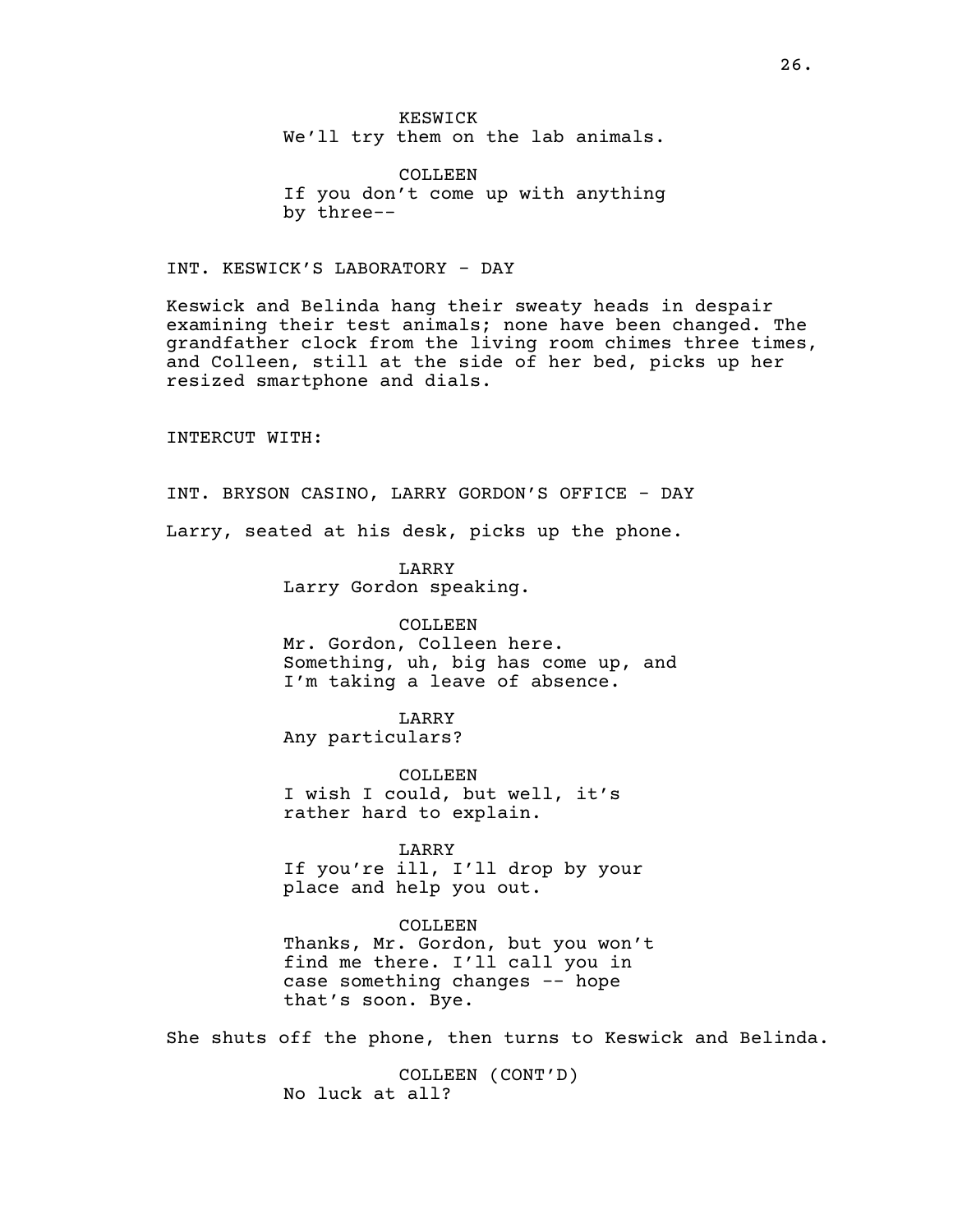KESWICK We'll try them on the lab animals.

COLLEEN If you don't come up with anything by three--

INT. KESWICK'S LABORATORY - DAY

Keswick and Belinda hang their sweaty heads in despair examining their test animals; none have been changed. The grandfather clock from the living room chimes three times, and Colleen, still at the side of her bed, picks up her resized smartphone and dials.

INTERCUT WITH:

INT. BRYSON CASINO, LARRY GORDON'S OFFICE - DAY Larry, seated at his desk, picks up the phone.

> LARRY Larry Gordon speaking.

COLLEEN Mr. Gordon, Colleen here. Something, uh, big has come up, and I'm taking a leave of absence.

LARRY Any particulars?

COLLEEN I wish I could, but well, it's rather hard to explain.

LARRY If you're ill, I'll drop by your

place and help you out.

COLLEEN Thanks, Mr. Gordon, but you won't find me there. I'll call you in case something changes -- hope that's soon. Bye.

She shuts off the phone, then turns to Keswick and Belinda.

COLLEEN (CONT'D) No luck at all?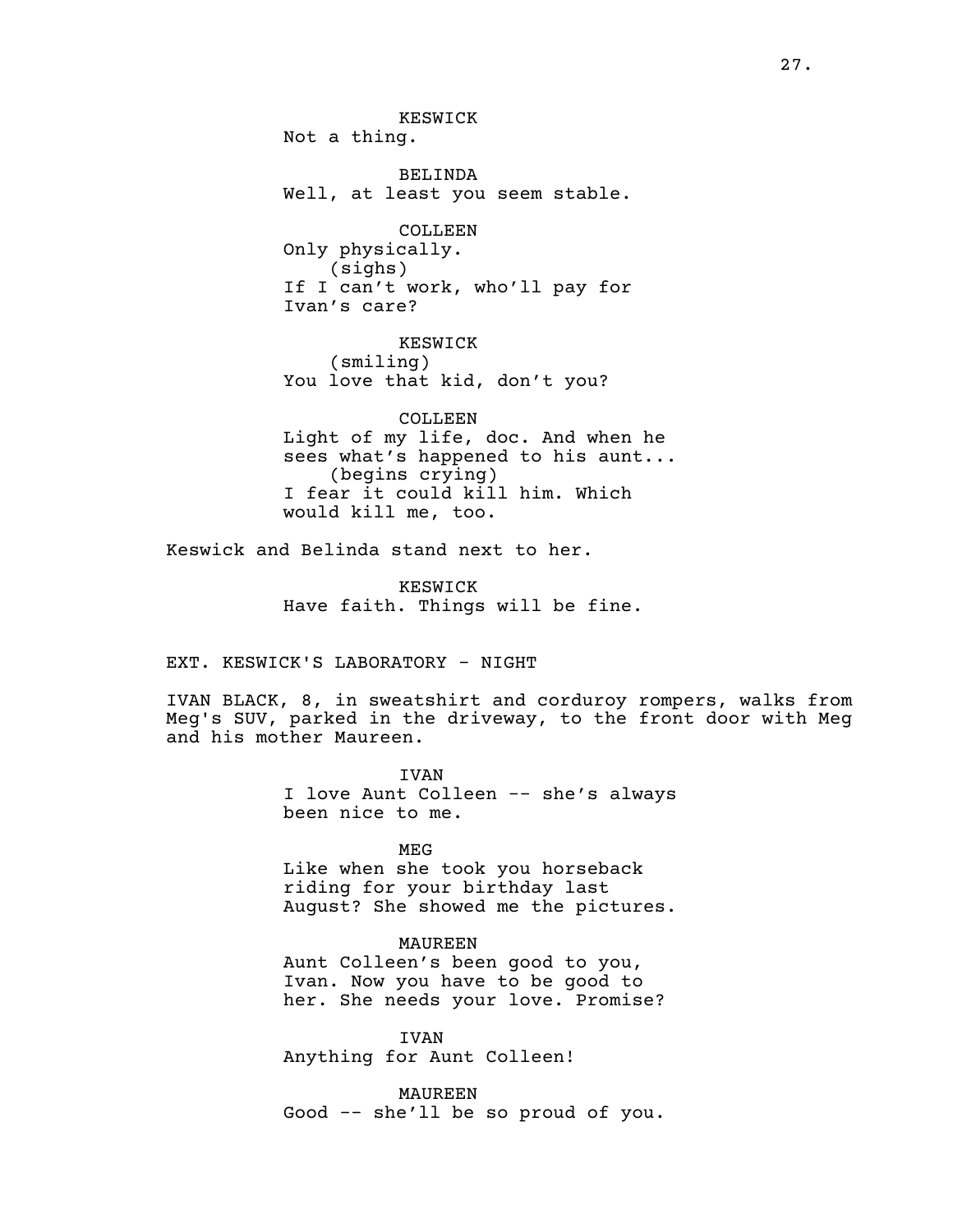KESWICK Not a thing. BELINDA Well, at least you seem stable. COLLEEN Only physically. (sighs)

If I can't work, who'll pay for Ivan's care?

KESWICK (smiling) You love that kid, don't you?

COLLEEN Light of my life, doc. And when he sees what's happened to his aunt... (begins crying) I fear it could kill him. Which would kill me, too.

Keswick and Belinda stand next to her.

KESWICK Have faith. Things will be fine.

EXT. KESWICK'S LABORATORY - NIGHT

IVAN BLACK, 8, in sweatshirt and corduroy rompers, walks from Meg's SUV, parked in the driveway, to the front door with Meg and his mother Maureen.

> IVAN I love Aunt Colleen -- she's always been nice to me.

> > MEG

Like when she took you horseback riding for your birthday last August? She showed me the pictures.

MAUREEN

Aunt Colleen's been good to you, Ivan. Now you have to be good to her. She needs your love. Promise?

IVAN Anything for Aunt Colleen!

MAUREEN Good -- she'll be so proud of you.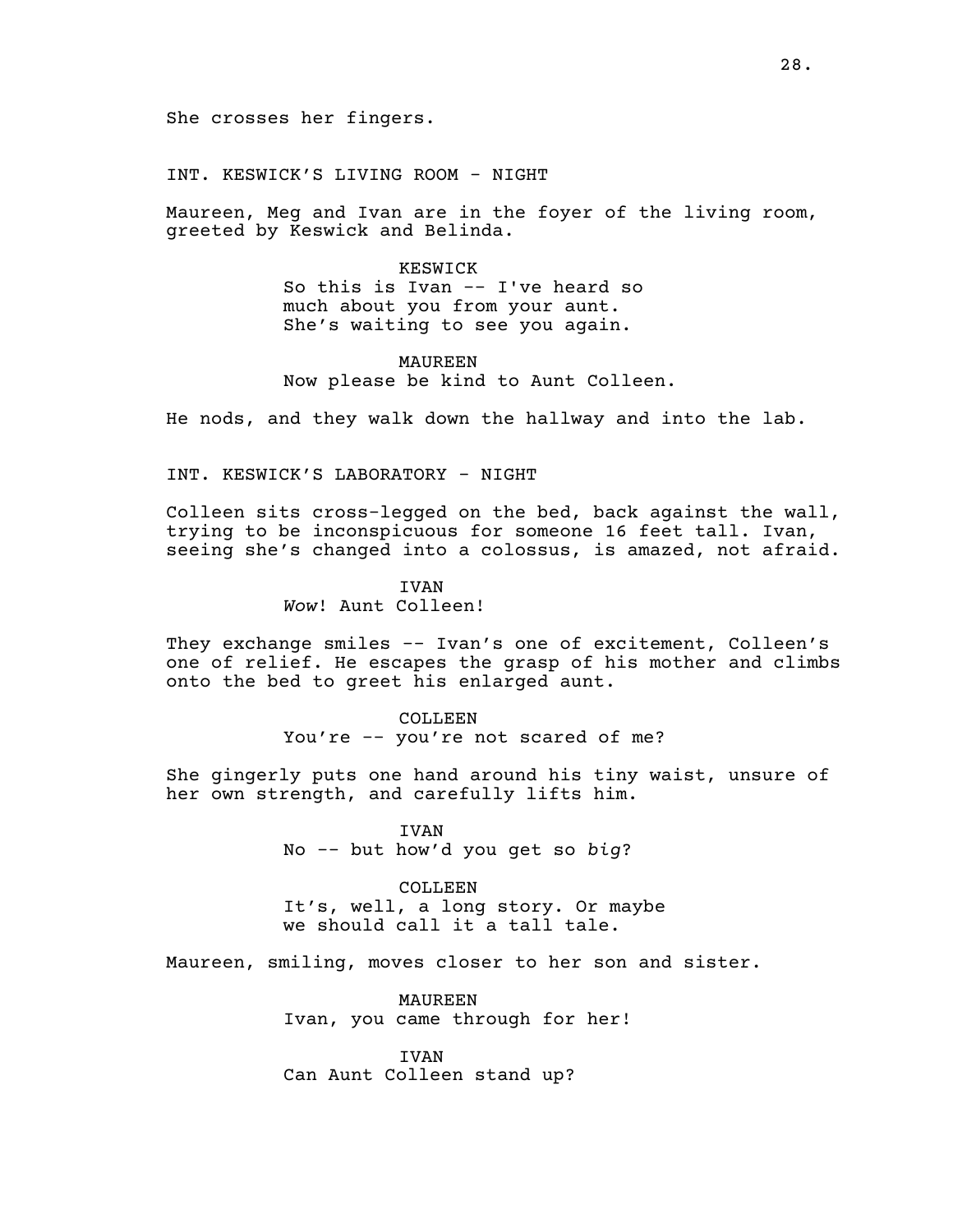INT. KESWICK'S LIVING ROOM - NIGHT

Maureen, Meg and Ivan are in the foyer of the living room, greeted by Keswick and Belinda.

> KESWICK So this is Ivan -- I've heard so much about you from your aunt. She's waiting to see you again.

MAUREEN Now please be kind to Aunt Colleen.

He nods, and they walk down the hallway and into the lab.

INT. KESWICK'S LABORATORY - NIGHT

Colleen sits cross-legged on the bed, back against the wall, trying to be inconspicuous for someone 16 feet tall. Ivan, seeing she's changed into a colossus, is amazed, not afraid.

> IVAN *Wow*! Aunt Colleen!

They exchange smiles -- Ivan's one of excitement, Colleen's one of relief. He escapes the grasp of his mother and climbs onto the bed to greet his enlarged aunt.

> COLLEEN You're -- you're not scared of me?

She gingerly puts one hand around his tiny waist, unsure of her own strength, and carefully lifts him.

> IVAN No -- but how'd you get so *big*?

COLLEEN It's, well, a long story. Or maybe we should call it a tall tale.

Maureen, smiling, moves closer to her son and sister.

MAUREEN Ivan, you came through for her!

**TVAN** Can Aunt Colleen stand up?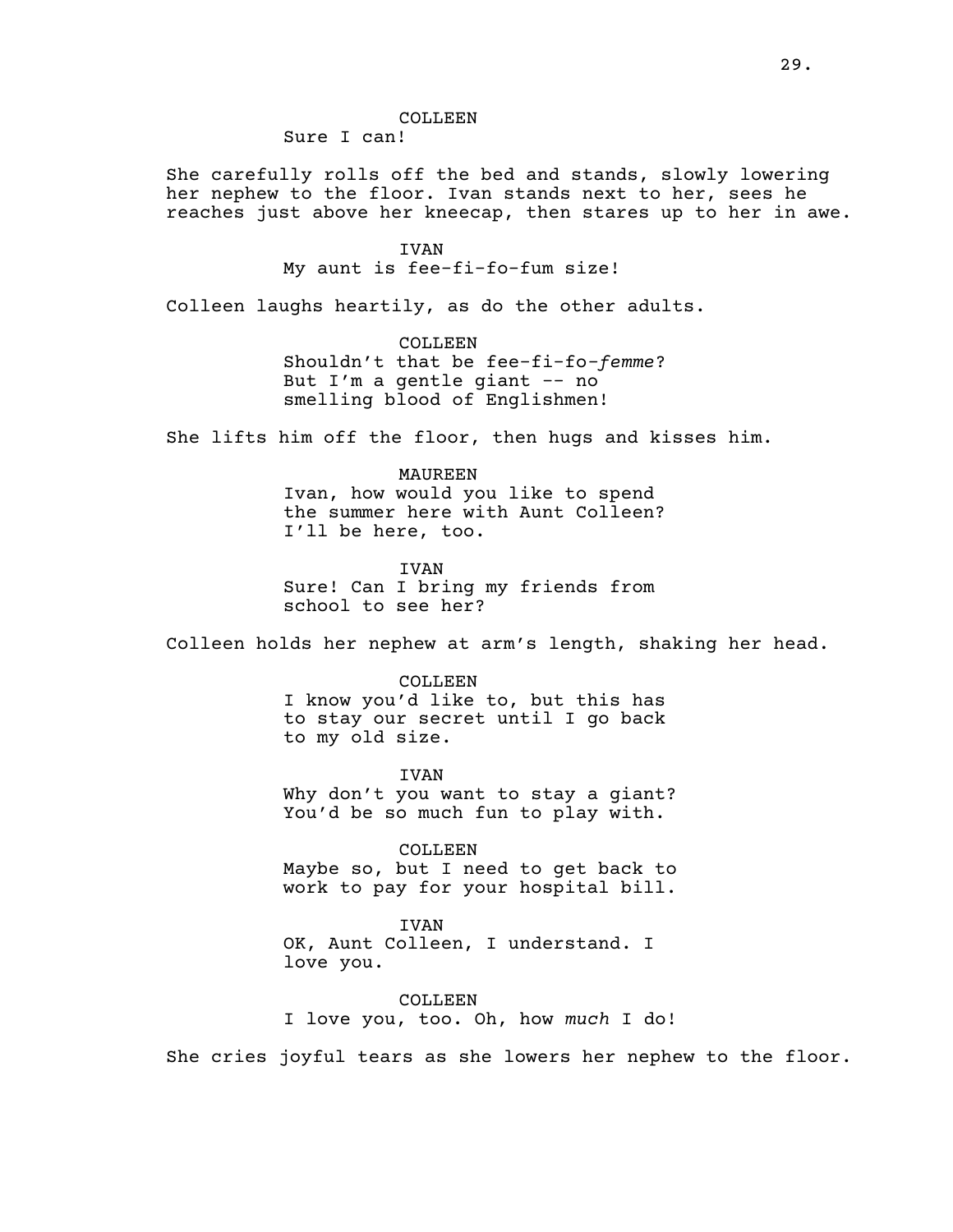COLLEEN

Sure I can!

She carefully rolls off the bed and stands, slowly lowering her nephew to the floor. Ivan stands next to her, sees he reaches just above her kneecap, then stares up to her in awe.

> IVAN My aunt is fee-fi-fo-fum size!

Colleen laughs heartily, as do the other adults.

COLLEEN Shouldn't that be fee-fi-fo*-femme*? But I'm a gentle giant -- no smelling blood of Englishmen!

She lifts him off the floor, then hugs and kisses him.

MAUREEN Ivan, how would you like to spend the summer here with Aunt Colleen? I'll be here, too.

IVAN Sure! Can I bring my friends from school to see her?

Colleen holds her nephew at arm's length, shaking her head.

COLLEEN I know you'd like to, but this has to stay our secret until I go back to my old size.

IVAN Why don't you want to stay a giant? You'd be so much fun to play with.

COLLEEN Maybe so, but I need to get back to work to pay for your hospital bill.

IVAN OK, Aunt Colleen, I understand. I love you.

COLLEEN I love you, too. Oh, how *much* I do!

She cries joyful tears as she lowers her nephew to the floor.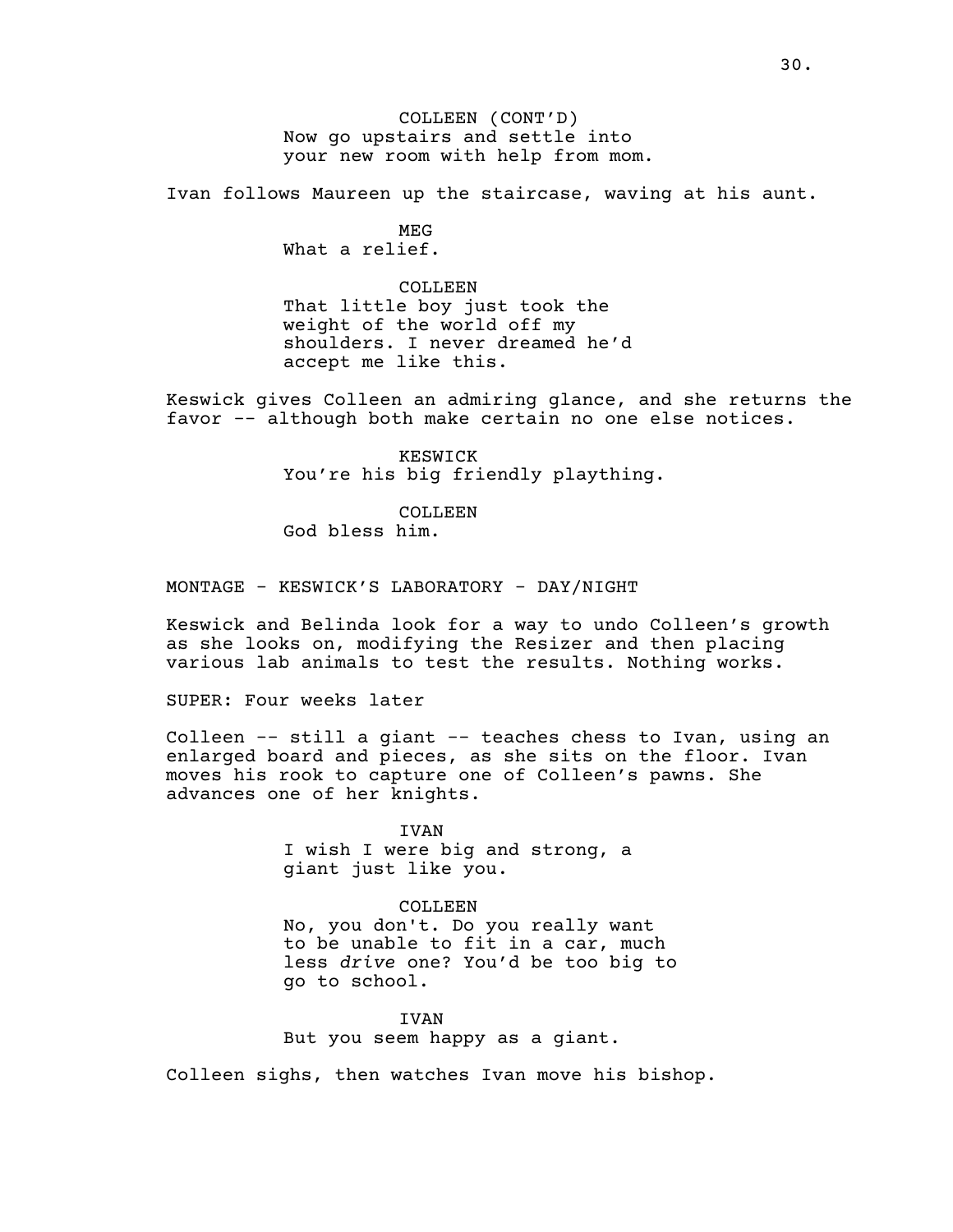COLLEEN (CONT'D) Now go upstairs and settle into your new room with help from mom.

Ivan follows Maureen up the staircase, waving at his aunt.

MEG What a relief.

COLLEEN That little boy just took the weight of the world off my shoulders. I never dreamed he'd accept me like this.

Keswick gives Colleen an admiring glance, and she returns the favor -- although both make certain no one else notices.

> KESWICK You're his big friendly plaything.

COLLEEN God bless him.

MONTAGE - KESWICK'S LABORATORY - DAY/NIGHT

Keswick and Belinda look for a way to undo Colleen's growth as she looks on, modifying the Resizer and then placing various lab animals to test the results. Nothing works.

SUPER: Four weeks later

Colleen -- still a giant -- teaches chess to Ivan, using an enlarged board and pieces, as she sits on the floor. Ivan moves his rook to capture one of Colleen's pawns. She advances one of her knights.

> **TVAN** I wish I were big and strong, a giant just like you.

COLLEEN No, you don't. Do you really want to be unable to fit in a car, much less *drive* one? You'd be too big to go to school.

IVAN But you seem happy as a giant.

Colleen sighs, then watches Ivan move his bishop.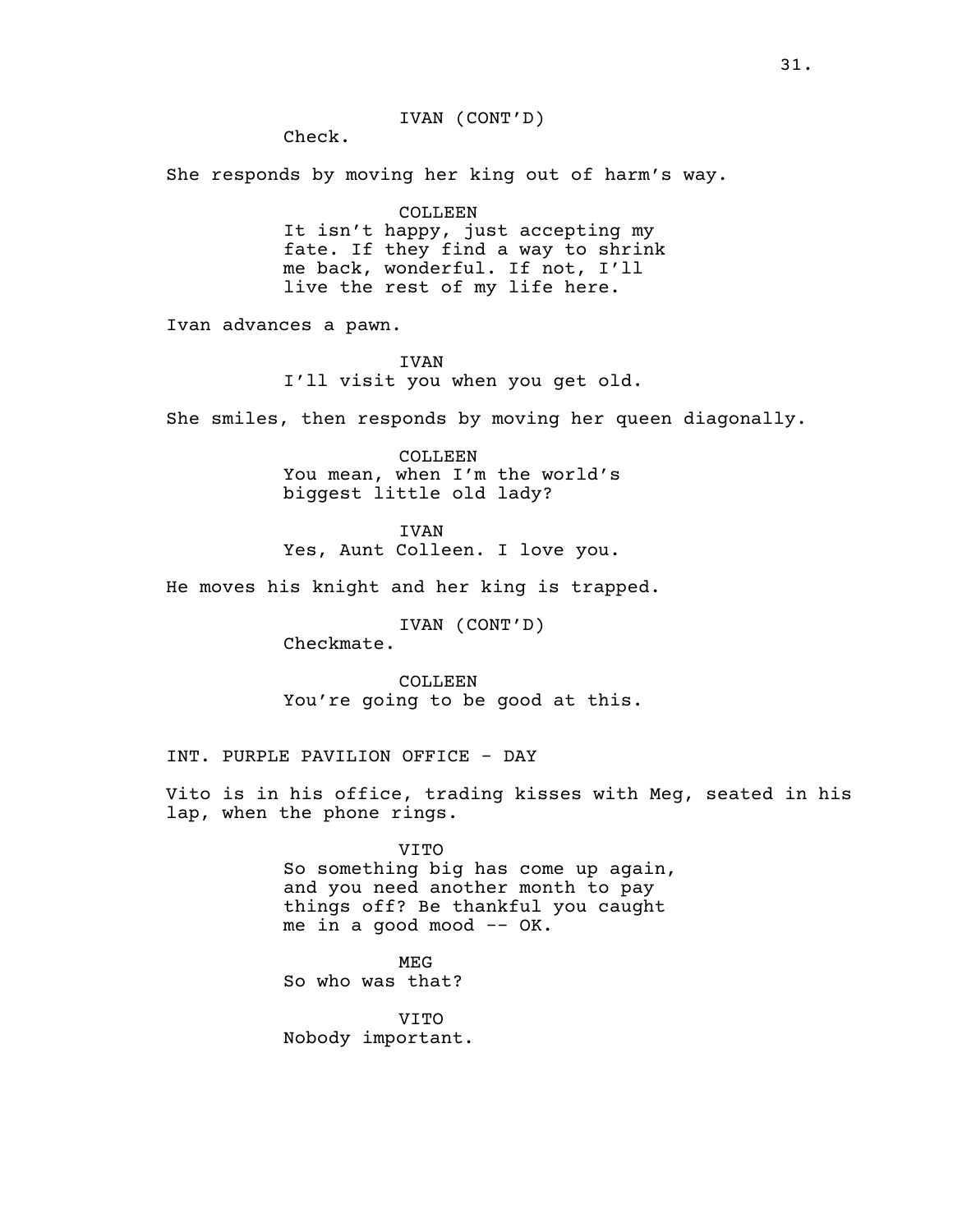## IVAN (CONT'D)

Check.

She responds by moving her king out of harm's way.

#### COLLEEN

It isn't happy, just accepting my fate. If they find a way to shrink me back, wonderful. If not, I'll live the rest of my life here.

Ivan advances a pawn.

## IVAN

I'll visit you when you get old.

She smiles, then responds by moving her queen diagonally.

COLLEEN You mean, when I'm the world's biggest little old lady?

IVAN Yes, Aunt Colleen. I love you.

He moves his knight and her king is trapped.

IVAN (CONT'D) Checkmate.

COLLEEN You're going to be good at this.

INT. PURPLE PAVILION OFFICE - DAY

Vito is in his office, trading kisses with Meg, seated in his lap, when the phone rings.

> VITO So something big has come up again, and you need another month to pay things off? Be thankful you caught me in a good mood -- OK.

MEG So who was that?

VITO Nobody important.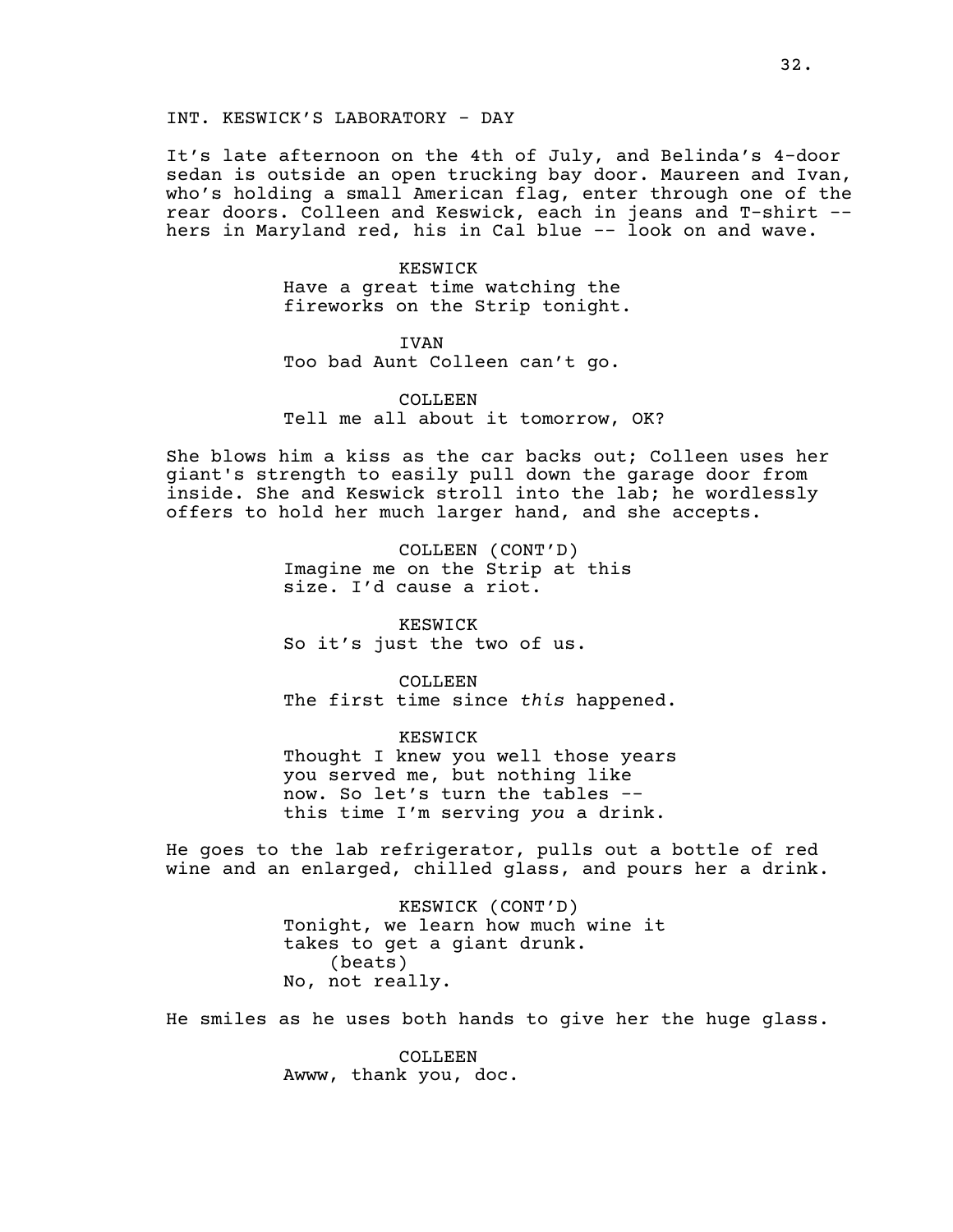INT. KESWICK'S LABORATORY - DAY

It's late afternoon on the 4th of July, and Belinda's 4-door sedan is outside an open trucking bay door. Maureen and Ivan, who's holding a small American flag, enter through one of the rear doors. Colleen and Keswick, each in jeans and T-shirt - hers in Maryland red, his in Cal blue -- look on and wave.

> KESWICK Have a great time watching the fireworks on the Strip tonight.

IVAN Too bad Aunt Colleen can't go.

COLLEEN. Tell me all about it tomorrow, OK?

She blows him a kiss as the car backs out; Colleen uses her giant's strength to easily pull down the garage door from inside. She and Keswick stroll into the lab; he wordlessly offers to hold her much larger hand, and she accepts.

> COLLEEN (CONT'D) Imagine me on the Strip at this size. I'd cause a riot.

KESWICK So it's just the two of us.

COLLEEN The first time since *this* happened.

KESWICK Thought I knew you well those years you served me, but nothing like now. So let's turn the tables - this time I'm serving *you* a drink.

He goes to the lab refrigerator, pulls out a bottle of red wine and an enlarged, chilled glass, and pours her a drink.

> KESWICK (CONT'D) Tonight, we learn how much wine it takes to get a giant drunk. (beats) No, not really.

He smiles as he uses both hands to give her the huge glass.

COLLEEN. Awww, thank you, doc.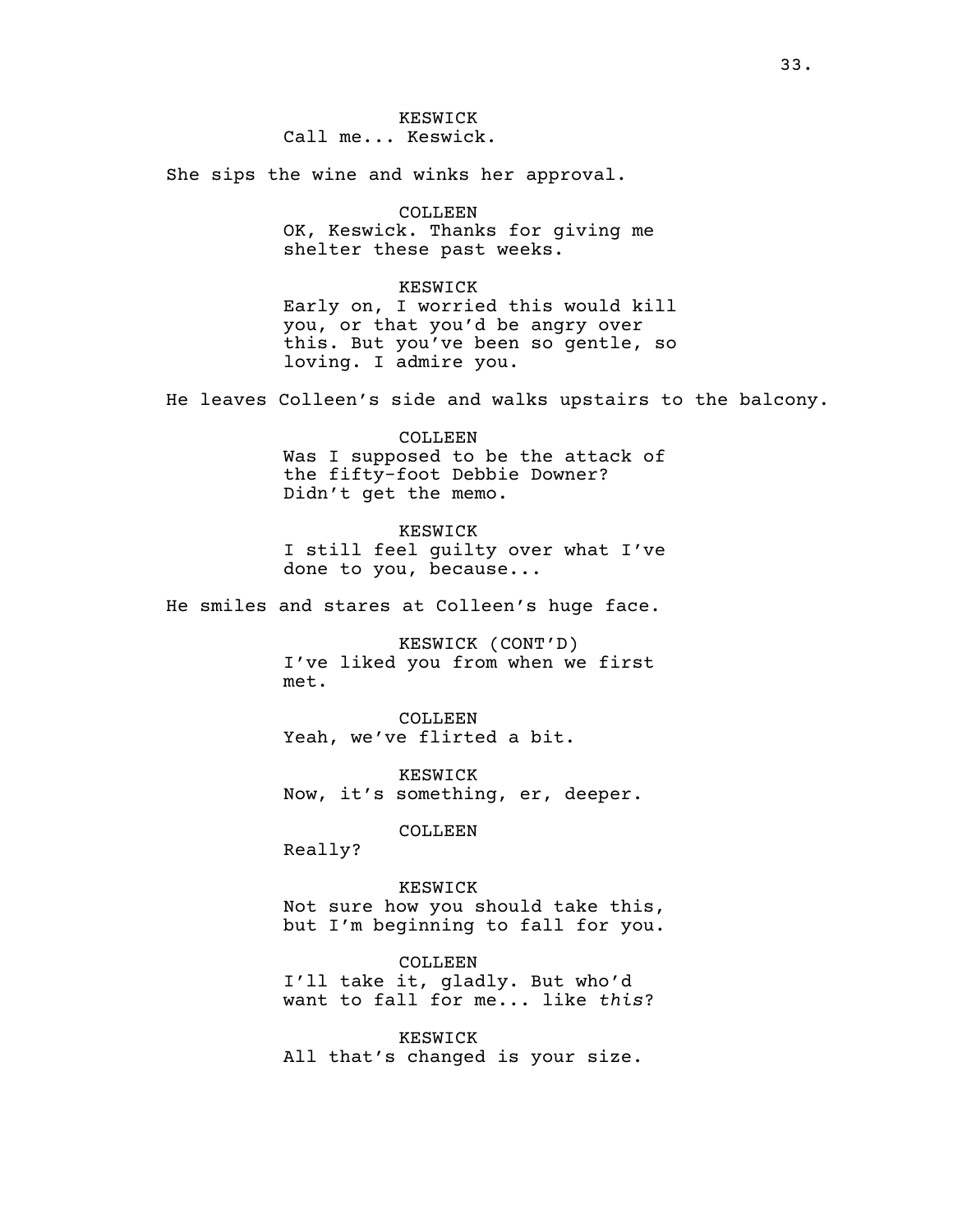KESWICK Call me... Keswick.

She sips the wine and winks her approval.

# COLLEEN

OK, Keswick. Thanks for giving me shelter these past weeks.

#### KESWICK

Early on, I worried this would kill you, or that you'd be angry over this. But you've been so gentle, so loving. I admire you.

He leaves Colleen's side and walks upstairs to the balcony.

#### COLLEEN

Was I supposed to be the attack of the fifty-foot Debbie Downer? Didn't get the memo.

#### KESWICK

I still feel guilty over what I've done to you, because...

He smiles and stares at Colleen's huge face.

KESWICK (CONT'D) I've liked you from when we first met.

COLLEEN Yeah, we've flirted a bit.

KESWICK Now, it's something, er, deeper.

COLLEEN

Really?

KESWICK Not sure how you should take this, but I'm beginning to fall for you.

COLLEEN I'll take it, gladly. But who'd want to fall for me... like *this*?

KESWICK All that's changed is your size.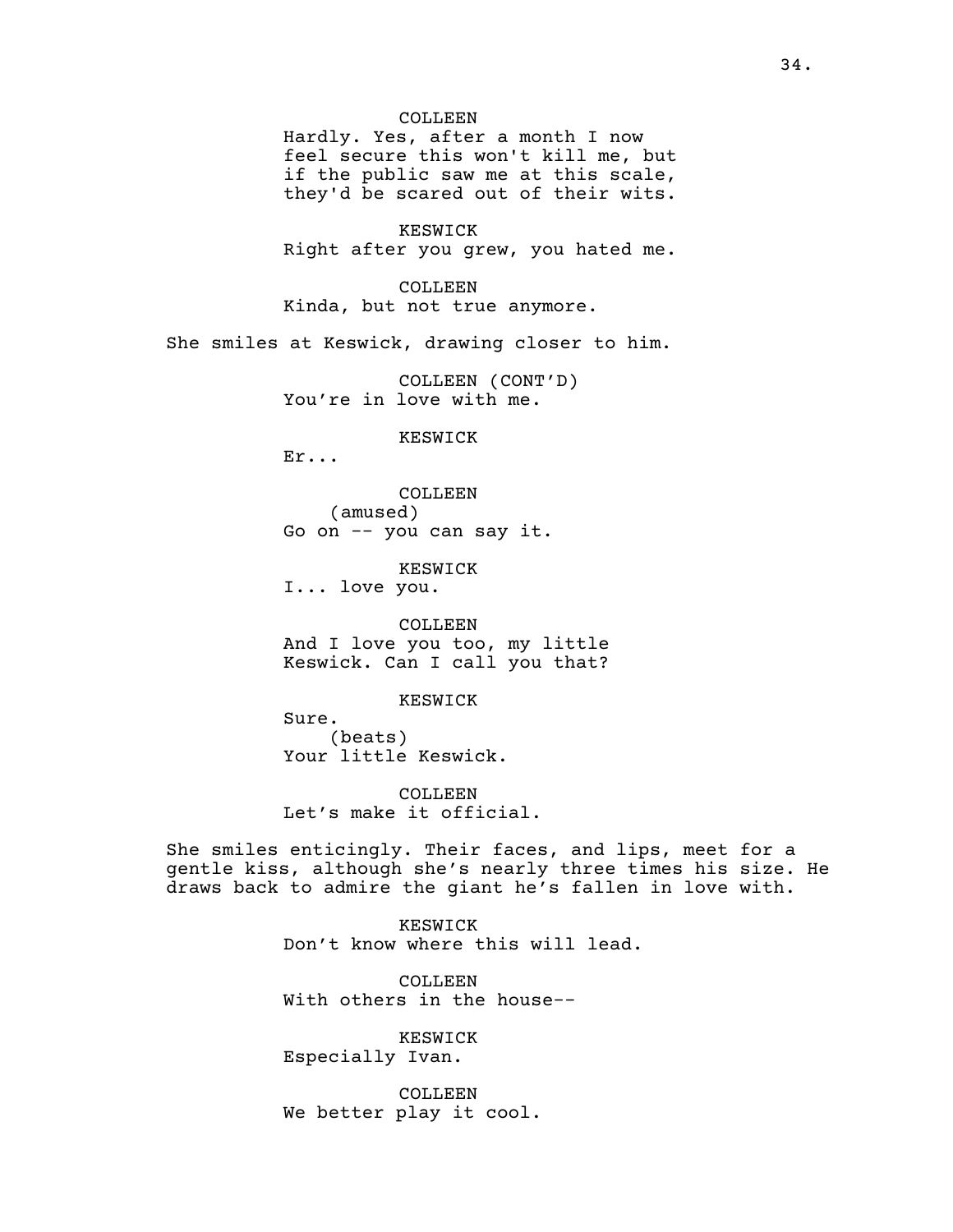#### COLLEEN

Hardly. Yes, after a month I now feel secure this won't kill me, but if the public saw me at this scale, they'd be scared out of their wits.

KESWICK Right after you grew, you hated me.

COLLEEN Kinda, but not true anymore.

She smiles at Keswick, drawing closer to him.

COLLEEN (CONT'D) You're in love with me.

KESWICK

Er...

COLLEEN (amused) Go on -- you can say it.

KESWICK I... love you.

COLLEEN And I love you too, my little Keswick. Can I call you that?

KESWICK

Sure. (beats) Your little Keswick.

COLLEEN Let's make it official.

She smiles enticingly. Their faces, and lips, meet for a gentle kiss, although she's nearly three times his size. He draws back to admire the giant he's fallen in love with.

> KESWICK Don't know where this will lead.

COLLEEN With others in the house--

KESWICK Especially Ivan.

COLLEEN We better play it cool.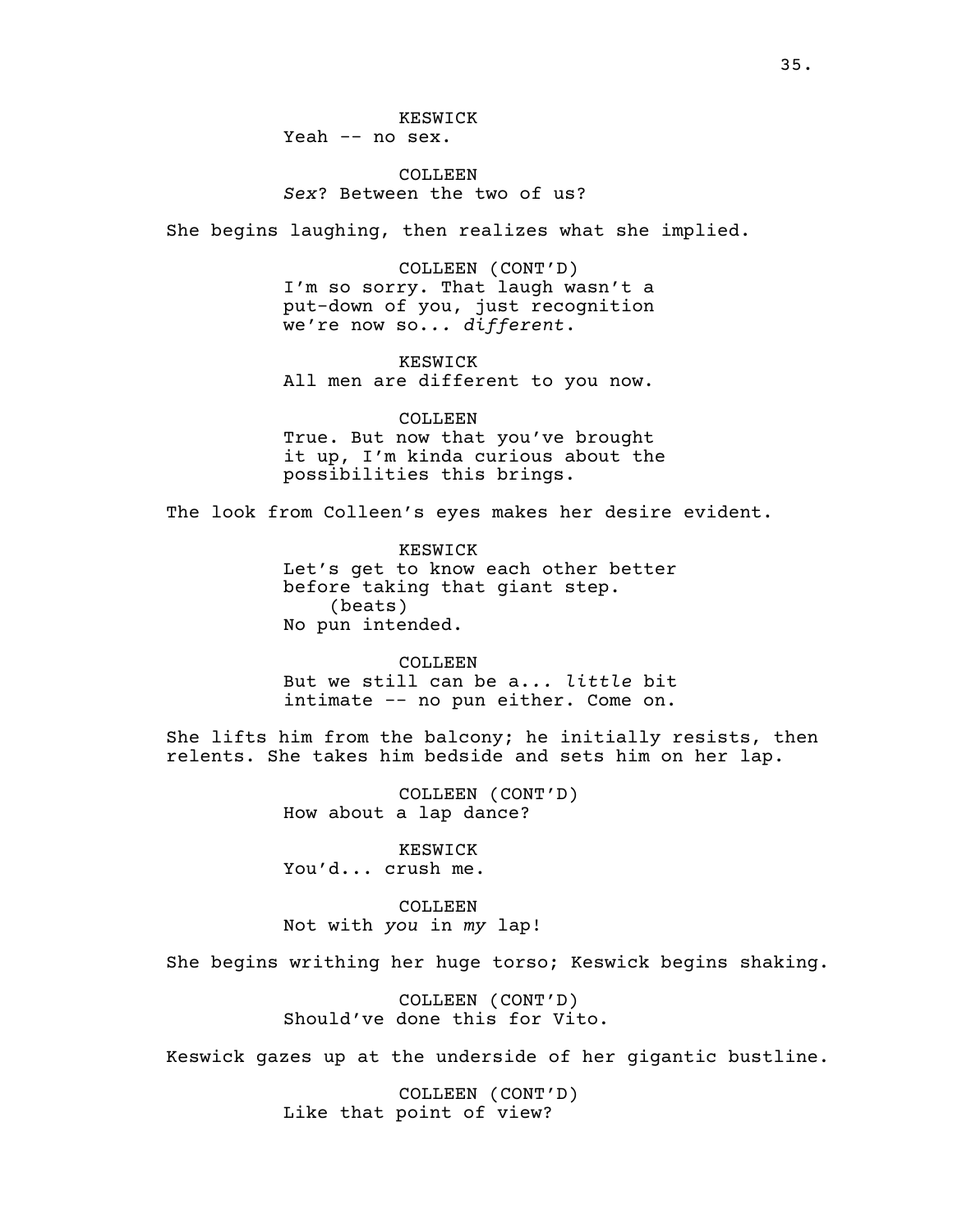# COLLEEN *Sex*? Between the two of us?

She begins laughing, then realizes what she implied.

COLLEEN (CONT'D) I'm so sorry. That laugh wasn't a put-down of you, just recognition we're now so.*.. different*.

KESWICK All men are different to you now.

COLLEEN True. But now that you've brought it up, I'm kinda curious about the possibilities this brings.

The look from Colleen's eyes makes her desire evident.

KESWICK Let's get to know each other better before taking that giant step. (beats) No pun intended.

COLLEEN But we still can be a.*.. little* bit intimate -- no pun either. Come on.

She lifts him from the balcony; he initially resists, then relents. She takes him bedside and sets him on her lap.

> COLLEEN (CONT'D) How about a lap dance?

KESWICK You'd... crush me.

COLLEEN Not with *you* in *my* lap!

She begins writhing her huge torso; Keswick begins shaking.

COLLEEN (CONT'D) Should've done this for Vito.

Keswick gazes up at the underside of her gigantic bustline.

COLLEEN (CONT'D) Like that point of view?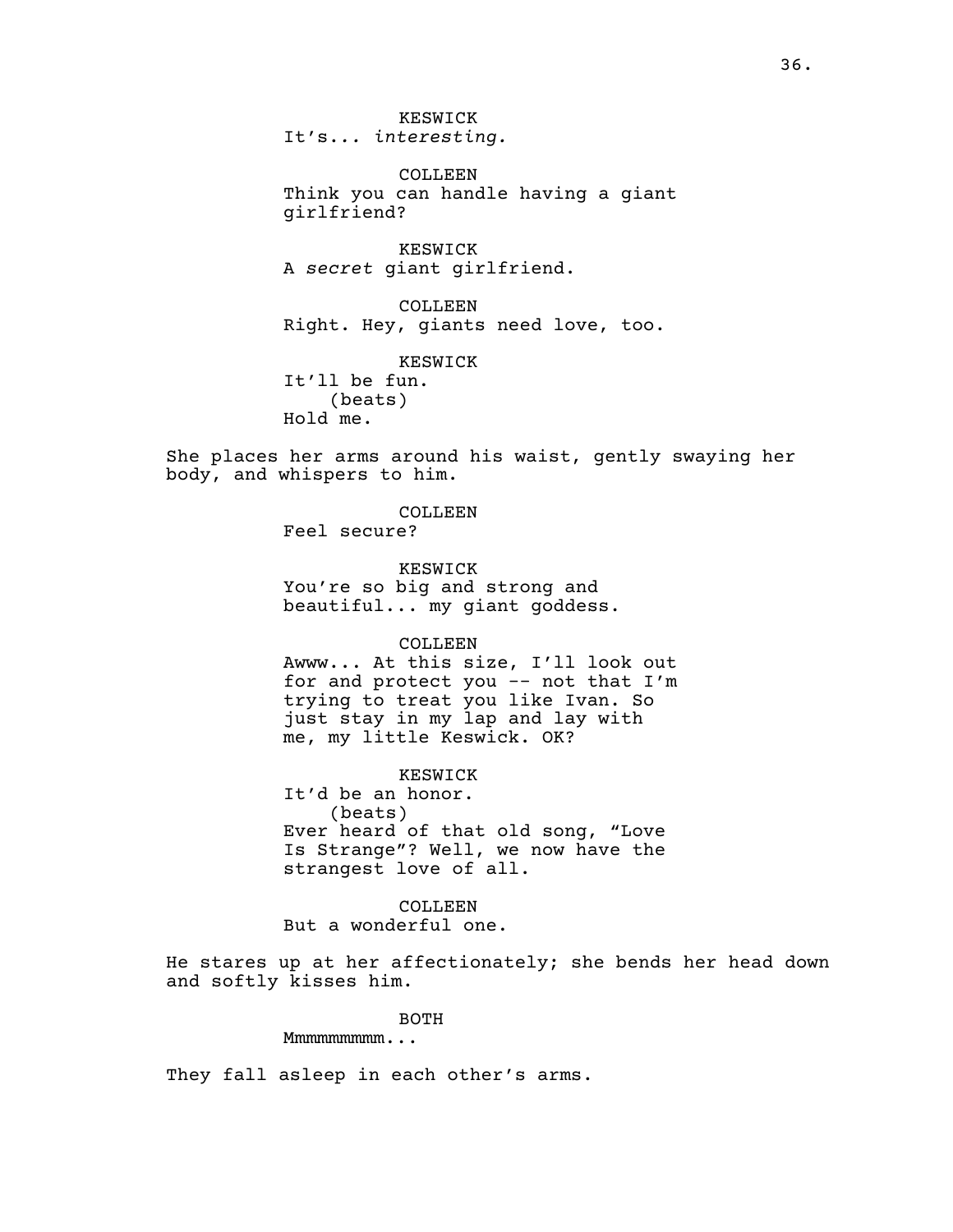COLLEEN Think you can handle having a giant girlfriend?

KESWICK A *secret* giant girlfriend.

COLLEEN Right. Hey, giants need love, too.

KESWICK It'll be fun.

(beats) Hold me.

She places her arms around his waist, gently swaying her body, and whispers to him.

> COLLEEN Feel secure?

KESWICK You're so big and strong and

beautiful... my giant goddess.

COLLEEN

Awww... At this size, I'll look out for and protect you -- not that I'm trying to treat you like Ivan. So just stay in my lap and lay with me, my little Keswick. OK?

KESWICK

It'd be an honor. (beats) Ever heard of that old song, "Love Is Strange"? Well, we now have the strangest love of all.

COLLEEN But a wonderful one.

He stares up at her affectionately; she bends her head down and softly kisses him.

BOTH

Mmmmmmmmm...

They fall asleep in each other's arms.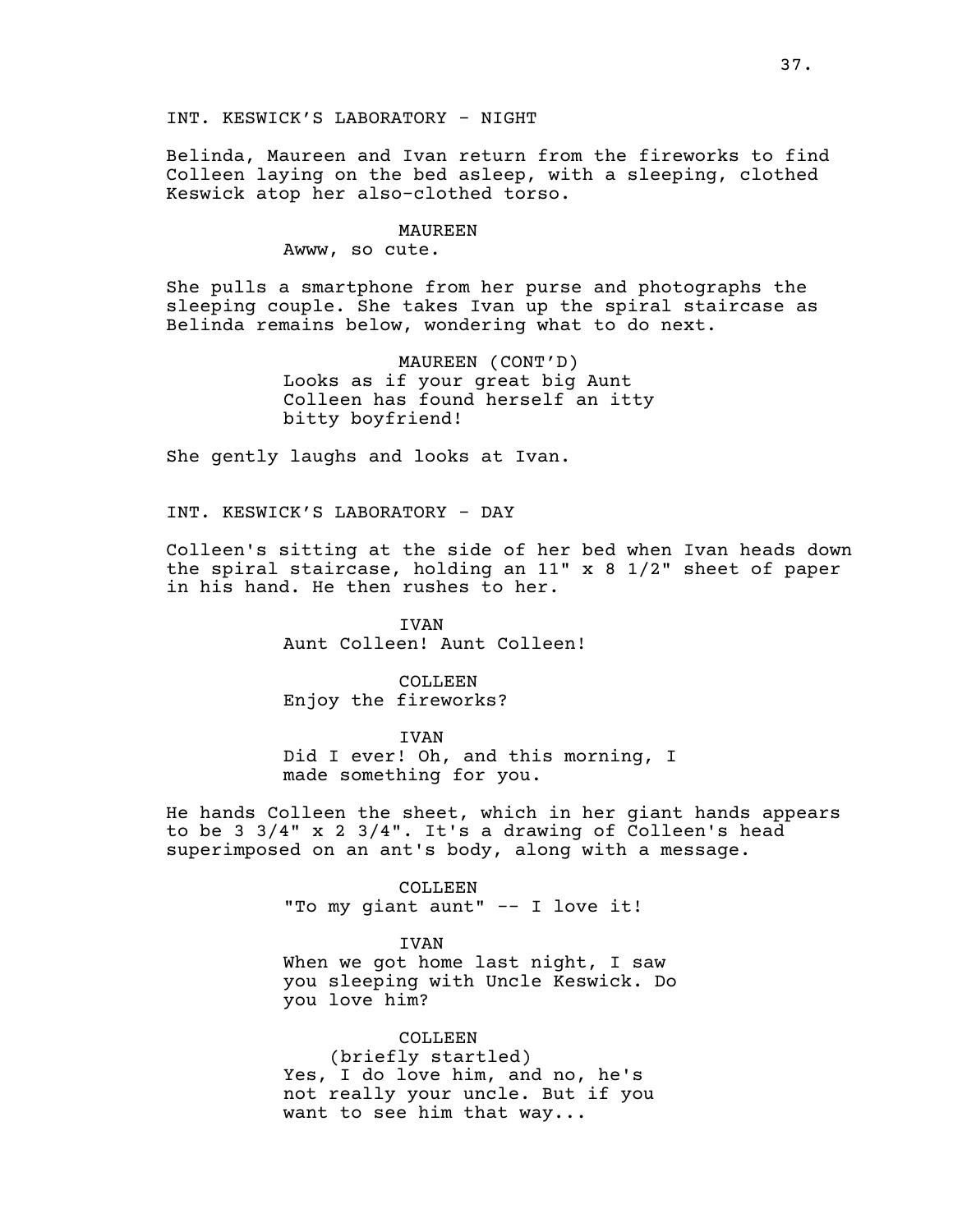INT. KESWICK'S LABORATORY - NIGHT

Belinda, Maureen and Ivan return from the fireworks to find Colleen laying on the bed asleep, with a sleeping, clothed Keswick atop her also-clothed torso.

### MAUREEN

Awww, so cute.

She pulls a smartphone from her purse and photographs the sleeping couple. She takes Ivan up the spiral staircase as Belinda remains below, wondering what to do next.

> MAUREEN (CONT'D) Looks as if your great big Aunt Colleen has found herself an itty bitty boyfriend!

She gently laughs and looks at Ivan.

INT. KESWICK'S LABORATORY - DAY

Colleen's sitting at the side of her bed when Ivan heads down the spiral staircase, holding an 11" x 8 1/2" sheet of paper in his hand. He then rushes to her.

> IVAN Aunt Colleen! Aunt Colleen!

COLLEEN Enjoy the fireworks?

IVAN

Did I ever! Oh, and this morning, I made something for you.

He hands Colleen the sheet, which in her giant hands appears to be 3 3/4" x 2 3/4". It's a drawing of Colleen's head superimposed on an ant's body, along with a message.

> COLLEEN "To my giant aunt" -- I love it!

> > IVAN

When we got home last night, I saw you sleeping with Uncle Keswick. Do you love him?

COLLEEN (briefly startled) Yes, I do love him, and no, he's not really your uncle. But if you want to see him that way...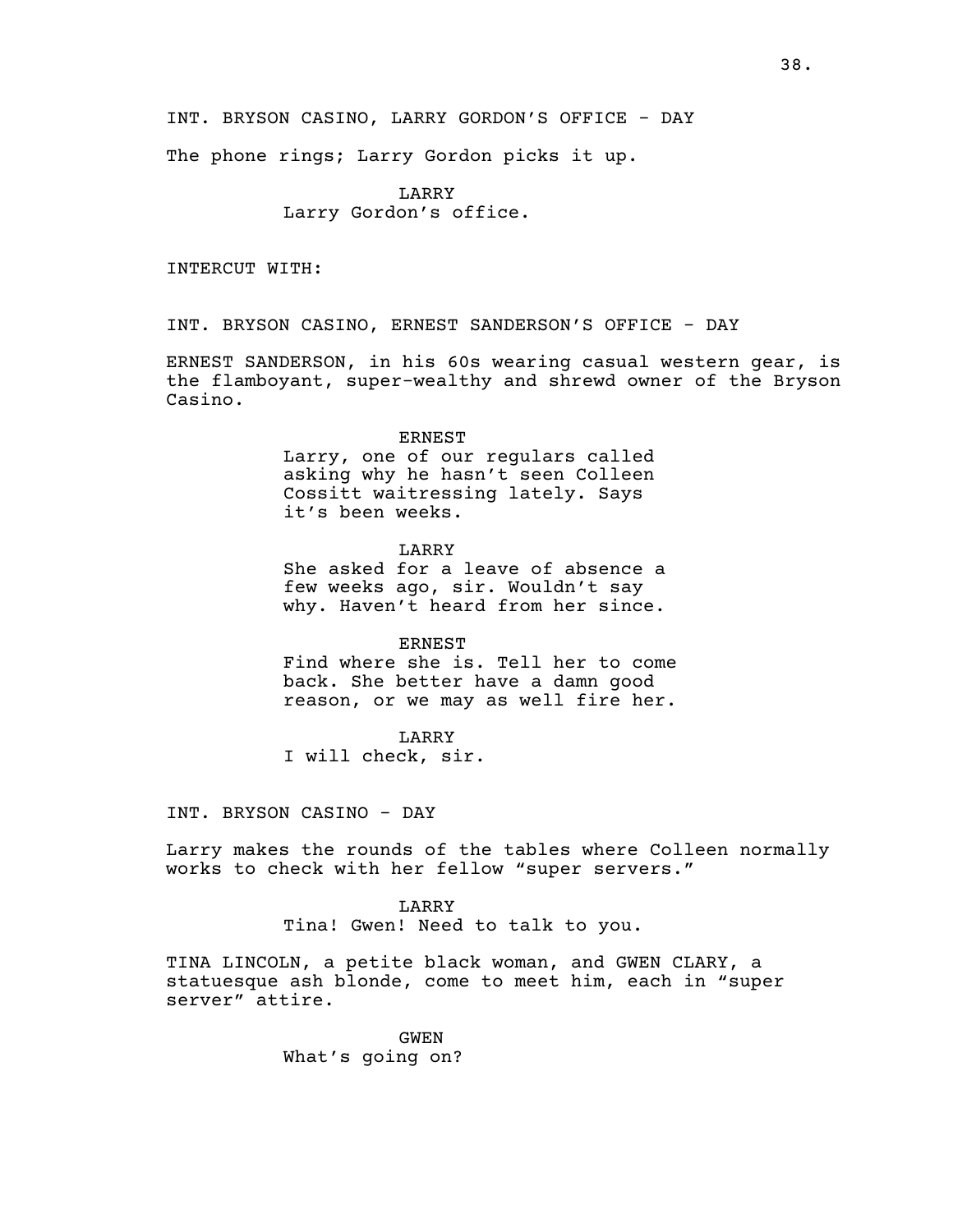INT. BRYSON CASINO, LARRY GORDON'S OFFICE - DAY

The phone rings; Larry Gordon picks it up.

LARRY Larry Gordon's office.

INTERCUT WITH:

INT. BRYSON CASINO, ERNEST SANDERSON'S OFFICE - DAY

ERNEST SANDERSON, in his 60s wearing casual western gear, is the flamboyant, super-wealthy and shrewd owner of the Bryson Casino.

> ERNEST Larry, one of our regulars called asking why he hasn't seen Colleen Cossitt waitressing lately. Says it's been weeks.

> > LARRY

She asked for a leave of absence a few weeks ago, sir. Wouldn't say why. Haven't heard from her since.

ERNEST

Find where she is. Tell her to come back. She better have a damn good reason, or we may as well fire her.

LARRY

I will check, sir.

INT. BRYSON CASINO - DAY

Larry makes the rounds of the tables where Colleen normally works to check with her fellow "super servers."

> LARRY Tina! Gwen! Need to talk to you.

TINA LINCOLN, a petite black woman, and GWEN CLARY, a statuesque ash blonde, come to meet him, each in "super server" attire.

> GWEN What's going on?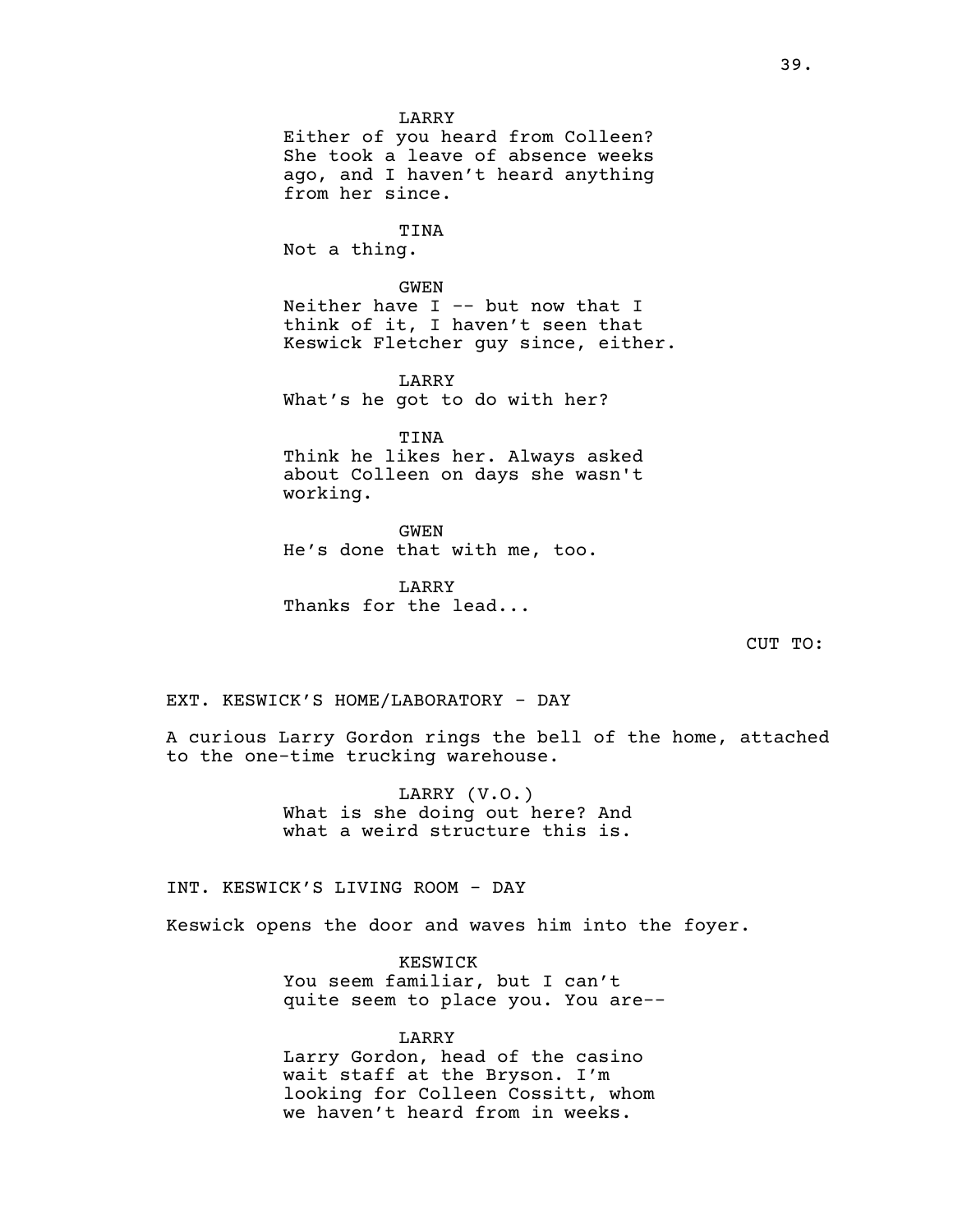LARRY Either of you heard from Colleen? She took a leave of absence weeks ago, and I haven't heard anything from her since.

TINA Not a thing.

GWEN Neither have  $I$  -- but now that  $I$ think of it, I haven't seen that Keswick Fletcher guy since, either.

LARRY What's he got to do with her?

TINA Think he likes her. Always asked about Colleen on days she wasn't working.

GWEN He's done that with me, too.

LARRY Thanks for the lead...

CUT TO:

EXT. KESWICK'S HOME/LABORATORY - DAY

A curious Larry Gordon rings the bell of the home, attached to the one-time trucking warehouse.

> LARRY (V.O.) What is she doing out here? And what a weird structure this is.

INT. KESWICK'S LIVING ROOM - DAY

Keswick opens the door and waves him into the foyer.

KESWICK You seem familiar, but I can't quite seem to place you. You are--

LARRY Larry Gordon, head of the casino wait staff at the Bryson. I'm looking for Colleen Cossitt, whom we haven't heard from in weeks.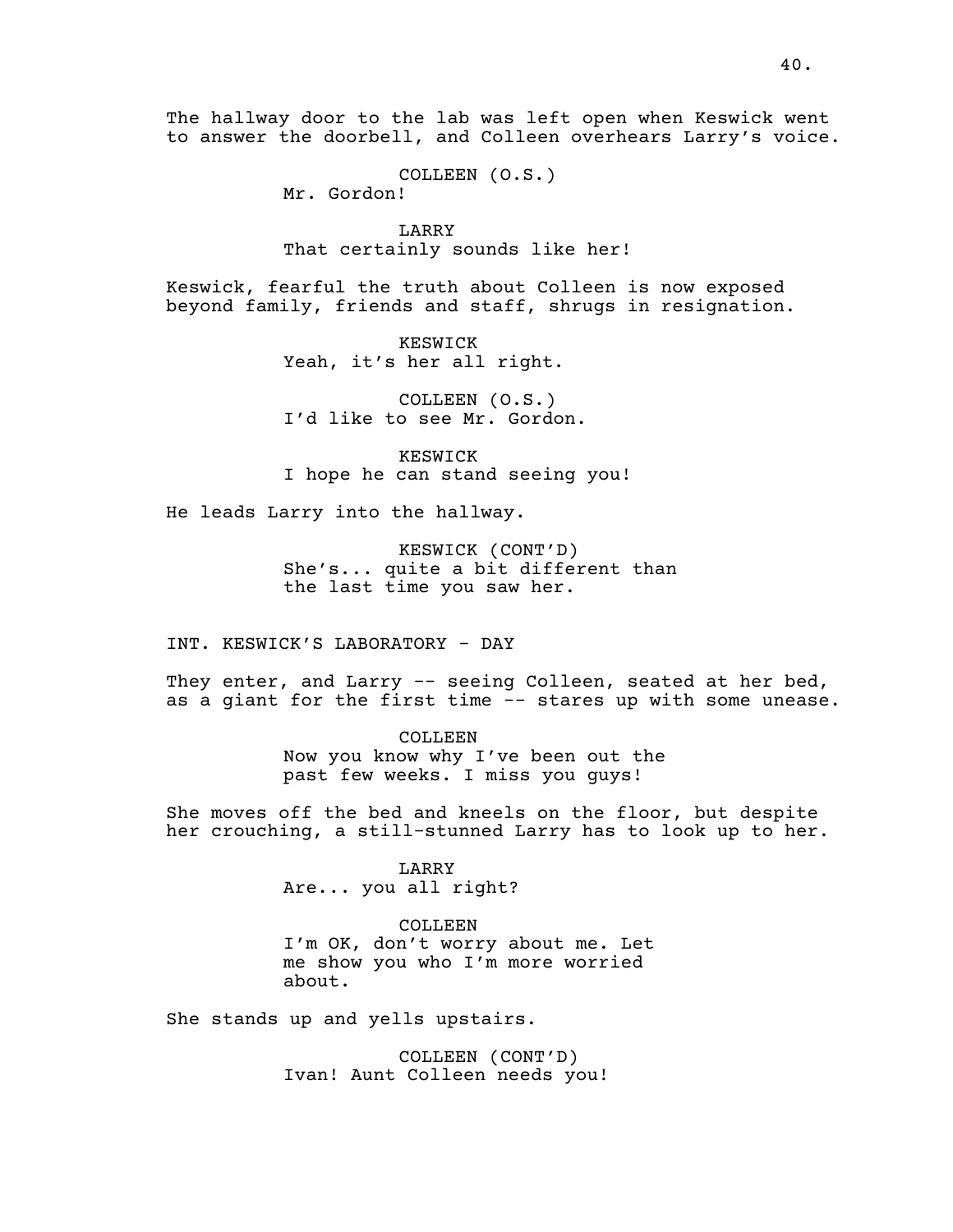The hallway door to the lab was left open when Keswick went to answer the doorbell, and Colleen overhears Larry's voice.

COLLEEN (O.S.)

Mr. Gordon!

LARRY That certainly sounds like her!

Keswick, fearful the truth about Colleen is now exposed beyond family, friends and staff, shrugs in resignation.

> KESWICK Yeah, it's her all right.

COLLEEN (O.S.) I'd like to see Mr. Gordon.

KESWICK I hope he can stand seeing you!

He leads Larry into the hallway.

KESWICK (CONT'D) She's... quite a bit different than the last time you saw her.

INT. KESWICK'S LABORATORY - DAY

They enter, and Larry -- seeing Colleen, seated at her bed, as a giant for the first time -- stares up with some unease.

> COLLEEN Now you know why I've been out the past few weeks. I miss you guys!

She moves off the bed and kneels on the floor, but despite her crouching, a still-stunned Larry has to look up to her.

### LARRY

Are... you all right?

## COLLEEN

I'm OK, don't worry about me. Let me show you who I'm more worried about.

She stands up and yells upstairs.

COLLEEN (CONT'D) Ivan! Aunt Colleen needs you!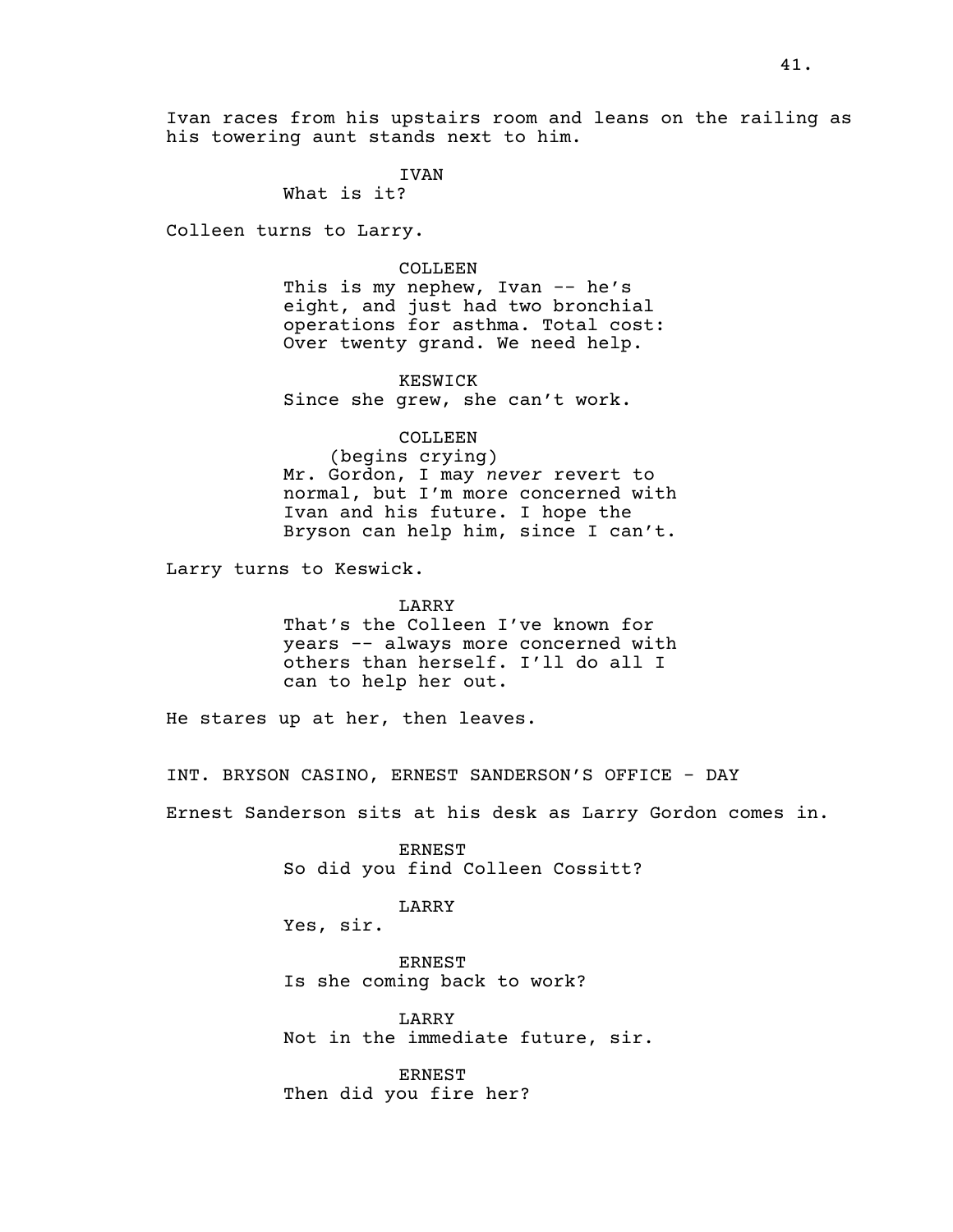Ivan races from his upstairs room and leans on the railing as his towering aunt stands next to him.

IVAN

What is it?

Colleen turns to Larry.

### COLLEEN

This is my nephew, Ivan -- he's eight, and just had two bronchial operations for asthma. Total cost: Over twenty grand. We need help.

KESWICK Since she grew, she can't work.

# COLLEEN

(begins crying) Mr. Gordon, I may *never* revert to normal, but I'm more concerned with Ivan and his future. I hope the Bryson can help him, since I can't.

Larry turns to Keswick.

LARRY That's the Colleen I've known for years -- always more concerned with others than herself. I'll do all I can to help her out.

He stares up at her, then leaves.

INT. BRYSON CASINO, ERNEST SANDERSON'S OFFICE - DAY

Ernest Sanderson sits at his desk as Larry Gordon comes in.

ERNEST So did you find Colleen Cossitt?

# LARRY

Yes, sir.

ERNEST Is she coming back to work?

LARRY Not in the immediate future, sir.

ERNEST Then did you fire her?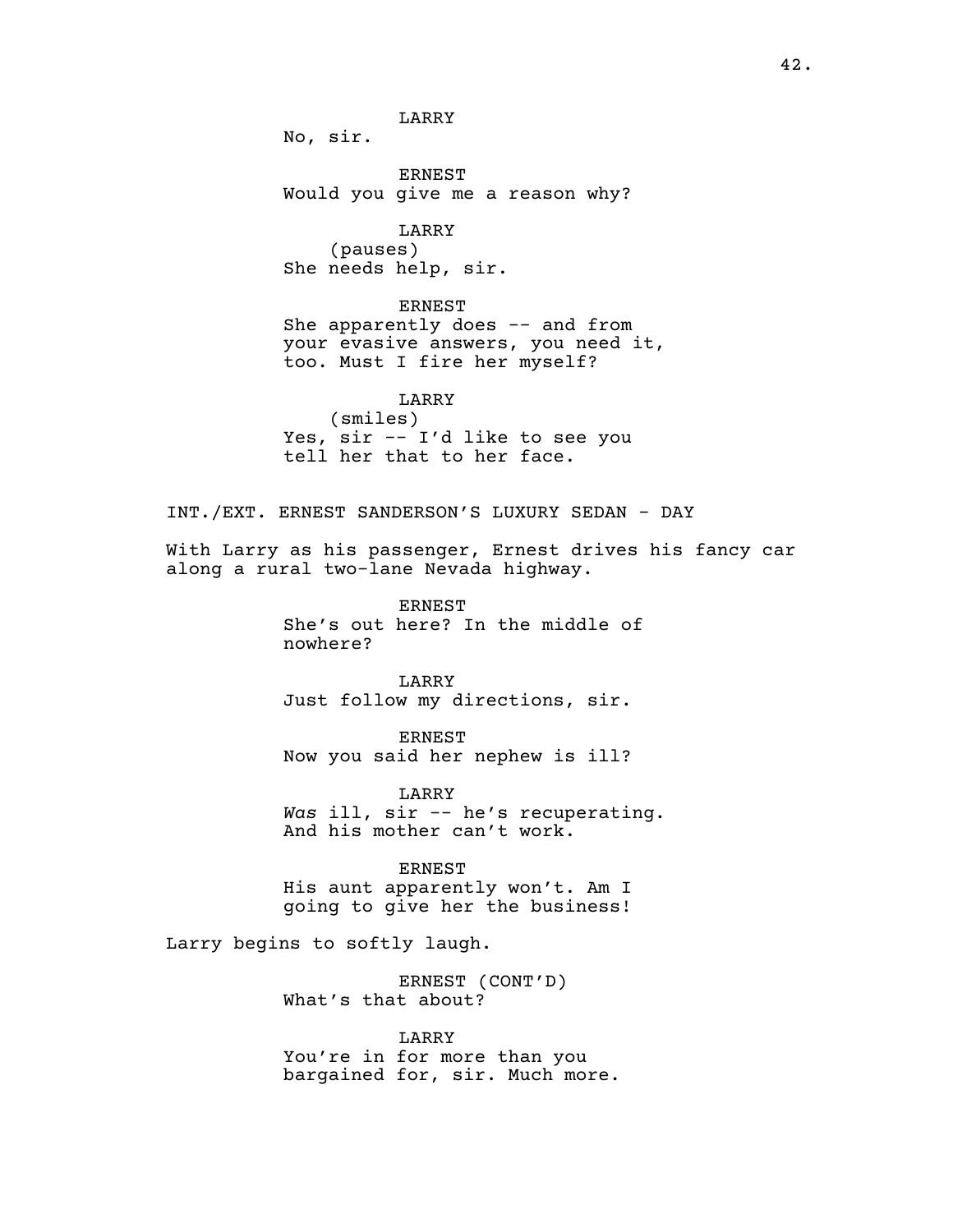LARRY

No, sir.

ERNEST Would you give me a reason why?

LARRY (pauses) She needs help, sir.

ERNEST She apparently does -- and from your evasive answers, you need it, too. Must I fire her myself?

LARRY (smiles) Yes, sir -- I'd like to see you tell her that to her face.

INT./EXT. ERNEST SANDERSON'S LUXURY SEDAN - DAY

With Larry as his passenger, Ernest drives his fancy car along a rural two-lane Nevada highway.

> ERNEST She's out here? In the middle of nowhere?

LARRY Just follow my directions, sir.

ERNEST Now you said her nephew is ill?

LARRY *Was* ill, sir -- he's recuperating. And his mother can't work.

**ERNEST** His aunt apparently won't. Am I going to give her the business!

Larry begins to softly laugh.

ERNEST (CONT'D) What's that about?

LARRY You're in for more than you bargained for, sir. Much more.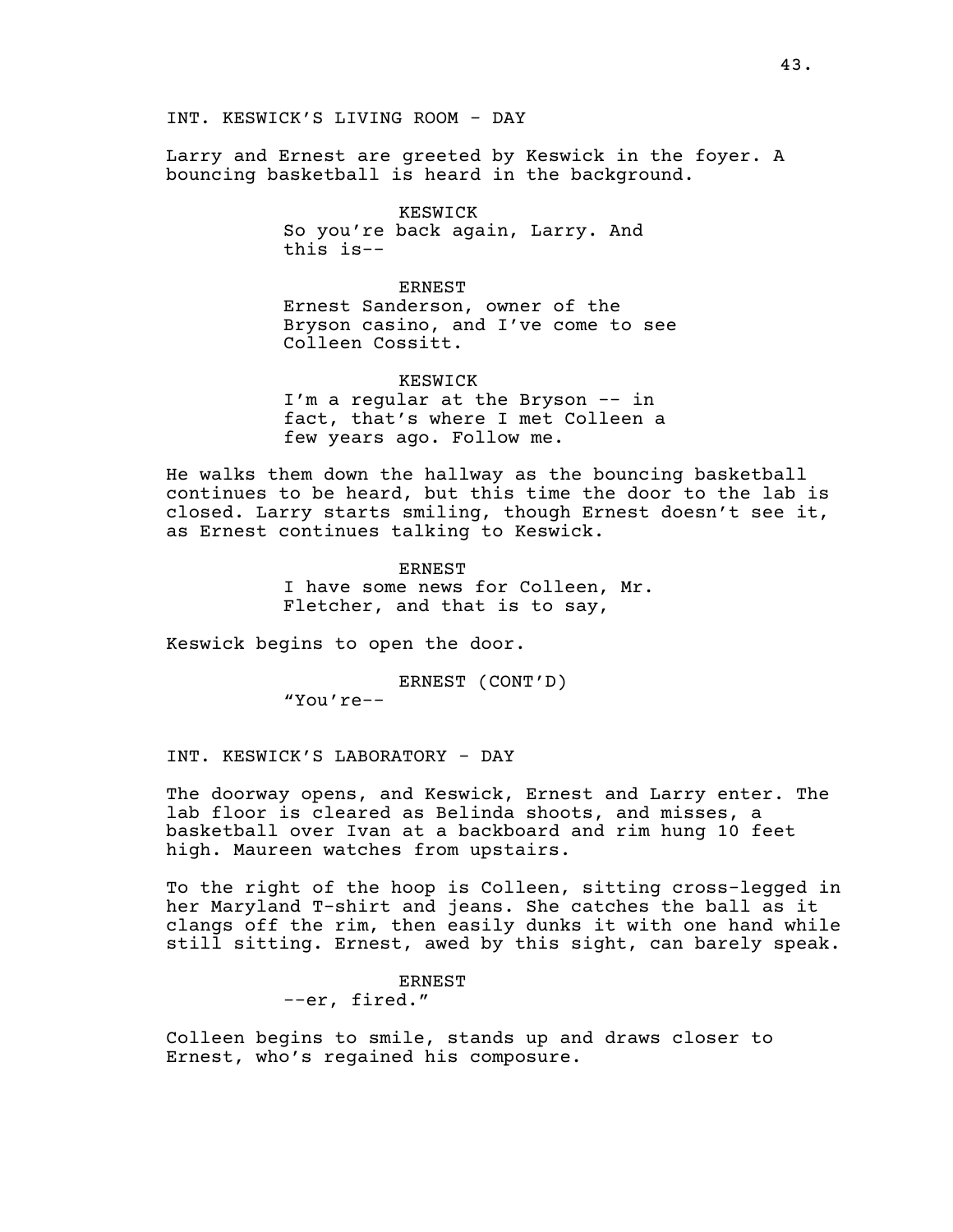Larry and Ernest are greeted by Keswick in the foyer. A bouncing basketball is heard in the background.

> KESWICK So you're back again, Larry. And this is--

ERNEST Ernest Sanderson, owner of the Bryson casino, and I've come to see Colleen Cossitt.

KESWICK I'm a regular at the Bryson -- in fact, that's where I met Colleen a few years ago. Follow me.

He walks them down the hallway as the bouncing basketball continues to be heard, but this time the door to the lab is closed. Larry starts smiling, though Ernest doesn't see it, as Ernest continues talking to Keswick.

> ERNEST I have some news for Colleen, Mr. Fletcher, and that is to say,

Keswick begins to open the door.

ERNEST (CONT'D) "You're--

INT. KESWICK'S LABORATORY - DAY

The doorway opens, and Keswick, Ernest and Larry enter. The lab floor is cleared as Belinda shoots, and misses, a basketball over Ivan at a backboard and rim hung 10 feet high. Maureen watches from upstairs.

To the right of the hoop is Colleen, sitting cross-legged in her Maryland T-shirt and jeans. She catches the ball as it clangs off the rim, then easily dunks it with one hand while still sitting. Ernest, awed by this sight, can barely speak.

> ERNEST --er, fired."

Colleen begins to smile, stands up and draws closer to Ernest, who's regained his composure.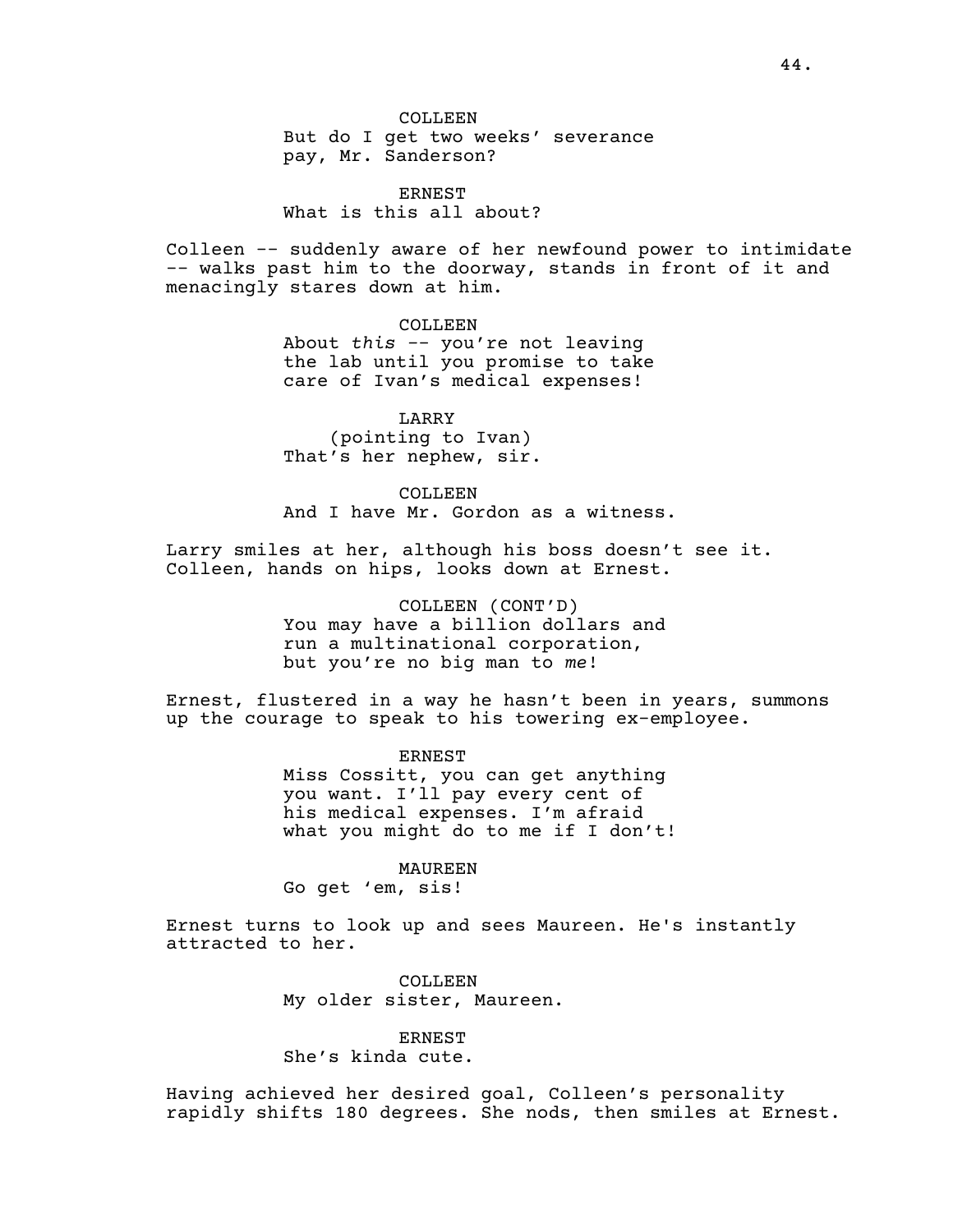COLLEEN But do I get two weeks' severance pay, Mr. Sanderson?

**ERNEST** What is this all about?

Colleen -- suddenly aware of her newfound power to intimidate -- walks past him to the doorway, stands in front of it and menacingly stares down at him.

> COLLEEN About *this -*- you're not leaving the lab until you promise to take care of Ivan's medical expenses!

LARRY (pointing to Ivan) That's her nephew, sir.

COLLEEN And I have Mr. Gordon as a witness.

Larry smiles at her, although his boss doesn't see it. Colleen, hands on hips, looks down at Ernest.

> COLLEEN (CONT'D) You may have a billion dollars and run a multinational corporation, but you're no big man to *me*!

Ernest, flustered in a way he hasn't been in years, summons up the courage to speak to his towering ex-employee.

> ERNEST Miss Cossitt, you can get anything you want. I'll pay every cent of his medical expenses. I'm afraid what you might do to me if I don't!

MAUREEN Go get 'em, sis!

Ernest turns to look up and sees Maureen. He's instantly attracted to her.

> COLLEEN My older sister, Maureen.

ERNEST She's kinda cute.

Having achieved her desired goal, Colleen's personality rapidly shifts 180 degrees. She nods, then smiles at Ernest.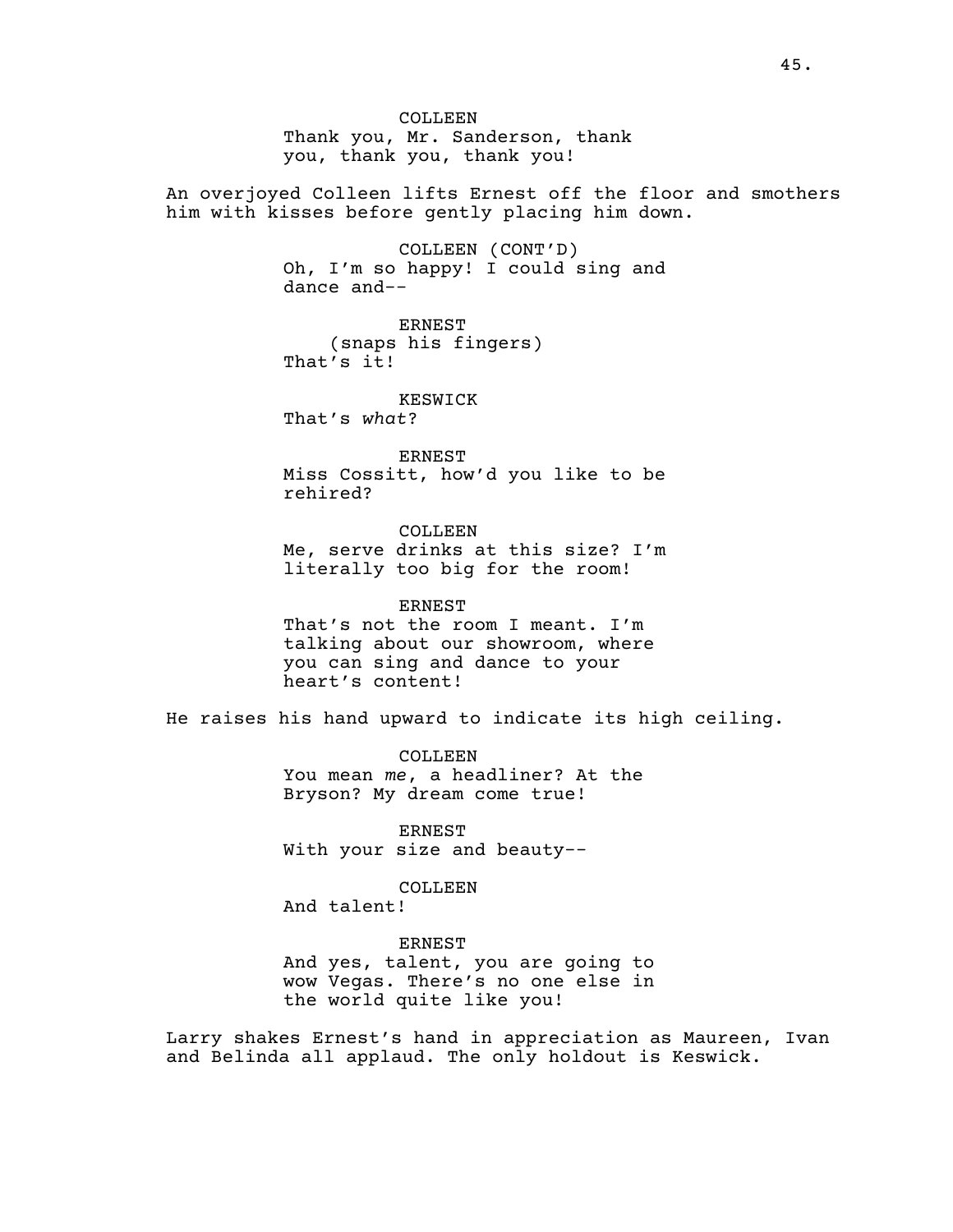COLLEEN Thank you, Mr. Sanderson, thank you, thank you, thank you!

An overjoyed Colleen lifts Ernest off the floor and smothers him with kisses before gently placing him down.

> COLLEEN (CONT'D) Oh, I'm so happy! I could sing and dance and--

ERNEST (snaps his fingers) That's it!

KESWICK

That's *what*?

ERNEST Miss Cossitt, how'd you like to be rehired?

COLLEEN Me, serve drinks at this size? I'm literally too big for the room!

ERNEST That's not the room I meant. I'm talking about our showroom, where you can sing and dance to your heart's content!

He raises his hand upward to indicate its high ceiling.

COLLEEN You mean *me*, a headliner? At the Bryson? My dream come true!

ERNEST With your size and beauty--

COLLEEN And talent!

ERNEST

And yes, talent, you are going to wow Vegas. There's no one else in the world quite like you!

Larry shakes Ernest's hand in appreciation as Maureen, Ivan and Belinda all applaud. The only holdout is Keswick.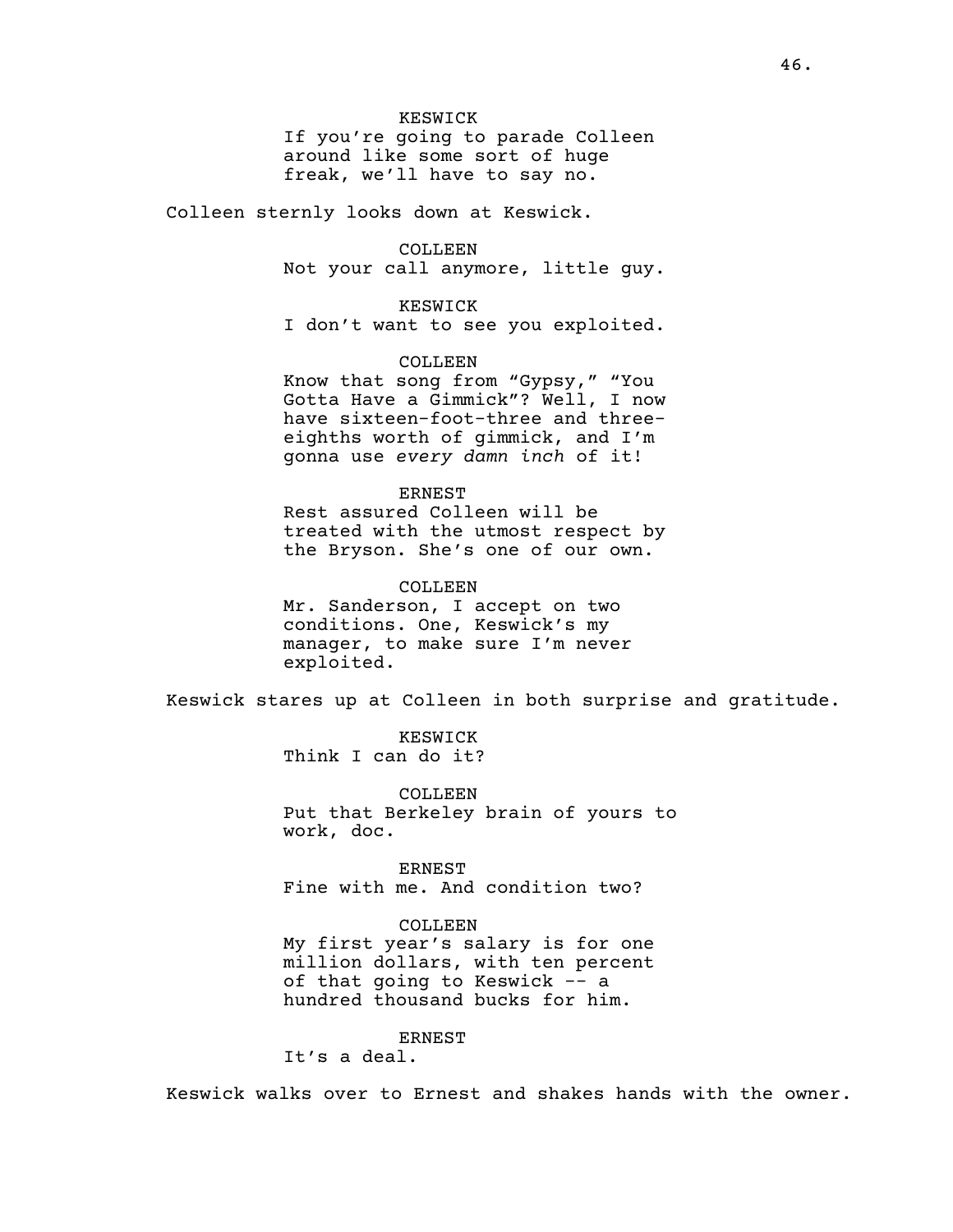### KESWICK

If you're going to parade Colleen around like some sort of huge freak, we'll have to say no.

Colleen sternly looks down at Keswick.

## COLLEEN

Not your call anymore, little guy.

## KESWICK

I don't want to see you exploited.

# COLLEEN

Know that song from "Gypsy," "You Gotta Have a Gimmick"? Well, I now have sixteen-foot-three and threeeighths worth of gimmick, and I'm gonna use *every damn inch* of it!

#### ERNEST

Rest assured Colleen will be treated with the utmost respect by the Bryson. She's one of our own.

#### COLLEEN

Mr. Sanderson, I accept on two conditions. One, Keswick's my manager, to make sure I'm never exploited.

Keswick stares up at Colleen in both surprise and gratitude.

KESWICK Think I can do it?

COLLEEN Put that Berkeley brain of yours to work, doc.

**ERNEST** Fine with me. And condition two?

#### COLLEEN

My first year's salary is for one million dollars, with ten percent of that going to Keswick -- a hundred thousand bucks for him.

# ERNEST

It's a deal.

Keswick walks over to Ernest and shakes hands with the owner.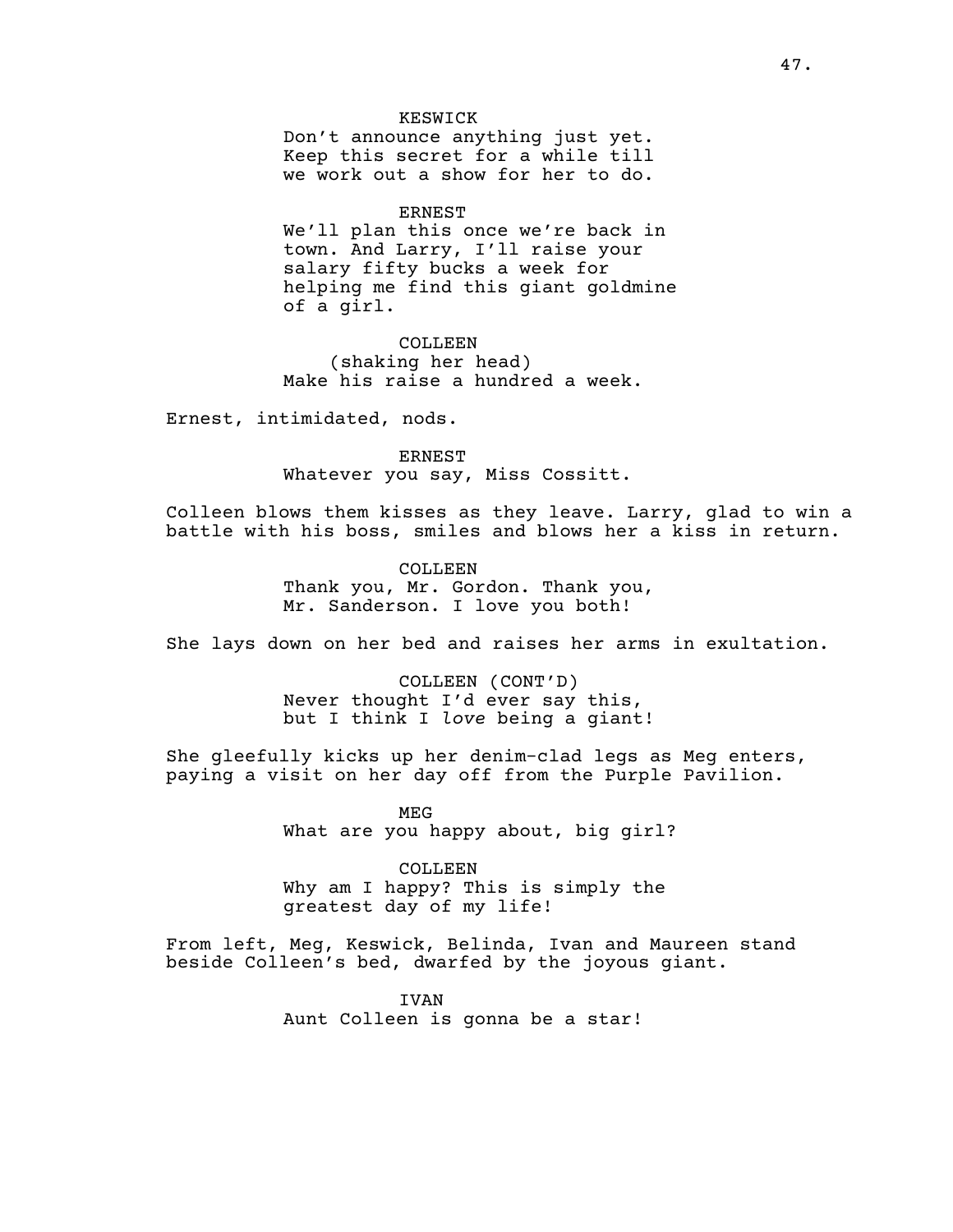#### KESWICK

Don't announce anything just yet. Keep this secret for a while till we work out a show for her to do.

#### ERNEST

We'll plan this once we're back in town. And Larry, I'll raise your salary fifty bucks a week for helping me find this giant goldmine of a girl.

COLLEEN (shaking her head) Make his raise a hundred a week.

Ernest, intimidated, nods.

ERNEST Whatever you say, Miss Cossitt.

Colleen blows them kisses as they leave. Larry, glad to win a battle with his boss, smiles and blows her a kiss in return.

> COLLEEN Thank you, Mr. Gordon. Thank you, Mr. Sanderson. I love you both!

She lays down on her bed and raises her arms in exultation.

COLLEEN (CONT'D) Never thought I'd ever say this, but I think I *love* being a giant!

She gleefully kicks up her denim-clad legs as Meg enters, paying a visit on her day off from the Purple Pavilion.

> MEG What are you happy about, big girl?

COLLEEN Why am I happy? This is simply the greatest day of my life!

From left, Meg, Keswick, Belinda, Ivan and Maureen stand beside Colleen's bed, dwarfed by the joyous giant.

> IVAN Aunt Colleen is gonna be a star!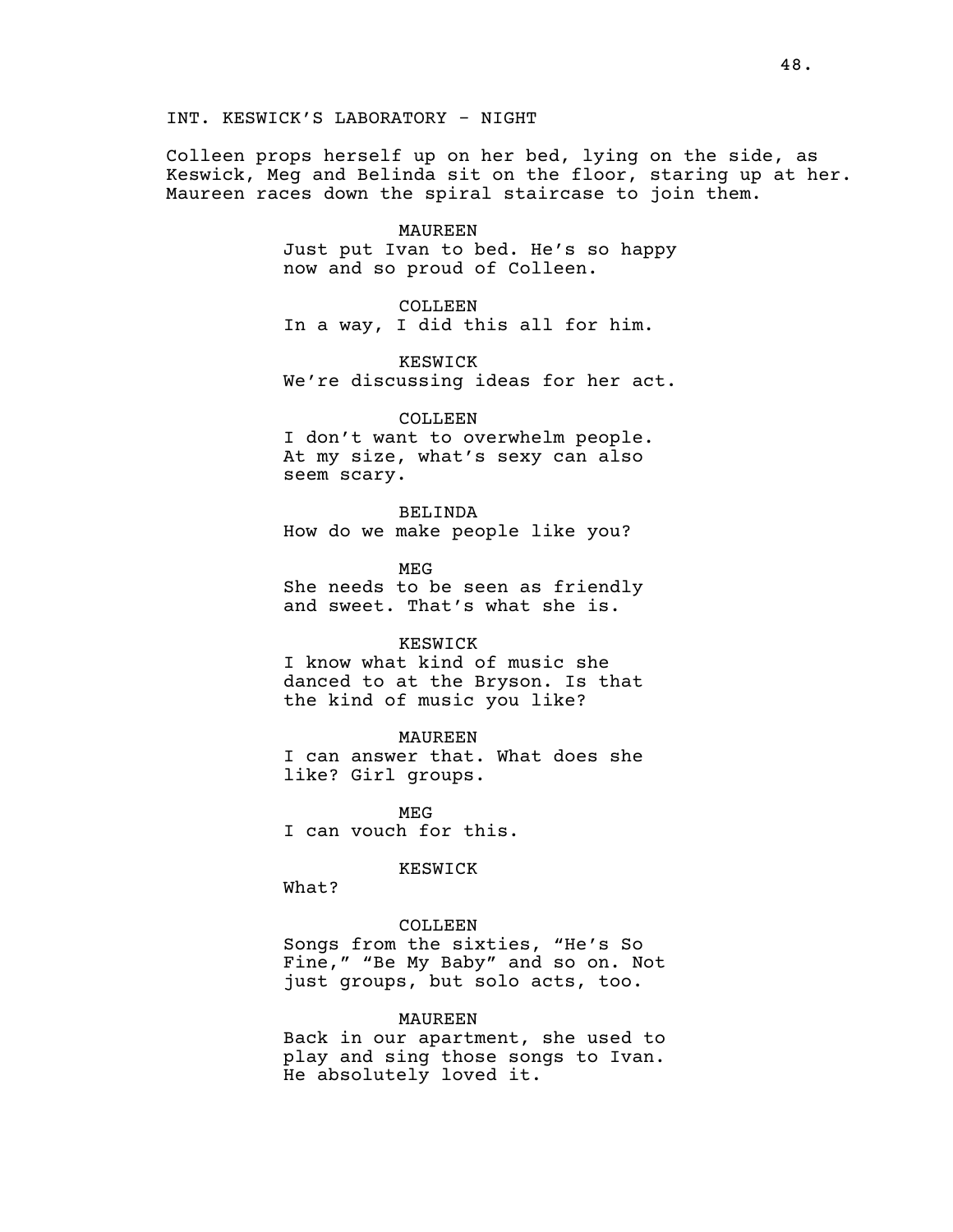Colleen props herself up on her bed, lying on the side, as Keswick, Meg and Belinda sit on the floor, staring up at her. Maureen races down the spiral staircase to join them.

#### MAUREEN

Just put Ivan to bed. He's so happy now and so proud of Colleen.

COLLEEN In a way, I did this all for him.

KESWICK We're discussing ideas for her act.

#### COLLEEN

I don't want to overwhelm people. At my size, what's sexy can also seem scary.

BELINDA How do we make people like you?

MEG She needs to be seen as friendly and sweet. That's what she is.

#### KESWICK

I know what kind of music she danced to at the Bryson. Is that the kind of music you like?

### MAUREEN

I can answer that. What does she like? Girl groups.

MEG I can vouch for this.

# KESWICK

What?

### COLLEEN

Songs from the sixties, "He's So Fine," "Be My Baby" and so on. Not just groups, but solo acts, too.

## MAUREEN

Back in our apartment, she used to play and sing those songs to Ivan. He absolutely loved it.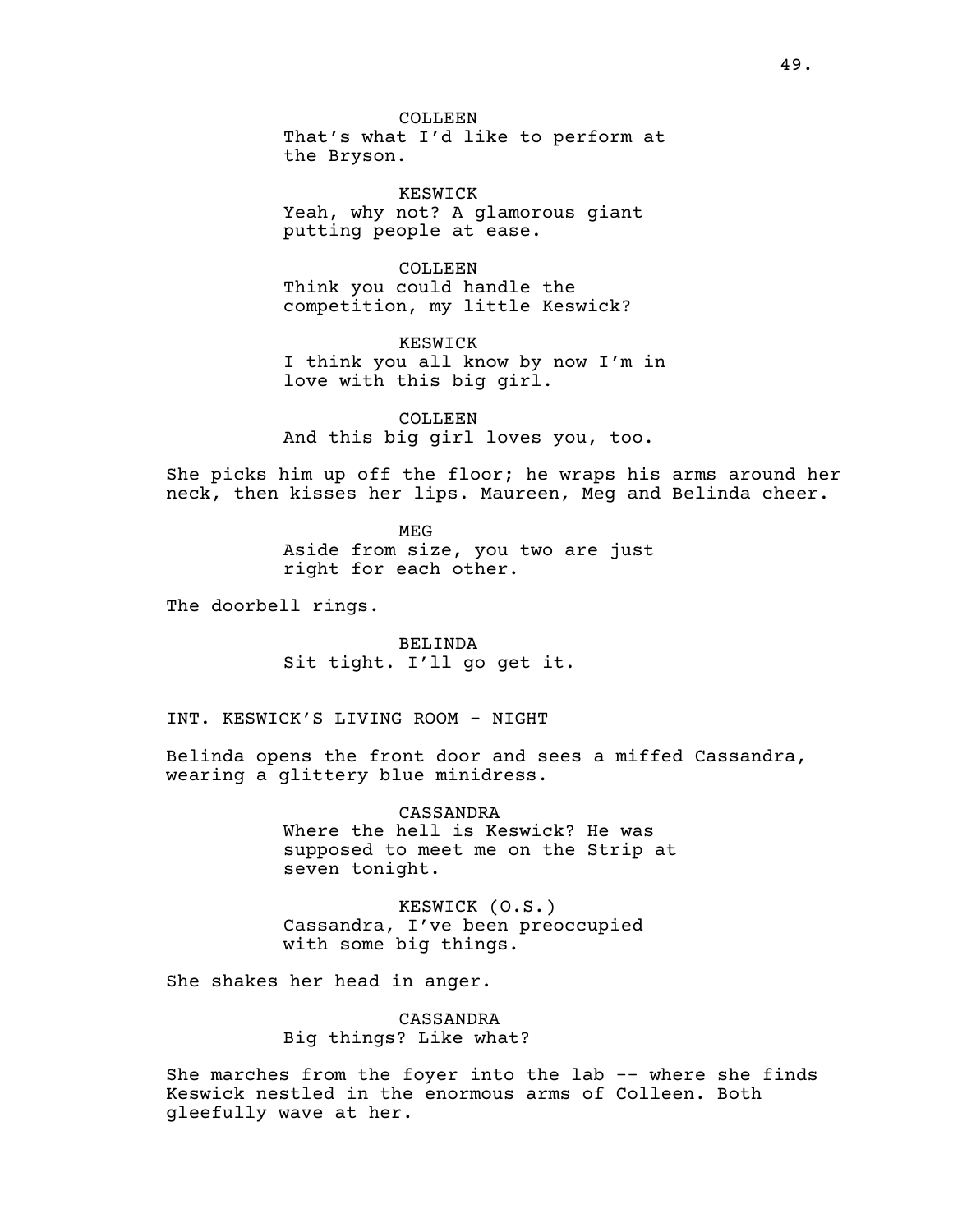COLLEEN That's what I'd like to perform at the Bryson.

KESWICK Yeah, why not? A glamorous giant putting people at ease.

COLLEEN Think you could handle the competition, my little Keswick?

KESWICK I think you all know by now I'm in love with this big girl.

COLLEEN And this big girl loves you, too.

She picks him up off the floor; he wraps his arms around her neck, then kisses her lips. Maureen, Meg and Belinda cheer.

> MEG Aside from size, you two are just right for each other.

The doorbell rings.

BELINDA Sit tight. I'll go get it.

INT. KESWICK'S LIVING ROOM - NIGHT

Belinda opens the front door and sees a miffed Cassandra, wearing a glittery blue minidress.

> CASSANDRA Where the hell is Keswick? He was supposed to meet me on the Strip at seven tonight.

KESWICK (O.S.) Cassandra, I've been preoccupied with some big things.

She shakes her head in anger.

CASSANDRA Big things? Like what?

She marches from the foyer into the lab -- where she finds Keswick nestled in the enormous arms of Colleen. Both gleefully wave at her.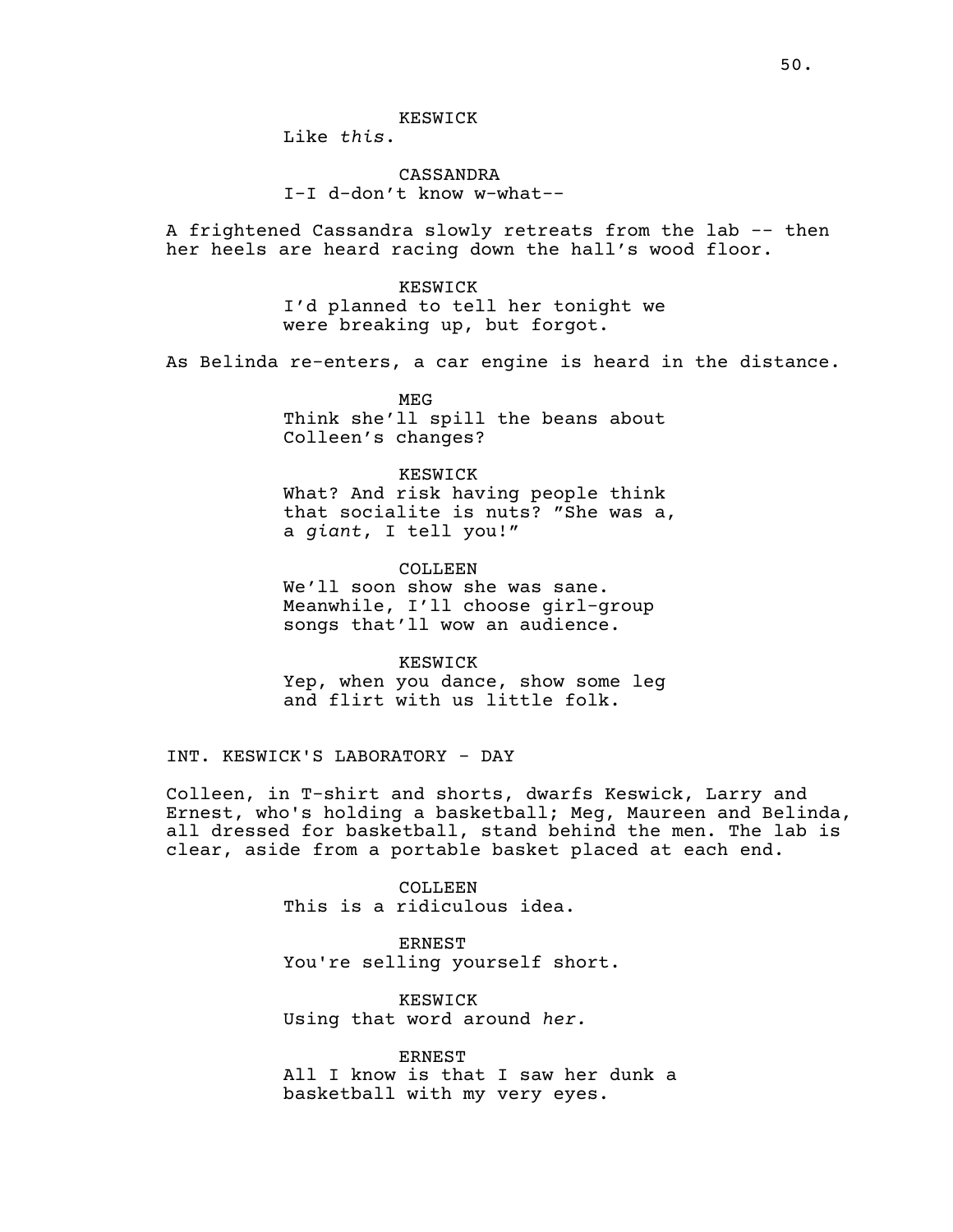## KESWICK

Like *this*.

# CASSANDRA I-I d-don't know w-what--

A frightened Cassandra slowly retreats from the lab -- then her heels are heard racing down the hall's wood floor.

> KESWICK I'd planned to tell her tonight we were breaking up, but forgot.

As Belinda re-enters, a car engine is heard in the distance.

MEG Think she'll spill the beans about Colleen's changes?

# KESWICK What? And risk having people think that socialite is nuts? "She was a, a *giant*, I tell you!"

COLLEEN We'll soon show she was sane. Meanwhile, I'll choose girl-group songs that'll wow an audience.

KESWICK Yep, when you dance, show some leg and flirt with us little folk.

INT. KESWICK'S LABORATORY - DAY

Colleen, in T-shirt and shorts, dwarfs Keswick, Larry and Ernest, who's holding a basketball; Meg, Maureen and Belinda, all dressed for basketball, stand behind the men. The lab is clear, aside from a portable basket placed at each end.

> COLLEEN This is a ridiculous idea.

ERNEST You're selling yourself short.

KESWICK Using that word around *her.*

ERNEST All I know is that I saw her dunk a basketball with my very eyes.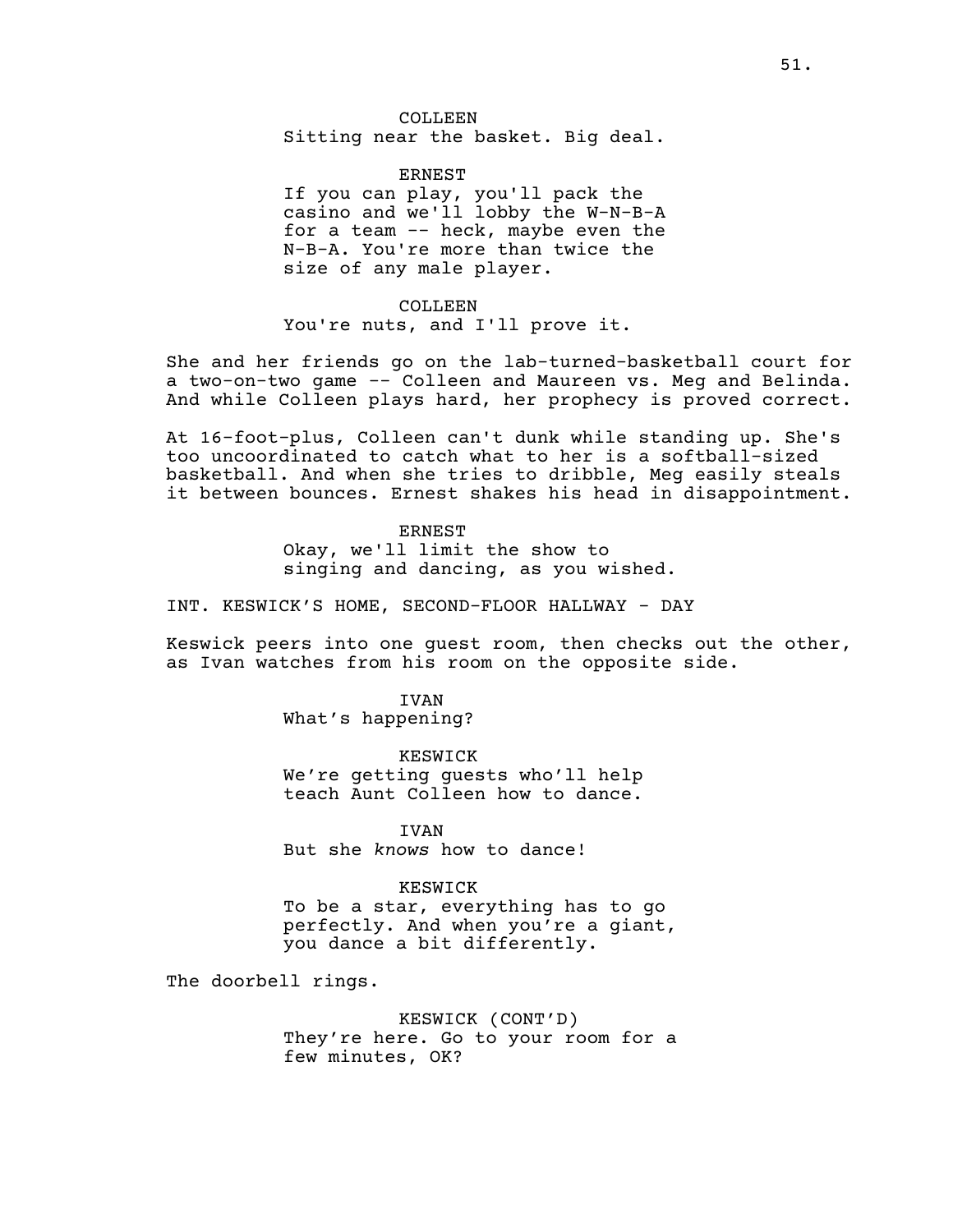ERNEST If you can play, you'll pack the casino and we'll lobby the W-N-B-A for a team -- heck, maybe even the N-B-A. You're more than twice the size of any male player.

COLLEEN You're nuts, and I'll prove it.

She and her friends go on the lab-turned-basketball court for a two-on-two game -- Colleen and Maureen vs. Meg and Belinda. And while Colleen plays hard, her prophecy is proved correct.

At 16-foot-plus, Colleen can't dunk while standing up. She's too uncoordinated to catch what to her is a softball-sized basketball. And when she tries to dribble, Meg easily steals it between bounces. Ernest shakes his head in disappointment.

> ERNEST Okay, we'll limit the show to singing and dancing, as you wished.

INT. KESWICK'S HOME, SECOND-FLOOR HALLWAY - DAY

Keswick peers into one guest room, then checks out the other, as Ivan watches from his room on the opposite side.

> IVAN What's happening?

KESWICK We're getting guests who'll help teach Aunt Colleen how to dance.

**TVAN** But she *knows* how to dance!

## KESWICK

To be a star, everything has to go perfectly. And when you're a giant, you dance a bit differently.

The doorbell rings.

KESWICK (CONT'D) They're here. Go to your room for a few minutes, OK?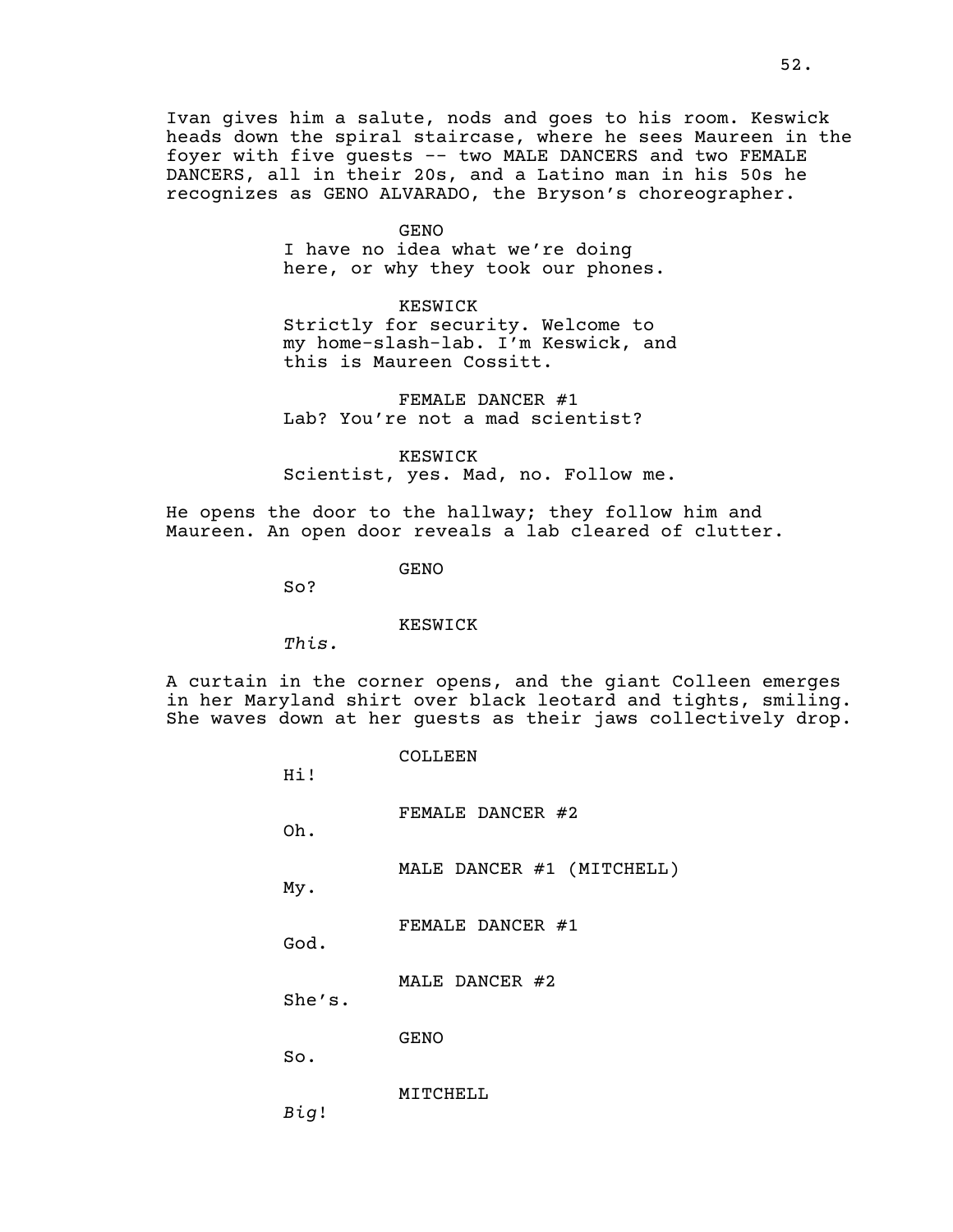Ivan gives him a salute, nods and goes to his room. Keswick heads down the spiral staircase, where he sees Maureen in the foyer with five guests -- two MALE DANCERS and two FEMALE DANCERS, all in their 20s, and a Latino man in his 50s he recognizes as GENO ALVARADO, the Bryson's choreographer.

GENO

I have no idea what we're doing here, or why they took our phones.

KESWICK

Strictly for security. Welcome to my home-slash-lab. I'm Keswick, and this is Maureen Cossitt.

FEMALE DANCER #1 Lab? You're not a mad scientist?

KESWICK Scientist, yes. Mad, no. Follow me.

He opens the door to the hallway; they follow him and Maureen. An open door reveals a lab cleared of clutter.

GENO

So?

KESWICK

*This.*

A curtain in the corner opens, and the giant Colleen emerges in her Maryland shirt over black leotard and tights, smiling. She waves down at her guests as their jaws collectively drop.

> COLLEEN Hi! FEMALE DANCER #2 Oh. MALE DANCER #1 (MITCHELL) My. FEMALE DANCER #1 God. MALE DANCER #2 She's. GENO So. MITCHELL *Big*!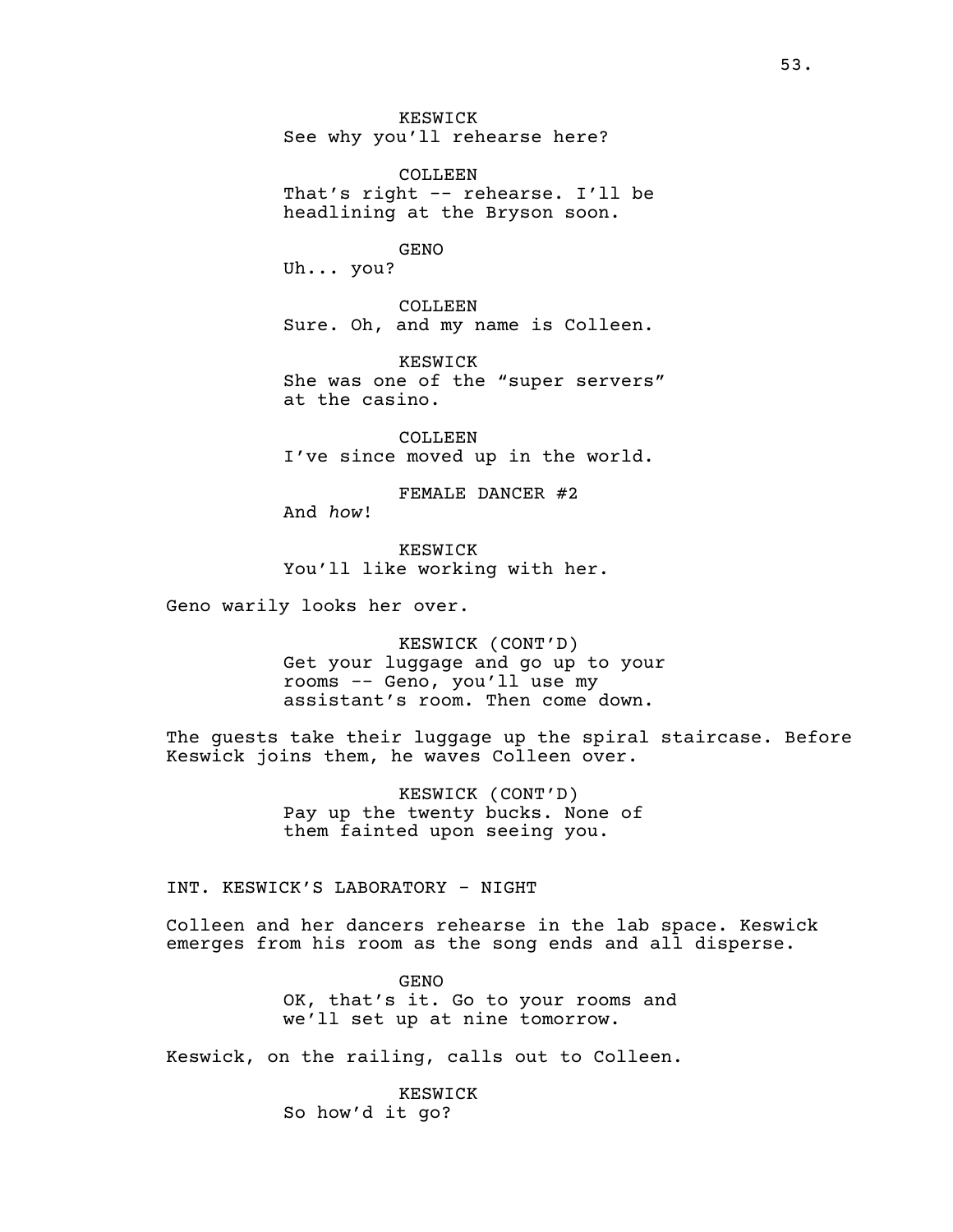KESWICK See why you'll rehearse here?

COLLEEN That's right -- rehearse. I'll be headlining at the Bryson soon.

GENO

Uh... you?

COLLEEN Sure. Oh, and my name is Colleen.

KESWICK She was one of the "super servers" at the casino.

COLLEEN I've since moved up in the world.

FEMALE DANCER #2 And *how*!

KESWICK You'll like working with her.

Geno warily looks her over.

KESWICK (CONT'D) Get your luggage and go up to your rooms -- Geno, you'll use my assistant's room. Then come down.

The guests take their luggage up the spiral staircase. Before Keswick joins them, he waves Colleen over.

> KESWICK (CONT'D) Pay up the twenty bucks. None of them fainted upon seeing you.

INT. KESWICK'S LABORATORY - NIGHT

Colleen and her dancers rehearse in the lab space. Keswick emerges from his room as the song ends and all disperse.

> GENO OK, that's it. Go to your rooms and we'll set up at nine tomorrow.

Keswick, on the railing, calls out to Colleen.

KESWICK So how'd it go?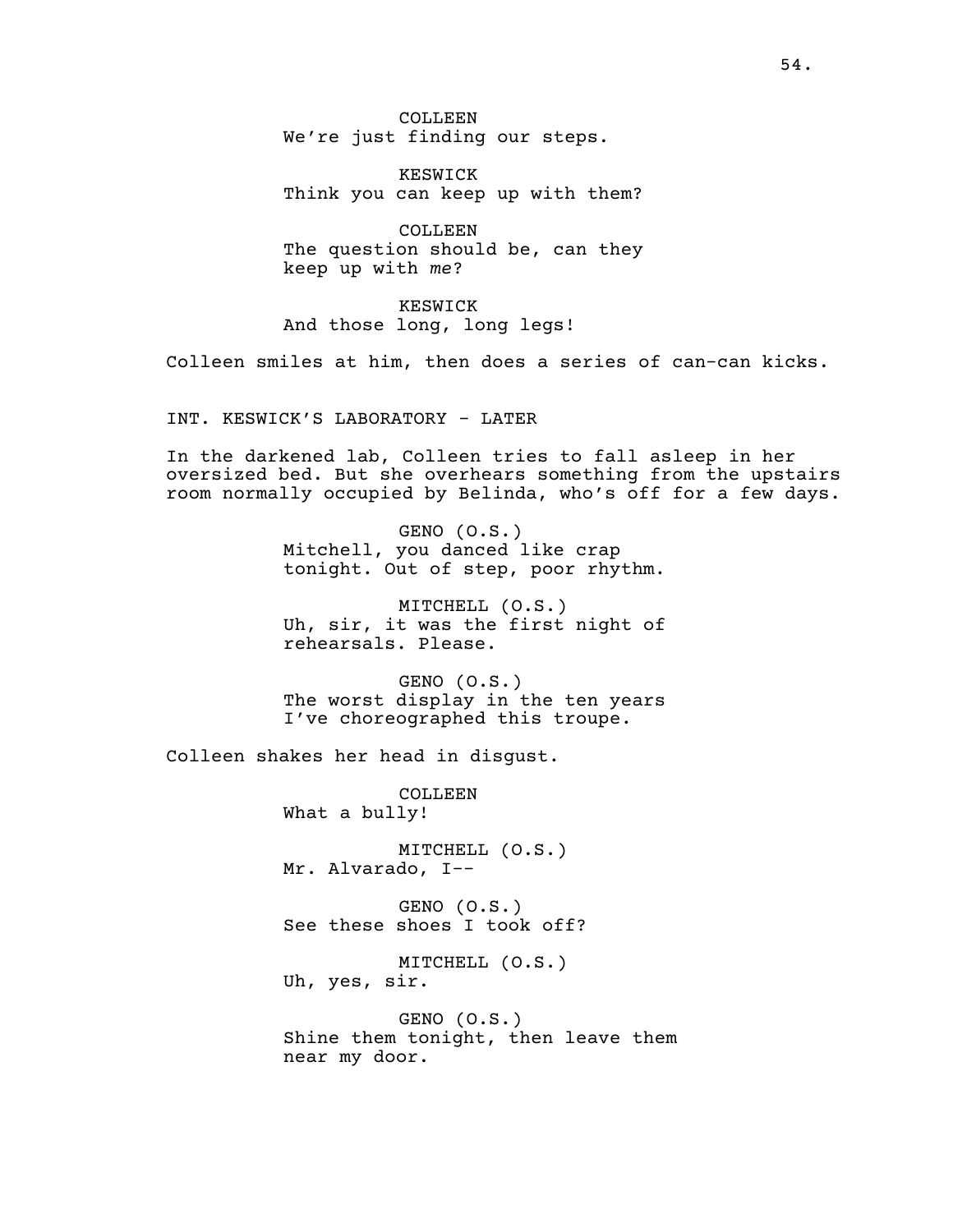COLLEEN We're just finding our steps.

KESWICK Think you can keep up with them?

COLLEEN The question should be, can they keep up with *me*?

KESWICK And those long, long legs!

Colleen smiles at him, then does a series of can-can kicks.

INT. KESWICK'S LABORATORY - LATER

In the darkened lab, Colleen tries to fall asleep in her oversized bed. But she overhears something from the upstairs room normally occupied by Belinda, who's off for a few days.

> GENO (O.S.) Mitchell, you danced like crap tonight. Out of step, poor rhythm.

> MITCHELL (O.S.) Uh, sir, it was the first night of rehearsals. Please.

> GENO (O.S.) The worst display in the ten years I've choreographed this troupe.

Colleen shakes her head in disgust.

COLLEEN What a bully!

MITCHELL (O.S.) Mr. Alvarado, I--

GENO (O.S.) See these shoes I took off?

MITCHELL (O.S.) Uh, yes, sir.

GENO (O.S.) Shine them tonight, then leave them near my door.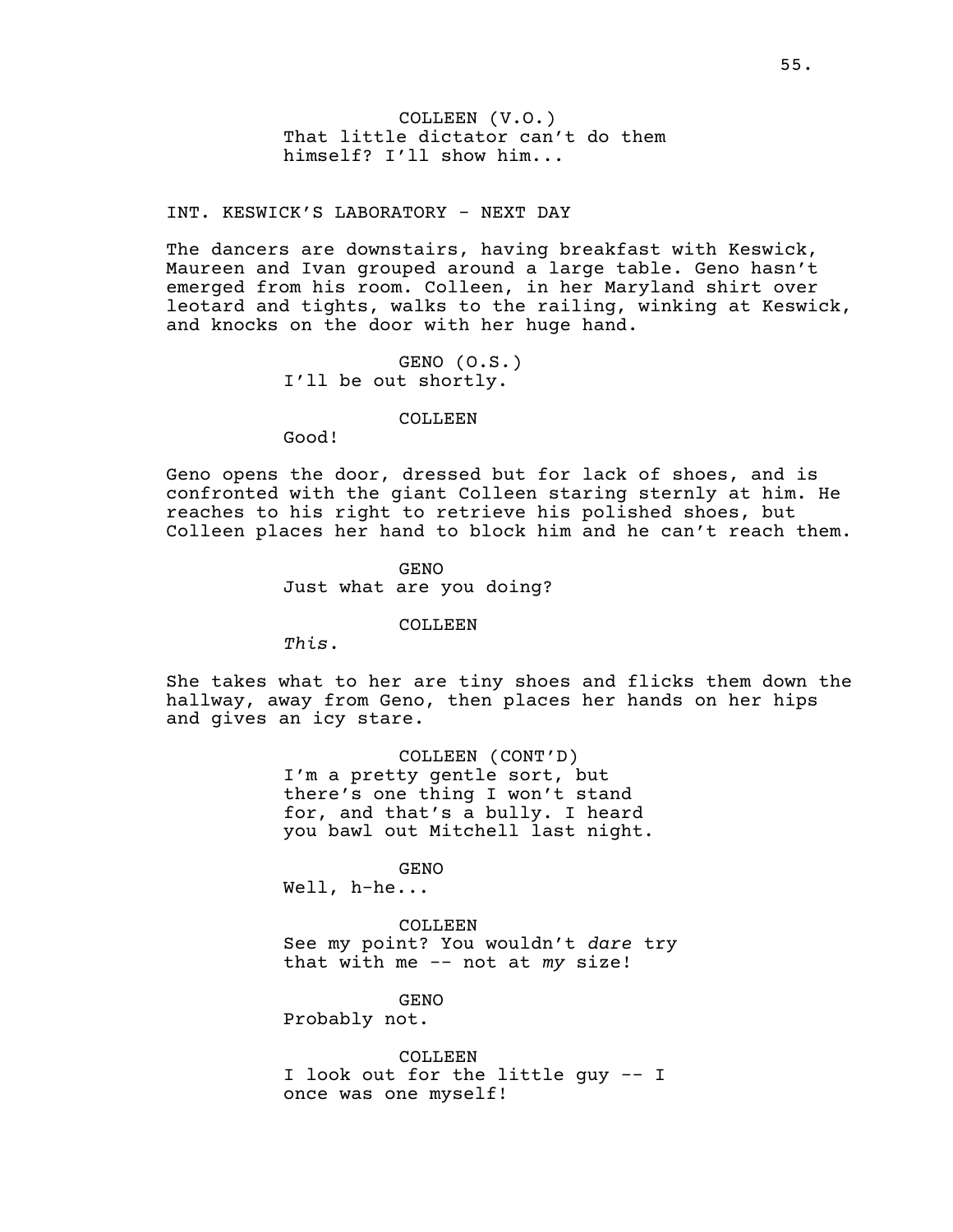COLLEEN (V.O.) That little dictator can't do them himself? I'll show him...

INT. KESWICK'S LABORATORY - NEXT DAY

The dancers are downstairs, having breakfast with Keswick, Maureen and Ivan grouped around a large table. Geno hasn't emerged from his room. Colleen, in her Maryland shirt over leotard and tights, walks to the railing, winking at Keswick, and knocks on the door with her huge hand.

> GENO (O.S.) I'll be out shortly.

#### COLLEEN

Good!

Geno opens the door, dressed but for lack of shoes, and is confronted with the giant Colleen staring sternly at him. He reaches to his right to retrieve his polished shoes, but Colleen places her hand to block him and he can't reach them.

> GENO Just what are you doing?

#### COLLEEN

*This*.

She takes what to her are tiny shoes and flicks them down the hallway, away from Geno, then places her hands on her hips and gives an icy stare.

> COLLEEN (CONT'D) I'm a pretty gentle sort, but there's one thing I won't stand for, and that's a bully. I heard you bawl out Mitchell last night.

> > GENO

Well, h-he...

COLLEEN

See my point? You wouldn't *dare* try that with me -- not at *my* size!

GENO

Probably not.

COLLEEN. I look out for the little guy -- I once was one myself!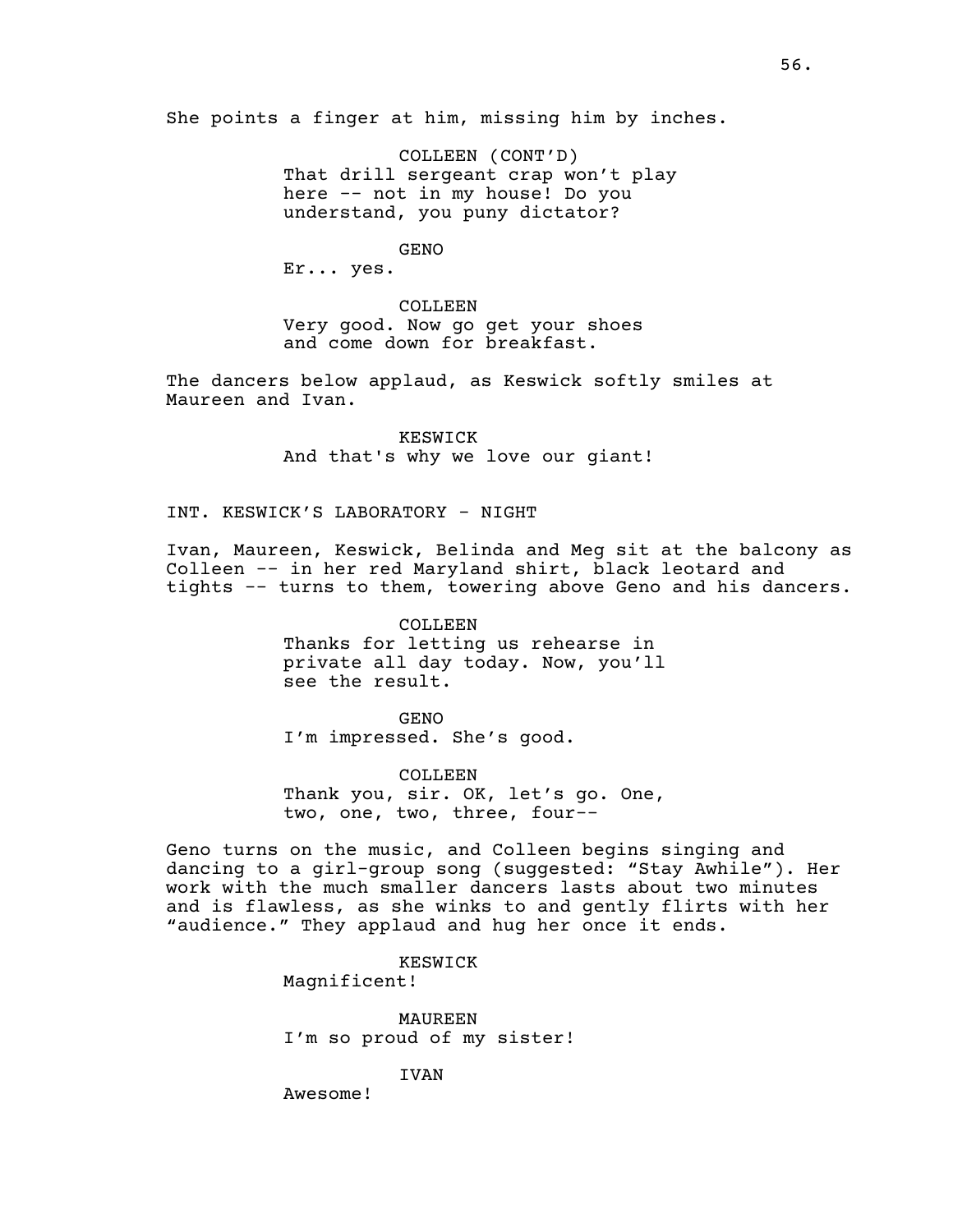She points a finger at him, missing him by inches.

COLLEEN (CONT'D) That drill sergeant crap won't play here -- not in my house! Do you understand, you puny dictator?

GENO

Er... yes.

COLLEEN Very good. Now go get your shoes and come down for breakfast.

The dancers below applaud, as Keswick softly smiles at Maureen and Ivan.

> KESWICK And that's why we love our giant!

INT. KESWICK'S LABORATORY - NIGHT

Ivan, Maureen, Keswick, Belinda and Meg sit at the balcony as Colleen -- in her red Maryland shirt, black leotard and tights -- turns to them, towering above Geno and his dancers.

> COLLEEN Thanks for letting us rehearse in private all day today. Now, you'll see the result.

GENO I'm impressed. She's good.

COLLEEN Thank you, sir. OK, let's go. One, two, one, two, three, four--

Geno turns on the music, and Colleen begins singing and dancing to a girl-group song (suggested: "Stay Awhile"). Her work with the much smaller dancers lasts about two minutes and is flawless, as she winks to and gently flirts with her "audience." They applaud and hug her once it ends.

KESWICK

Magnificent!

MAUREEN I'm so proud of my sister!

IVAN

Awesome!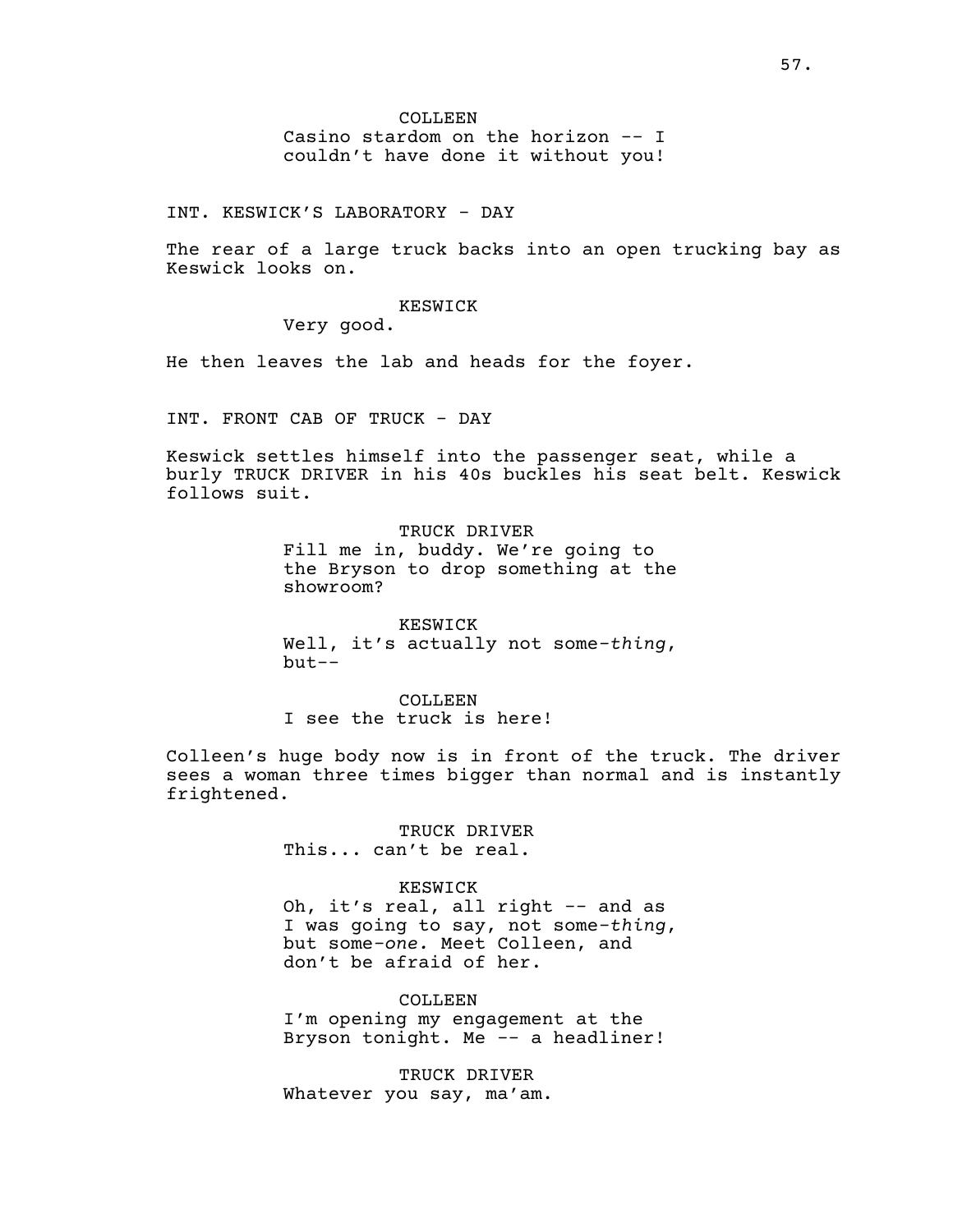COLLEEN Casino stardom on the horizon -- I couldn't have done it without you!

INT. KESWICK'S LABORATORY - DAY

The rear of a large truck backs into an open trucking bay as Keswick looks on.

KESWICK

Very good.

He then leaves the lab and heads for the foyer.

INT. FRONT CAB OF TRUCK - DAY

Keswick settles himself into the passenger seat, while a burly TRUCK DRIVER in his 40s buckles his seat belt. Keswick follows suit.

> TRUCK DRIVER Fill me in, buddy. We're going to the Bryson to drop something at the showroom?

> KESWICK Well, it's actually not some*-thing*, but--

COLLEEN I see the truck is here!

Colleen's huge body now is in front of the truck. The driver sees a woman three times bigger than normal and is instantly frightened.

> TRUCK DRIVER This... can't be real.

### KESWICK

Oh, it's real, all right -- and as I was going to say, not some*-thing*, but some*-one.* Meet Colleen, and don't be afraid of her.

COLLEEN

I'm opening my engagement at the Bryson tonight. Me -- a headliner!

TRUCK DRIVER Whatever you say, ma'am.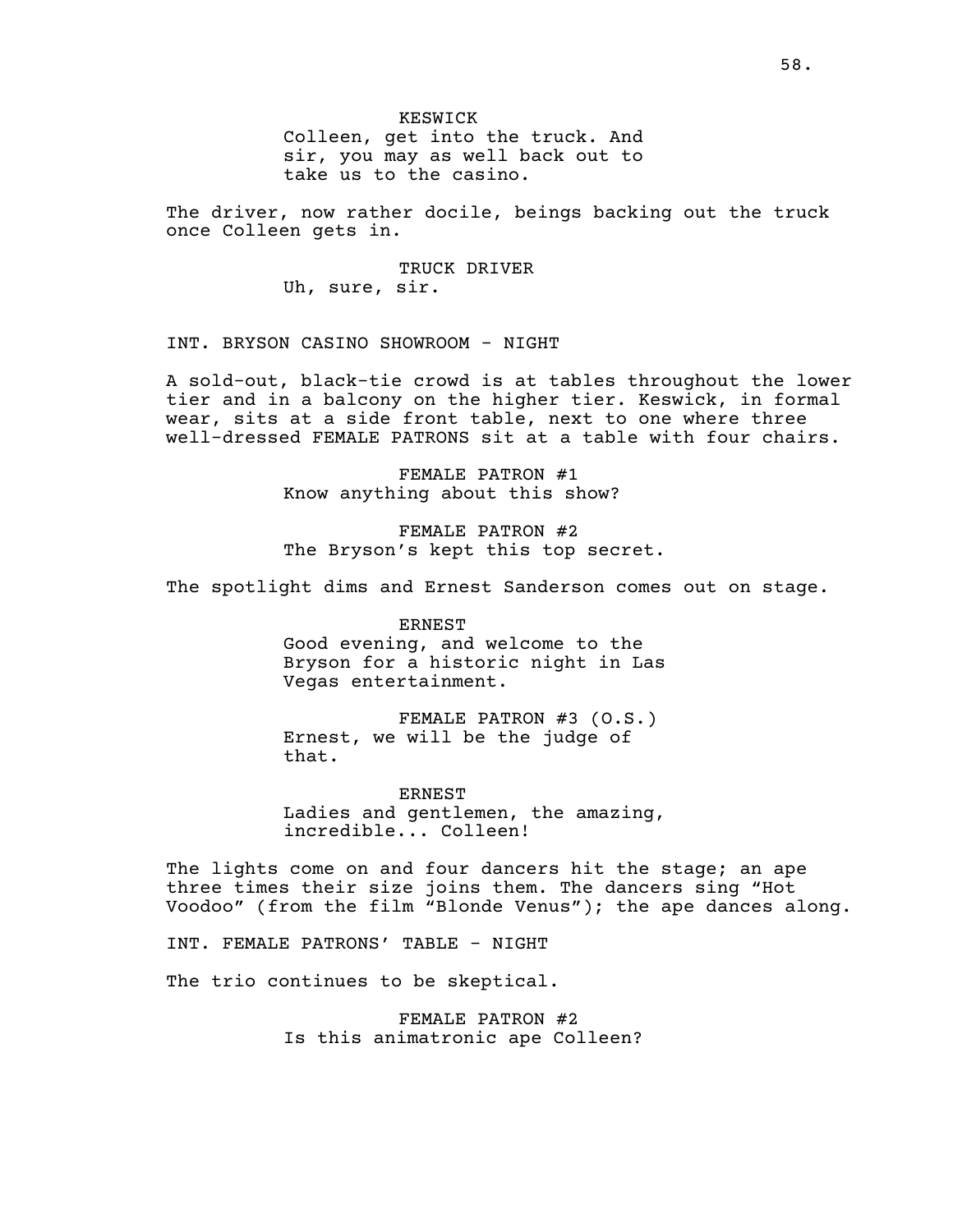KESWICK Colleen, get into the truck. And sir, you may as well back out to take us to the casino.

The driver, now rather docile, beings backing out the truck once Colleen gets in.

> TRUCK DRIVER Uh, sure, sir.

INT. BRYSON CASINO SHOWROOM - NIGHT

A sold-out, black-tie crowd is at tables throughout the lower tier and in a balcony on the higher tier. Keswick, in formal wear, sits at a side front table, next to one where three well-dressed FEMALE PATRONS sit at a table with four chairs.

> FEMALE PATRON #1 Know anything about this show?

FEMALE PATRON #2 The Bryson's kept this top secret.

The spotlight dims and Ernest Sanderson comes out on stage.

ERNEST Good evening, and welcome to the Bryson for a historic night in Las Vegas entertainment.

FEMALE PATRON #3 (O.S.) Ernest, we will be the judge of that.

ERNEST Ladies and gentlemen, the amazing, incredible... Colleen!

The lights come on and four dancers hit the stage; an ape three times their size joins them. The dancers sing "Hot Voodoo" (from the film "Blonde Venus"); the ape dances along.

INT. FEMALE PATRONS' TABLE - NIGHT

The trio continues to be skeptical.

FEMALE PATRON #2 Is this animatronic ape Colleen?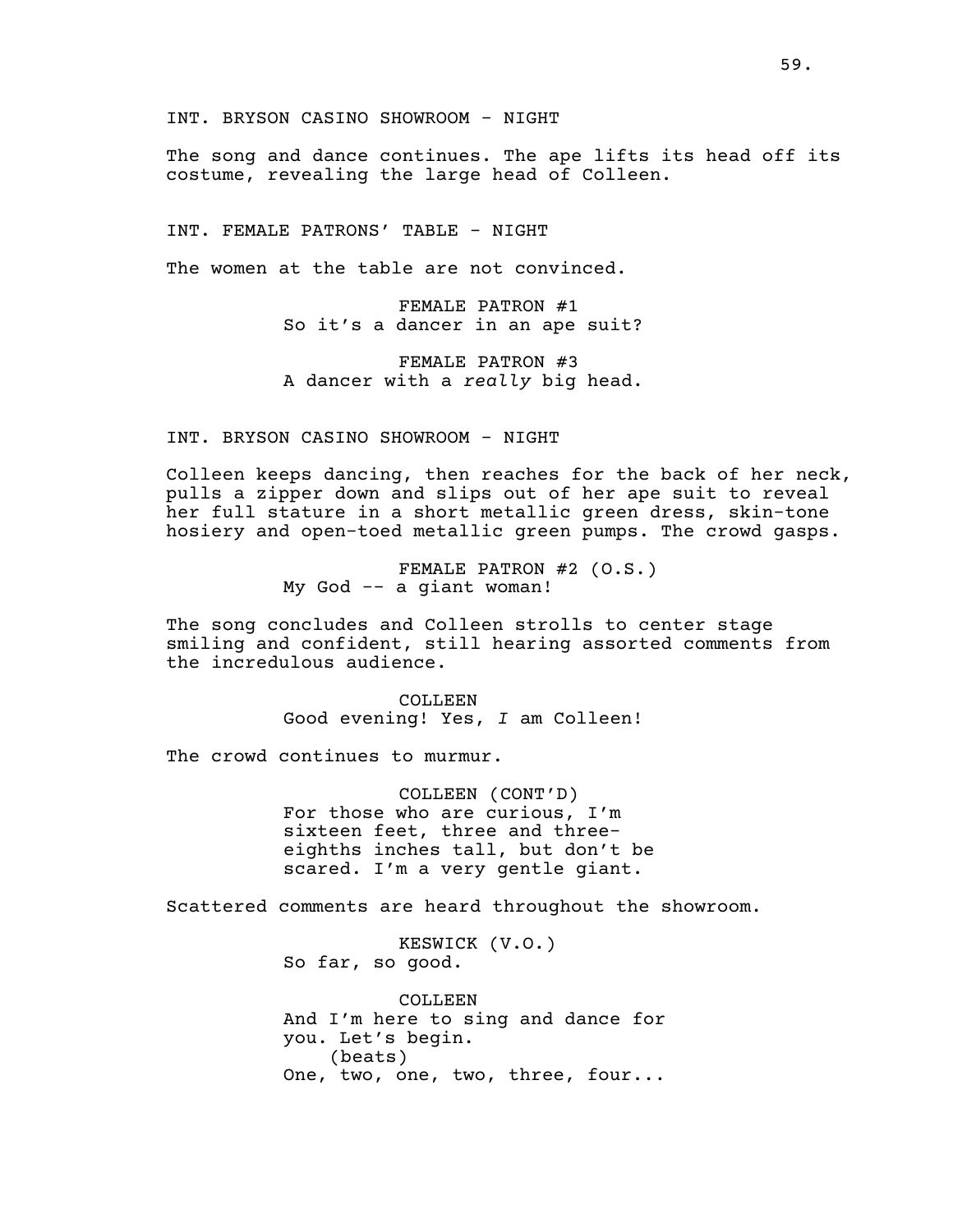INT. BRYSON CASINO SHOWROOM - NIGHT

The song and dance continues. The ape lifts its head off its costume, revealing the large head of Colleen.

INT. FEMALE PATRONS' TABLE - NIGHT

The women at the table are not convinced.

FEMALE PATRON #1 So it's a dancer in an ape suit?

FEMALE PATRON #3 A dancer with a *really* big head.

INT. BRYSON CASINO SHOWROOM - NIGHT

Colleen keeps dancing, then reaches for the back of her neck, pulls a zipper down and slips out of her ape suit to reveal her full stature in a short metallic green dress, skin-tone hosiery and open-toed metallic green pumps. The crowd gasps.

> FEMALE PATRON #2 (O.S.) My God -- a giant woman!

The song concludes and Colleen strolls to center stage smiling and confident, still hearing assorted comments from the incredulous audience.

> COLLEEN Good evening! Yes, *I* am Colleen!

The crowd continues to murmur.

COLLEEN (CONT'D) For those who are curious, I'm sixteen feet, three and threeeighths inches tall, but don't be scared. I'm a very gentle giant.

Scattered comments are heard throughout the showroom.

KESWICK (V.O.) So far, so good.

COLLEEN And I'm here to sing and dance for you. Let's begin. (beats) One, two, one, two, three, four...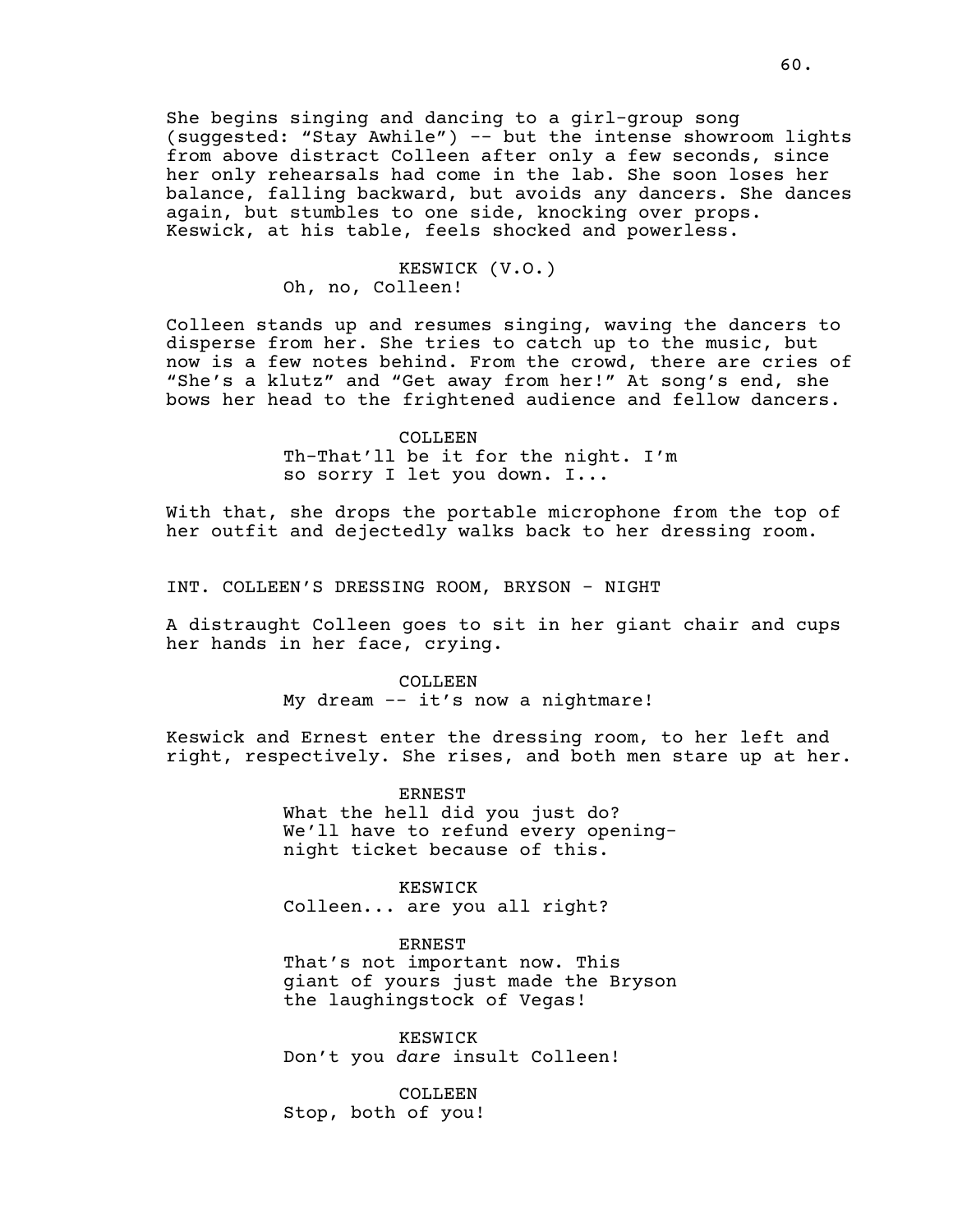She begins singing and dancing to a girl-group song (suggested: "Stay Awhile") -- but the intense showroom lights from above distract Colleen after only a few seconds, since her only rehearsals had come in the lab. She soon loses her balance, falling backward, but avoids any dancers. She dances again, but stumbles to one side, knocking over props. Keswick, at his table, feels shocked and powerless.

# KESWICK (V.O.) Oh, no, Colleen!

Colleen stands up and resumes singing, waving the dancers to disperse from her. She tries to catch up to the music, but now is a few notes behind. From the crowd, there are cries of "She's a klutz" and "Get away from her!" At song's end, she bows her head to the frightened audience and fellow dancers.

### COLLEEN

Th-That'll be it for the night. I'm so sorry I let you down. I...

With that, she drops the portable microphone from the top of her outfit and dejectedly walks back to her dressing room.

INT. COLLEEN'S DRESSING ROOM, BRYSON - NIGHT

A distraught Colleen goes to sit in her giant chair and cups her hands in her face, crying.

#### COLLEEN

My dream -- it's now a nightmare!

Keswick and Ernest enter the dressing room, to her left and right, respectively. She rises, and both men stare up at her.

> ERNEST What the hell did you just do? We'll have to refund every openingnight ticket because of this.

KESWICK Colleen... are you all right?

ERNEST

That's not important now. This giant of yours just made the Bryson the laughingstock of Vegas!

KESWICK Don't you *dare* insult Colleen!

COLLEEN Stop, both of you!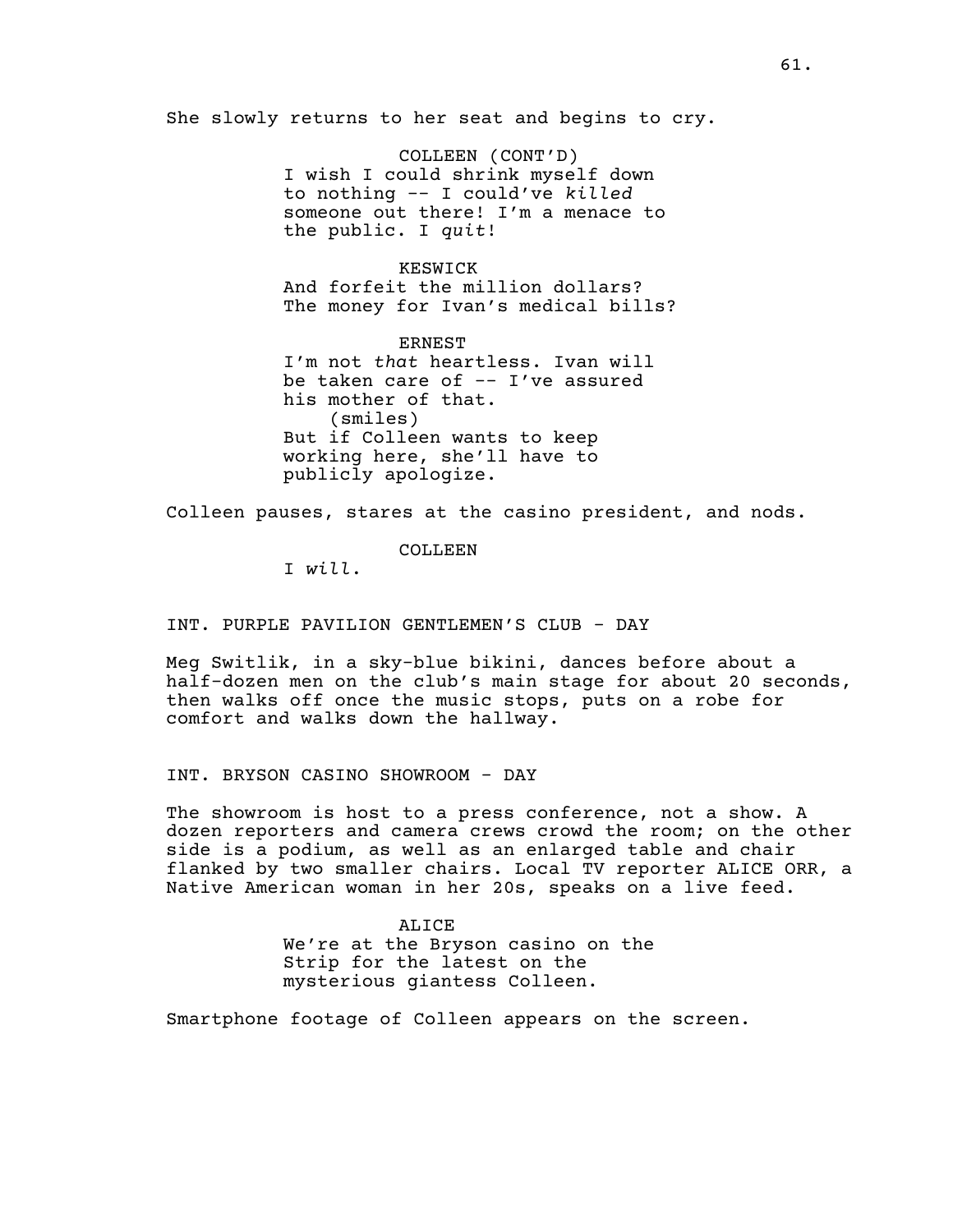She slowly returns to her seat and begins to cry.

COLLEEN (CONT'D) I wish I could shrink myself down to nothing -- I could've *killed* someone out there! I'm a menace to the public. I *quit*!

KESWICK And forfeit the million dollars? The money for Ivan's medical bills?

ERNEST I'm not *that* heartless. Ivan will be taken care of -- I've assured his mother of that. (smiles) But if Colleen wants to keep working here, she'll have to publicly apologize.

Colleen pauses, stares at the casino president, and nods.

COLLEEN

I *will*.

INT. PURPLE PAVILION GENTLEMEN'S CLUB - DAY

Meg Switlik, in a sky-blue bikini, dances before about a half-dozen men on the club's main stage for about 20 seconds, then walks off once the music stops, puts on a robe for comfort and walks down the hallway.

INT. BRYSON CASINO SHOWROOM - DAY

The showroom is host to a press conference, not a show. A dozen reporters and camera crews crowd the room; on the other side is a podium, as well as an enlarged table and chair flanked by two smaller chairs. Local TV reporter ALICE ORR, a Native American woman in her 20s, speaks on a live feed.

> ALICE We're at the Bryson casino on the Strip for the latest on the mysterious giantess Colleen.

Smartphone footage of Colleen appears on the screen.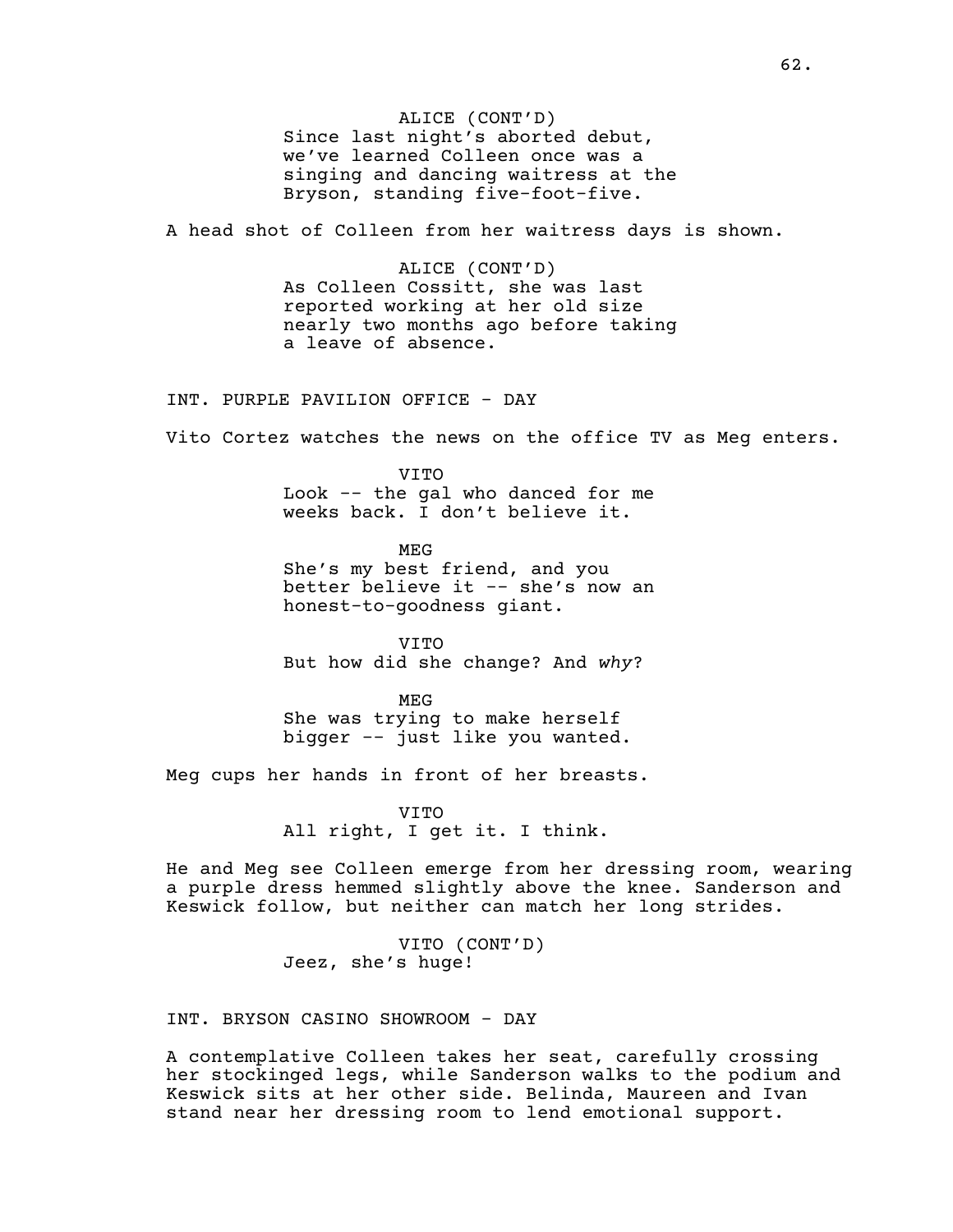ALICE (CONT'D) Since last night's aborted debut, we've learned Colleen once was a singing and dancing waitress at the Bryson, standing five-foot-five.

A head shot of Colleen from her waitress days is shown.

ALICE (CONT'D) As Colleen Cossitt, she was last reported working at her old size nearly two months ago before taking a leave of absence.

INT. PURPLE PAVILION OFFICE - DAY

Vito Cortez watches the news on the office TV as Meg enters.

VITO Look -- the gal who danced for me weeks back. I don't believe it.

MEG She's my best friend, and you better believe it -- she's now an honest-to-goodness giant.

VITO But how did she change? And *why*?

MEG She was trying to make herself bigger -- just like you wanted.

Meg cups her hands in front of her breasts.

VITO All right, I get it. I think.

He and Meg see Colleen emerge from her dressing room, wearing a purple dress hemmed slightly above the knee. Sanderson and Keswick follow, but neither can match her long strides.

> VITO (CONT'D) Jeez, she's huge!

INT. BRYSON CASINO SHOWROOM - DAY

A contemplative Colleen takes her seat, carefully crossing her stockinged legs, while Sanderson walks to the podium and Keswick sits at her other side. Belinda, Maureen and Ivan stand near her dressing room to lend emotional support.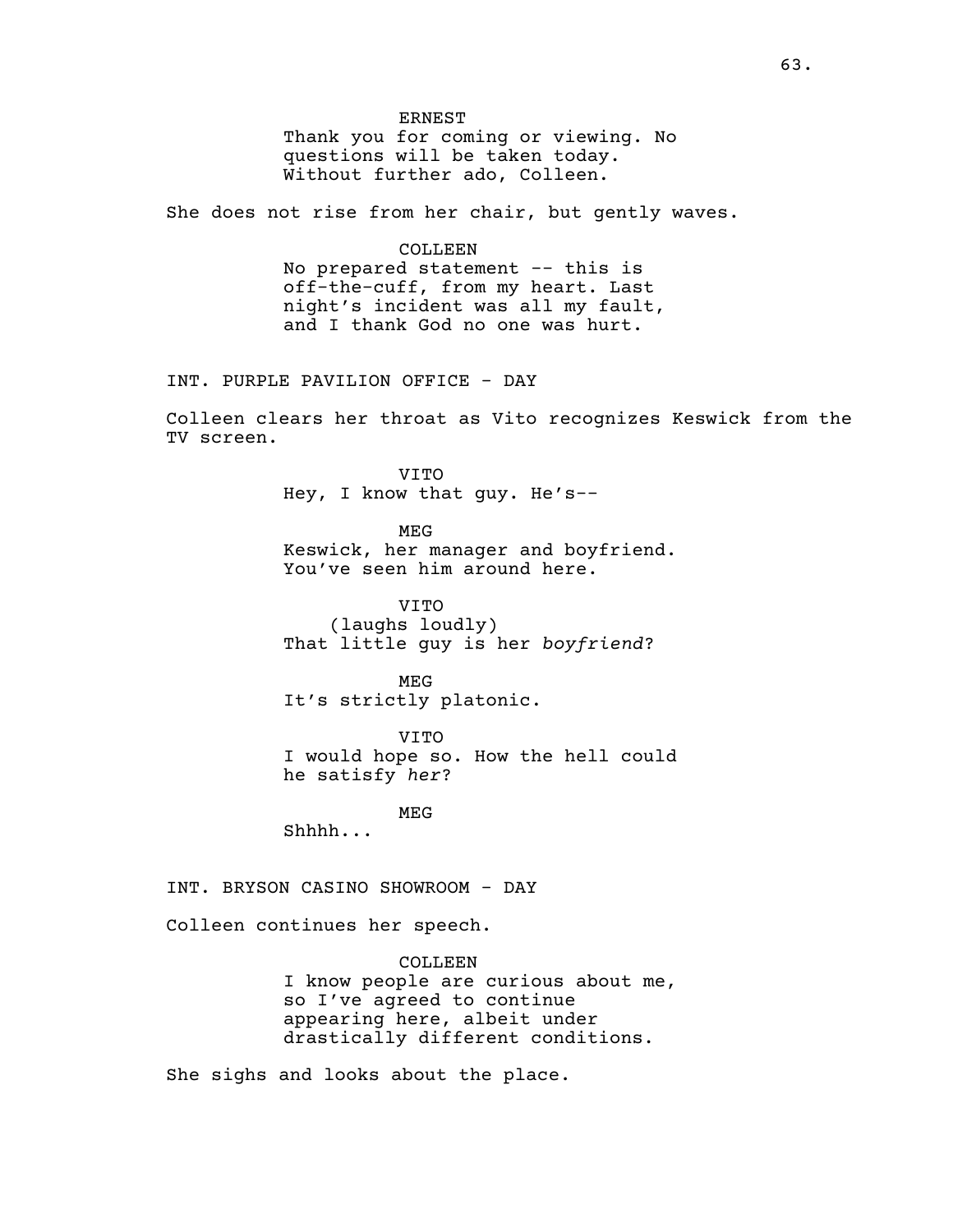ERNEST

Thank you for coming or viewing. No questions will be taken today. Without further ado, Colleen.

She does not rise from her chair, but gently waves.

#### COLLEEN

No prepared statement -- this is off-the-cuff, from my heart. Last night's incident was all my fault, and I thank God no one was hurt.

INT. PURPLE PAVILION OFFICE - DAY

Colleen clears her throat as Vito recognizes Keswick from the TV screen.

> VITO Hey, I know that guy. He's--

MEG Keswick, her manager and boyfriend. You've seen him around here.

VITO (laughs loudly) That little guy is her *boyfriend*?

MEG It's strictly platonic.

VITO I would hope so. How the hell could he satisfy *her*?

MEG

Shhhh...

INT. BRYSON CASINO SHOWROOM - DAY

Colleen continues her speech.

COLLEEN I know people are curious about me, so I've agreed to continue appearing here, albeit under drastically different conditions.

She sighs and looks about the place.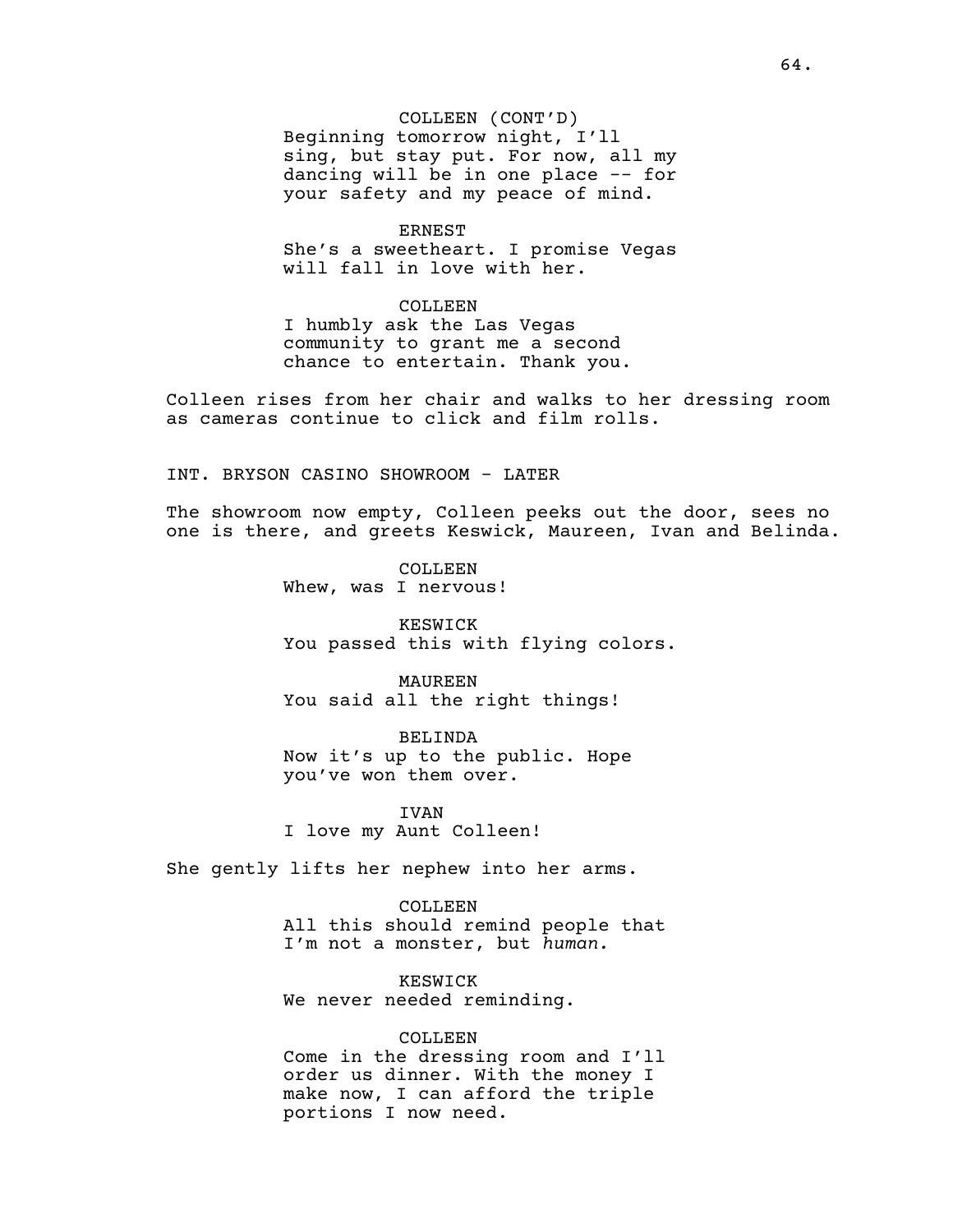COLLEEN (CONT'D) Beginning tomorrow night, I'll sing, but stay put. For now, all my dancing will be in one place -- for your safety and my peace of mind.

ERNEST

She's a sweetheart. I promise Vegas will fall in love with her.

#### COLLEEN

I humbly ask the Las Vegas community to grant me a second chance to entertain. Thank you.

Colleen rises from her chair and walks to her dressing room as cameras continue to click and film rolls.

INT. BRYSON CASINO SHOWROOM - LATER

The showroom now empty, Colleen peeks out the door, sees no one is there, and greets Keswick, Maureen, Ivan and Belinda.

> COLLEEN Whew, was I nervous!

KESWICK You passed this with flying colors.

MAUREEN You said all the right things!

BELINDA Now it's up to the public. Hope you've won them over.

IVAN I love my Aunt Colleen!

She gently lifts her nephew into her arms.

COLLEEN All this should remind people that I'm not a monster, but *human.*

KESWICK We never needed reminding.

### COLLEEN

Come in the dressing room and I'll order us dinner. With the money I make now, I can afford the triple portions I now need.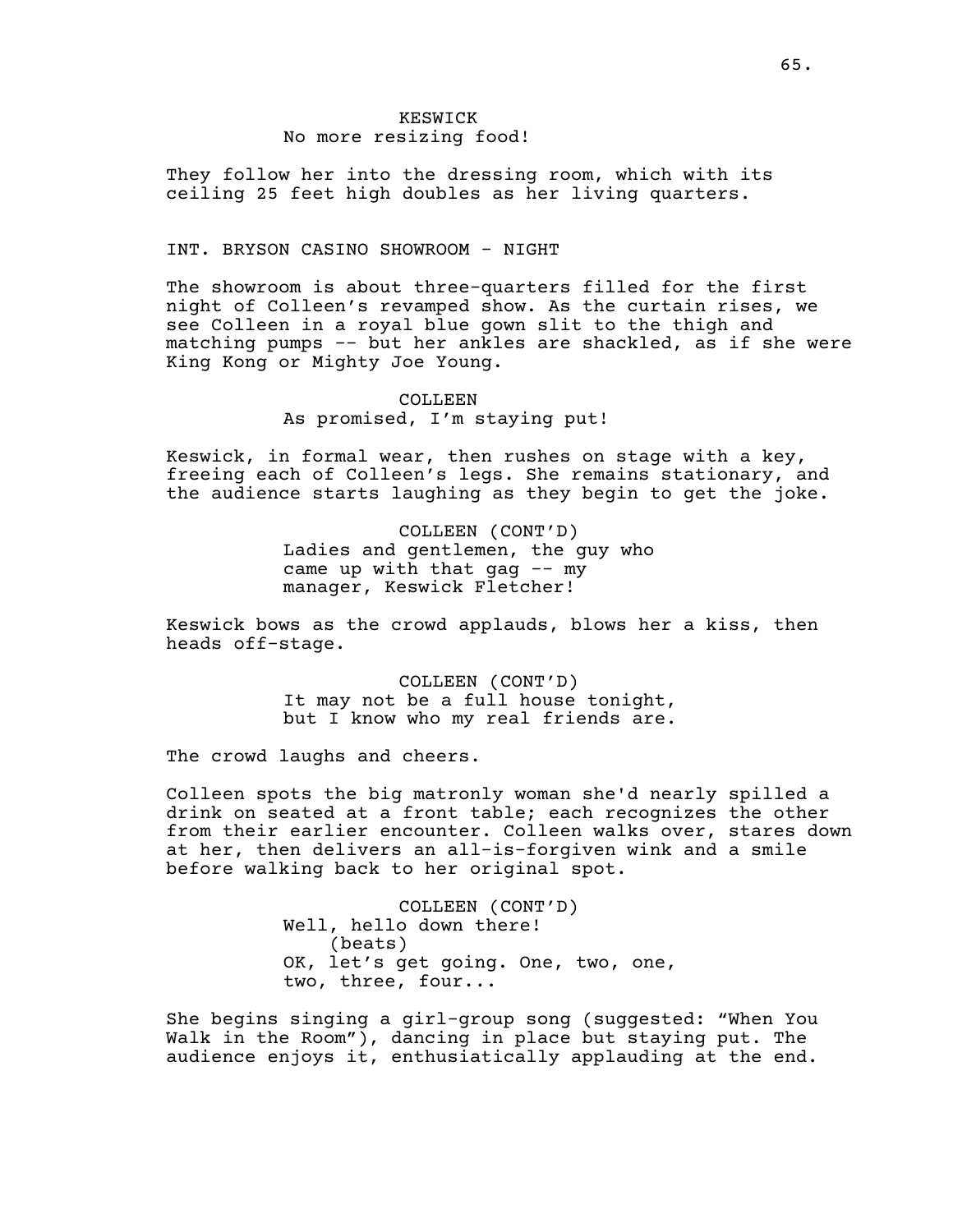# KESWICK No more resizing food!

They follow her into the dressing room, which with its ceiling 25 feet high doubles as her living quarters.

## INT. BRYSON CASINO SHOWROOM - NIGHT

The showroom is about three-quarters filled for the first night of Colleen's revamped show. As the curtain rises, we see Colleen in a royal blue gown slit to the thigh and matching pumps -- but her ankles are shackled, as if she were King Kong or Mighty Joe Young.

> COLLEEN As promised, I'm staying put!

Keswick, in formal wear, then rushes on stage with a key, freeing each of Colleen's legs. She remains stationary, and the audience starts laughing as they begin to get the joke.

> COLLEEN (CONT'D) Ladies and gentlemen, the guy who came up with that  $qaq - - my$ manager, Keswick Fletcher!

Keswick bows as the crowd applauds, blows her a kiss, then heads off-stage.

> COLLEEN (CONT'D) It may not be a full house tonight, but I know who my real friends are.

The crowd laughs and cheers.

Colleen spots the big matronly woman she'd nearly spilled a drink on seated at a front table; each recognizes the other from their earlier encounter. Colleen walks over, stares down at her, then delivers an all-is-forgiven wink and a smile before walking back to her original spot.

> COLLEEN (CONT'D) Well, hello down there! (beats) OK, let's get going. One, two, one, two, three, four...

She begins singing a girl-group song (suggested: "When You Walk in the Room"), dancing in place but staying put. The audience enjoys it, enthusiatically applauding at the end.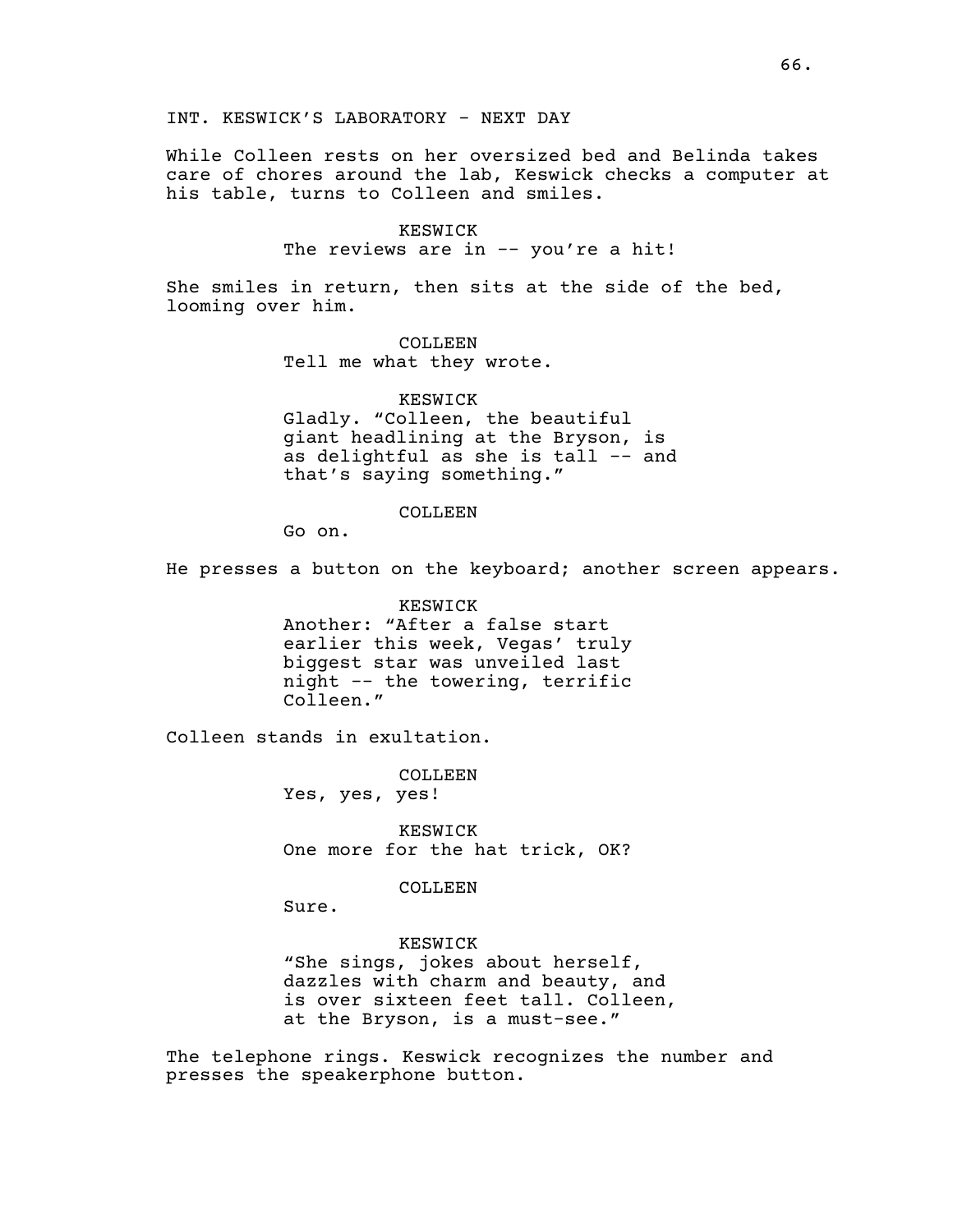INT. KESWICK'S LABORATORY - NEXT DAY

While Colleen rests on her oversized bed and Belinda takes care of chores around the lab, Keswick checks a computer at his table, turns to Colleen and smiles.

KESWICK

The reviews are in -- you're a hit!

She smiles in return, then sits at the side of the bed, looming over him.

> COLLEEN Tell me what they wrote.

KESWICK Gladly. "Colleen, the beautiful giant headlining at the Bryson, is as delightful as she is tall -- and that's saying something."

COLLEEN

Go on.

He presses a button on the keyboard; another screen appears.

KESWICK Another: "After a false start earlier this week, Vegas' truly biggest star was unveiled last night -- the towering, terrific Colleen."

Colleen stands in exultation.

COLLEEN Yes, yes, yes!

KESWICK One more for the hat trick, OK?

COLLEEN

Sure.

KESWICK "She sings, jokes about herself, dazzles with charm and beauty, and is over sixteen feet tall. Colleen, at the Bryson, is a must-see."

The telephone rings. Keswick recognizes the number and presses the speakerphone button.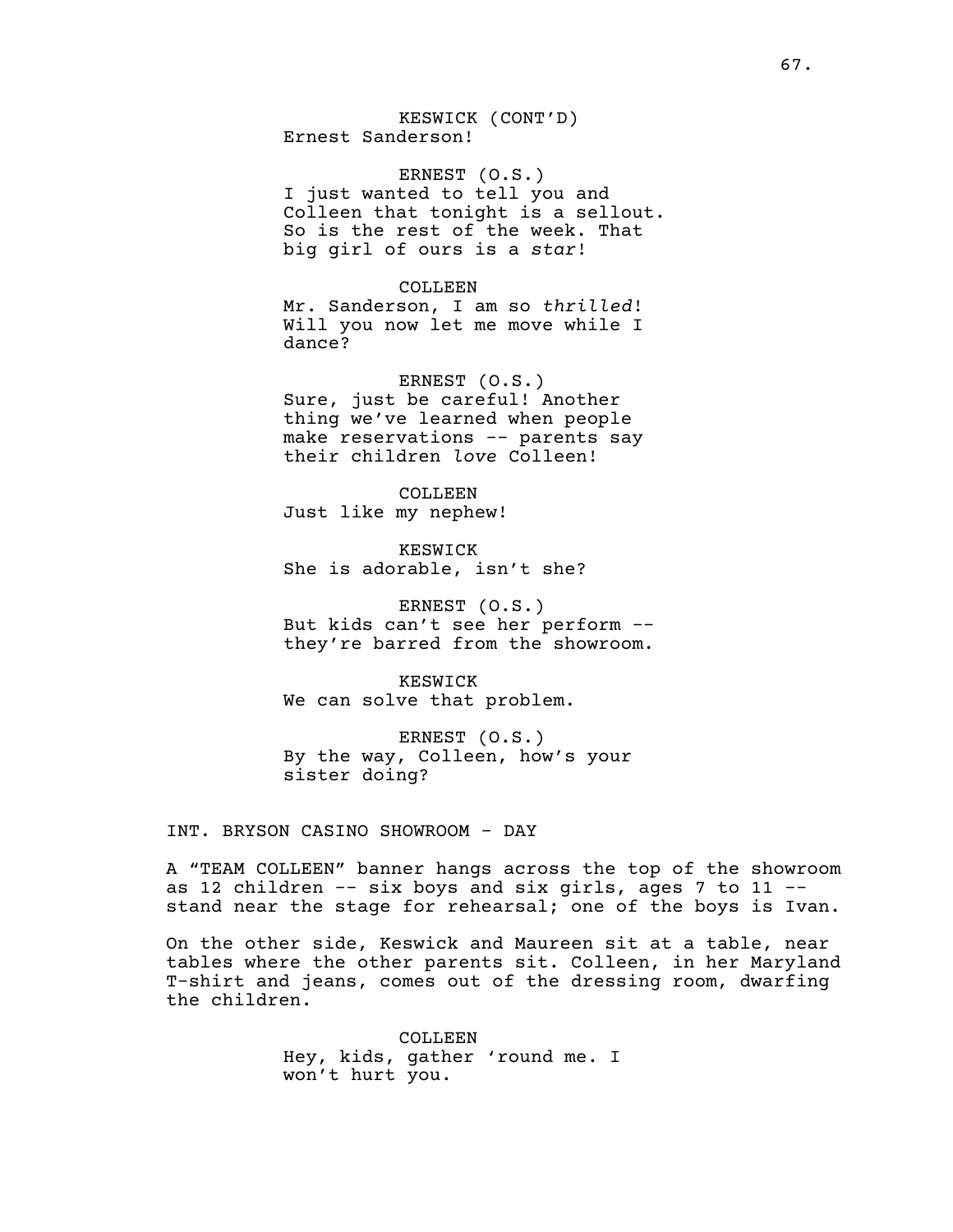KESWICK (CONT'D) Ernest Sanderson!

ERNEST (O.S.) I just wanted to tell you and Colleen that tonight is a sellout. So is the rest of the week. That big girl of ours is a *star*!

COLLEEN Mr. Sanderson, I am so *thrilled*! Will you now let me move while I dance?

ERNEST (O.S.) Sure, just be careful! Another thing we've learned when people make reservations -- parents say their children *love* Colleen!

COLLEEN Just like my nephew!

KESWICK She is adorable, isn't she?

ERNEST (O.S.) But kids can't see her perform - they're barred from the showroom.

KESWICK We can solve that problem.

ERNEST (O.S.) By the way, Colleen, how's your sister doing?

INT. BRYSON CASINO SHOWROOM - DAY

A "TEAM COLLEEN" banner hangs across the top of the showroom as 12 children  $--$  six boys and six girls, ages 7 to 11  $-$ stand near the stage for rehearsal; one of the boys is Ivan.

On the other side, Keswick and Maureen sit at a table, near tables where the other parents sit. Colleen, in her Maryland T-shirt and jeans, comes out of the dressing room, dwarfing the children.

> COLLEEN Hey, kids, gather 'round me. I won't hurt you.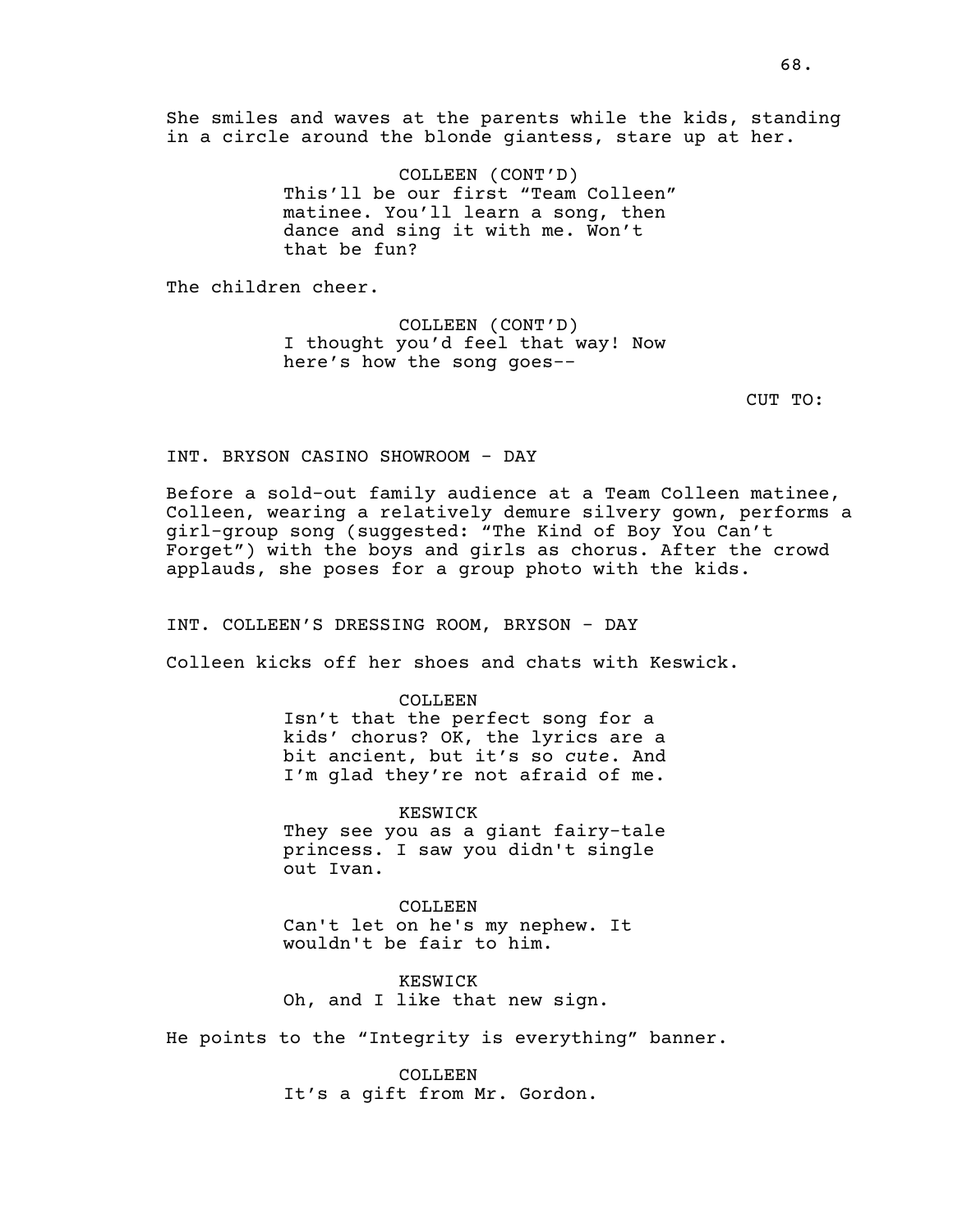She smiles and waves at the parents while the kids, standing in a circle around the blonde giantess, stare up at her.

> COLLEEN (CONT'D) This'll be our first "Team Colleen" matinee. You'll learn a song, then dance and sing it with me. Won't that be fun?

The children cheer.

COLLEEN (CONT'D) I thought you'd feel that way! Now here's how the song goes--

CUT TO:

INT. BRYSON CASINO SHOWROOM - DAY

Before a sold-out family audience at a Team Colleen matinee, Colleen, wearing a relatively demure silvery gown, performs a girl-group song (suggested: "The Kind of Boy You Can't Forget") with the boys and girls as chorus. After the crowd applauds, she poses for a group photo with the kids.

INT. COLLEEN'S DRESSING ROOM, BRYSON - DAY

Colleen kicks off her shoes and chats with Keswick.

COLLEEN Isn't that the perfect song for a kids' chorus? OK, the lyrics are a bit ancient, but it's so *cute*. And I'm glad they're not afraid of me.

KESWICK They see you as a giant fairy-tale princess. I saw you didn't single out Ivan.

COLLEEN Can't let on he's my nephew. It wouldn't be fair to him.

KESWICK Oh, and I like that new sign.

He points to the "Integrity is everything" banner.

COLLEEN It's a gift from Mr. Gordon.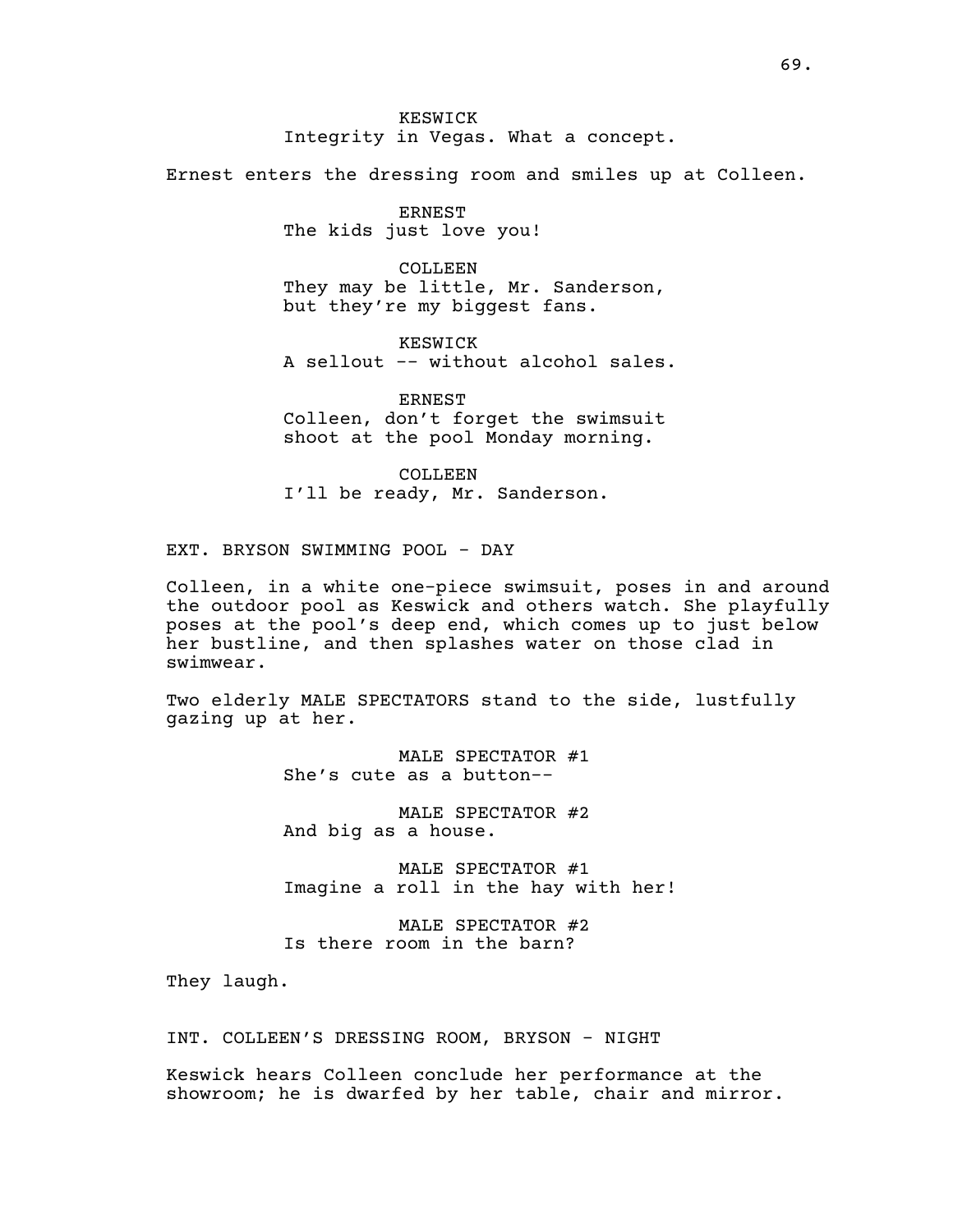KESWICK Integrity in Vegas. What a concept.

Ernest enters the dressing room and smiles up at Colleen.

ERNEST The kids just love you!

COLLEEN They may be little, Mr. Sanderson, but they're my biggest fans.

KESWICK A sellout -- without alcohol sales.

ERNEST Colleen, don't forget the swimsuit shoot at the pool Monday morning.

COLLEEN I'll be ready, Mr. Sanderson.

EXT. BRYSON SWIMMING POOL - DAY

Colleen, in a white one-piece swimsuit, poses in and around the outdoor pool as Keswick and others watch. She playfully poses at the pool's deep end, which comes up to just below her bustline, and then splashes water on those clad in swimwear.

Two elderly MALE SPECTATORS stand to the side, lustfully gazing up at her.

> MALE SPECTATOR #1 She's cute as a button--

> MALE SPECTATOR #2 And big as a house.

MALE SPECTATOR #1 Imagine a roll in the hay with her!

MALE SPECTATOR #2 Is there room in the barn?

They laugh.

INT. COLLEEN'S DRESSING ROOM, BRYSON - NIGHT

Keswick hears Colleen conclude her performance at the showroom; he is dwarfed by her table, chair and mirror.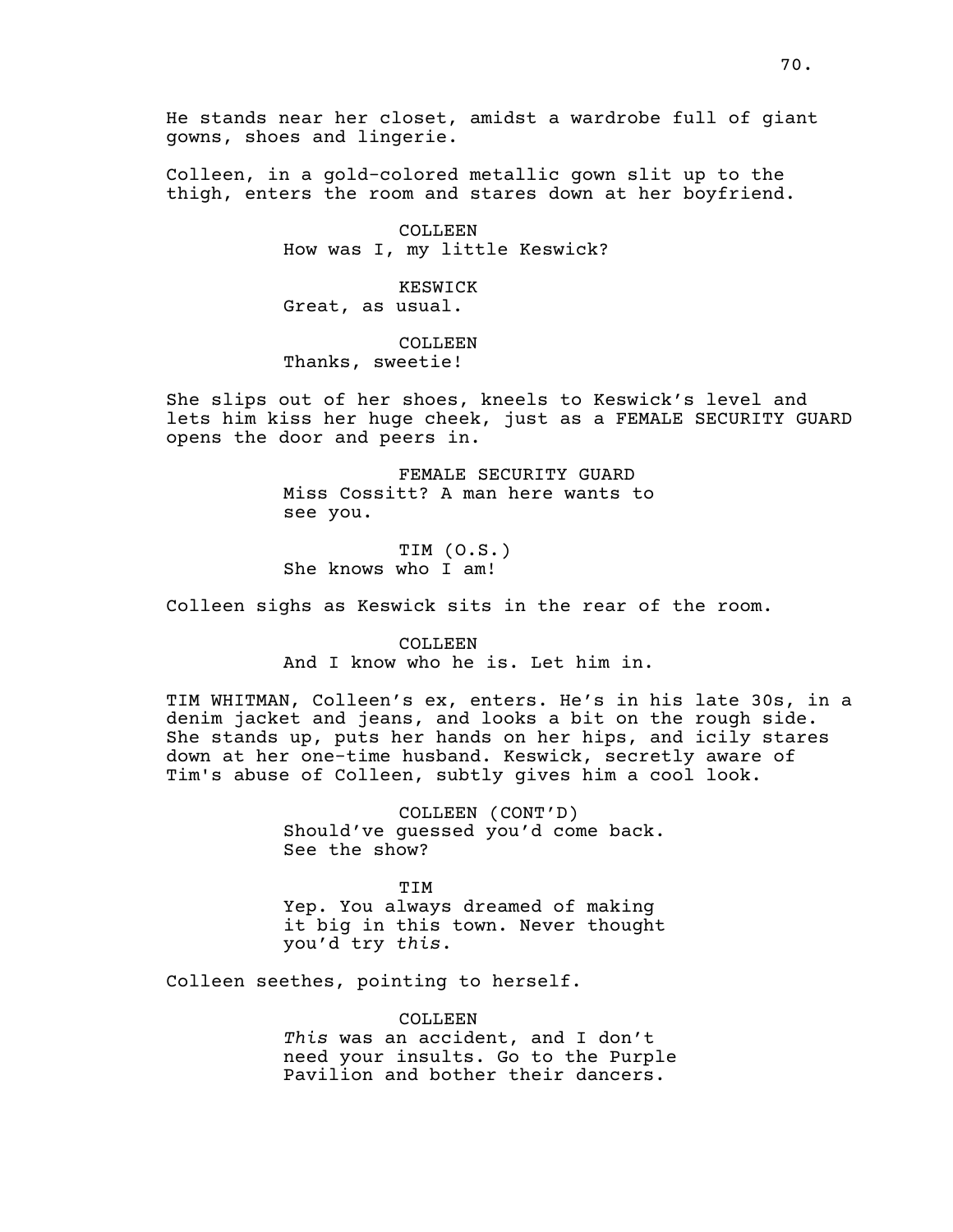Colleen, in a gold-colored metallic gown slit up to the thigh, enters the room and stares down at her boyfriend.

> COLLEEN How was I, my little Keswick?

KESWICK Great, as usual.

COLLEEN Thanks, sweetie!

She slips out of her shoes, kneels to Keswick's level and lets him kiss her huge cheek, just as a FEMALE SECURITY GUARD opens the door and peers in.

> FEMALE SECURITY GUARD Miss Cossitt? A man here wants to see you.

TIM (O.S.) She knows who I am!

Colleen sighs as Keswick sits in the rear of the room.

COLLEEN And I know who he is. Let him in.

TIM WHITMAN, Colleen's ex, enters. He's in his late 30s, in a denim jacket and jeans, and looks a bit on the rough side. She stands up, puts her hands on her hips, and icily stares down at her one-time husband. Keswick, secretly aware of Tim's abuse of Colleen, subtly gives him a cool look.

> COLLEEN (CONT'D) Should've guessed you'd come back. See the show?

> TIM Yep. You always dreamed of making it big in this town. Never thought you'd try *this*.

Colleen seethes, pointing to herself.

COLLEEN *This* was an accident, and I don't need your insults. Go to the Purple Pavilion and bother their dancers.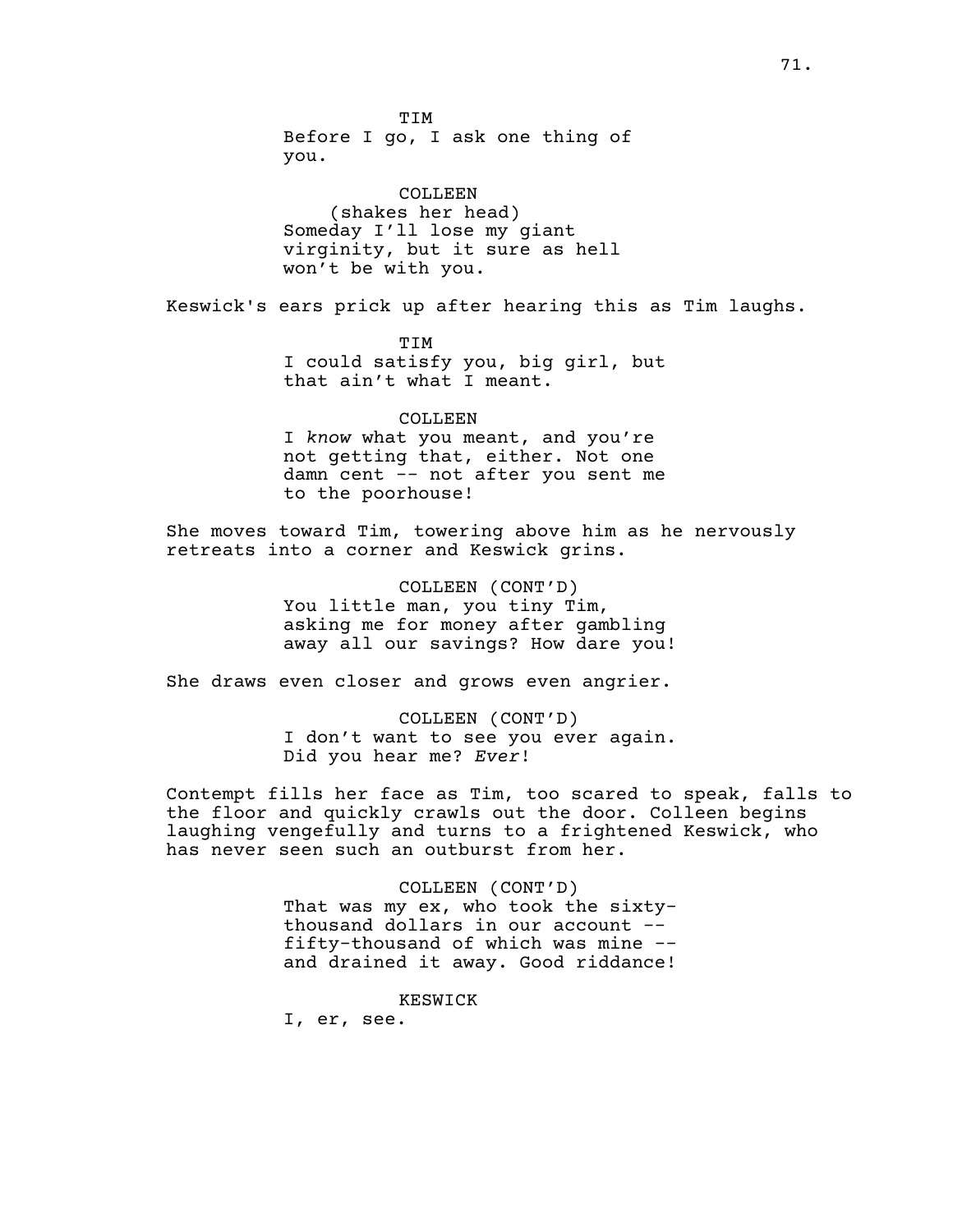TIM Before I go, I ask one thing of you.

COLLEEN (shakes her head) Someday I'll lose my giant virginity, but it sure as hell won't be with you.

Keswick's ears prick up after hearing this as Tim laughs.

TIM I could satisfy you, big girl, but that ain't what I meant.

### COLLEEN

I *know* what you meant, and you're not getting that, either. Not one damn cent -- not after you sent me to the poorhouse!

She moves toward Tim, towering above him as he nervously retreats into a corner and Keswick grins.

> COLLEEN (CONT'D) You little man, you tiny Tim, asking me for money after gambling away all our savings? How dare you!

She draws even closer and grows even angrier.

COLLEEN (CONT'D) I don't want to see you ever again. Did you hear me? *Ever*!

Contempt fills her face as Tim, too scared to speak, falls to the floor and quickly crawls out the door. Colleen begins laughing vengefully and turns to a frightened Keswick, who has never seen such an outburst from her.

> COLLEEN (CONT'D) That was my ex, who took the sixtythousand dollars in our account - fifty-thousand of which was mine - and drained it away. Good riddance!

> > KESWICK

I, er, see.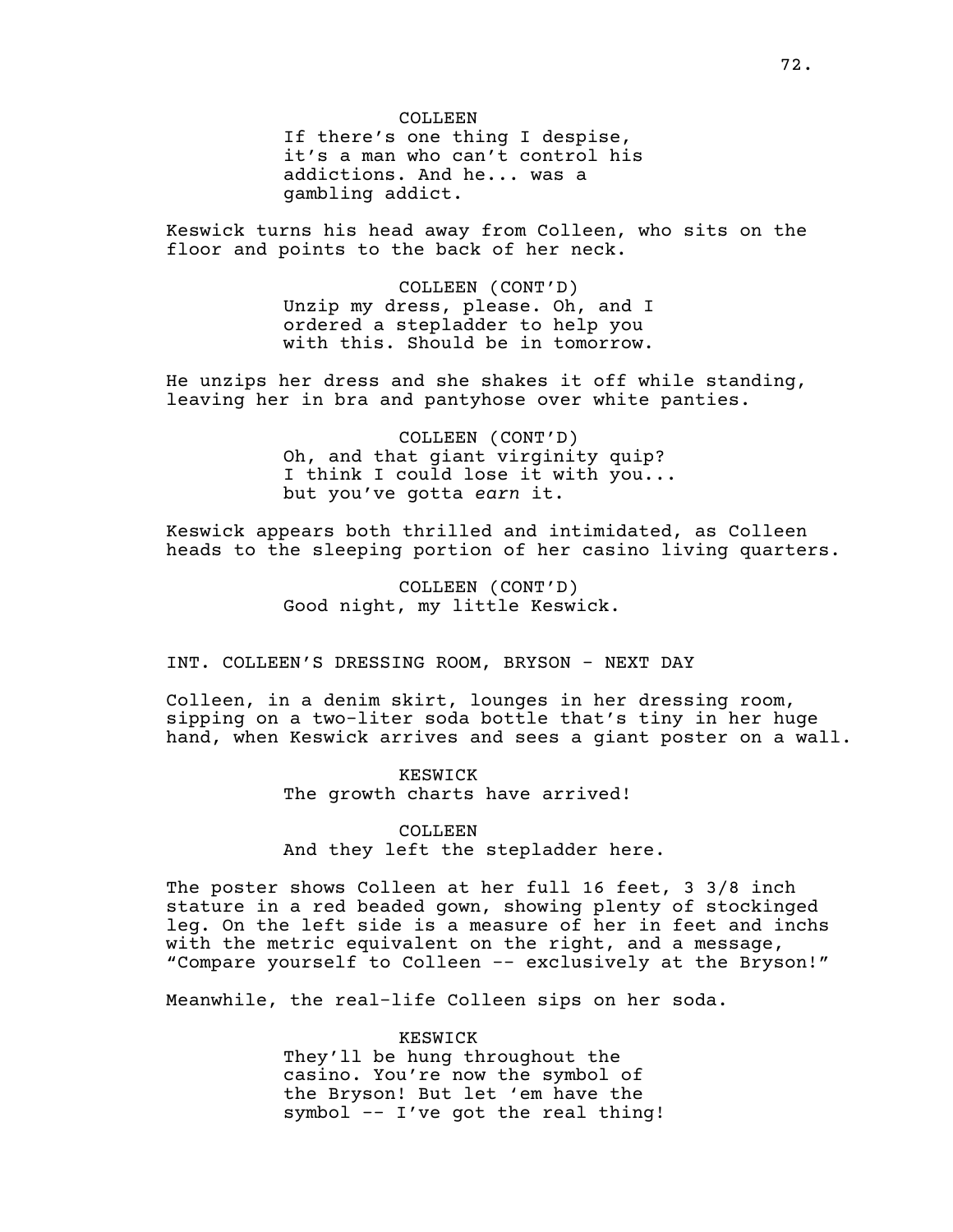COLLEEN If there's one thing I despise, it's a man who can't control his addictions. And he... was a gambling addict.

Keswick turns his head away from Colleen, who sits on the floor and points to the back of her neck.

> COLLEEN (CONT'D) Unzip my dress, please. Oh, and I ordered a stepladder to help you with this. Should be in tomorrow.

He unzips her dress and she shakes it off while standing, leaving her in bra and pantyhose over white panties.

> COLLEEN (CONT'D) Oh, and that giant virginity quip? I think I could lose it with you... but you've gotta *earn* it.

Keswick appears both thrilled and intimidated, as Colleen heads to the sleeping portion of her casino living quarters.

> COLLEEN (CONT'D) Good night, my little Keswick.

INT. COLLEEN'S DRESSING ROOM, BRYSON - NEXT DAY

Colleen, in a denim skirt, lounges in her dressing room, sipping on a two-liter soda bottle that's tiny in her huge hand, when Keswick arrives and sees a giant poster on a wall.

> KESWICK The growth charts have arrived!

COLLEEN And they left the stepladder here.

The poster shows Colleen at her full 16 feet, 3 3/8 inch stature in a red beaded gown, showing plenty of stockinged leg. On the left side is a measure of her in feet and inchs with the metric equivalent on the right, and a message, "Compare yourself to Colleen -- exclusively at the Bryson!"

Meanwhile, the real-life Colleen sips on her soda.

KESWICK They'll be hung throughout the casino. You're now the symbol of the Bryson! But let 'em have the symbol -- I've got the real thing!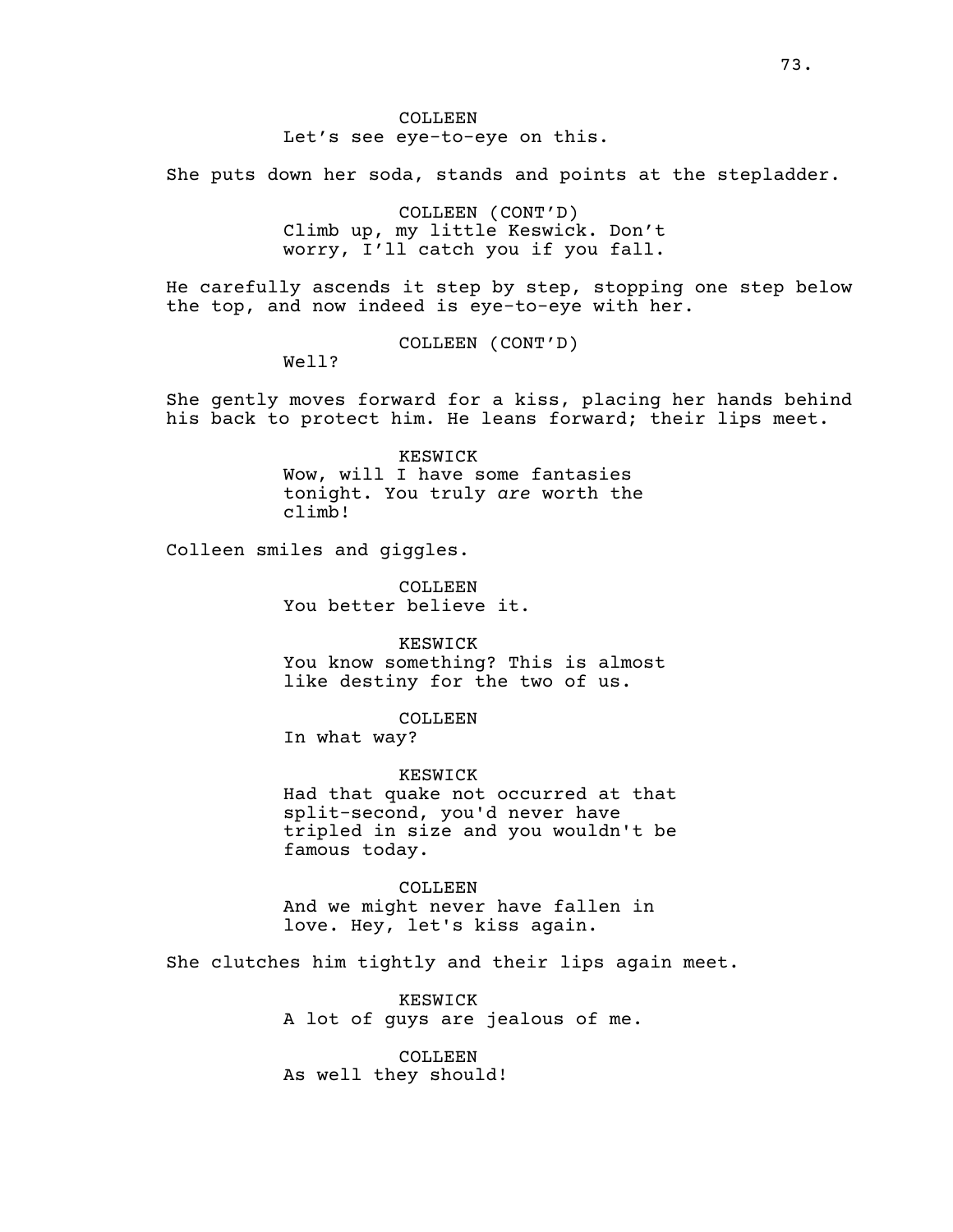COLLEEN Let's see eye-to-eye on this.

She puts down her soda, stands and points at the stepladder.

COLLEEN (CONT'D) Climb up, my little Keswick. Don't worry, I'll catch you if you fall.

He carefully ascends it step by step, stopping one step below the top, and now indeed is eye-to-eye with her.

COLLEEN (CONT'D)

Well?

She gently moves forward for a kiss, placing her hands behind his back to protect him. He leans forward; their lips meet.

> KESWICK Wow, will I have some fantasies tonight. You truly *are* worth the climb!

Colleen smiles and giggles.

COLLEEN You better believe it.

KESWICK You know something? This is almost

like destiny for the two of us.

COLLEEN

In what way?

KESWICK

Had that quake not occurred at that split-second, you'd never have tripled in size and you wouldn't be famous today.

COLLEEN And we might never have fallen in love. Hey, let's kiss again.

She clutches him tightly and their lips again meet.

KESWICK A lot of guys are jealous of me.

COLLEEN. As well they should!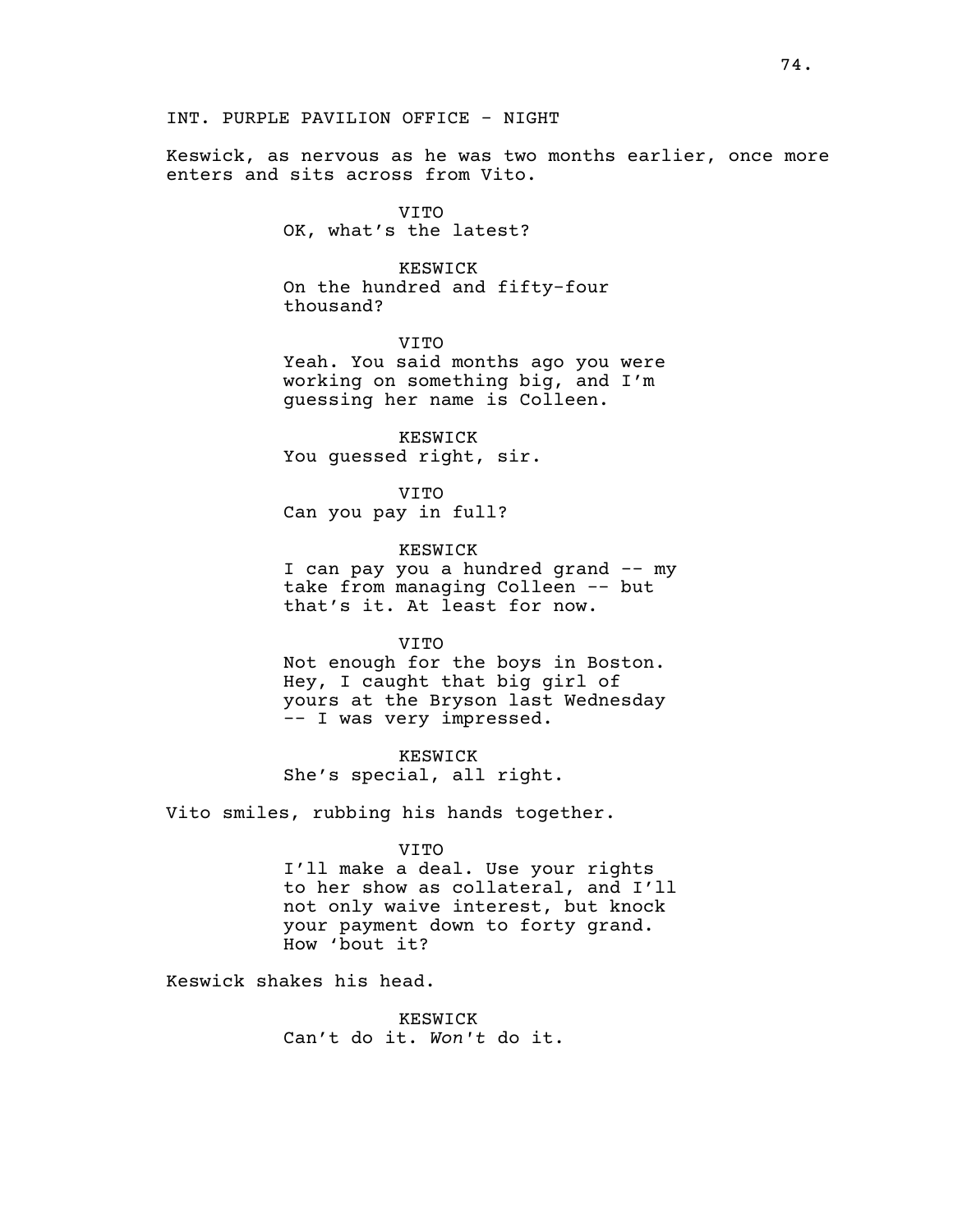Keswick, as nervous as he was two months earlier, once more enters and sits across from Vito.

> VITO OK, what's the latest?

KESWICK On the hundred and fifty-four thousand?

VITO Yeah. You said months ago you were working on something big, and I'm guessing her name is Colleen.

KESWICK You guessed right, sir.

VITO Can you pay in full?

KESWICK I can pay you a hundred grand -- my take from managing Colleen -- but that's it. At least for now.

VITO

Not enough for the boys in Boston. Hey, I caught that big girl of yours at the Bryson last Wednesday -- I was very impressed.

KESWICK She's special, all right.

Vito smiles, rubbing his hands together.

VITO

I'll make a deal. Use your rights to her show as collateral, and I'll not only waive interest, but knock your payment down to forty grand. How 'bout it?

Keswick shakes his head.

KESWICK Can't do it. *Won't* do it.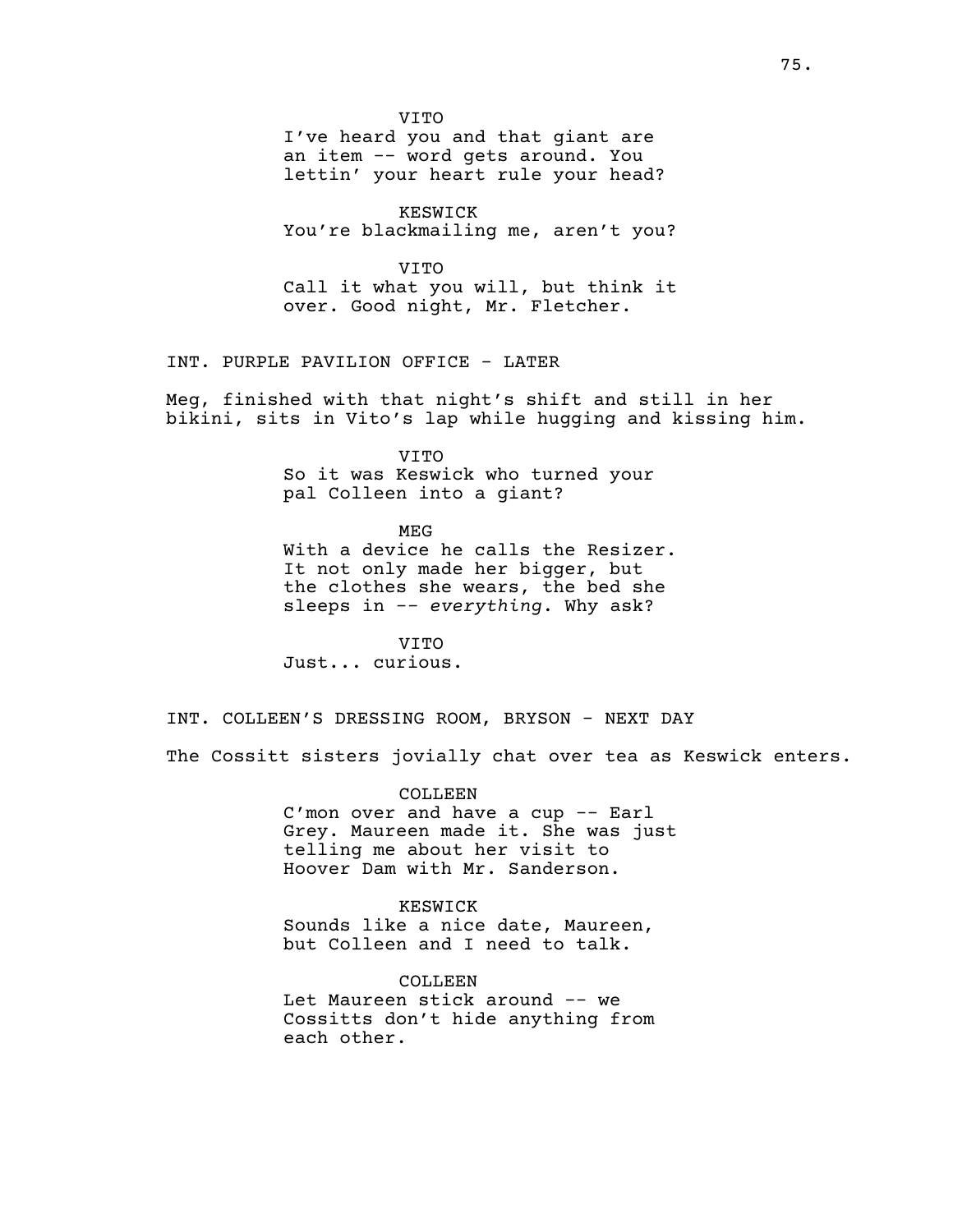VITO

I've heard you and that giant are an item -- word gets around. You lettin' your heart rule your head?

KESWICK You're blackmailing me, aren't you?

VITO Call it what you will, but think it over. Good night, Mr. Fletcher.

INT. PURPLE PAVILION OFFICE - LATER

Meg, finished with that night's shift and still in her bikini, sits in Vito's lap while hugging and kissing him.

> VITO So it was Keswick who turned your pal Colleen into a giant?

> > MEG

With a device he calls the Resizer. It not only made her bigger, but the clothes she wears, the bed she sleeps in -*- everything*. Why ask?

VITO Just... curious.

INT. COLLEEN'S DRESSING ROOM, BRYSON - NEXT DAY

The Cossitt sisters jovially chat over tea as Keswick enters.

COLLEEN

C'mon over and have a cup -- Earl Grey. Maureen made it. She was just telling me about her visit to Hoover Dam with Mr. Sanderson.

KESWICK Sounds like a nice date, Maureen, but Colleen and I need to talk.

COLLEEN Let Maureen stick around -- we Cossitts don't hide anything from each other.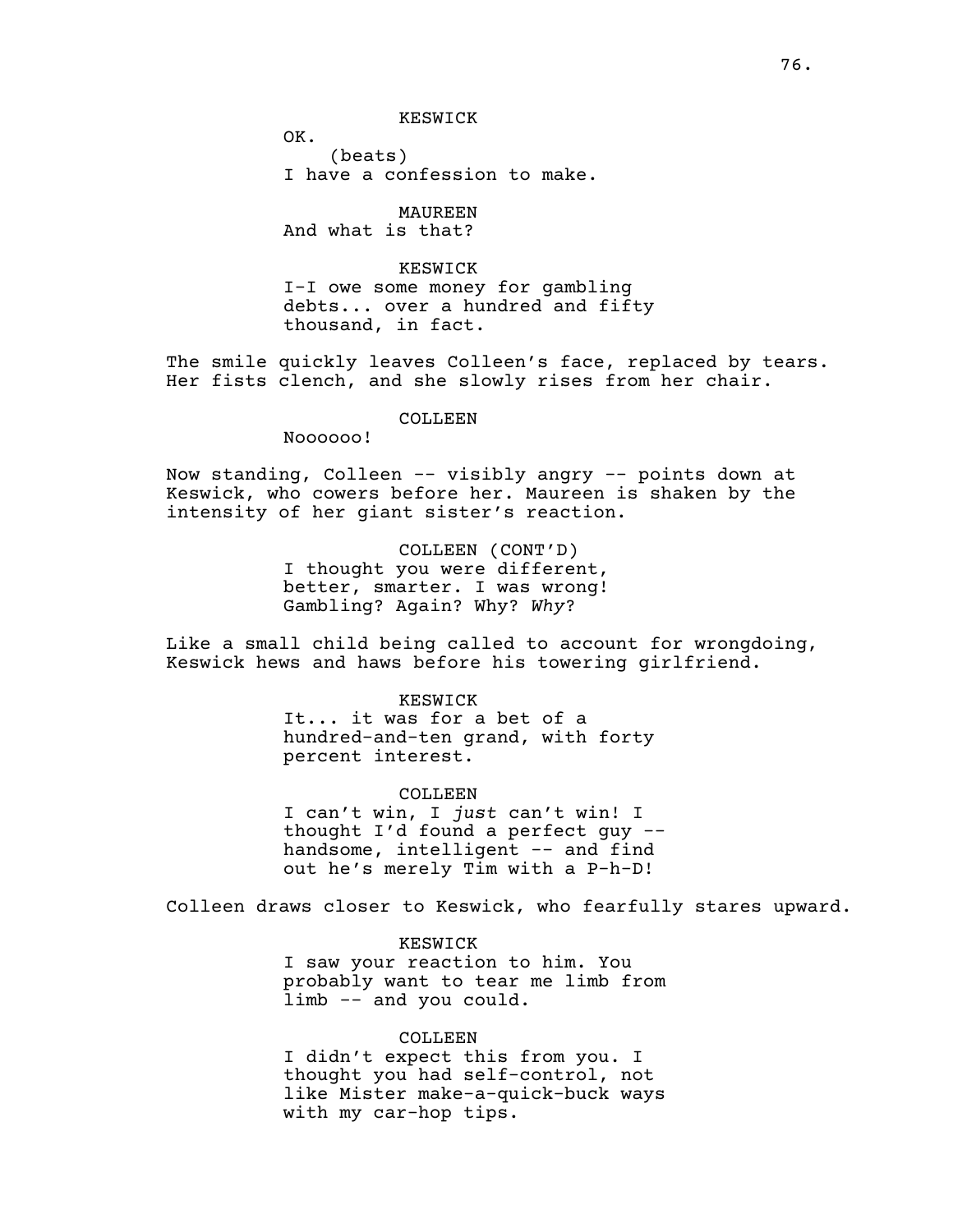KESWICK

OK. (beats) I have a confession to make.

MAUREEN And what is that?

KESWICK I-I owe some money for gambling debts... over a hundred and fifty thousand, in fact.

The smile quickly leaves Colleen's face, replaced by tears. Her fists clench, and she slowly rises from her chair.

### COLLEEN

Noooooo!

Now standing, Colleen -- visibly angry -- points down at Keswick, who cowers before her. Maureen is shaken by the intensity of her giant sister's reaction.

> COLLEEN (CONT'D) I thought you were different, better, smarter. I was wrong! Gambling? Again? Why? *Why*?

Like a small child being called to account for wrongdoing, Keswick hews and haws before his towering girlfriend.

> KESWICK It... it was for a bet of a hundred-and-ten grand, with forty percent interest.

COLLEEN I can't win, I *just* can't win! I thought I'd found a perfect guy - handsome, intelligent -- and find out he's merely Tim with a P-h-D!

Colleen draws closer to Keswick, who fearfully stares upward.

KESWICK I saw your reaction to him. You probably want to tear me limb from limb -- and you could.

# COLLEEN

I didn't expect this from you. I thought you had self-control, not like Mister make-a-quick-buck ways with my car-hop tips.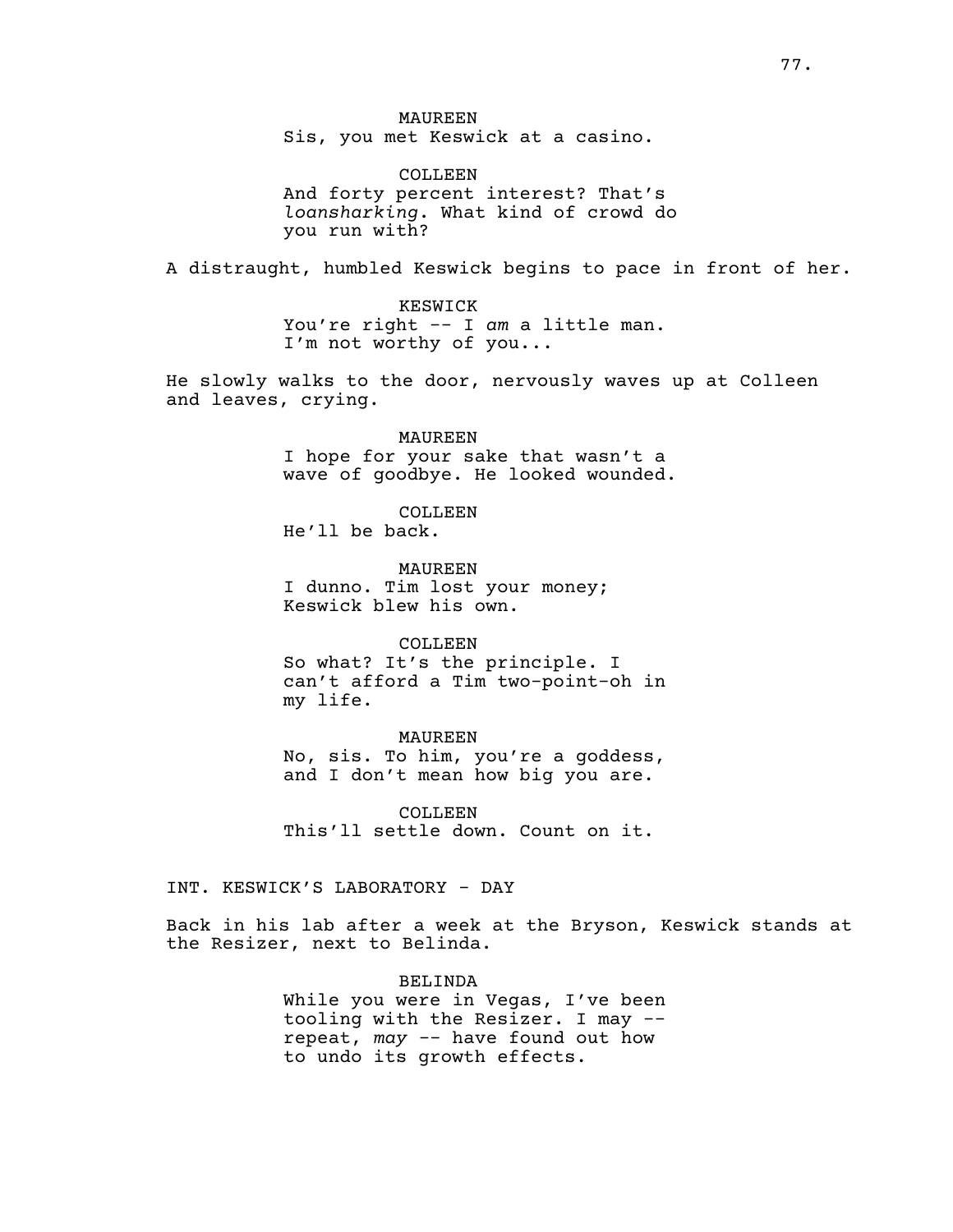COLLEEN And forty percent interest? That's *loansharking*. What kind of crowd do you run with?

A distraught, humbled Keswick begins to pace in front of her.

KESWICK You're right -- I *am* a little man. I'm not worthy of you...

He slowly walks to the door, nervously waves up at Colleen and leaves, crying.

> MAUREEN I hope for your sake that wasn't a wave of goodbye. He looked wounded.

COLLEEN He'll be back.

MAUREEN I dunno. Tim lost your money; Keswick blew his own.

### COLLEEN

So what? It's the principle. I can't afford a Tim two-point-oh in my life.

# MAUREEN

No, sis. To him, you're a goddess, and I don't mean how big you are.

COLLEEN This'll settle down. Count on it.

INT. KESWICK'S LABORATORY - DAY

Back in his lab after a week at the Bryson, Keswick stands at the Resizer, next to Belinda.

> BELINDA While you were in Vegas, I've been tooling with the Resizer. I may - repeat, *may -*- have found out how to undo its growth effects.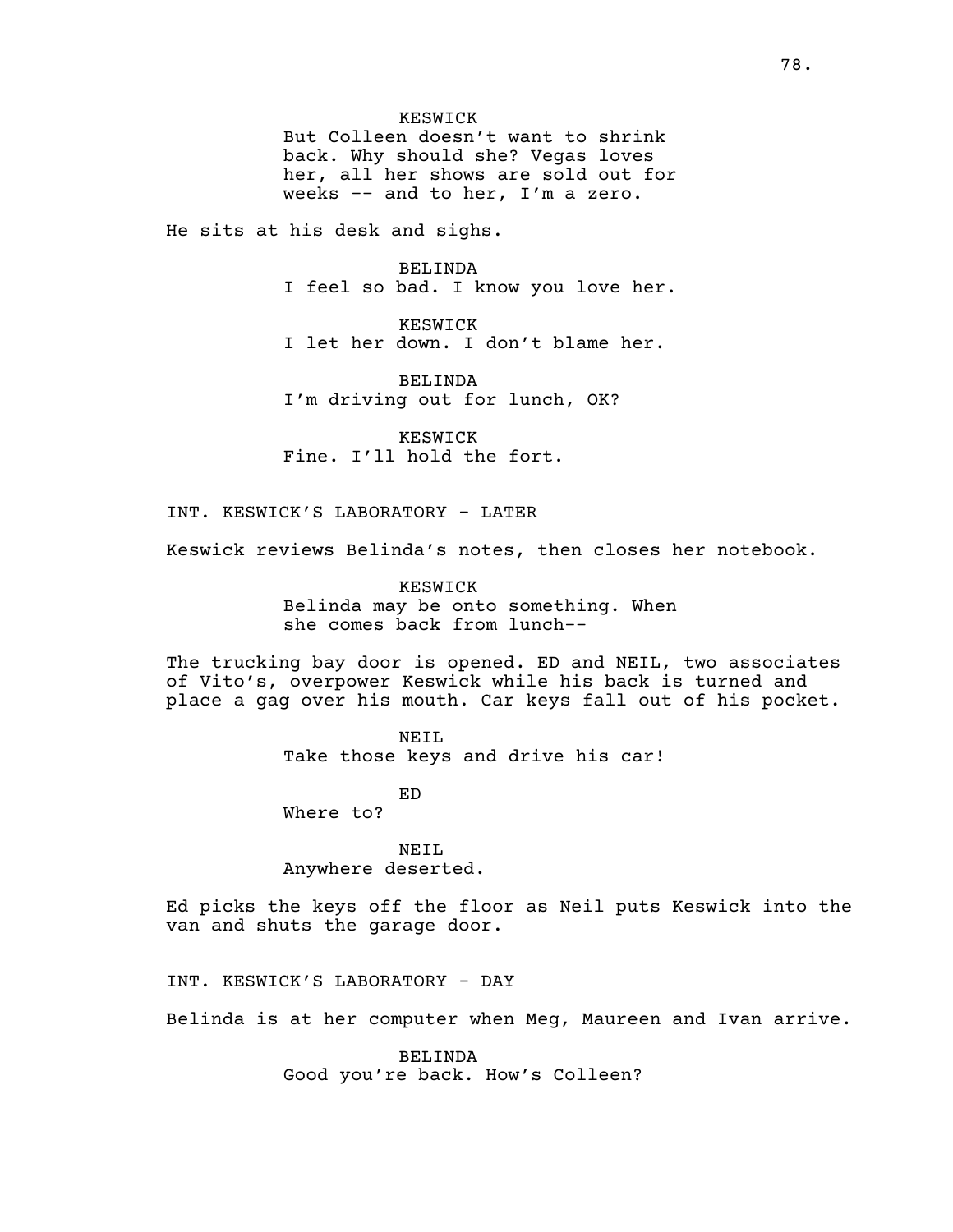KESWICK But Colleen doesn't want to shrink back. Why should she? Vegas loves her, all her shows are sold out for weeks -- and to her, I'm a zero.

He sits at his desk and sighs.

BELINDA I feel so bad. I know you love her.

KESWICK I let her down. I don't blame her.

BELINDA I'm driving out for lunch, OK?

KESWICK Fine. I'll hold the fort.

INT. KESWICK'S LABORATORY - LATER

Keswick reviews Belinda's notes, then closes her notebook.

KESWICK Belinda may be onto something. When she comes back from lunch--

The trucking bay door is opened. ED and NEIL, two associates of Vito's, overpower Keswick while his back is turned and place a gag over his mouth. Car keys fall out of his pocket.

> NEIL Take those keys and drive his car!

> > ED

Where to?

NEIL Anywhere deserted.

Ed picks the keys off the floor as Neil puts Keswick into the van and shuts the garage door.

INT. KESWICK'S LABORATORY - DAY

Belinda is at her computer when Meg, Maureen and Ivan arrive.

BELINDA Good you're back. How's Colleen?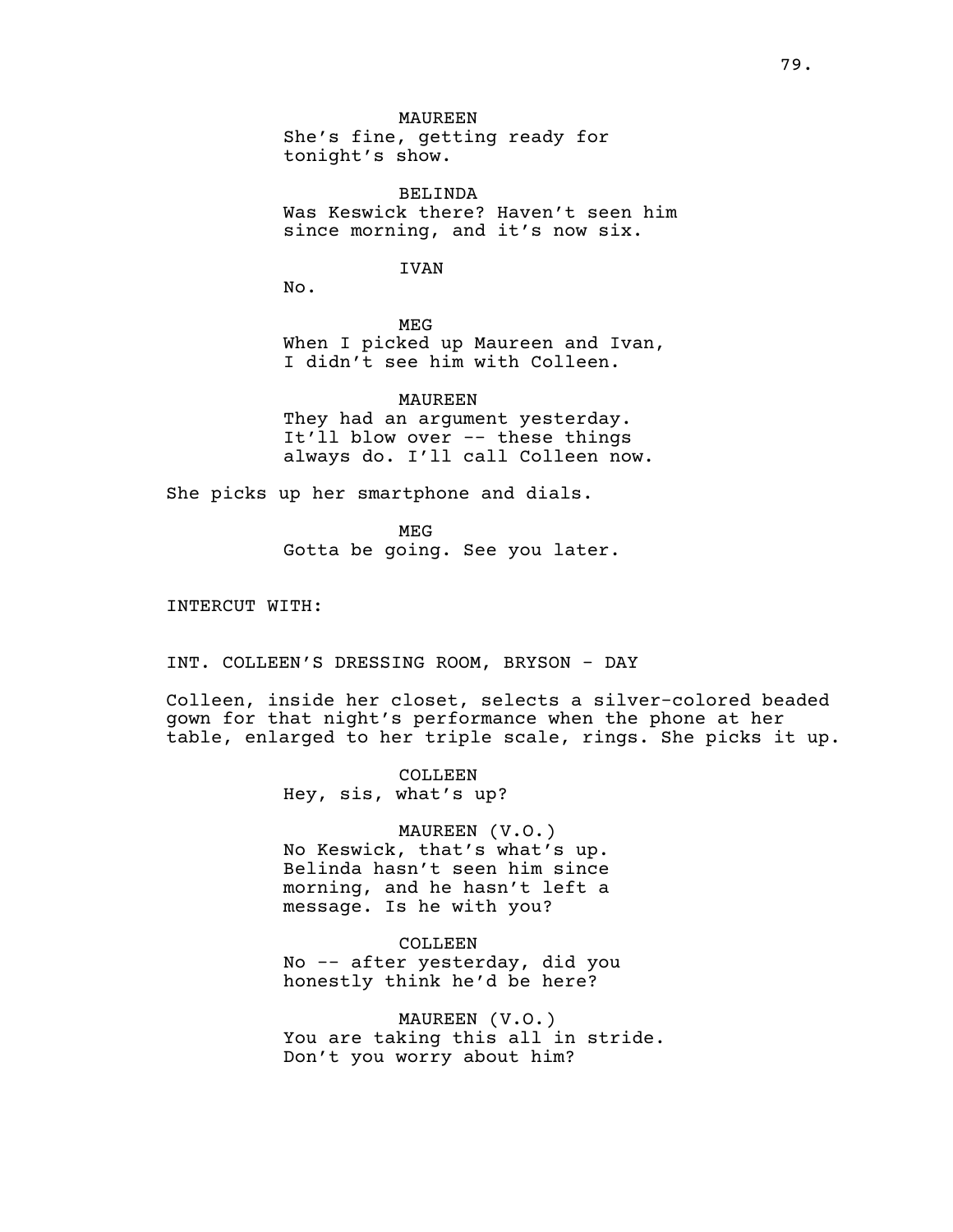MAUREEN She's fine, getting ready for tonight's show.

BELINDA Was Keswick there? Haven't seen him since morning, and it's now six.

IVAN

No.

MEG When I picked up Maureen and Ivan, I didn't see him with Colleen.

MAUREEN They had an argument yesterday. It'll blow over -- these things always do. I'll call Colleen now.

She picks up her smartphone and dials.

MEG

Gotta be going. See you later.

INTERCUT WITH:

INT. COLLEEN'S DRESSING ROOM, BRYSON - DAY

Colleen, inside her closet, selects a silver-colored beaded gown for that night's performance when the phone at her table, enlarged to her triple scale, rings. She picks it up.

> COLLEEN Hey, sis, what's up?

MAUREEN (V.O.) No Keswick, that's what's up. Belinda hasn't seen him since morning, and he hasn't left a message. Is he with you?

COLLEEN No -- after yesterday, did you honestly think he'd be here?

MAUREEN (V.O.) You are taking this all in stride. Don't you worry about him?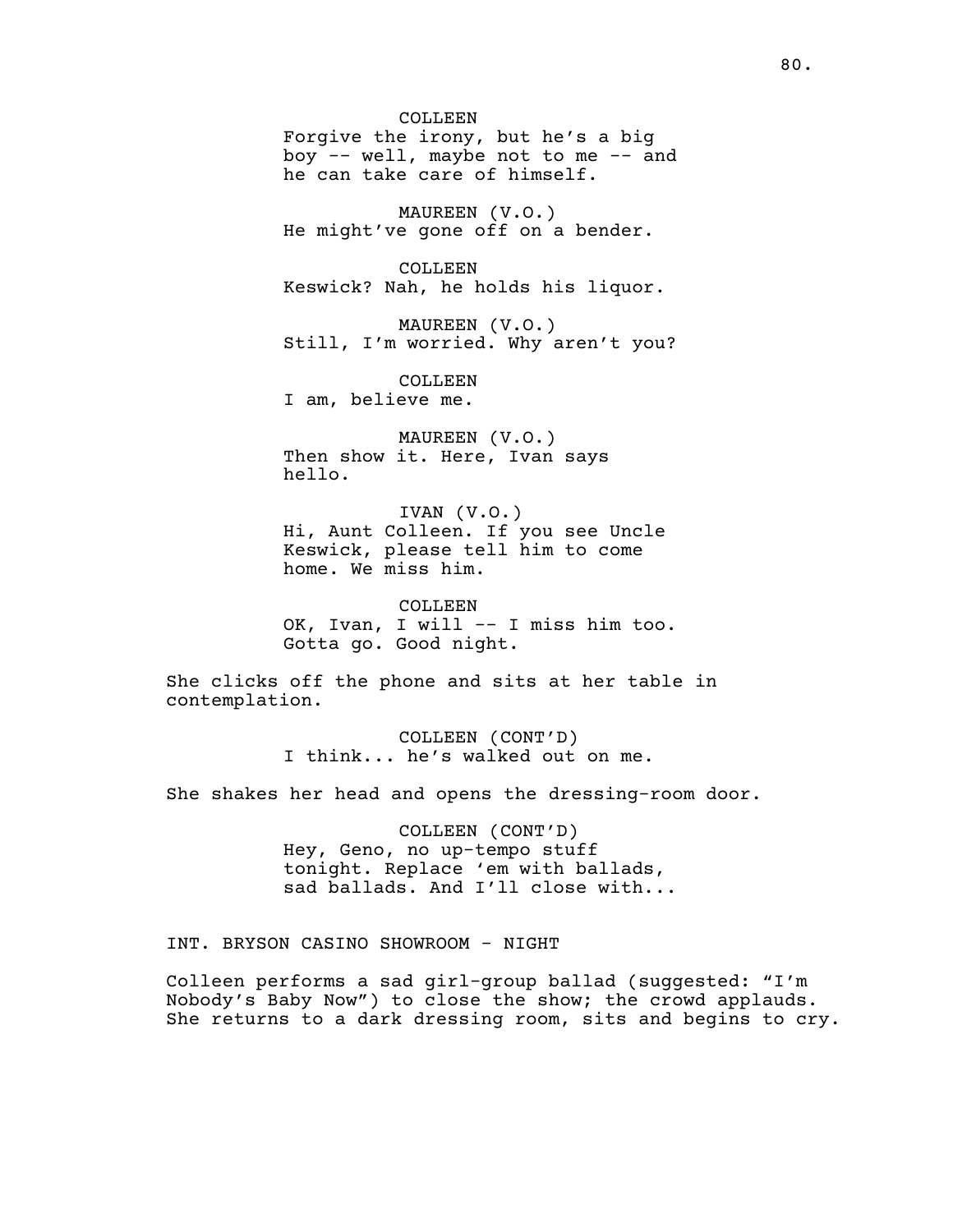COLLEEN Forgive the irony, but he's a big boy  $-$  well, maybe not to me  $-$  and he can take care of himself.

MAUREEN (V.O.) He might've gone off on a bender.

COLLEEN Keswick? Nah, he holds his liquor.

MAUREEN (V.O.) Still, I'm worried. Why aren't you?

COLLEEN I am, believe me.

MAUREEN (V.O.) Then show it. Here, Ivan says hello.

IVAN (V.O.) Hi, Aunt Colleen. If you see Uncle Keswick, please tell him to come home. We miss him.

COLLEEN OK, Ivan, I will -- I miss him too. Gotta go. Good night.

She clicks off the phone and sits at her table in contemplation.

> COLLEEN (CONT'D) I think... he's walked out on me.

She shakes her head and opens the dressing-room door.

COLLEEN (CONT'D) Hey, Geno, no up-tempo stuff tonight. Replace 'em with ballads, sad ballads. And I'll close with...

INT. BRYSON CASINO SHOWROOM - NIGHT

Colleen performs a sad girl-group ballad (suggested: "I'm Nobody's Baby Now") to close the show; the crowd applauds. She returns to a dark dressing room, sits and begins to cry.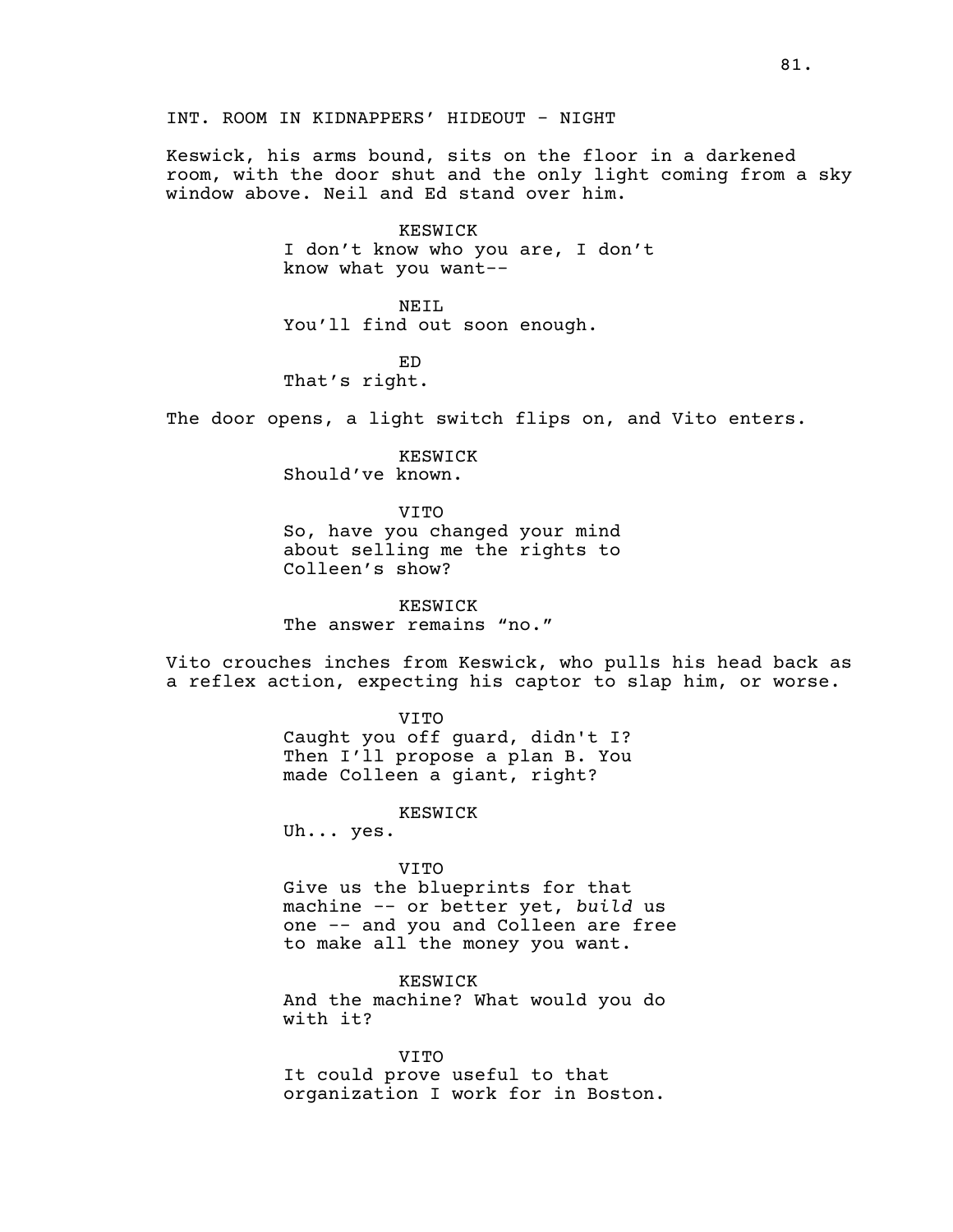Keswick, his arms bound, sits on the floor in a darkened room, with the door shut and the only light coming from a sky window above. Neil and Ed stand over him.

# KESWICK

I don't know who you are, I don't know what you want--

NEIL You'll find out soon enough.

ED That's right.

The door opens, a light switch flips on, and Vito enters.

KESWICK Should've known.

VITO

So, have you changed your mind about selling me the rights to Colleen's show?

KESWICK The answer remains "no."

Vito crouches inches from Keswick, who pulls his head back as a reflex action, expecting his captor to slap him, or worse.

> VITO Caught you off guard, didn't I? Then I'll propose a plan B. You made Colleen a giant, right?

> > KESWICK

Uh... yes.

# VITO

Give us the blueprints for that machine -- or better yet, *build* us one -- and you and Colleen are free to make all the money you want.

KESWICK And the machine? What would you do with it?

VITO It could prove useful to that organization I work for in Boston.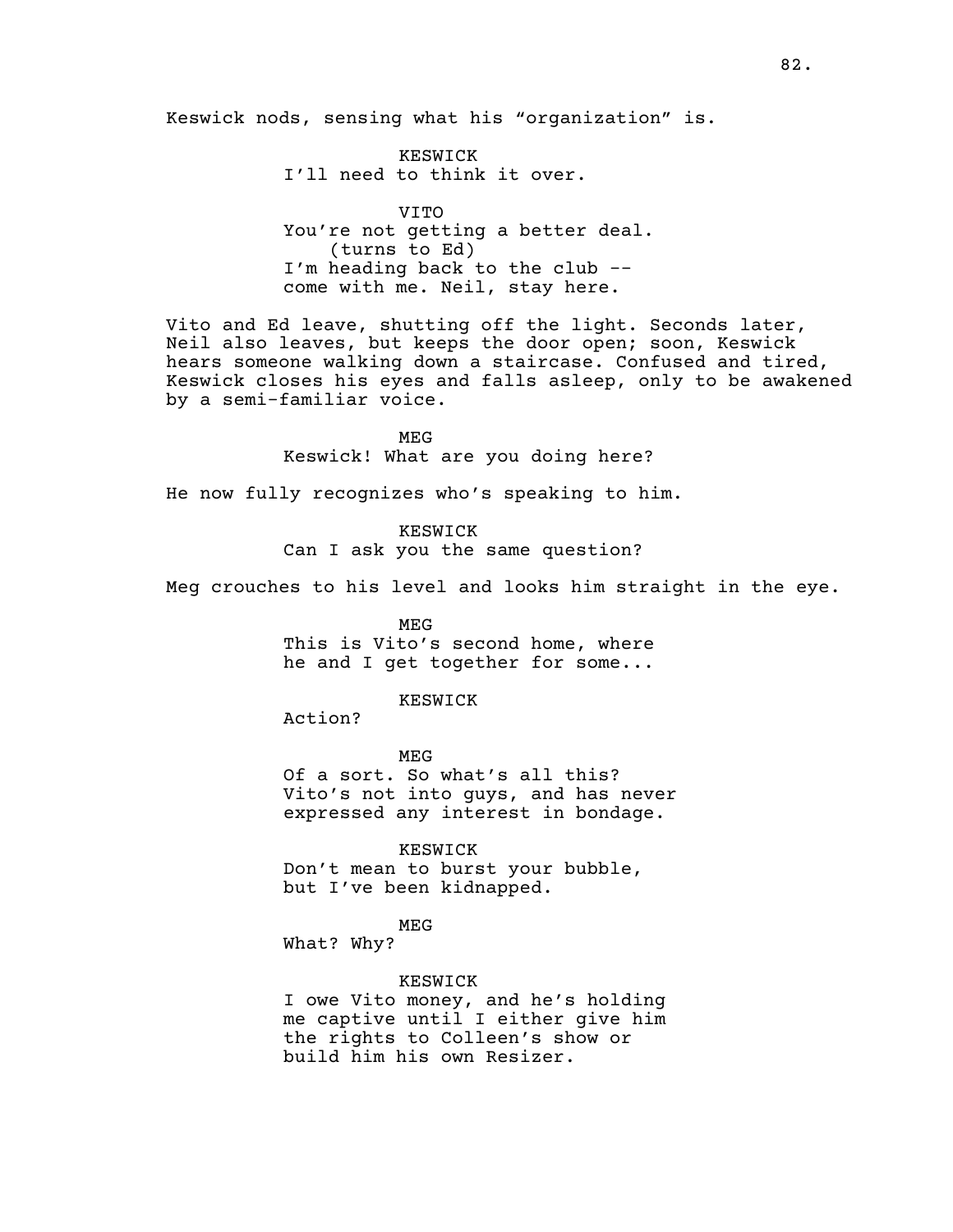KESWICK I'll need to think it over.

VITO You're not getting a better deal. (turns to Ed) I'm heading back to the club - come with me. Neil, stay here.

Vito and Ed leave, shutting off the light. Seconds later, Neil also leaves, but keeps the door open; soon, Keswick hears someone walking down a staircase. Confused and tired, Keswick closes his eyes and falls asleep, only to be awakened by a semi-familiar voice.

> MEG Keswick! What are you doing here?

He now fully recognizes who's speaking to him.

KESWICK Can I ask you the same question?

Meg crouches to his level and looks him straight in the eye.

MEG This is Vito's second home, where he and I get together for some...

KESWICK

Action?

MEG Of a sort. So what's all this? Vito's not into guys, and has never expressed any interest in bondage.

KESWICK Don't mean to burst your bubble,

but I've been kidnapped.

MEG

What? Why?

KESWICK

I owe Vito money, and he's holding me captive until I either give him the rights to Colleen's show or build him his own Resizer.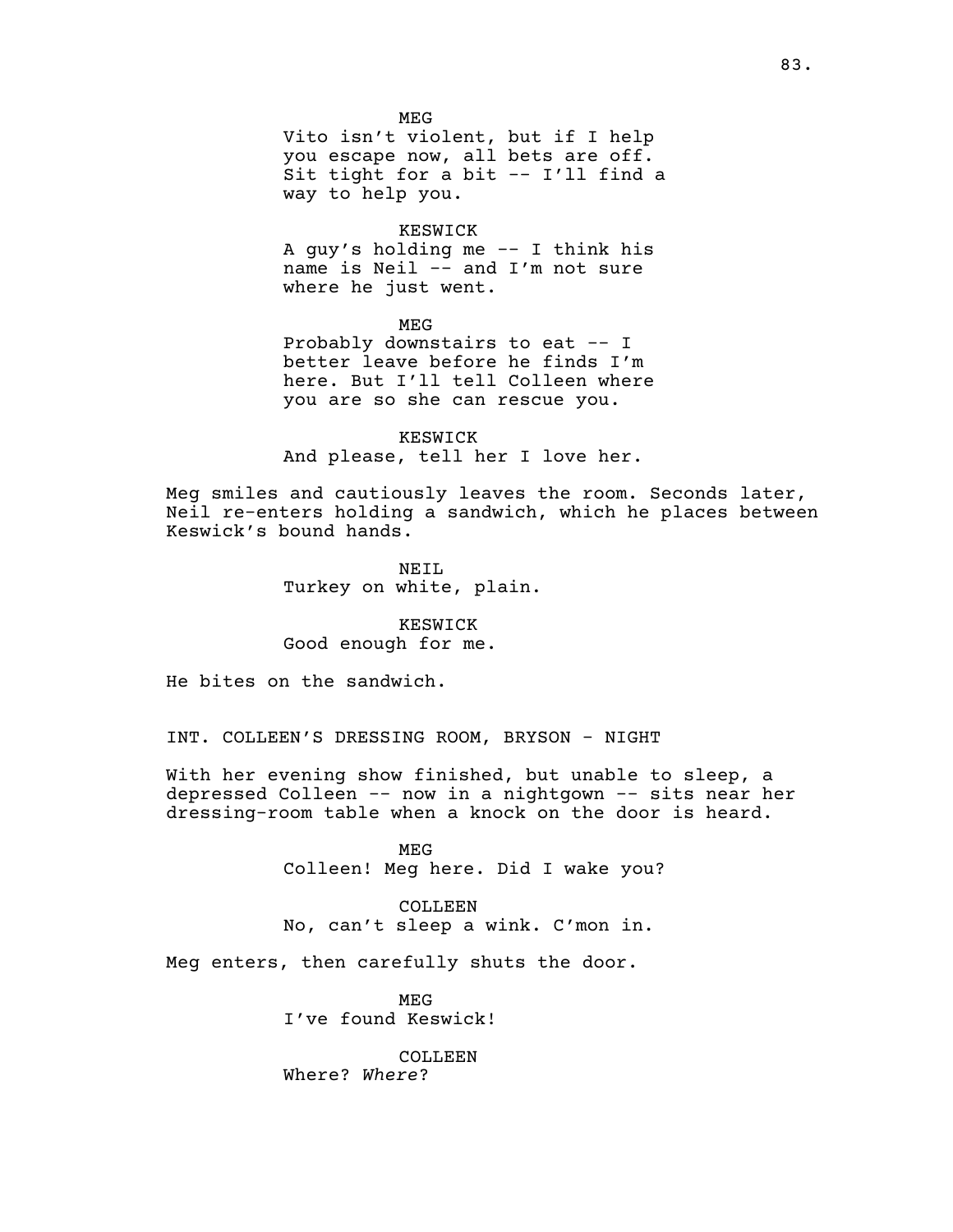MEG

Vito isn't violent, but if I help you escape now, all bets are off. Sit tight for a bit -- I'll find a way to help you.

# KESWICK

A guy's holding me -- I think his name is Neil -- and I'm not sure where he just went.

MEG

Probably downstairs to eat -- I better leave before he finds I'm here. But I'll tell Colleen where you are so she can rescue you.

KESWICK And please, tell her I love her.

Meg smiles and cautiously leaves the room. Seconds later, Neil re-enters holding a sandwich, which he places between Keswick's bound hands.

> NEIL Turkey on white, plain.

KESWICK Good enough for me.

He bites on the sandwich.

INT. COLLEEN'S DRESSING ROOM, BRYSON - NIGHT

With her evening show finished, but unable to sleep, a depressed Colleen -- now in a nightgown -- sits near her dressing-room table when a knock on the door is heard.

> MEG Colleen! Meg here. Did I wake you?

COLLEEN No, can't sleep a wink. C'mon in.

Meg enters, then carefully shuts the door.

MEG I've found Keswick!

COLLEEN. Where? *Where*?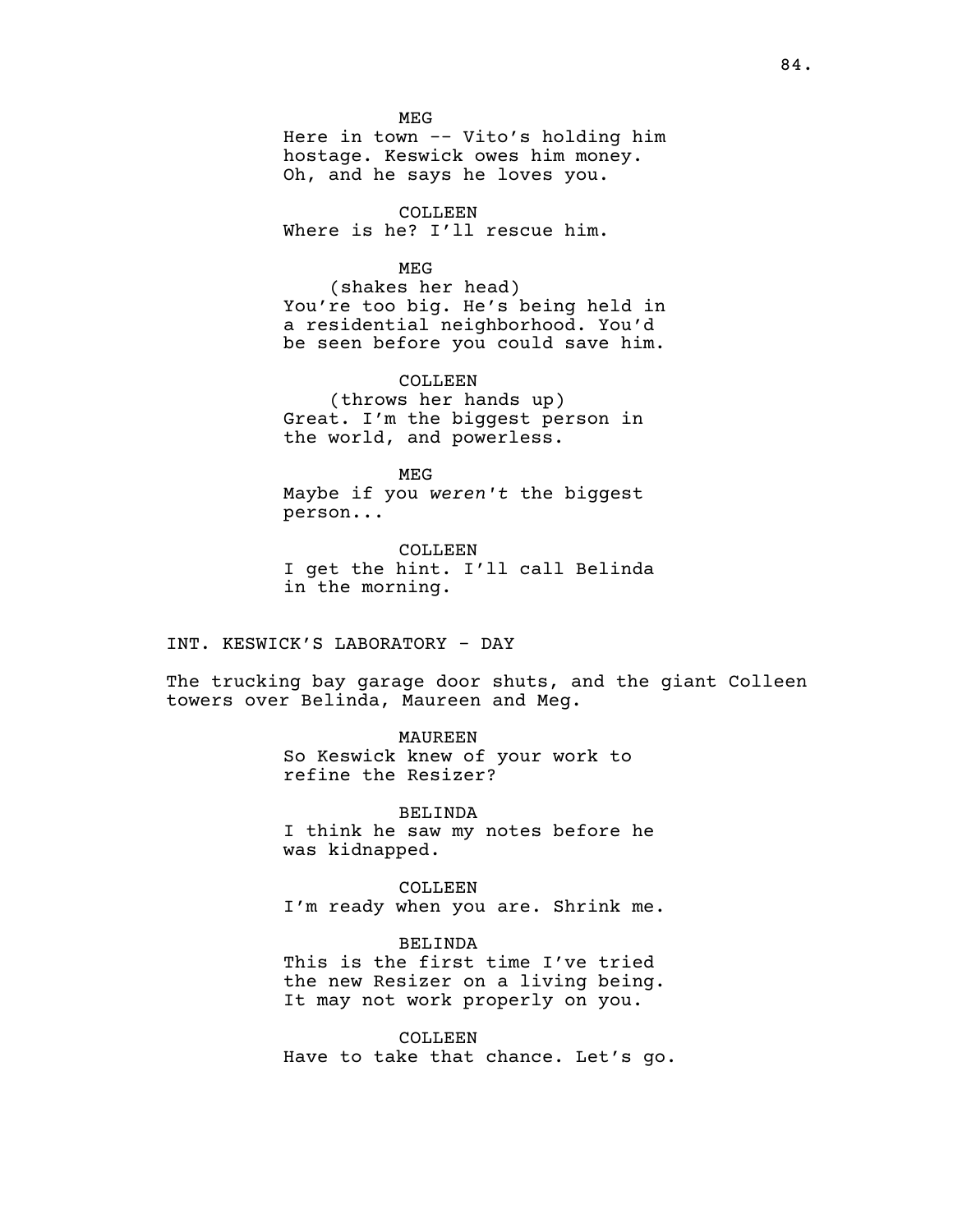MEG Here in town -- Vito's holding him hostage. Keswick owes him money. Oh, and he says he loves you.

COLLEEN Where is he? I'll rescue him.

MEG

(shakes her head) You're too big. He's being held in a residential neighborhood. You'd be seen before you could save him.

COLLEEN (throws her hands up) Great. I'm the biggest person in the world, and powerless.

MEG Maybe if you *weren't* the biggest person...

COLLEEN I get the hint. I'll call Belinda in the morning.

INT. KESWICK'S LABORATORY - DAY

The trucking bay garage door shuts, and the giant Colleen towers over Belinda, Maureen and Meg.

> MAUREEN So Keswick knew of your work to refine the Resizer?

BELINDA I think he saw my notes before he was kidnapped.

COLLEEN I'm ready when you are. Shrink me.

BELINDA

This is the first time I've tried the new Resizer on a living being. It may not work properly on you.

COLLEEN Have to take that chance. Let's go.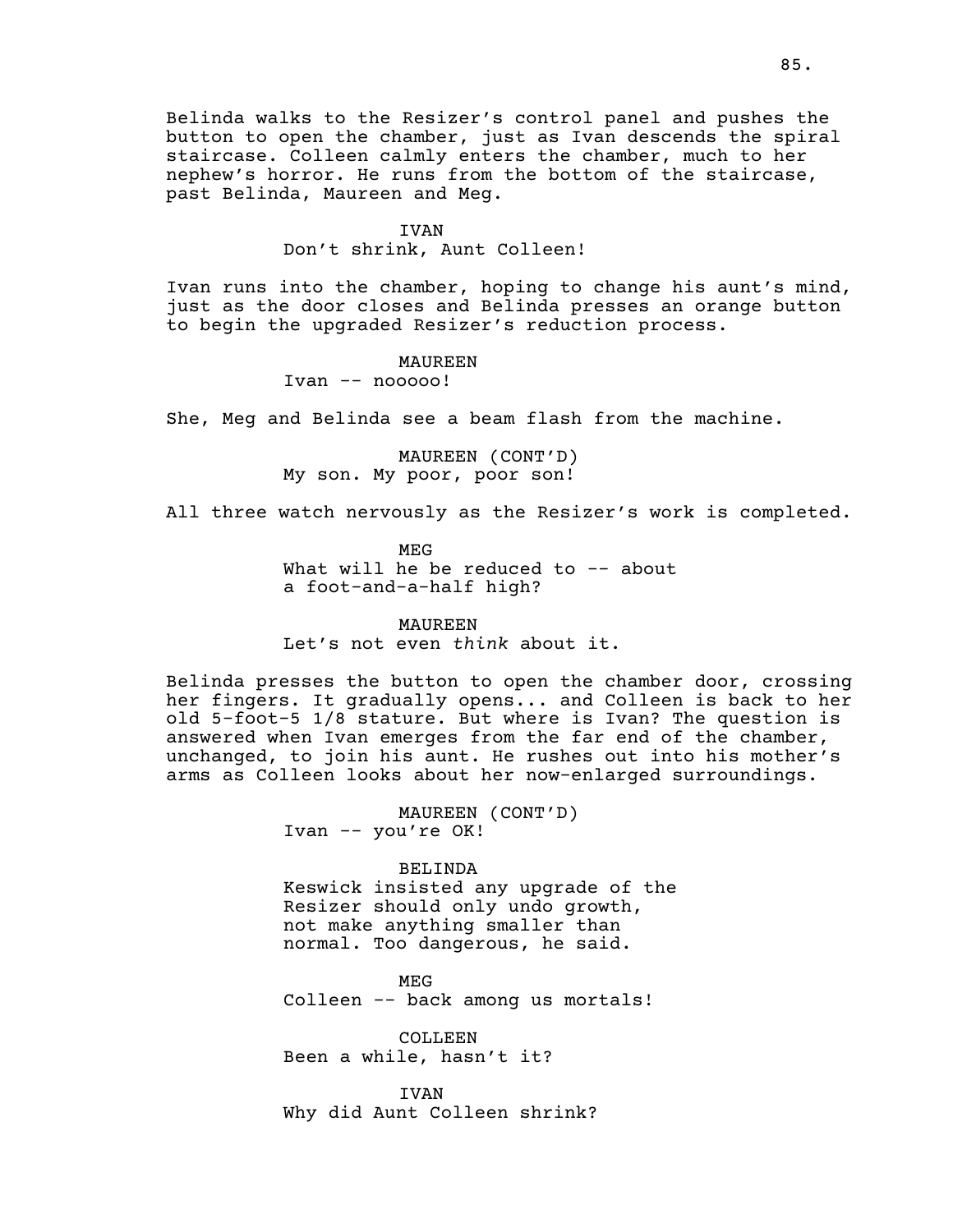Belinda walks to the Resizer's control panel and pushes the button to open the chamber, just as Ivan descends the spiral staircase. Colleen calmly enters the chamber, much to her nephew's horror. He runs from the bottom of the staircase, past Belinda, Maureen and Meg.

### IVAN

Don't shrink, Aunt Colleen!

Ivan runs into the chamber, hoping to change his aunt's mind, just as the door closes and Belinda presses an orange button to begin the upgraded Resizer's reduction process.

> MAUREEN Ivan -- nooooo!

She, Meg and Belinda see a beam flash from the machine.

MAUREEN (CONT'D) My son. My poor, poor son!

All three watch nervously as the Resizer's work is completed.

MEG What will he be reduced to  $-$  about a foot-and-a-half high?

MAUREEN Let's not even *think* about it.

Belinda presses the button to open the chamber door, crossing her fingers. It gradually opens... and Colleen is back to her old 5-foot-5 1/8 stature. But where is Ivan? The question is answered when Ivan emerges from the far end of the chamber, unchanged, to join his aunt. He rushes out into his mother's arms as Colleen looks about her now-enlarged surroundings.

> MAUREEN (CONT'D) Ivan -- you're OK!

> > BELINDA

Keswick insisted any upgrade of the Resizer should only undo growth, not make anything smaller than normal. Too dangerous, he said.

MEG Colleen -- back among us mortals!

COLLEEN Been a while, hasn't it?

**TVAN** Why did Aunt Colleen shrink?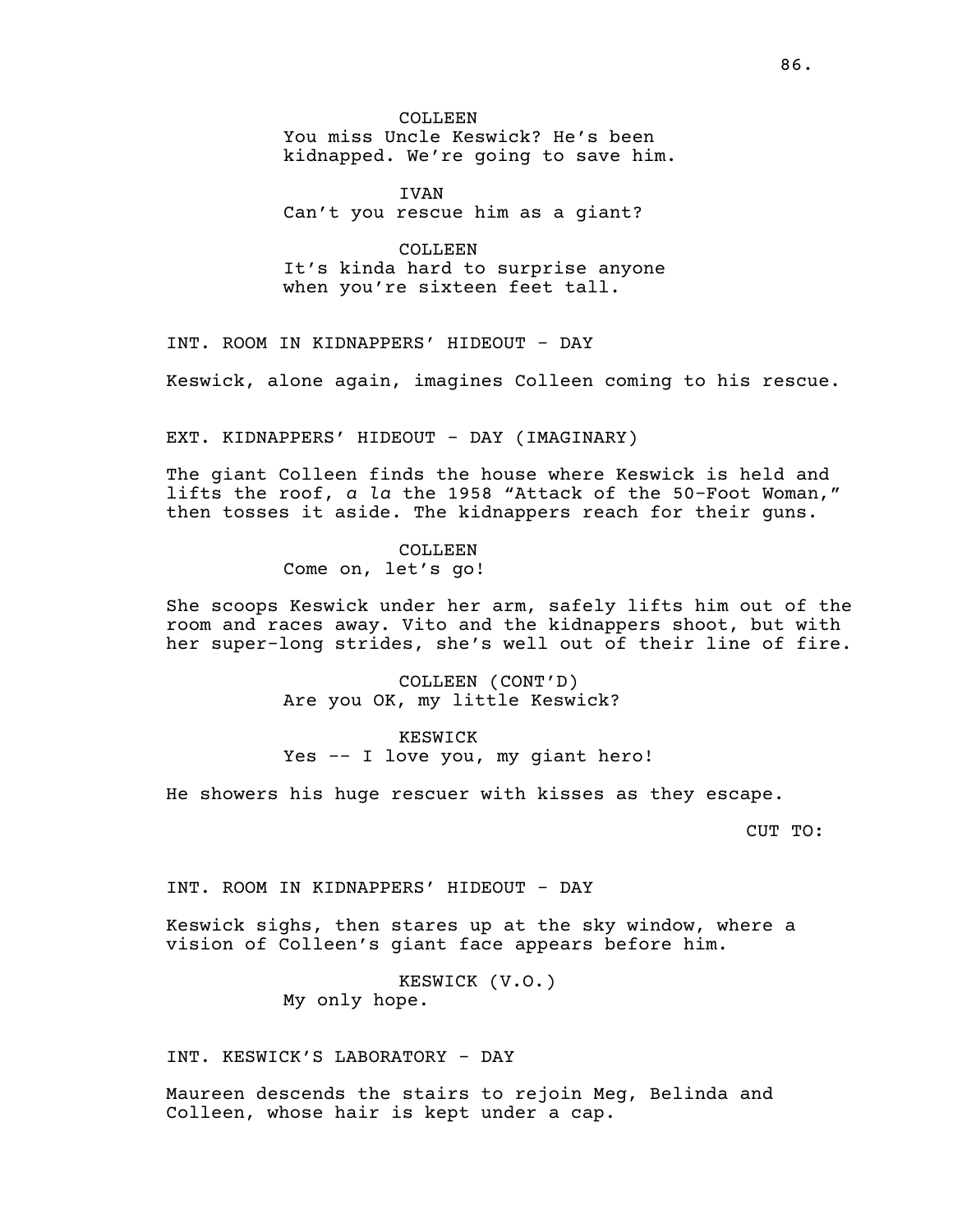COLLEEN You miss Uncle Keswick? He's been kidnapped. We're going to save him.

IVAN Can't you rescue him as a giant?

COLLEEN It's kinda hard to surprise anyone when you're sixteen feet tall.

INT. ROOM IN KIDNAPPERS' HIDEOUT - DAY

Keswick, alone again, imagines Colleen coming to his rescue.

EXT. KIDNAPPERS' HIDEOUT - DAY (IMAGINARY)

The giant Colleen finds the house where Keswick is held and lifts the roof, *a la* the 1958 "Attack of the 50-Foot Woman," then tosses it aside. The kidnappers reach for their guns.

> COLLEEN Come on, let's go!

She scoops Keswick under her arm, safely lifts him out of the room and races away. Vito and the kidnappers shoot, but with her super-long strides, she's well out of their line of fire.

> COLLEEN (CONT'D) Are you OK, my little Keswick?

> > KESWICK

Yes -- I love you, my giant hero!

He showers his huge rescuer with kisses as they escape.

CUT TO:

INT. ROOM IN KIDNAPPERS' HIDEOUT - DAY

Keswick sighs, then stares up at the sky window, where a vision of Colleen's giant face appears before him.

> KESWICK (V.O.) My only hope.

INT. KESWICK'S LABORATORY - DAY

Maureen descends the stairs to rejoin Meg, Belinda and Colleen, whose hair is kept under a cap.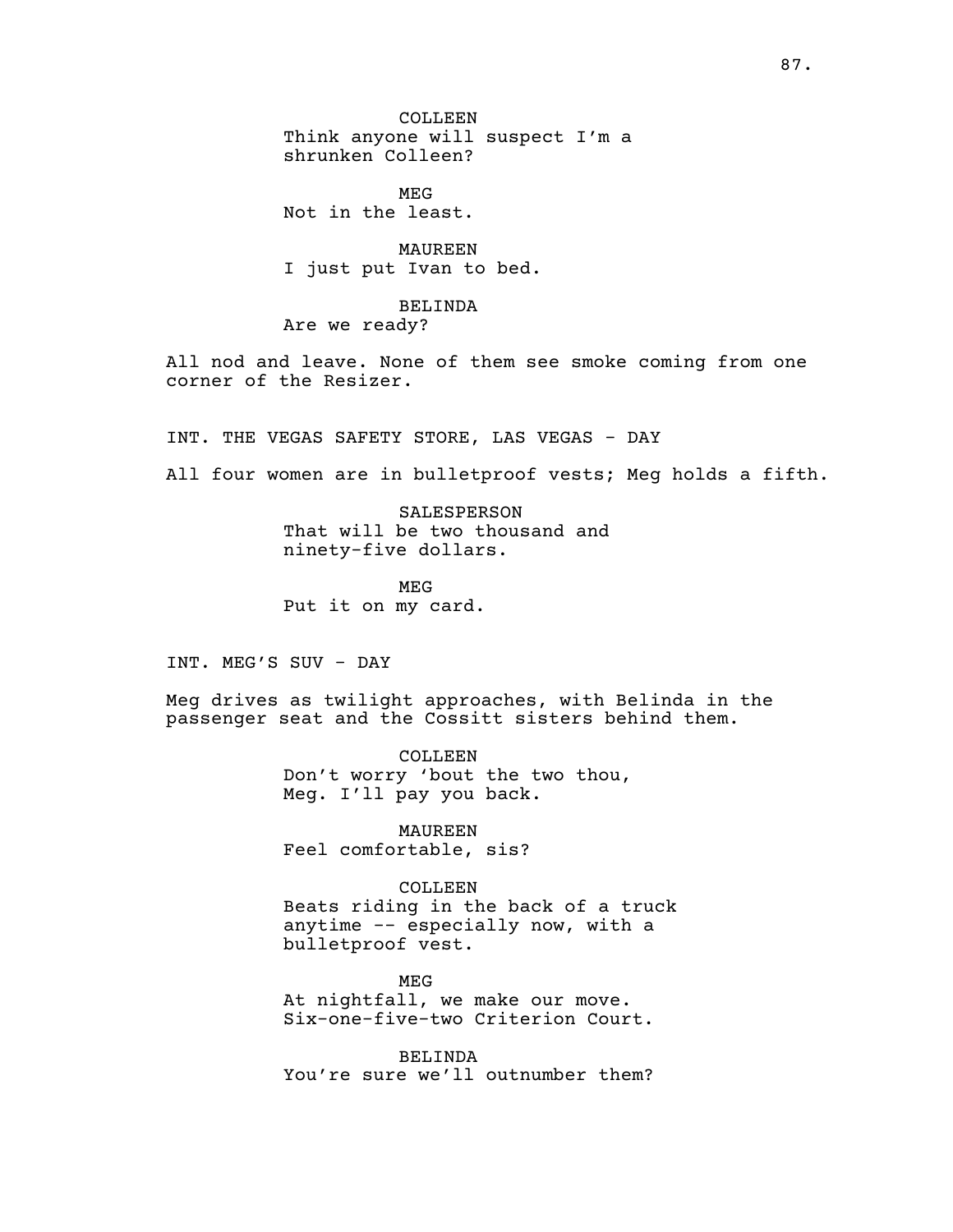COLLEEN Think anyone will suspect I'm a shrunken Colleen?

MEG Not in the least.

MAUREEN I just put Ivan to bed.

BELINDA Are we ready?

All nod and leave. None of them see smoke coming from one corner of the Resizer.

INT. THE VEGAS SAFETY STORE, LAS VEGAS - DAY

All four women are in bulletproof vests; Meg holds a fifth.

SALESPERSON That will be two thousand and ninety-five dollars.

MEG Put it on my card.

INT. MEG'S SUV - DAY

Meg drives as twilight approaches, with Belinda in the passenger seat and the Cossitt sisters behind them.

> COLLEEN Don't worry 'bout the two thou, Meg. I'll pay you back.

MAUREEN Feel comfortable, sis?

COLLEEN Beats riding in the back of a truck

anytime -- especially now, with a bulletproof vest.

MEG At nightfall, we make our move. Six-one-five-two Criterion Court.

BELINDA You're sure we'll outnumber them?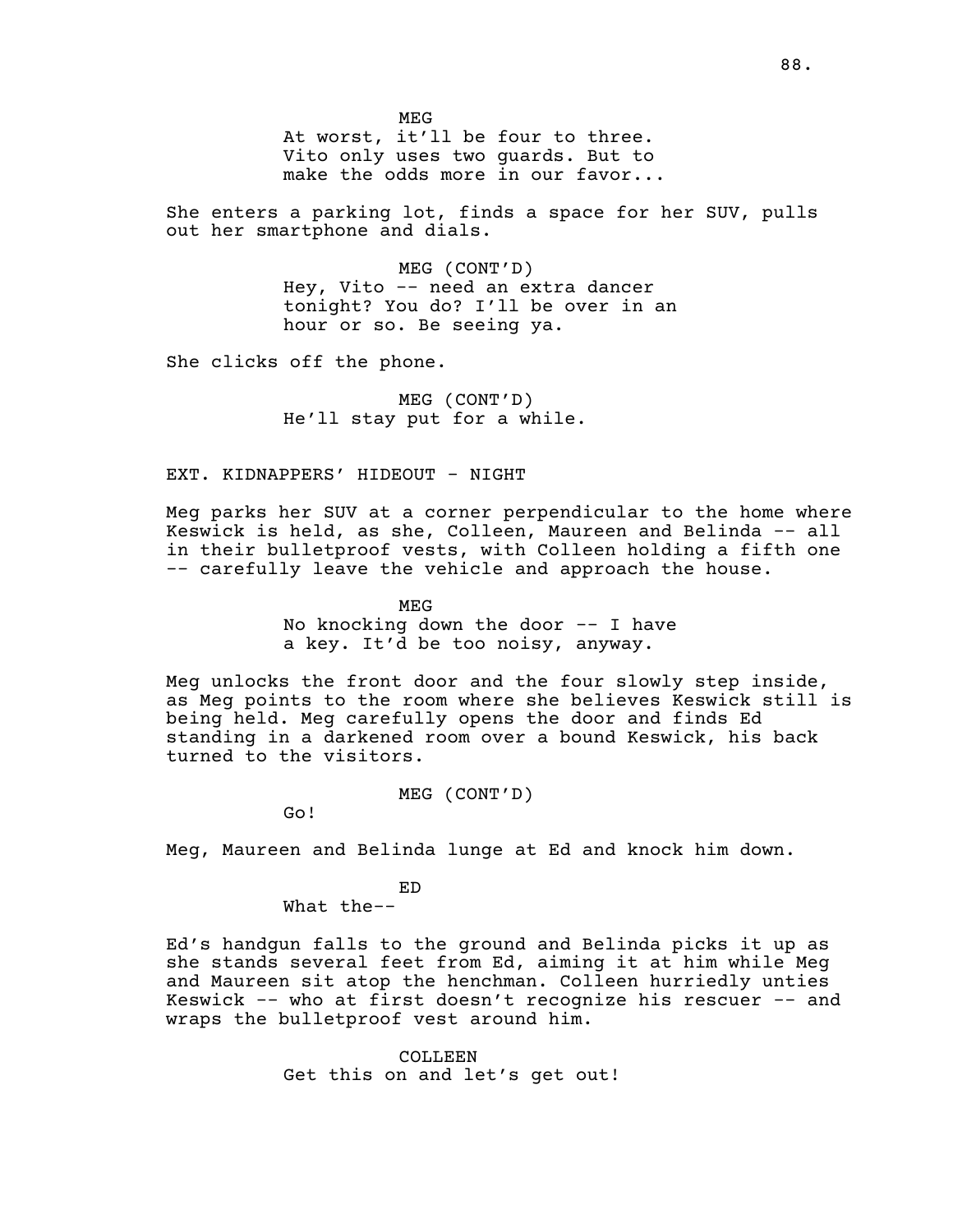MEG At worst, it'll be four to three. Vito only uses two guards. But to make the odds more in our favor...

She enters a parking lot, finds a space for her SUV, pulls out her smartphone and dials.

> MEG (CONT'D) Hey, Vito -- need an extra dancer tonight? You do? I'll be over in an hour or so. Be seeing ya.

She clicks off the phone.

MEG (CONT'D) He'll stay put for a while.

# EXT. KIDNAPPERS' HIDEOUT - NIGHT

Meg parks her SUV at a corner perpendicular to the home where Keswick is held, as she, Colleen, Maureen and Belinda -- all in their bulletproof vests, with Colleen holding a fifth one -- carefully leave the vehicle and approach the house.

> MEG No knocking down the door  $-$ - I have a key. It'd be too noisy, anyway.

Meg unlocks the front door and the four slowly step inside, as Meg points to the room where she believes Keswick still is being held. Meg carefully opens the door and finds Ed standing in a darkened room over a bound Keswick, his back turned to the visitors.

MEG (CONT'D)

Go!

Meg, Maureen and Belinda lunge at Ed and knock him down.

ED

What the--

Ed's handgun falls to the ground and Belinda picks it up as she stands several feet from Ed, aiming it at him while Meg and Maureen sit atop the henchman. Colleen hurriedly unties Keswick -- who at first doesn't recognize his rescuer -- and wraps the bulletproof vest around him.

> COLLEEN. Get this on and let's get out!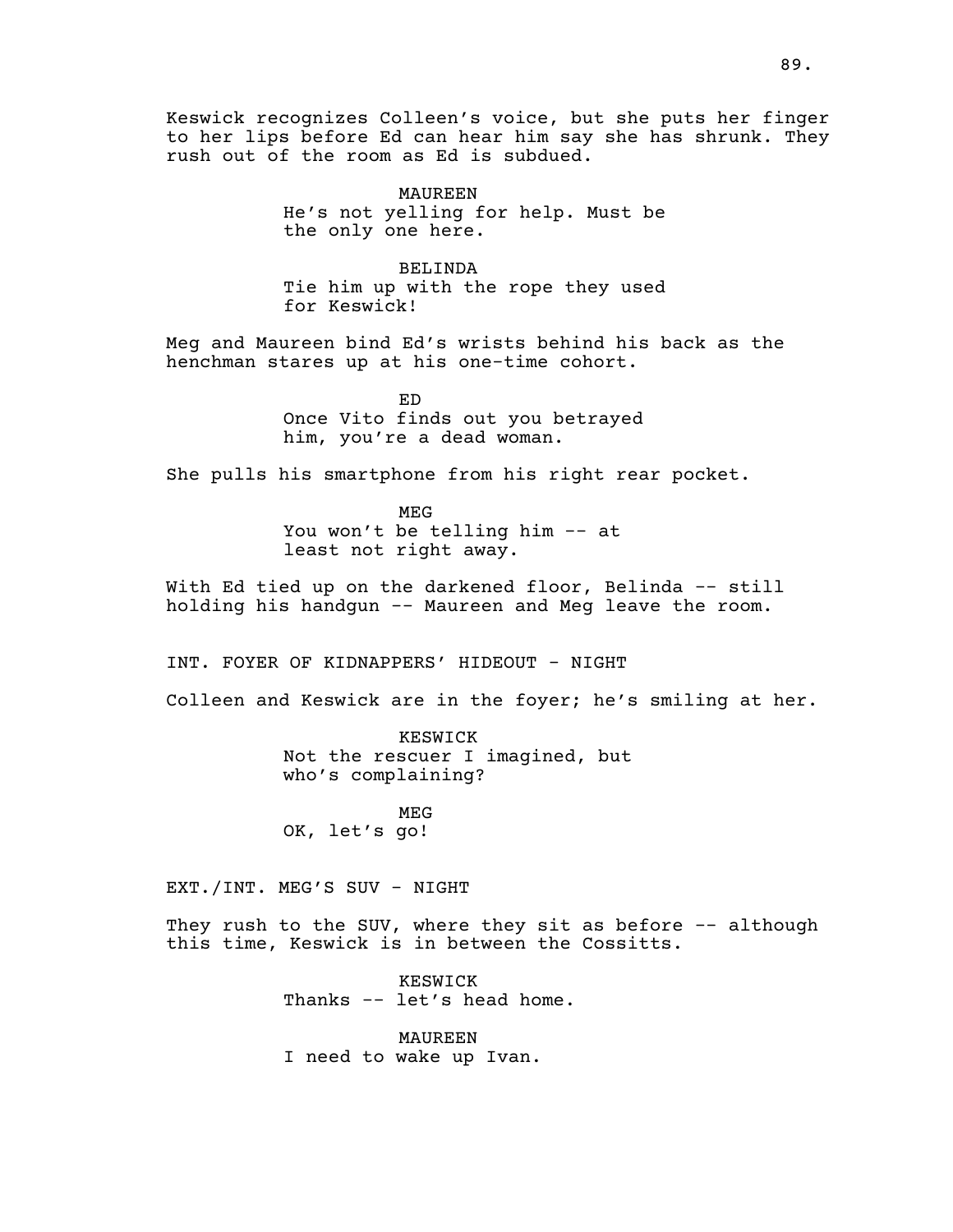Keswick recognizes Colleen's voice, but she puts her finger to her lips before Ed can hear him say she has shrunk. They rush out of the room as Ed is subdued.

> MAUREEN He's not yelling for help. Must be the only one here.

> BELINDA Tie him up with the rope they used for Keswick!

Meg and Maureen bind Ed's wrists behind his back as the henchman stares up at his one-time cohort.

> ED Once Vito finds out you betrayed him, you're a dead woman.

She pulls his smartphone from his right rear pocket.

MEG You won't be telling him -- at least not right away.

With Ed tied up on the darkened floor, Belinda -- still holding his handgun -- Maureen and Meg leave the room.

INT. FOYER OF KIDNAPPERS' HIDEOUT - NIGHT

Colleen and Keswick are in the foyer; he's smiling at her.

KESWICK Not the rescuer I imagined, but who's complaining?

MEG OK, let's go!

EXT./INT. MEG'S SUV - NIGHT

They rush to the SUV, where they sit as before -- although this time, Keswick is in between the Cossitts.

> KESWICK Thanks -- let's head home.

MAUREEN I need to wake up Ivan.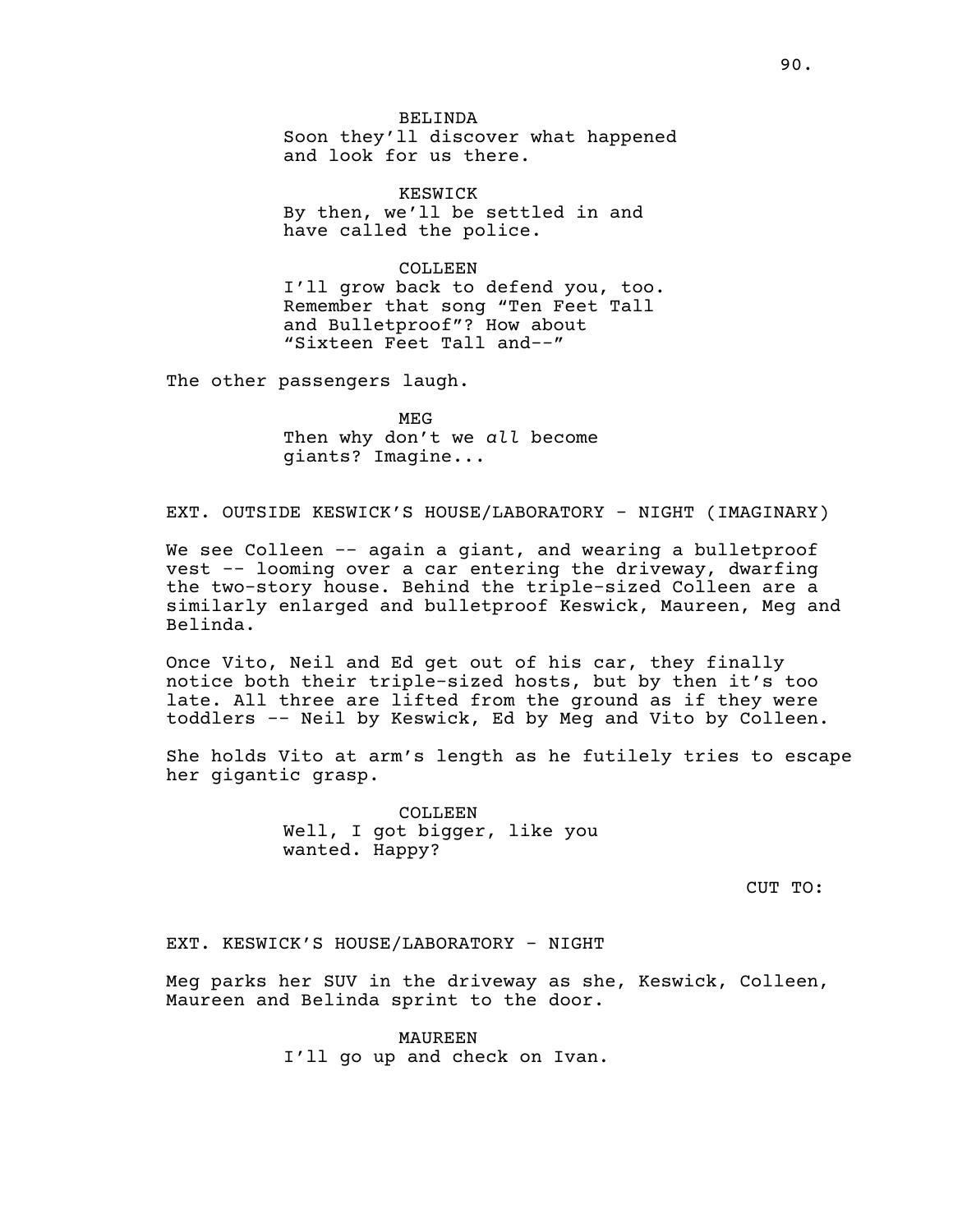BELINDA Soon they'll discover what happened and look for us there.

KESWICK By then, we'll be settled in and have called the police.

COLLEEN I'll grow back to defend you, too. Remember that song "Ten Feet Tall and Bulletproof"? How about "Sixteen Feet Tall and--"

The other passengers laugh.

MEG Then why don't we *all* become giants? Imagine...

EXT. OUTSIDE KESWICK'S HOUSE/LABORATORY - NIGHT (IMAGINARY)

We see Colleen -- again a giant, and wearing a bulletproof vest -- looming over a car entering the driveway, dwarfing the two-story house. Behind the triple-sized Colleen are a similarly enlarged and bulletproof Keswick, Maureen, Meg and Belinda.

Once Vito, Neil and Ed get out of his car, they finally notice both their triple-sized hosts, but by then it's too late. All three are lifted from the ground as if they were toddlers -- Neil by Keswick, Ed by Meg and Vito by Colleen.

She holds Vito at arm's length as he futilely tries to escape her gigantic grasp.

> COLLEEN Well, I got bigger, like you wanted. Happy?

> > CUT TO:

EXT. KESWICK'S HOUSE/LABORATORY - NIGHT

Meg parks her SUV in the driveway as she, Keswick, Colleen, Maureen and Belinda sprint to the door.

> MAUREEN I'll go up and check on Ivan.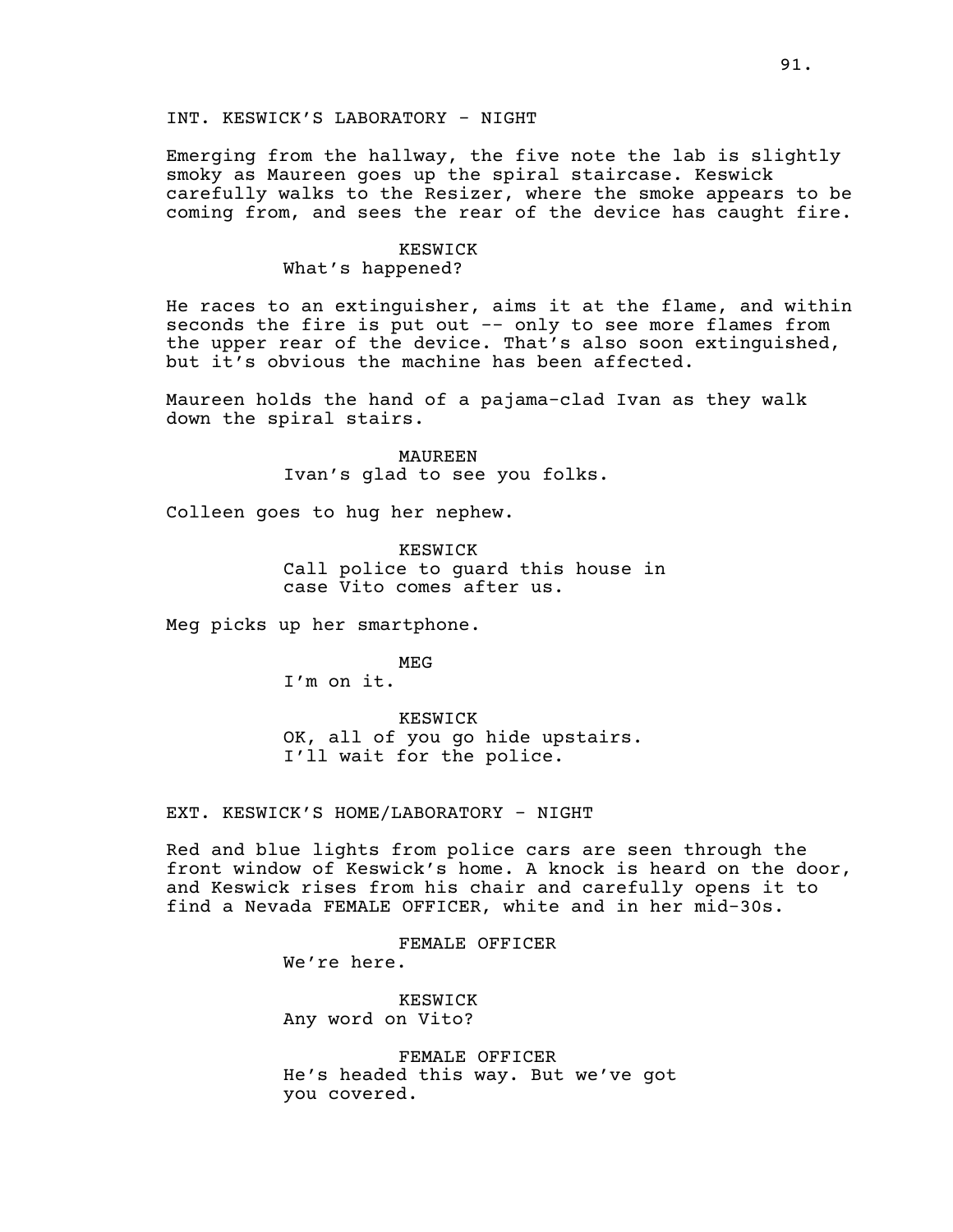# INT. KESWICK'S LABORATORY - NIGHT

Emerging from the hallway, the five note the lab is slightly smoky as Maureen goes up the spiral staircase. Keswick carefully walks to the Resizer, where the smoke appears to be coming from, and sees the rear of the device has caught fire.

#### KESWICK

# What's happened?

He races to an extinguisher, aims it at the flame, and within seconds the fire is put out -- only to see more flames from the upper rear of the device. That's also soon extinguished, but it's obvious the machine has been affected.

Maureen holds the hand of a pajama-clad Ivan as they walk down the spiral stairs.

> MAUREEN Ivan's glad to see you folks.

Colleen goes to hug her nephew.

KESWICK Call police to guard this house in case Vito comes after us.

Meg picks up her smartphone.

MEG

I'm on it.

KESWICK OK, all of you go hide upstairs. I'll wait for the police.

# EXT. KESWICK'S HOME/LABORATORY - NIGHT

Red and blue lights from police cars are seen through the front window of Keswick's home. A knock is heard on the door, and Keswick rises from his chair and carefully opens it to find a Nevada FEMALE OFFICER, white and in her mid-30s.

> FEMALE OFFICER We're here.

KESWICK Any word on Vito?

FEMALE OFFICER He's headed this way. But we've got you covered.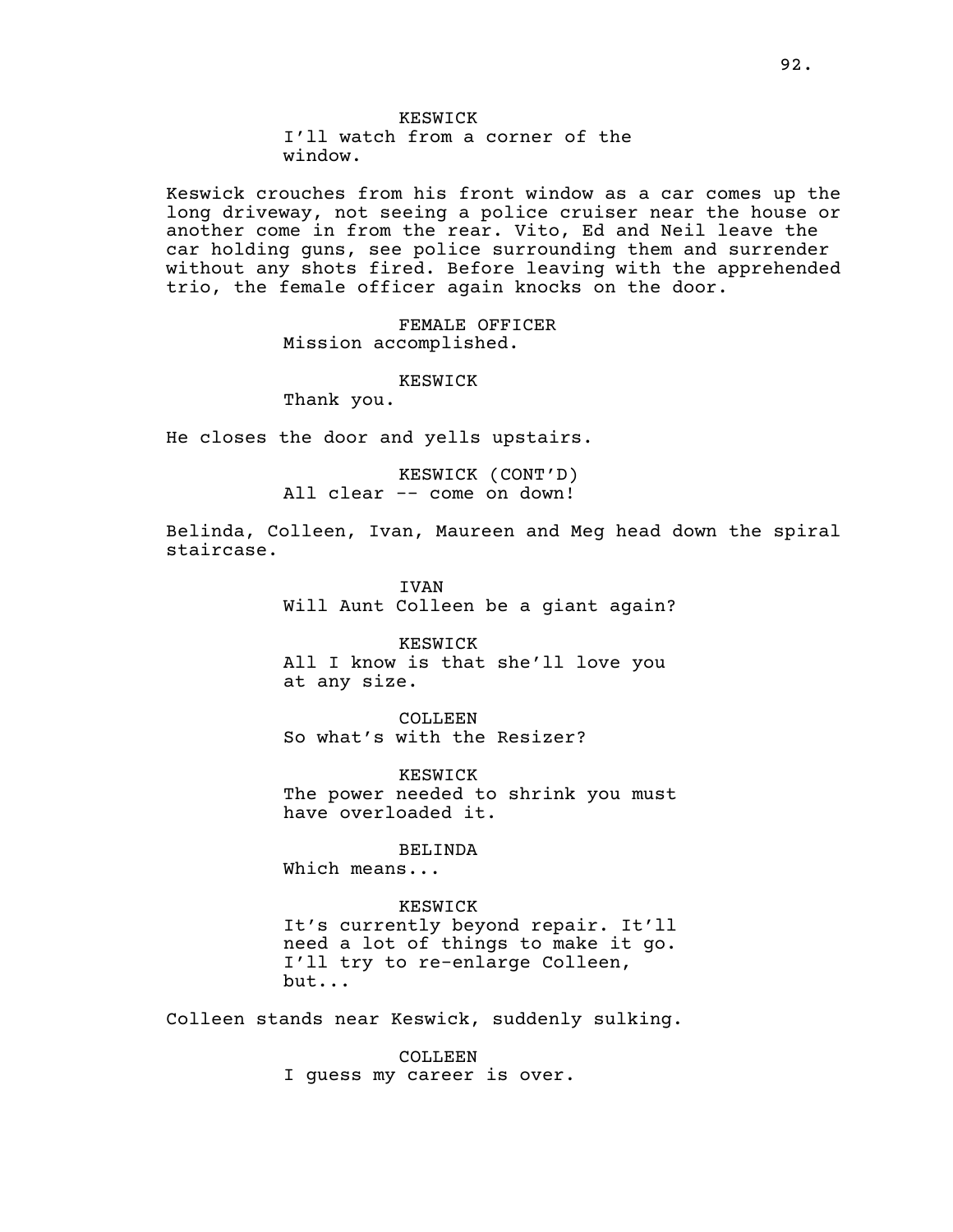# KESWICK

I'll watch from a corner of the window.

Keswick crouches from his front window as a car comes up the long driveway, not seeing a police cruiser near the house or another come in from the rear. Vito, Ed and Neil leave the car holding guns, see police surrounding them and surrender without any shots fired. Before leaving with the apprehended trio, the female officer again knocks on the door.

> FEMALE OFFICER Mission accomplished.

> > KESWICK

Thank you.

He closes the door and yells upstairs.

KESWICK (CONT'D) All clear -- come on down!

Belinda, Colleen, Ivan, Maureen and Meg head down the spiral staircase.

> IVAN Will Aunt Colleen be a giant again?

KESWICK All I know is that she'll love you at any size.

COLLEEN So what's with the Resizer?

KESWICK The power needed to shrink you must have overloaded it.

BELINDA

Which means...

KESWICK It's currently beyond repair. It'll need a lot of things to make it go. I'll try to re-enlarge Colleen, but...

Colleen stands near Keswick, suddenly sulking.

COLLEEN. I guess my career is over.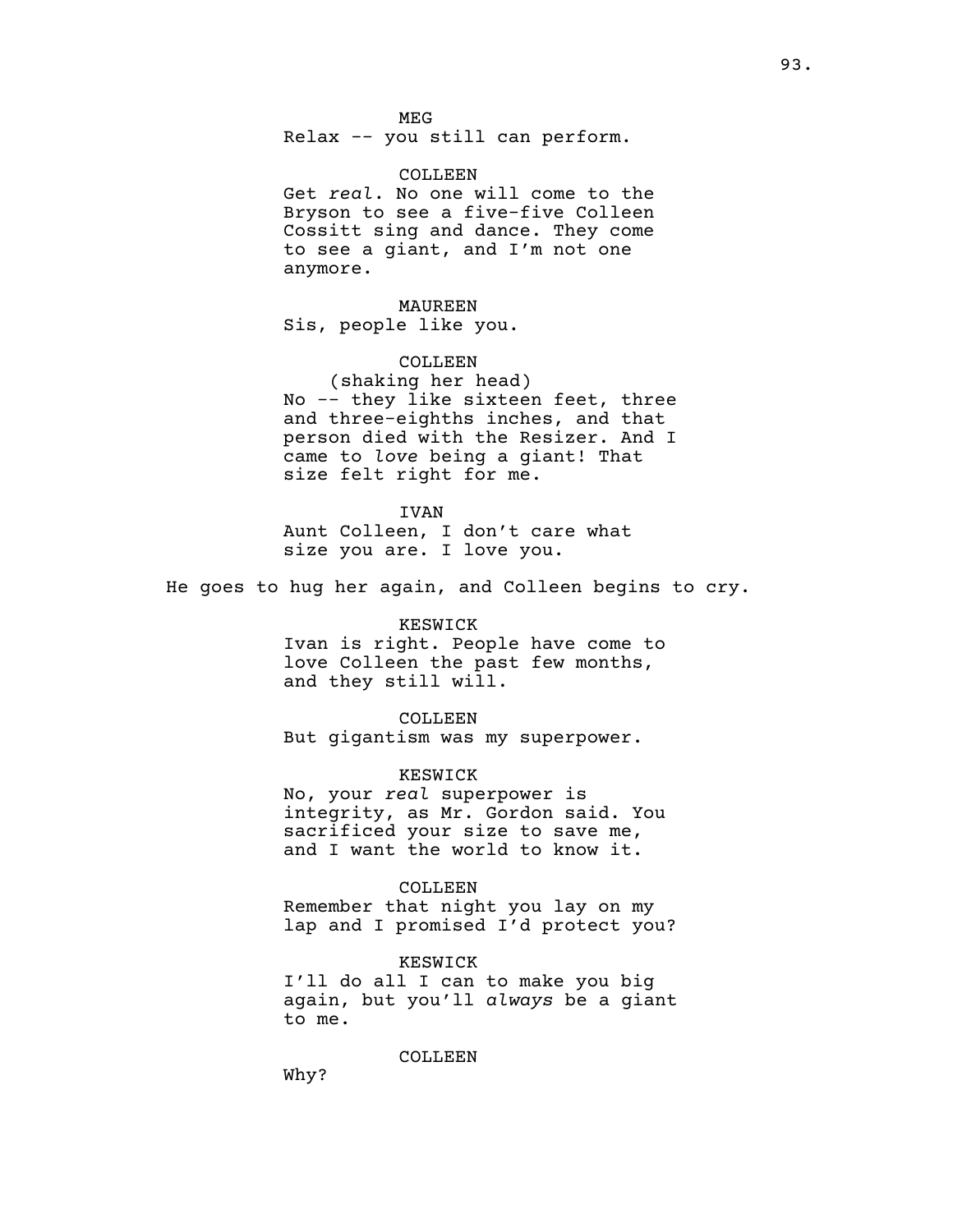#### MEG

Relax -- you still can perform.

### COLLEEN

Get *real*. No one will come to the Bryson to see a five-five Colleen Cossitt sing and dance. They come to see a giant, and I'm not one anymore.

# MAUREEN Sis, people like you.

# COLLEEN

(shaking her head) No -- they like sixteen feet, three and three-eighths inches, and that person died with the Resizer. And I came to *love* being a giant! That size felt right for me.

#### IVAN

Aunt Colleen, I don't care what size you are. I love you.

He goes to hug her again, and Colleen begins to cry.

### KESWICK

Ivan is right. People have come to love Colleen the past few months, and they still will.

### COLLEEN

But gigantism was my superpower.

#### KESWICK

No, your *real* superpower is integrity, as Mr. Gordon said. You sacrificed your size to save me, and I want the world to know it.

### COLLEEN

Remember that night you lay on my lap and I promised I'd protect you?

# KESWICK

I'll do all I can to make you big again, but you'll *always* be a giant to me.

COLLEEN

Why?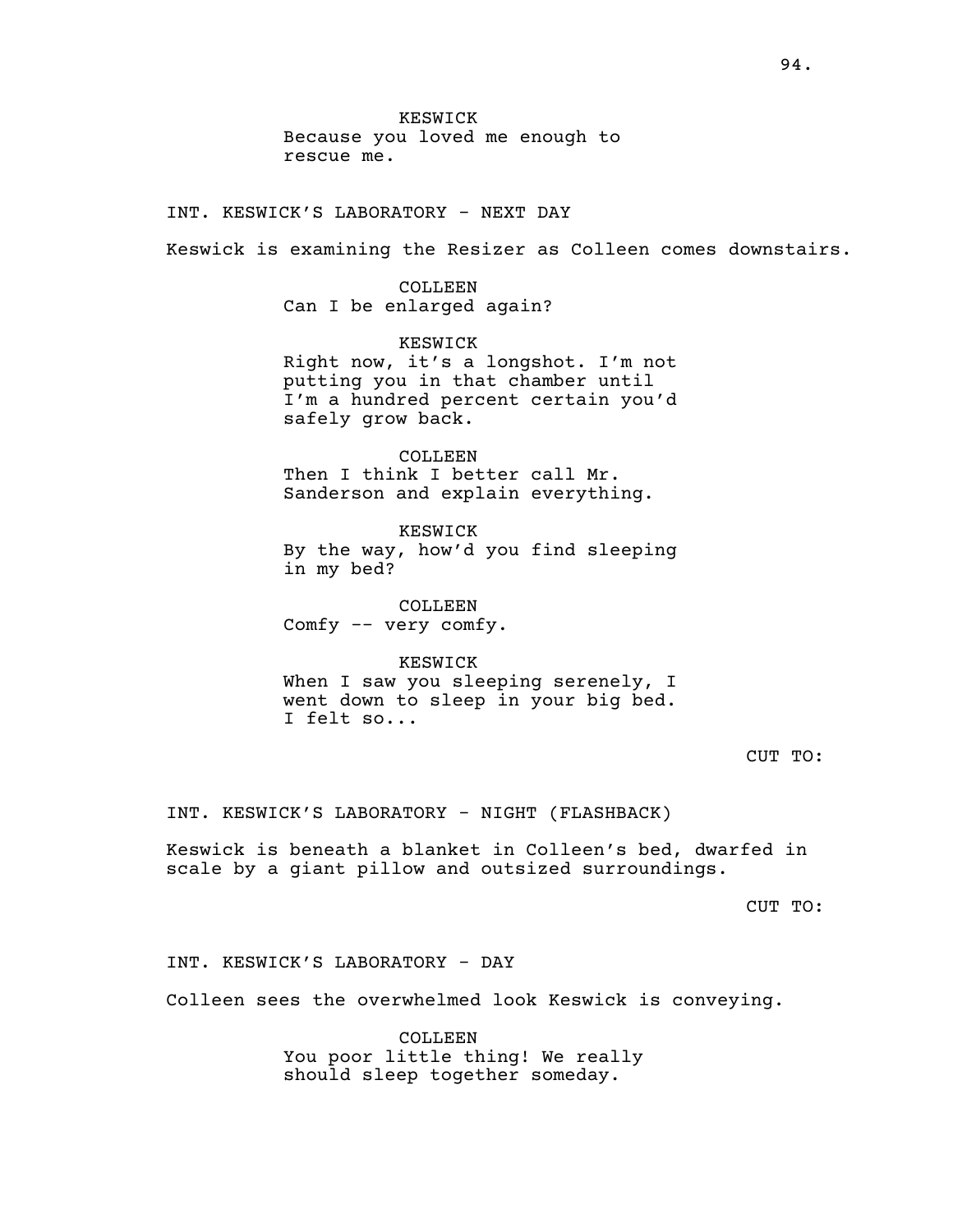KESWICK Because you loved me enough to rescue me.

INT. KESWICK'S LABORATORY - NEXT DAY

Keswick is examining the Resizer as Colleen comes downstairs.

COLLEEN Can I be enlarged again?

KESWICK Right now, it's a longshot. I'm not putting you in that chamber until I'm a hundred percent certain you'd safely grow back.

COLLEEN Then I think I better call Mr. Sanderson and explain everything.

KESWICK By the way, how'd you find sleeping in my bed?

COLLEEN Comfy -- very comfy.

KESWICK When I saw you sleeping serenely, I went down to sleep in your big bed. I felt so...

CUT TO:

INT. KESWICK'S LABORATORY - NIGHT (FLASHBACK)

Keswick is beneath a blanket in Colleen's bed, dwarfed in scale by a giant pillow and outsized surroundings.

CUT TO:

INT. KESWICK'S LABORATORY - DAY

Colleen sees the overwhelmed look Keswick is conveying.

COLLEEN You poor little thing! We really should sleep together someday.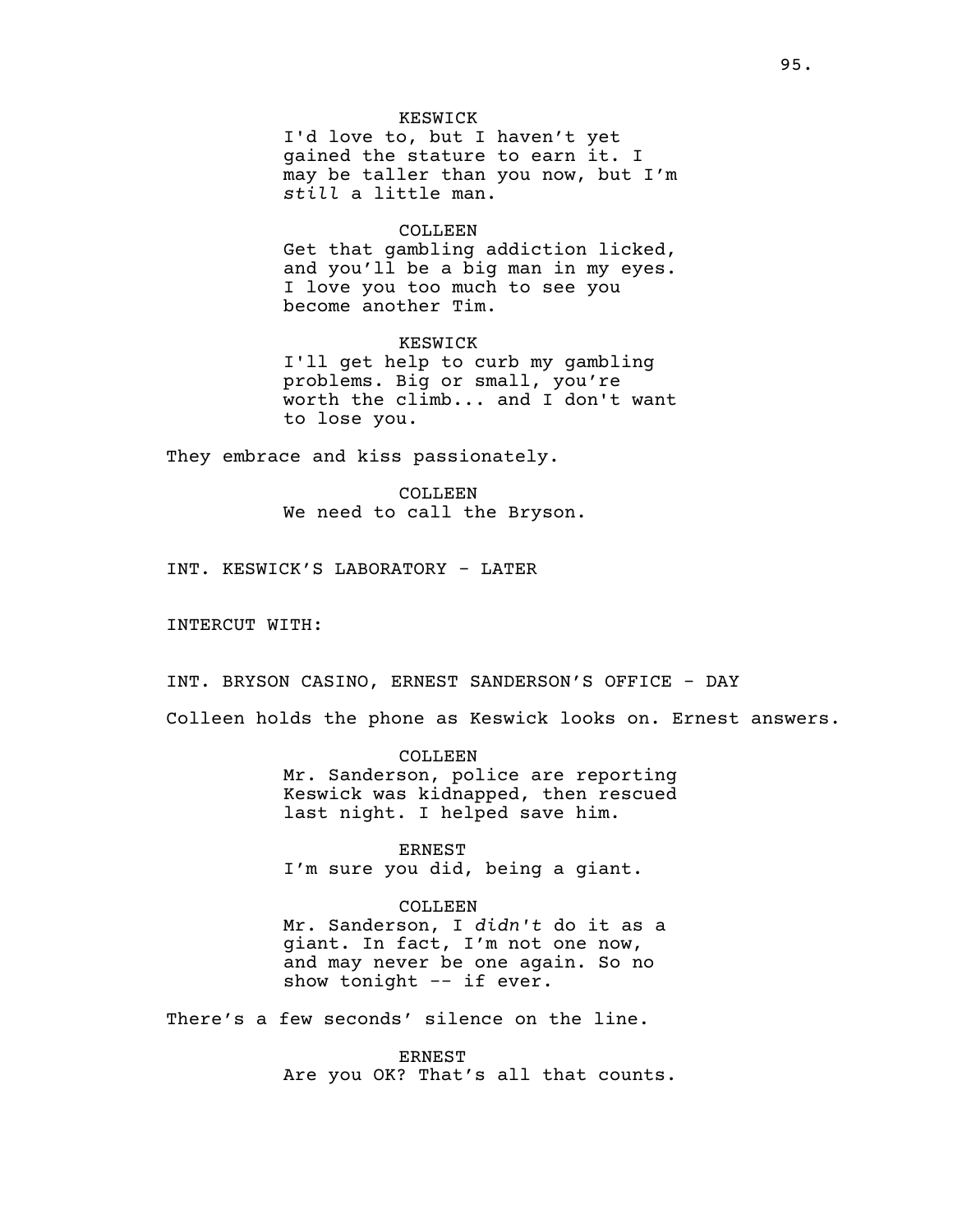### KESWICK

I'd love to, but I haven't yet gained the stature to earn it. I may be taller than you now, but I'm *still* a little man.

### COLLEEN

Get that gambling addiction licked, and you'll be a big man in my eyes. I love you too much to see you become another Tim.

KESWICK I'll get help to curb my gambling problems. Big or small, you're worth the climb... and I don't want to lose you.

They embrace and kiss passionately.

COLLEEN We need to call the Bryson.

INT. KESWICK'S LABORATORY - LATER

INTERCUT WITH:

INT. BRYSON CASINO, ERNEST SANDERSON'S OFFICE - DAY

Colleen holds the phone as Keswick looks on. Ernest answers.

COLLEEN Mr. Sanderson, police are reporting Keswick was kidnapped, then rescued last night. I helped save him.

ERNEST I'm sure you did, being a giant.

COLLEEN Mr. Sanderson, I *didn't* do it as a giant. In fact, I'm not one now, and may never be one again. So no show tonight -- if ever.

There's a few seconds' silence on the line.

**ERNEST** Are you OK? That's all that counts.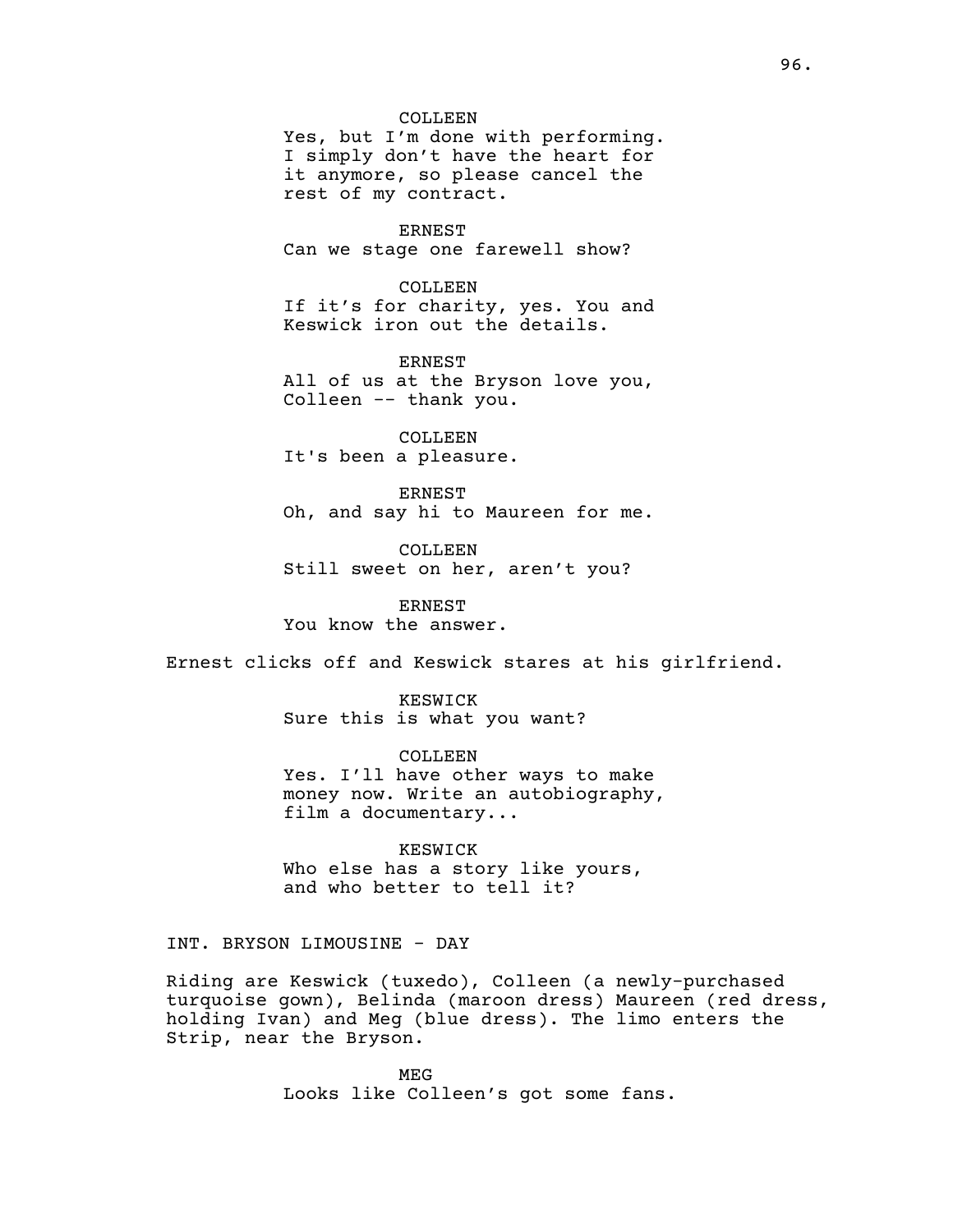COLLEEN Yes, but I'm done with performing. I simply don't have the heart for it anymore, so please cancel the rest of my contract.

ERNEST Can we stage one farewell show?

COLLEEN If it's for charity, yes. You and Keswick iron out the details.

ERNEST All of us at the Bryson love you, Colleen -- thank you.

COLLEEN It's been a pleasure.

ERNEST Oh, and say hi to Maureen for me.

COLLEEN Still sweet on her, aren't you?

ERNEST You know the answer.

Ernest clicks off and Keswick stares at his girlfriend.

KESWICK Sure this is what you want?

COLLEEN Yes. I'll have other ways to make money now. Write an autobiography, film a documentary...

KESWICK Who else has a story like yours, and who better to tell it?

INT. BRYSON LIMOUSINE - DAY

Riding are Keswick (tuxedo), Colleen (a newly-purchased turquoise gown), Belinda (maroon dress) Maureen (red dress, holding Ivan) and Meg (blue dress). The limo enters the Strip, near the Bryson.

> MEG Looks like Colleen's got some fans.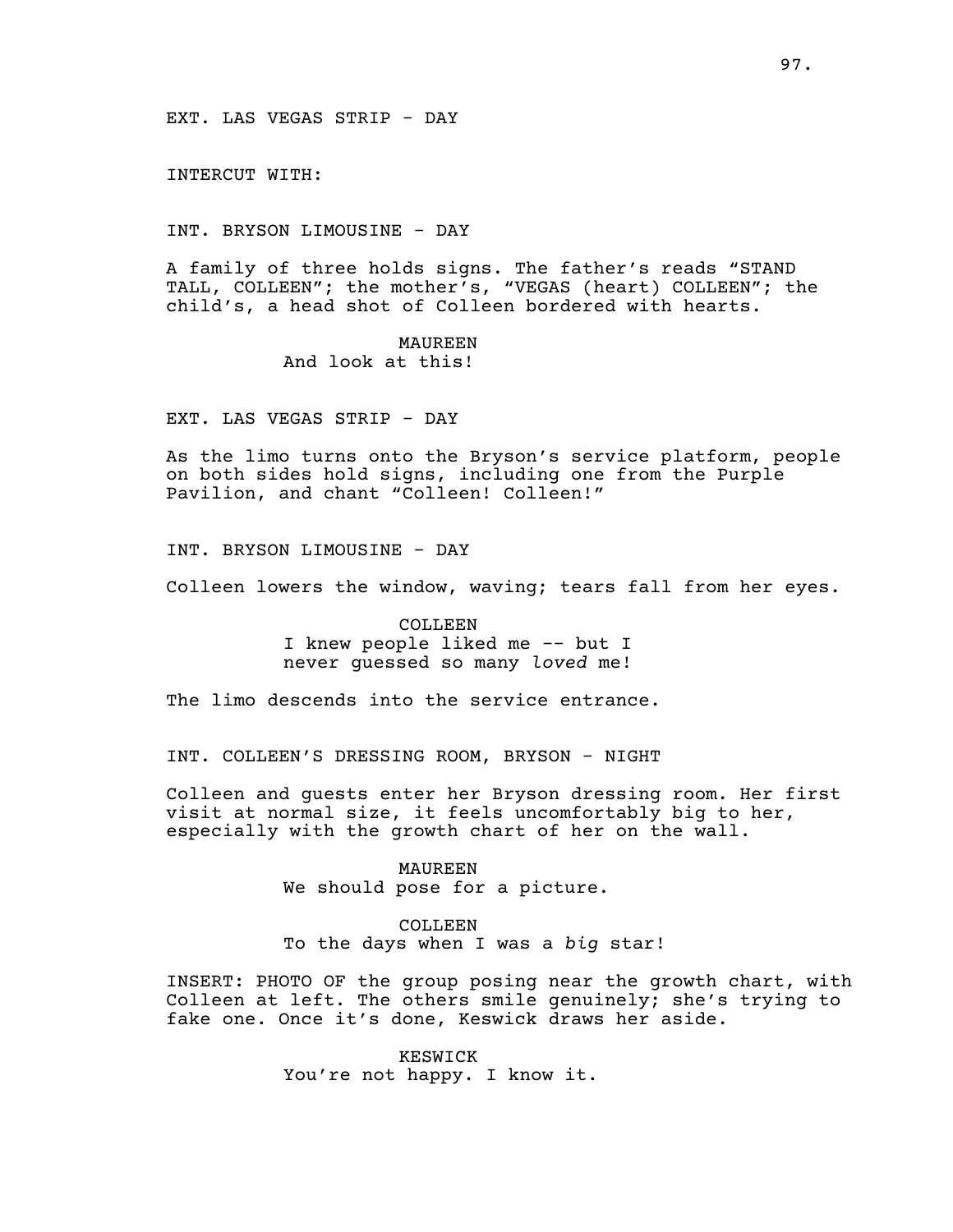INTERCUT WITH:

INT. BRYSON LIMOUSINE - DAY

A family of three holds signs. The father's reads "STAND TALL, COLLEEN"; the mother's, "VEGAS (heart) COLLEEN"; the child's, a head shot of Colleen bordered with hearts.

> MAUREEN And look at this!

EXT. LAS VEGAS STRIP - DAY

As the limo turns onto the Bryson's service platform, people on both sides hold signs, including one from the Purple Pavilion, and chant "Colleen! Colleen!"

INT. BRYSON LIMOUSINE - DAY

Colleen lowers the window, waving; tears fall from her eyes.

COLLEEN I knew people liked me -- but I never guessed so many *loved* me!

The limo descends into the service entrance.

INT. COLLEEN'S DRESSING ROOM, BRYSON - NIGHT

Colleen and guests enter her Bryson dressing room. Her first visit at normal size, it feels uncomfortably big to her, especially with the growth chart of her on the wall.

> MAUREEN We should pose for a picture.

# COLLEEN

To the days when I was a *big* star!

INSERT: PHOTO OF the group posing near the growth chart, with Colleen at left. The others smile genuinely; she's trying to fake one. Once it's done, Keswick draws her aside.

> KESWICK You're not happy. I know it.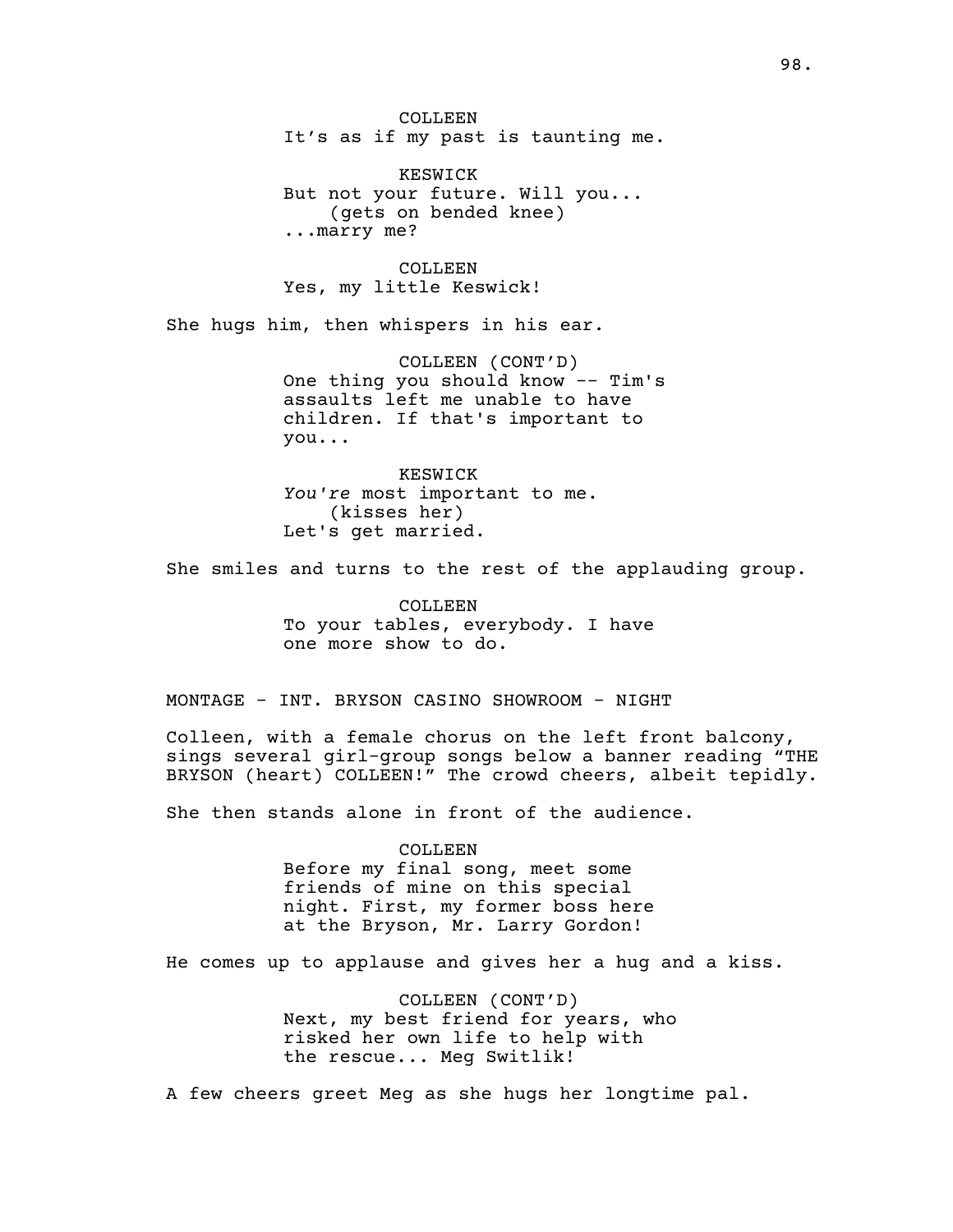COLLEEN It's as if my past is taunting me.

KESWICK But not your future. Will you... (gets on bended knee) ...marry me?

COLLEEN Yes, my little Keswick!

She hugs him, then whispers in his ear.

COLLEEN (CONT'D) One thing you should know -- Tim's assaults left me unable to have children. If that's important to you...

KESWICK *You're* most important to me. (kisses her) Let's get married.

She smiles and turns to the rest of the applauding group.

COLLEEN To your tables, everybody. I have one more show to do.

MONTAGE - INT. BRYSON CASINO SHOWROOM - NIGHT

Colleen, with a female chorus on the left front balcony, sings several girl-group songs below a banner reading "THE BRYSON (heart) COLLEEN!" The crowd cheers, albeit tepidly.

She then stands alone in front of the audience.

COLLEEN Before my final song, meet some friends of mine on this special night. First, my former boss here at the Bryson, Mr. Larry Gordon!

He comes up to applause and gives her a hug and a kiss.

COLLEEN (CONT'D) Next, my best friend for years, who risked her own life to help with the rescue... Meg Switlik!

A few cheers greet Meg as she hugs her longtime pal.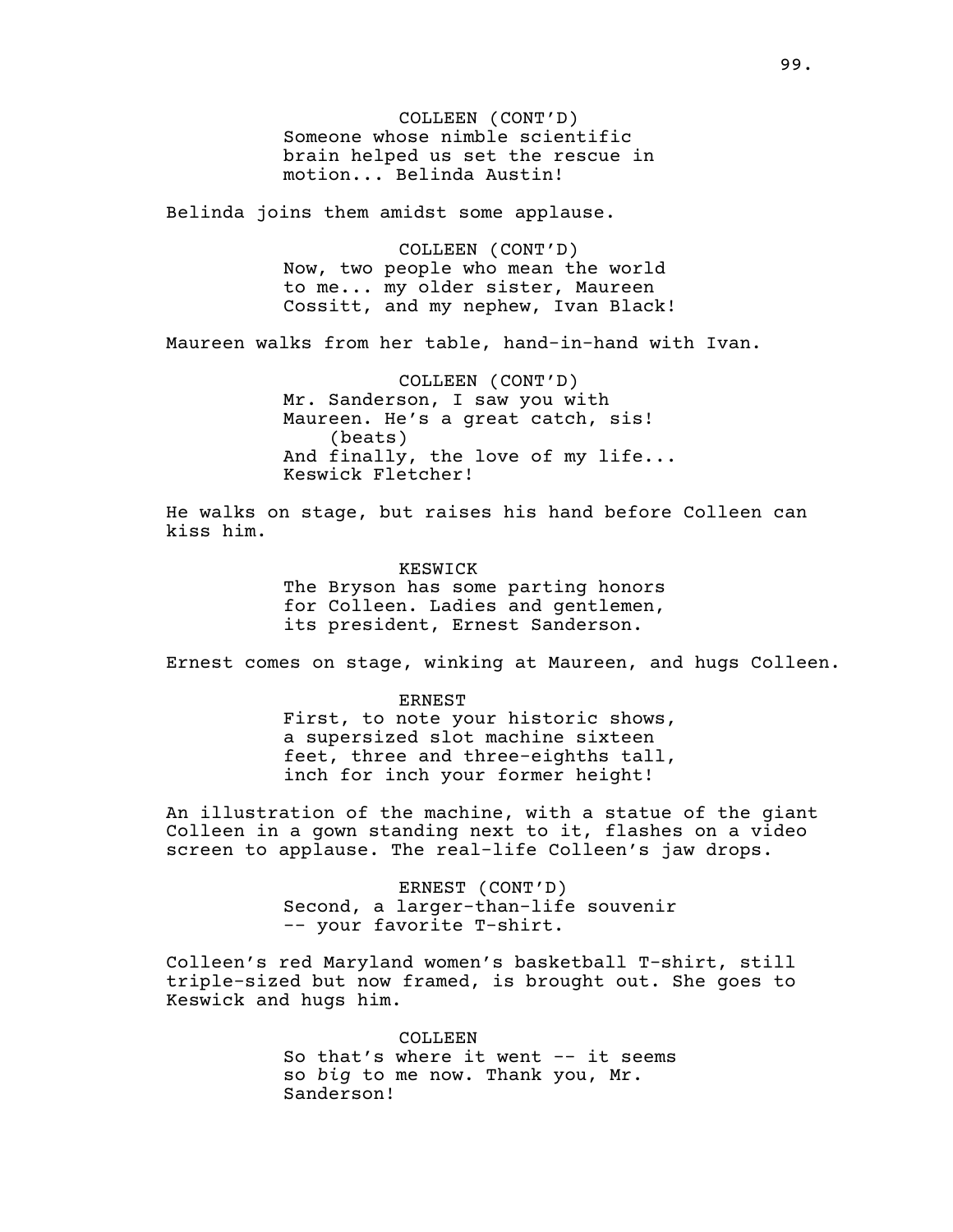COLLEEN (CONT'D) Someone whose nimble scientific brain helped us set the rescue in motion... Belinda Austin!

Belinda joins them amidst some applause.

COLLEEN (CONT'D) Now, two people who mean the world to me... my older sister, Maureen Cossitt, and my nephew, Ivan Black!

Maureen walks from her table, hand-in-hand with Ivan.

COLLEEN (CONT'D) Mr. Sanderson, I saw you with Maureen. He's a great catch, sis! (beats) And finally, the love of my life... Keswick Fletcher!

He walks on stage, but raises his hand before Colleen can kiss him.

> KESWICK The Bryson has some parting honors for Colleen. Ladies and gentlemen, its president, Ernest Sanderson.

Ernest comes on stage, winking at Maureen, and hugs Colleen.

ERNEST First, to note your historic shows, a supersized slot machine sixteen feet, three and three-eighths tall, inch for inch your former height!

An illustration of the machine, with a statue of the giant Colleen in a gown standing next to it, flashes on a video screen to applause. The real-life Colleen's jaw drops.

> ERNEST (CONT'D) Second, a larger-than-life souvenir -- your favorite T-shirt.

Colleen's red Maryland women's basketball T-shirt, still triple-sized but now framed, is brought out. She goes to Keswick and hugs him.

> COLLEEN So that's where it went -- it seems so *big* to me now. Thank you, Mr. Sanderson!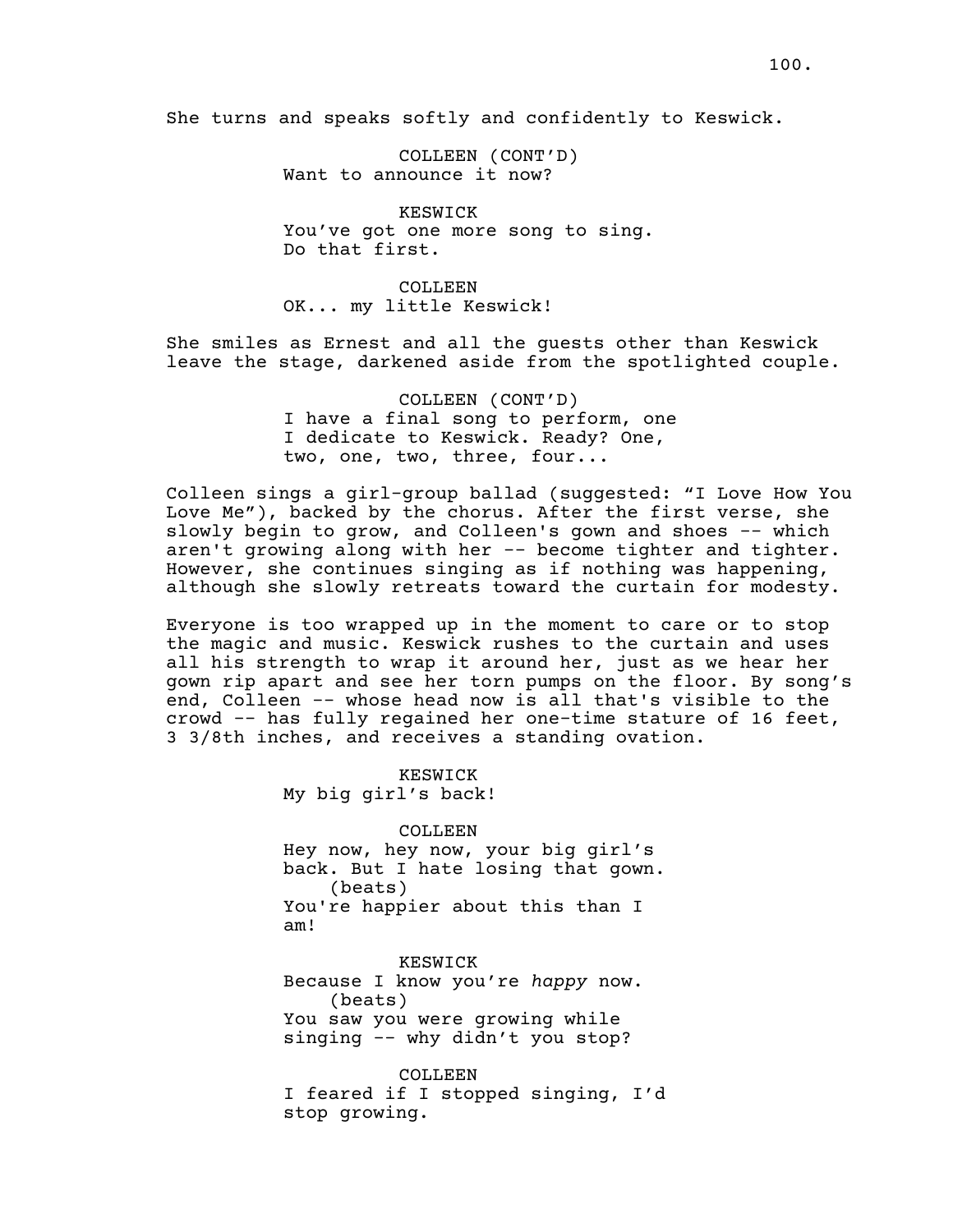She turns and speaks softly and confidently to Keswick.

COLLEEN (CONT'D) Want to announce it now?

KESWICK You've got one more song to sing. Do that first.

COLLEEN OK... my little Keswick!

She smiles as Ernest and all the guests other than Keswick leave the stage, darkened aside from the spotlighted couple.

> COLLEEN (CONT'D) I have a final song to perform, one I dedicate to Keswick. Ready? One, two, one, two, three, four...

Colleen sings a girl-group ballad (suggested: "I Love How You Love Me"), backed by the chorus. After the first verse, she slowly begin to grow, and Colleen's gown and shoes -- which aren't growing along with her -- become tighter and tighter. However, she continues singing as if nothing was happening, although she slowly retreats toward the curtain for modesty.

Everyone is too wrapped up in the moment to care or to stop the magic and music. Keswick rushes to the curtain and uses all his strength to wrap it around her, just as we hear her gown rip apart and see her torn pumps on the floor. By song's end, Colleen -- whose head now is all that's visible to the crowd -- has fully regained her one-time stature of 16 feet, 3 3/8th inches, and receives a standing ovation.

> KESWICK My big girl's back!

COLLEEN Hey now, hey now, your big girl's back. But I hate losing that gown. (beats) You're happier about this than I am!

KESWICK Because I know you're *happy* now. (beats) You saw you were growing while singing -- why didn't you stop?

COLLEEN I feared if I stopped singing, I'd stop growing.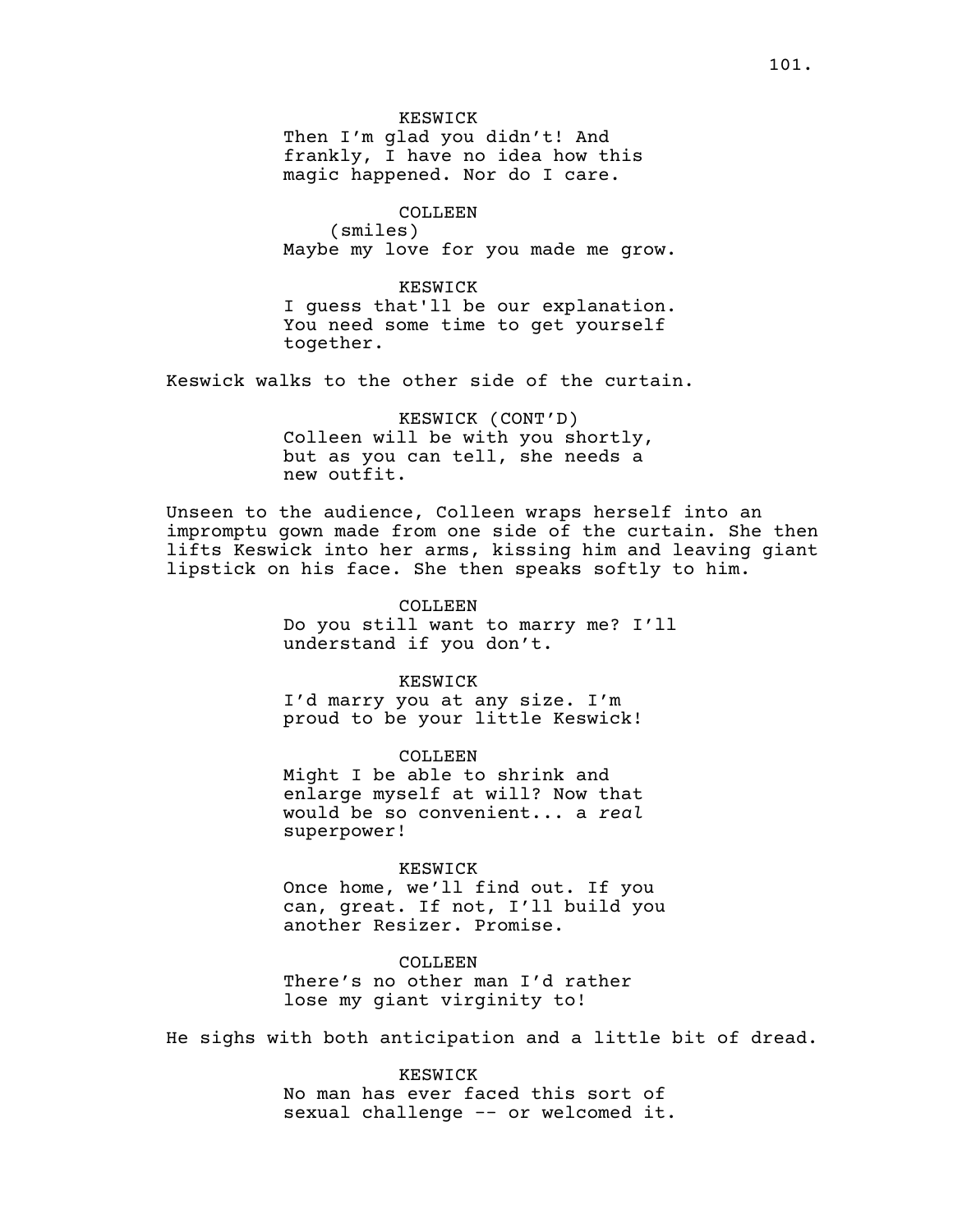KESWICK Then I'm glad you didn't! And frankly, I have no idea how this magic happened. Nor do I care.

COLLEEN (smiles) Maybe my love for you made me grow.

KESWICK I guess that'll be our explanation. You need some time to get yourself together.

Keswick walks to the other side of the curtain.

KESWICK (CONT'D) Colleen will be with you shortly, but as you can tell, she needs a new outfit.

Unseen to the audience, Colleen wraps herself into an impromptu gown made from one side of the curtain. She then lifts Keswick into her arms, kissing him and leaving giant lipstick on his face. She then speaks softly to him.

> COLLEEN Do you still want to marry me? I'll understand if you don't.

KESWICK I'd marry you at any size. I'm proud to be your little Keswick!

COLLEEN Might I be able to shrink and enlarge myself at will? Now that would be so convenient... a *real* superpower!

KESWICK Once home, we'll find out. If you

can, great. If not, I'll build you another Resizer. Promise.

COLLEEN There's no other man I'd rather lose my giant virginity to!

He sighs with both anticipation and a little bit of dread.

KESWICK No man has ever faced this sort of sexual challenge -- or welcomed it.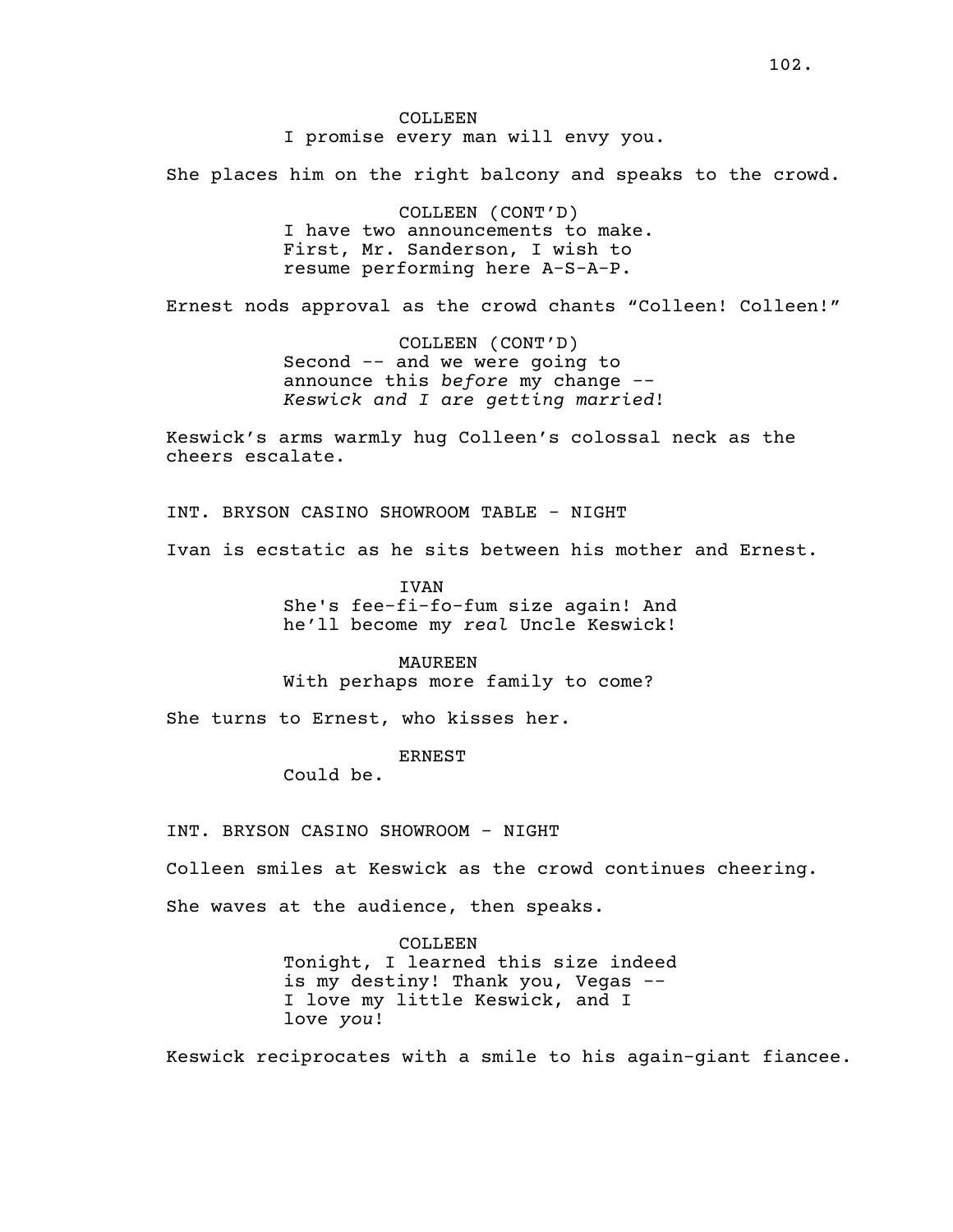She places him on the right balcony and speaks to the crowd.

COLLEEN (CONT'D) I have two announcements to make. First, Mr. Sanderson, I wish to resume performing here A-S-A-P.

Ernest nods approval as the crowd chants "Colleen! Colleen!"

COLLEEN (CONT'D) Second -- and we were going to announce this *before* my change -- *Keswick and I are getting married*!

Keswick's arms warmly hug Colleen's colossal neck as the cheers escalate.

INT. BRYSON CASINO SHOWROOM TABLE - NIGHT

Ivan is ecstatic as he sits between his mother and Ernest.

IVAN She's fee-fi-fo-fum size again! And he'll become my *real* Uncle Keswick!

MAUREEN With perhaps more family to come?

She turns to Ernest, who kisses her.

ERNEST

Could be.

INT. BRYSON CASINO SHOWROOM - NIGHT

Colleen smiles at Keswick as the crowd continues cheering.

She waves at the audience, then speaks.

COLLEEN Tonight, I learned this size indeed is my destiny! Thank you, Vegas -- I love my little Keswick, and I love *you*!

Keswick reciprocates with a smile to his again-giant fiancee.